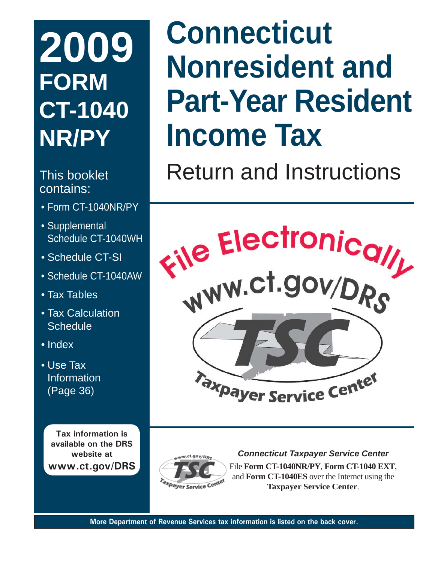# **2009 FORM CT-1040 NR/PY**

## contains:

- Form CT-1040NR/PY
- Supplemental Schedule CT-1040WH
- Schedule CT-SI
- Schedule CT-1040AW
- Tax Tables
- Tax Calculation **Schedule**
- Index
- Use Tax Information (Page 36)

**Tax information is available on the DRS website at www.ct.gov/DRS**

# **Connecticut Nonresident and Part-Year Resident Income Tax**

This booklet **Return and Instructions** 





*Connecticut Taxpayer Service Center*

File **Form CT-1040NR/PY**, **Form CT-1040 EXT**, and **Form CT-1040ES** over the Internet using the **Taxpayer Service Center**.

**More Department of Revenue Services tax information is listed on the back cover.**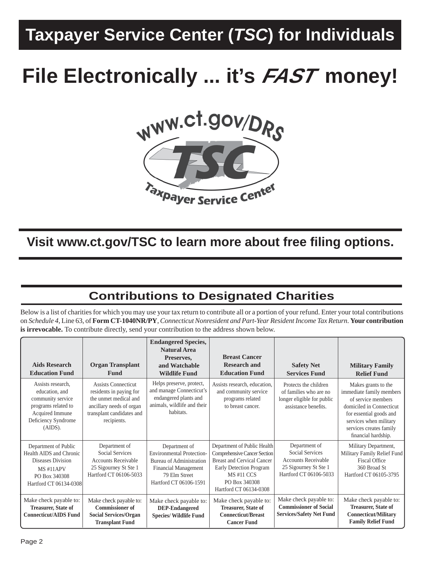## **Taxpayer Service Center (***TSC***) for Individuals**

## **File Electronically ... it's FAST money!**



**Visit www.ct.gov/TSC to learn more about free fi ling options.**

## **Contributions to Designated Charities**

Below is a list of charities for which you may use your tax return to contribute all or a portion of your refund. Enter your total contributions on *Schedule 4*, Line 63, of **Form CT-1040NR/PY**, *Connecticut Nonresident and Part-Year Resident Income Tax Return*. **Your contribution is irrevocable.** To contribute directly, send your contribution to the address shown below.

| <b>Aids Research</b><br><b>Education Fund</b>                                                                                           | <b>Organ Transplant</b><br>Fund                                                                                                                        | <b>Endangered Species,</b><br><b>Natural Area</b><br>Preserves,<br>and Watchable<br><b>Wildlife Fund</b>                                                       | <b>Breast Cancer</b><br><b>Research and</b><br><b>Education Fund</b>                                                                                                                       | <b>Safety Net</b><br><b>Services Fund</b>                                                                         | <b>Military Family</b><br><b>Relief Fund</b>                                                                                                                                                             |
|-----------------------------------------------------------------------------------------------------------------------------------------|--------------------------------------------------------------------------------------------------------------------------------------------------------|----------------------------------------------------------------------------------------------------------------------------------------------------------------|--------------------------------------------------------------------------------------------------------------------------------------------------------------------------------------------|-------------------------------------------------------------------------------------------------------------------|----------------------------------------------------------------------------------------------------------------------------------------------------------------------------------------------------------|
| Assists research.<br>education, and<br>community service<br>programs related to<br>Acquired Immune<br>Deficiency Syndrome<br>$(AIDS)$ . | <b>Assists Connecticut</b><br>residents in paying for<br>the unmet medical and<br>ancillary needs of organ<br>transplant candidates and<br>recipients. | Helps preserve, protect,<br>and manage Connecticut's<br>endangered plants and<br>animals, wildlife and their<br>habitats.                                      | Assists research, education,<br>and community service<br>programs related<br>to breast cancer.                                                                                             | Protects the children<br>of families who are no<br>longer eligible for public<br>assistance benefits.             | Makes grants to the<br>immediate family members<br>of service members<br>domiciled in Connecticut<br>for essential goods and<br>services when military<br>services creates family<br>financial hardship. |
| Department of Public<br>Health AIDS and Chronic<br>Diseases Division<br>MS#11APV<br>PO Box 340308<br>Hartford CT 06134-0308             | Department of<br>Social Services<br><b>Accounts Receivable</b><br>25 Sigourney St Ste 1<br>Hartford CT 06106-5033                                      | Department of<br><b>Environmental Protection-</b><br><b>Bureau of Administration</b><br><b>Financial Management</b><br>79 Elm Street<br>Hartford CT 06106-1591 | Department of Public Health<br>Comprehensive Cancer Section<br><b>Breast and Cervical Cancer</b><br>Early Detection Program<br><b>MS#11 CCS</b><br>PO Box 340308<br>Hartford CT 06134-0308 | Department of<br>Social Services<br><b>Accounts Receivable</b><br>25 Sigourney St Ste 1<br>Hartford CT 06106-5033 | Military Department,<br>Military Family Relief Fund<br>Fiscal Office<br>360 Broad St<br>Hartford CT 06105-3795                                                                                           |
| Make check payable to:<br><b>Treasurer, State of</b><br><b>Connecticut/AIDS Fund</b>                                                    | Make check payable to:<br><b>Commissioner of</b><br><b>Social Services/Organ</b><br><b>Transplant Fund</b>                                             | Make check payable to:<br><b>DEP-Endangered</b><br><b>Species/ Wildlife Fund</b>                                                                               | Make check payable to:<br><b>Treasurer, State of</b><br><b>Connecticut/Breast</b><br><b>Cancer Fund</b>                                                                                    | Make check payable to:<br><b>Commissioner of Social</b><br><b>Services/Safety Net Fund</b>                        | Make check payable to:<br><b>Treasurer, State of</b><br><b>Connecticut/Military</b><br><b>Family Relief Fund</b>                                                                                         |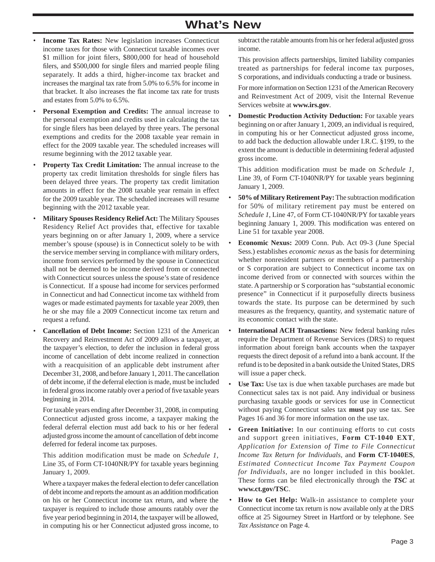## **What's New**

- **Income Tax Rates:** New legislation increases Connecticut income taxes for those with Connecticut taxable incomes over \$1 million for joint filers, \$800,000 for head of household filers, and \$500,000 for single filers and married people filing separately. It adds a third, higher-income tax bracket and increases the marginal tax rate from 5.0% to 6.5% for income in that bracket. It also increases the flat income tax rate for trusts and estates from 5.0% to 6.5%.
- • **Personal Exemption and Credits:** The annual increase to the personal exemption and credits used in calculating the tax for single filers has been delayed by three years. The personal exemptions and credits for the 2008 taxable year remain in effect for the 2009 taxable year. The scheduled increases will resume beginning with the 2012 taxable year.
- • **Property Tax Credit Limitation:** The annual increase to the property tax credit limitation thresholds for single filers has been delayed three years. The property tax credit limitation amounts in effect for the 2008 taxable year remain in effect for the 2009 taxable year. The scheduled increases will resume beginning with the 2012 taxable year.
- • **Military Spouses Residency Relief Act:** The Military Spouses Residency Relief Act provides that, effective for taxable years beginning on or after January 1, 2009, where a service member's spouse (spouse) is in Connecticut solely to be with the service member serving in compliance with military orders, income from services performed by the spouse in Connecticut shall not be deemed to be income derived from or connected with Connecticut sources unless the spouse's state of residence is Connecticut. If a spouse had income for services performed in Connecticut and had Connecticut income tax withheld from wages or made estimated payments for taxable year 2009, then he or she may file a 2009 Connecticut income tax return and request a refund.
- • **Cancellation of Debt Income:** Section 1231 of the American Recovery and Reinvestment Act of 2009 allows a taxpayer, at the taxpayer's election, to defer the inclusion in federal gross income of cancellation of debt income realized in connection with a reacquisition of an applicable debt instrument after December 31, 2008, and before January 1, 2011. The cancellation of debt income, if the deferral election is made, must be included in federal gross income ratably over a period of five taxable years beginning in 2014.

 For taxable years ending after December 31, 2008, in computing Connecticut adjusted gross income, a taxpayer making the federal deferral election must add back to his or her federal adjusted gross income the amount of cancellation of debt income deferred for federal income tax purposes.

 This addition modification must be made on *Schedule 1*, Line 35, of Form CT-1040NR/PY for taxable years beginning January 1, 2009.

 Where a taxpayer makes the federal election to defer cancellation of debt income and reports the amount as an addition modification on his or her Connecticut income tax return, and where the taxpayer is required to include those amounts ratably over the five year period beginning in 2014, the taxpayer will be allowed, in computing his or her Connecticut adjusted gross income, to

subtract the ratable amounts from his or her federal adjusted gross income.

 This provision affects partnerships, limited liability companies treated as partnerships for federal income tax purposes, S corporations, and individuals conducting a trade or business.

 For more information on Section 1231 of the American Recovery and Reinvestment Act of 2009, visit the Internal Revenue Services website at **www.irs.gov**.

• **Domestic Production Activity Deduction:** For taxable years beginning on or after January 1, 2009, an individual is required, in computing his or her Connecticut adjusted gross income, to add back the deduction allowable under I.R.C. §199, to the extent the amount is deductible in determining federal adjusted gross income.

 This addition modification must be made on *Schedule 1*, Line 39, of Form CT-1040NR/PY for taxable years beginning January 1, 2009.

- 50% of Military Retirement Pay: The subtraction modification for 50% of military retirement pay must be entered on *Schedule 1*, Line 47, of Form CT-1040NR/PY for taxable years beginning January 1, 2009. This modification was entered on Line 51 for taxable year 2008.
- • **Economic Nexus:** 2009 Conn. Pub. Act 09-3 (June Special Sess.) establishes *economic nexus* as the basis for determining whether nonresident partners or members of a partnership or S corporation are subject to Connecticut income tax on income derived from or connected with sources within the state. A partnership or S corporation has "substantial economic presence" in Connecticut if it purposefully directs business towards the state. Its purpose can be determined by such measures as the frequency, quantity, and systematic nature of its economic contact with the state.
- **International ACH Transactions:** New federal banking rules require the Department of Revenue Services (DRS) to request information about foreign bank accounts when the taxpayer requests the direct deposit of a refund into a bank account. If the refund is to be deposited in a bank outside the United States, DRS will issue a paper check.
- • **Use Tax:** Use tax is due when taxable purchases are made but Connecticut sales tax is not paid. Any individual or business purchasing taxable goods or services for use in Connecticut without paying Connecticut sales tax **must** pay use tax. See Pages 16 and 36 for more information on the use tax.
- • **Green Initiative:** In our continuing efforts to cut costs and support green initiatives, **Form CT-1040 EXT**, *Application for Extension of Time to File Connecticut Income Tax Return for Individuals*, and **Form CT-1040ES**, *Estimated Connecticut Income Tax Payment Coupon for Individuals*, are no longer included in this booklet. These forms can be filed electronically through the **TSC** at **www.ct.gov/TSC**.
- • **How to Get Help:** Walk-in assistance to complete your Connecticut income tax return is now available only at the DRS office at 25 Sigourney Street in Hartford or by telephone. See *Tax Assistance* on Page 4.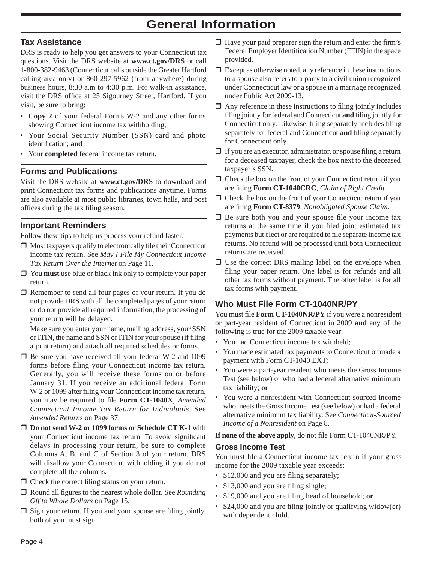## **General Information**

## **Tax Assistance**

DRS is ready to help you get answers to your Connecticut tax questions. Visit the DRS website at **www.ct.gov/DRS** or call 1-800-382-9463 (Connecticut calls outside the Greater Hartford calling area only) or 860-297-5962 (from anywhere) during business hours, 8:30 a.m to 4:30 p.m. For walk-in assistance, visit the DRS office at 25 Sigourney Street, Hartford. If you visit, be sure to bring:

- **Copy 2** of your federal Forms W-2 and any other forms showing Connecticut income tax withholding;
- Your Social Security Number (SSN) card and photo identification; and
- Your **completed** federal income tax return.

## **Forms and Publications**

Visit the DRS website at **www.ct.gov/DRS** to download and print Connecticut tax forms and publications anytime. Forms are also available at most public libraries, town halls, and post offices during the tax filing season.

## **Important Reminders**

Follow these tips to help us process your refund faster:

- $\Box$  Most taxpayers qualify to electronically file their Connecticut income tax return. See *May I File My Connecticut Income Tax Return Over the Internet* on Page 11.
- You **must** use blue or black ink only to complete your paper return.
- Remember to send all four pages of your return. If you do not provide DRS with all the completed pages of your return or do not provide all required information, the processing of your return will be delayed.

 Make sure you enter your name, mailing address, your SSN or ITIN, the name and SSN or ITIN for your spouse (if filing a joint return) and attach all required schedules or forms.

- $\Box$  Be sure you have received all your federal W-2 and 1099 forms before filing your Connecticut income tax return. Generally, you will receive these forms on or before January 31. If you receive an additional federal Form W-2 or 1099 after filing your Connecticut income tax return, you may be required to file Form CT-1040X, *Amended Connecticut Income Tax Return for Individuals*. See *Amended Returns* on Page 37.
- **Do not send W-2 or 1099 forms or Schedule CT K-1** with your Connecticut income tax return. To avoid significant delays in processing your return, be sure to complete Columns A, B, and C of Section 3 of your return. DRS will disallow your Connecticut withholding if you do not complete all the columns.
- $\Box$  Check the correct filing status on your return.
- $\Box$  Round all figures to the nearest whole dollar. See *Rounding Off to Whole Dollars* on Page 15.
- $\Box$  Sign your return. If you and your spouse are filing jointly, both of you must sign.
- $\Box$  Have your paid preparer sign the return and enter the firm's Federal Employer Identification Number (FEIN) in the space provided.
- $\Box$  Except as otherwise noted, any reference in these instructions to a spouse also refers to a party to a civil union recognized under Connecticut law or a spouse in a marriage recognized under Public Act 2009-13.
- $\Box$  Any reference in these instructions to filing jointly includes filing jointly for federal and Connecticut **and** filing jointly for Connecticut only. Likewise, filing separately includes filing separately for federal and Connecticut and filing separately for Connecticut only.
- $\Box$  If you are an executor, administrator, or spouse filing a return for a deceased taxpayer, check the box next to the deceased taxpayer's SSN.
- $\Box$  Check the box on the front of your Connecticut return if you are filing **Form CT-1040CRC**, *Claim of Right Credit.*
- $\Box$  Check the box on the front of your Connecticut return if you are filing **Form CT-8379**, *Nonobligated Spouse Claim.*
- $\Box$  Be sure both you and your spouse file your income tax returns at the same time if you filed joint estimated tax payments but elect or are required to file separate income tax returns. No refund will be processed until both Connecticut returns are received.
- $\square$  Use the correct DRS mailing label on the envelope when filing your paper return. One label is for refunds and all other tax forms without payment. The other label is for all tax forms with payment.

## **Who Must File Form CT-1040NR/PY**

You must file **Form CT-1040NR/PY** if you were a nonresident or part-year resident of Connecticut in 2009 **and** any of the following is true for the 2009 taxable year:

- You had Connecticut income tax withheld;
- You made estimated tax payments to Connecticut or made a payment with Form CT-1040 EXT;
- You were a part-year resident who meets the Gross Income Test (see below) or who had a federal alternative minimum tax liability; **or**
- You were a nonresident with Connecticut-sourced income who meets the Gross Income Test (see below) or had a federal alternative minimum tax liability. See *Connecticut-Sourced Income of a Nonresident* on Page 8.

## **If none of the above apply**, do not file Form CT-1040NR/PY.

## **Gross Income Test**

You must file a Connecticut income tax return if your gross income for the 2009 taxable year exceeds:

- \$12,000 and you are filing separately;
- \$13,000 and you are filing single;
- \$19,000 and you are filing head of household; **or**
- \$24,000 and you are filing jointly or qualifying widow(er) with dependent child.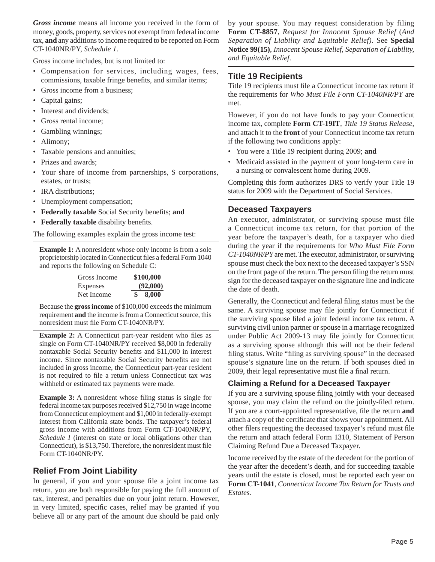*Gross income* means all income you received in the form of money, goods, property, services not exempt from federal income tax, **and** any additions to income required to be reported on Form CT-1040NR/PY, *Schedule 1*.

Gross income includes, but is not limited to:

- Compensation for services, including wages, fees, commissions, taxable fringe benefits, and similar items;
- Gross income from a business;
- Capital gains;
- Interest and dividends;
- Gross rental income;
- Gambling winnings;
- Alimony;
- Taxable pensions and annuities;
- Prizes and awards;
- Your share of income from partnerships, S corporations, estates, or trusts;
- IRA distributions;
- Unemployment compensation;
- Federally taxable Social Security benefits; and
- Federally taxable disability benefits.

The following examples explain the gross income test:

**Example 1:** A nonresident whose only income is from a sole proprietorship located in Connecticut files a federal Form 1040 and reports the following on Schedule C:

| Gross Income | \$100,000 |
|--------------|-----------|
| Expenses     | (92,000)  |
| Net Income   | 8.000     |

Because the **gross income** of \$100,000 exceeds the minimum requirement **and** the income is from a Connecticut source, this nonresident must file Form CT-1040NR/PY.

**Example 2:** A Connecticut part-year resident who files as single on Form CT-1040NR/PY received \$8,000 in federally nontaxable Social Security benefits and \$11,000 in interest income. Since nontaxable Social Security benefits are not included in gross income, the Connecticut part-year resident is not required to file a return unless Connecticut tax was withheld or estimated tax payments were made.

**Example 3:** A nonresident whose filing status is single for federal income tax purposes received \$12,750 in wage income from Connecticut employment and \$1,000 in federally-exempt interest from California state bonds. The taxpayer's federal gross income with additions from Form CT-1040NR/PY, *Schedule 1* (interest on state or local obligations other than Connecticut), is \$13,750. Therefore, the nonresident must file Form CT-1040NR/PY.

## **Relief From Joint Liability**

In general, if you and your spouse file a joint income tax return, you are both responsible for paying the full amount of tax, interest, and penalties due on your joint return. However, in very limited, specific cases, relief may be granted if you believe all or any part of the amount due should be paid only by your spouse. You may request consideration by filing **Form CT-8857**, *Request for Innocent Spouse Relief* (*And Separation of Liability and Equitable Relief)*. See **Special Notice 99(15)**, *Innocent Spouse Relief*, *Separation of Liability, and Equitable Relief*.

## **Title 19 Recipients**

Title 19 recipients must file a Connecticut income tax return if the requirements for *Who Must File Form CT-1040NR/PY* are met.

However, if you do not have funds to pay your Connecticut income tax, complete **Form CT-19IT**, *Title 19 Status Release*, and attach it to the **front** of your Connecticut income tax return if the following two conditions apply:

- You were a Title 19 recipient during 2009; **and**
- Medicaid assisted in the payment of your long-term care in a nursing or convalescent home during 2009.

Completing this form authorizes DRS to verify your Title 19 status for 2009 with the Department of Social Services.

## **Deceased Taxpayers**

An executor, administrator, or surviving spouse must file a Connecticut income tax return, for that portion of the year before the taxpayer's death, for a taxpayer who died during the year if the requirements for *Who Must File Form CT-1040NR/PY* are met. The executor, administrator, or surviving spouse must check the box next to the deceased taxpayer's SSN on the front page of the return. The person filing the return must sign for the deceased taxpayer on the signature line and indicate the date of death.

Generally, the Connecticut and federal filing status must be the same. A surviving spouse may file jointly for Connecticut if the surviving spouse filed a joint federal income tax return. A surviving civil union partner or spouse in a marriage recognized under Public Act 2009-13 may file jointly for Connecticut as a surviving spouse although this will not be their federal filing status. Write "filing as surviving spouse" in the deceased spouse's signature line on the return. If both spouses died in 2009, their legal representative must file a final return.

## **Claiming a Refund for a Deceased Taxpayer**

If you are a surviving spouse filing jointly with your deceased spouse, you may claim the refund on the jointly-filed return. If you are a court-appointed representative, file the return **and** attach a copy of the certificate that shows your appointment. All other filers requesting the deceased taxpayer's refund must file the return and attach federal Form 1310, Statement of Person Claiming Refund Due a Deceased Taxpayer.

Income received by the estate of the decedent for the portion of the year after the decedent's death, and for succeeding taxable years until the estate is closed, must be reported each year on **Form CT-1041**, *Connecticut Income Tax Return for Trusts and Estates.*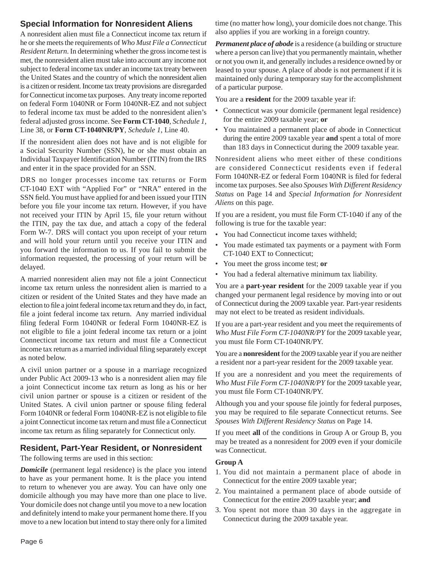## **Special Information for Nonresident Aliens**

A nonresident alien must file a Connecticut income tax return if he or she meets the requirements of *Who Must File a Connecticut Resident Return*. In determining whether the gross income test is met, the nonresident alien must take into account any income not subject to federal income tax under an income tax treaty between the United States and the country of which the nonresident alien is a citizen or resident. Income tax treaty provisions are disregarded for Connecticut income tax purposes. Any treaty income reported on federal Form 1040NR or Form 1040NR-EZ and not subject to federal income tax must be added to the nonresident alien's federal adjusted gross income. See **Form CT-1040**, *Schedule 1*, Line 38, or **Form CT-1040NR/PY**, *Schedule 1*, Line 40.

If the nonresident alien does not have and is not eligible for a Social Security Number (SSN), he or she must obtain an Individual Taxpayer Identification Number (ITIN) from the IRS and enter it in the space provided for an SSN.

DRS no longer processes income tax returns or Form CT-1040 EXT with "Applied For" or "NRA" entered in the SSN field. You must have applied for and been issued your ITIN before you file your income tax return. However, if you have not received your ITIN by April 15, file your return without the ITIN, pay the tax due, and attach a copy of the federal Form W-7. DRS will contact you upon receipt of your return and will hold your return until you receive your ITIN and you forward the information to us. If you fail to submit the information requested, the processing of your return will be delayed.

A married nonresident alien may not file a joint Connecticut income tax return unless the nonresident alien is married to a citizen or resident of the United States and they have made an election to file a joint federal income tax return and they do, in fact, file a joint federal income tax return. Any married individual filing federal Form 1040NR or federal Form 1040NR-EZ is not eligible to file a joint federal income tax return or a joint Connecticut income tax return and must file a Connecticut income tax return as a married individual filing separately except as noted below.

A civil union partner or a spouse in a marriage recognized under Public Act 2009-13 who is a nonresident alien may file a joint Connecticut income tax return as long as his or her civil union partner or spouse is a citizen or resident of the United States. A civil union partner or spouse filing federal Form 1040NR or federal Form 1040NR-EZ is not eligible to file a joint Connecticut income tax return and must file a Connecticut income tax return as filing separately for Connecticut only.

## **Resident, Part-Year Resident, or Nonresident**

The following terms are used in this section:

*Domicile* (permanent legal residence) is the place you intend to have as your permanent home. It is the place you intend to return to whenever you are away. You can have only one domicile although you may have more than one place to live. Your domicile does not change until you move to a new location and definitely intend to make your permanent home there. If you move to a new location but intend to stay there only for a limited

time (no matter how long), your domicile does not change. This also applies if you are working in a foreign country.

*Permanent place of abode* is a residence (a building or structure where a person can live) that you permanently maintain, whether or not you own it, and generally includes a residence owned by or leased to your spouse. A place of abode is not permanent if it is maintained only during a temporary stay for the accomplishment of a particular purpose.

You are a **resident** for the 2009 taxable year if:

- Connecticut was your domicile (permanent legal residence) for the entire 2009 taxable year; **or**
- You maintained a permanent place of abode in Connecticut during the entire 2009 taxable year **and** spent a total of more than 183 days in Connecticut during the 2009 taxable year.

Nonresident aliens who meet either of these conditions are considered Connecticut residents even if federal Form 1040NR-EZ or federal Form 1040NR is filed for federal income tax purposes. See also *Spouses With Different Residency Status* on Page 14 and *Special Information for Nonresident Aliens* on this page.

If you are a resident, you must file Form CT-1040 if any of the following is true for the taxable year:

- You had Connecticut income taxes withheld;
- You made estimated tax payments or a payment with Form CT-1040 EXT to Connecticut;
- You meet the gross income test; **or**
- You had a federal alternative minimum tax liability.

You are a **part-year resident** for the 2009 taxable year if you changed your permanent legal residence by moving into or out of Connecticut during the 2009 taxable year. Part-year residents may not elect to be treated as resident individuals.

If you are a part-year resident and you meet the requirements of *Who Must File Form CT-1040NR/PY* for the 2009 taxable year, you must file Form CT-1040NR/PY.

You are a **nonresident** for the 2009 taxable year if you are neither a resident nor a part-year resident for the 2009 taxable year.

If you are a nonresident and you meet the requirements of *Who Must File Form CT-1040NR/PY* for the 2009 taxable year, you must file Form CT-1040NR/PY.

Although you and your spouse file jointly for federal purposes, you may be required to file separate Connecticut returns. See *Spouses With Different Residency Status* on Page 14.

If you meet **all** of the conditions in Group A or Group B, you may be treated as a nonresident for 2009 even if your domicile was Connecticut.

## **Group A**

- 1. You did not maintain a permanent place of abode in Connecticut for the entire 2009 taxable year;
- 2. You maintained a permanent place of abode outside of Connecticut for the entire 2009 taxable year; **and**
- 3. You spent not more than 30 days in the aggregate in Connecticut during the 2009 taxable year.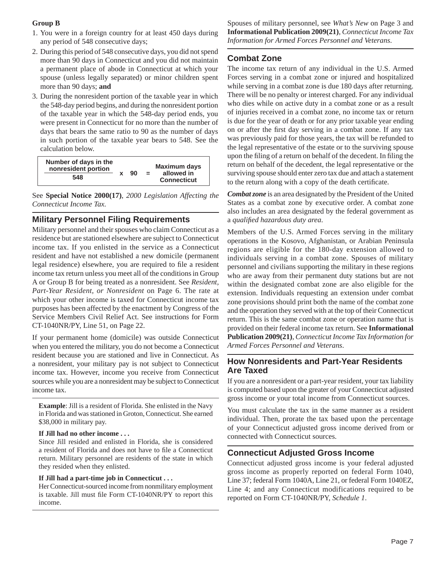## **Group B**

- 1. You were in a foreign country for at least 450 days during any period of 548 consecutive days;
- 2. During this period of 548 consecutive days, you did not spend more than 90 days in Connecticut and you did not maintain a permanent place of abode in Connecticut at which your spouse (unless legally separated) or minor children spent more than 90 days; **and**
- 3. During the nonresident portion of the taxable year in which the 548-day period begins, and during the nonresident portion of the taxable year in which the 548-day period ends, you were present in Connecticut for no more than the number of days that bears the same ratio to 90 as the number of days in such portion of the taxable year bears to 548. See the calculation below.

| Number of days in the<br>nonresident portion | 90 | $\equiv$ | <b>Maximum davs</b><br>allowed in |  |
|----------------------------------------------|----|----------|-----------------------------------|--|
| 548                                          |    |          | <b>Connecticut</b>                |  |

See **Special Notice 2000(17)**, *2000 Legislation Affecting the Connecticut Income Tax.*

## **Military Personnel Filing Requirements**

Military personnel and their spouses who claim Connecticut as a residence but are stationed elsewhere are subject to Connecticut income tax. If you enlisted in the service as a Connecticut resident and have not established a new domicile (permanent legal residence) elsewhere, you are required to file a resident income tax return unless you meet all of the conditions in Group A or Group B for being treated as a nonresident. See *Resident, Part-Year Resident, or Nonresident* on Page 6. The rate at which your other income is taxed for Connecticut income tax purposes has been affected by the enactment by Congress of the Service Members Civil Relief Act. See instructions for Form CT-1040NR/PY, Line 51, on Page 22.

If your permanent home (domicile) was outside Connecticut when you entered the military, you do not become a Connecticut resident because you are stationed and live in Connecticut. As a nonresident, your military pay is not subject to Connecticut income tax. However, income you receive from Connecticut sources while you are a nonresident may be subject to Connecticut income tax.

**Example**: Jill is a resident of Florida. She enlisted in the Navy in Florida and was stationed in Groton, Connecticut. She earned \$38,000 in military pay.

#### **If Jill had no other income . . .**

Since Jill resided and enlisted in Florida, she is considered a resident of Florida and does not have to file a Connecticut return. Military personnel are residents of the state in which they resided when they enlisted.

#### **If Jill had a part-time job in Connecticut . . .**

Her Connecticut-sourced income from nonmilitary employment is taxable. Jill must file Form CT-1040NR/PY to report this income.

Spouses of military personnel, see *What's New* on Page 3 and **Informational Publication 2009(21)**, *Connecticut Income Tax Information for Armed Forces Personnel and Veterans*.

## **Combat Zone**

The income tax return of any individual in the U.S. Armed Forces serving in a combat zone or injured and hospitalized while serving in a combat zone is due 180 days after returning. There will be no penalty or interest charged. For any individual who dies while on active duty in a combat zone or as a result of injuries received in a combat zone, no income tax or return is due for the year of death or for any prior taxable year ending on or after the first day serving in a combat zone. If any tax was previously paid for those years, the tax will be refunded to the legal representative of the estate or to the surviving spouse upon the filing of a return on behalf of the decedent. In filing the return on behalf of the decedent, the legal representative or the surviving spouse should enter zero tax due and attach a statement to the return along with a copy of the death certificate.

*Combat zone* is an area designated by the President of the United States as a combat zone by executive order. A combat zone also includes an area designated by the federal government as a *qualifi ed hazardous duty area*.

Members of the U.S. Armed Forces serving in the military operations in the Kosovo, Afghanistan, or Arabian Peninsula regions are eligible for the 180-day extension allowed to individuals serving in a combat zone. Spouses of military personnel and civilians supporting the military in these regions who are away from their permanent duty stations but are not within the designated combat zone are also eligible for the extension. Individuals requesting an extension under combat zone provisions should print both the name of the combat zone and the operation they served with at the top of their Connecticut return. This is the same combat zone or operation name that is provided on their federal income tax return. See **Informational Publication 2009(21)**, *Connecticut Income Tax Information for Armed Forces Personnel and Veterans*.

## **How Nonresidents and Part-Year Residents Are Taxed**

If you are a nonresident or a part-year resident, your tax liability is computed based upon the greater of your Connecticut adjusted gross income or your total income from Connecticut sources.

You must calculate the tax in the same manner as a resident individual. Then, prorate the tax based upon the percentage of your Connecticut adjusted gross income derived from or connected with Connecticut sources.

## **Connecticut Adjusted Gross Income**

Connecticut adjusted gross income is your federal adjusted gross income as properly reported on federal Form 1040, Line 37; federal Form 1040A, Line 21, or federal Form 1040EZ, Line 4; and any Connecticut modifications required to be reported on Form CT-1040NR/PY, *Schedule 1*.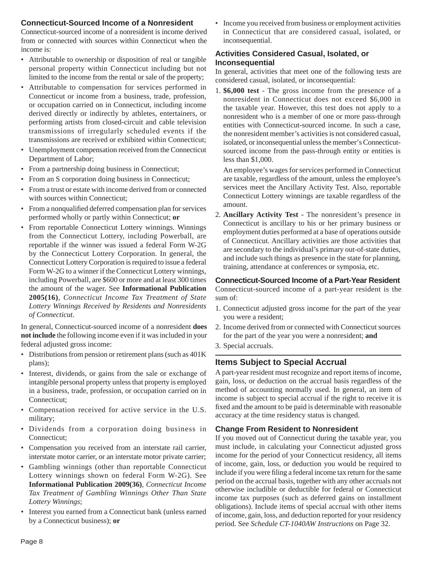## **Connecticut-Sourced Income of a Nonresident**

Connecticut-sourced income of a nonresident is income derived from or connected with sources within Connecticut when the income is:

- Attributable to ownership or disposition of real or tangible personal property within Connecticut including but not limited to the income from the rental or sale of the property;
- Attributable to compensation for services performed in Connecticut or income from a business, trade, profession, or occupation carried on in Connecticut, including income derived directly or indirectly by athletes, entertainers, or performing artists from closed-circuit and cable television transmissions of irregularly scheduled events if the transmissions are received or exhibited within Connecticut;
- Unemployment compensation received from the Connecticut Department of Labor;
- From a partnership doing business in Connecticut;
- From an S corporation doing business in Connecticut;
- From a trust or estate with income derived from or connected with sources within Connecticut;
- From a nonqualified deferred compensation plan for services performed wholly or partly within Connecticut; **or**
- From reportable Connecticut Lottery winnings. Winnings from the Connecticut Lottery, including Powerball, are reportable if the winner was issued a federal Form W-2G by the Connecticut Lottery Corporation. In general, the Connecticut Lottery Corporation is required to issue a federal Form W-2G to a winner if the Connecticut Lottery winnings, including Powerball, are \$600 or more and at least 300 times the amount of the wager. See **Informational Publication 2005(16)**, *Connecticut Income Tax Treatment of State Lottery Winnings Received by Residents and Nonresidents of Connecticut*.

In general, Connecticut-sourced income of a nonresident **does not include** the following income even if it was included in your federal adjusted gross income:

- Distributions from pension or retirement plans (such as 401K plans);
- Interest, dividends, or gains from the sale or exchange of intangible personal property unless that property is employed in a business, trade, profession, or occupation carried on in Connecticut;
- Compensation received for active service in the U.S. military;
- Dividends from a corporation doing business in Connecticut;
- Compensation you received from an interstate rail carrier, interstate motor carrier, or an interstate motor private carrier;
- Gambling winnings (other than reportable Connecticut Lottery winnings shown on federal Form W-2G). See **Informational Publication 2009(36)**, *Connecticut Income Tax Treatment of Gambling Winnings Other Than State Lottery Winnings*;
- Interest you earned from a Connecticut bank (unless earned by a Connecticut business); **or**

• Income you received from business or employment activities in Connecticut that are considered casual, isolated, or inconsequential.

## **Activities Considered Casual, Isolated, or Inconsequential**

In general, activities that meet one of the following tests are considered casual, isolated, or inconsequential:

1. **\$6,000 test** - The gross income from the presence of a nonresident in Connecticut does not exceed \$6,000 in the taxable year. However, this test does not apply to a nonresident who is a member of one or more pass-through entities with Connecticut-sourced income. In such a case, the nonresident member's activities is not considered casual, isolated, or inconsequential unless the member's Connecticutsourced income from the pass-through entity or entities is less than \$1,000.

 An employee's wages for services performed in Connecticut are taxable, regardless of the amount, unless the employee's services meet the Ancillary Activity Test. Also, reportable Connecticut Lottery winnings are taxable regardless of the amount.

2. **Ancillary Activity Test** - The nonresident's presence in Connecticut is ancillary to his or her primary business or employment duties performed at a base of operations outside of Connecticut. Ancillary activities are those activities that are secondary to the individual's primary out-of-state duties, and include such things as presence in the state for planning, training, attendance at conferences or symposia, etc.

## **Connecticut-Sourced Income of a Part-Year Resident**

Connecticut-sourced income of a part-year resident is the sum of:

- 1. Connecticut adjusted gross income for the part of the year you were a resident;
- 2. Income derived from or connected with Connecticut sources for the part of the year you were a nonresident; **and**
- 3. Special accruals.

## **Items Subject to Special Accrual**

A part-year resident must recognize and report items of income, gain, loss, or deduction on the accrual basis regardless of the method of accounting normally used. In general, an item of income is subject to special accrual if the right to receive it is fixed and the amount to be paid is determinable with reasonable accuracy at the time residency status is changed.

## **Change From Resident to Nonresident**

If you moved out of Connecticut during the taxable year, you must include, in calculating your Connecticut adjusted gross income for the period of your Connecticut residency, all items of income, gain, loss, or deduction you would be required to include if you were filing a federal income tax return for the same period on the accrual basis, together with any other accruals not otherwise includible or deductible for federal or Connecticut income tax purposes (such as deferred gains on installment obligations). Include items of special accrual with other items of income, gain, loss, and deduction reported for your residency period. See *Schedule CT-1040AW Instructions* on Page 32.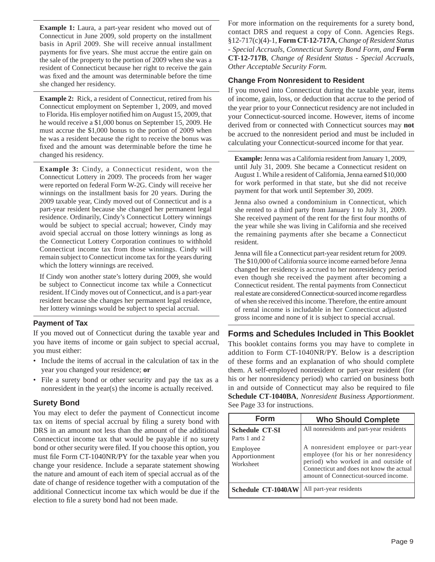**Example 1:** Laura, a part-year resident who moved out of Connecticut in June 2009, sold property on the installment basis in April 2009. She will receive annual installment payments for five years. She must accrue the entire gain on the sale of the property to the portion of 2009 when she was a resident of Connecticut because her right to receive the gain was fixed and the amount was determinable before the time she changed her residency.

**Example 2:** Rick, a resident of Connecticut, retired from his Connecticut employment on September 1, 2009, and moved to Florida. His employer notified him on August 15, 2009, that he would receive a \$1,000 bonus on September 15, 2009. He must accrue the \$1,000 bonus to the portion of 2009 when he was a resident because the right to receive the bonus was fixed and the amount was determinable before the time he changed his residency.

**Example 3:** Cindy, a Connecticut resident, won the Connecticut Lottery in 2009. The proceeds from her wager were reported on federal Form W-2G. Cindy will receive her winnings on the installment basis for 20 years. During the 2009 taxable year, Cindy moved out of Connecticut and is a part-year resident because she changed her permanent legal residence. Ordinarily, Cindy's Connecticut Lottery winnings would be subject to special accrual; however, Cindy may avoid special accrual on those lottery winnings as long as the Connecticut Lottery Corporation continues to withhold Connecticut income tax from those winnings. Cindy will remain subject to Connecticut income tax for the years during which the lottery winnings are received.

If Cindy won another state's lottery during 2009, she would be subject to Connecticut income tax while a Connecticut resident. If Cindy moves out of Connecticut, and is a part-year resident because she changes her permanent legal residence, her lottery winnings would be subject to special accrual.

## **Payment of Tax**

If you moved out of Connecticut during the taxable year and you have items of income or gain subject to special accrual, you must either:

- Include the items of accrual in the calculation of tax in the year you changed your residence; **or**
- File a surety bond or other security and pay the tax as a nonresident in the year(s) the income is actually received.

## **Surety Bond**

You may elect to defer the payment of Connecticut income tax on items of special accrual by filing a surety bond with DRS in an amount not less than the amount of the additional Connecticut income tax that would be payable if no surety bond or other security were filed. If you choose this option, you must file Form CT-1040NR/PY for the taxable year when you change your residence. Include a separate statement showing the nature and amount of each item of special accrual as of the date of change of residence together with a computation of the additional Connecticut income tax which would be due if the election to file a surety bond had not been made.

For more information on the requirements for a surety bond, contact DRS and request a copy of Conn. Agencies Regs. §12-717(c)(4)-1, **Form CT-12-717A**, *Change of Resident Status - Special Accruals, Connecticut Surety Bond Form, and* **Form CT-12-717B**, *Change of Resident Status - Special Accruals, Other Acceptable Security Form.*

## **Change From Nonresident to Resident**

If you moved into Connecticut during the taxable year, items of income, gain, loss, or deduction that accrue to the period of the year prior to your Connecticut residency are not included in your Connecticut-sourced income. However, items of income derived from or connected with Connecticut sources may **not** be accrued to the nonresident period and must be included in calculating your Connecticut-sourced income for that year.

**Example:** Jenna was a California resident from January 1, 2009, until July 31, 2009. She became a Connecticut resident on August 1. While a resident of California, Jenna earned \$10,000 for work performed in that state, but she did not receive payment for that work until September 30, 2009.

Jenna also owned a condominium in Connecticut, which she rented to a third party from January 1 to July 31, 2009. She received payment of the rent for the first four months of the year while she was living in California and she received the remaining payments after she became a Connecticut resident.

Jenna will file a Connecticut part-year resident return for 2009. The \$10,000 of California source income earned before Jenna changed her residency is accrued to her nonresidency period even though she received the payment after becoming a Connecticut resident. The rental payments from Connecticut real estate are considered Connecticut-sourced income regardless of when she received this income. Therefore, the entire amount of rental income is includable in her Connecticut adjusted gross income and none of it is subject to special accrual.

## **Forms and Schedules Included in This Booklet**

This booklet contains forms you may have to complete in addition to Form CT-1040NR/PY. Below is a description of these forms and an explanation of who should complete them. A self-employed nonresident or part-year resident (for his or her nonresidency period) who carried on business both in and outside of Connecticut may also be required to file **Schedule CT-1040BA**, *Nonresident Business Apportionment*. See Page 33 for instructions.

| <b>Form</b>                            | <b>Who Should Complete</b>                                                                                                                                                                                |
|----------------------------------------|-----------------------------------------------------------------------------------------------------------------------------------------------------------------------------------------------------------|
| <b>Schedule CT-SI</b><br>Parts 1 and 2 | All nonresidents and part-year residents                                                                                                                                                                  |
| Employee<br>Apportionment<br>Worksheet | A nonresident employee or part-year<br>employee (for his or her nonresidency<br>period) who worked in and outside of<br>Connecticut and does not know the actual<br>amount of Connecticut-sourced income. |
| <b>Schedule CT-1040AW</b>              | All part-year residents                                                                                                                                                                                   |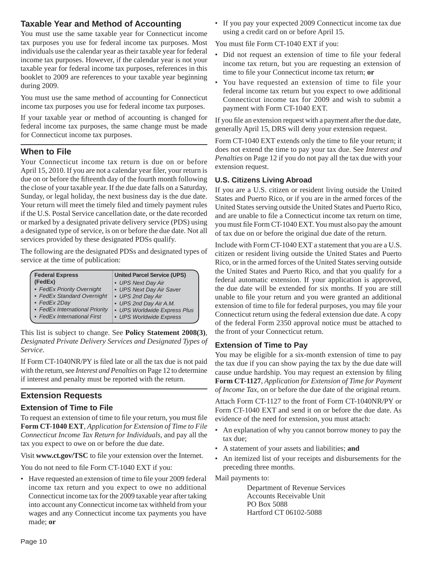## **Taxable Year and Method of Accounting**

You must use the same taxable year for Connecticut income tax purposes you use for federal income tax purposes. Most individuals use the calendar year as their taxable year for federal income tax purposes. However, if the calendar year is not your taxable year for federal income tax purposes, references in this booklet to 2009 are references to your taxable year beginning during 2009.

You must use the same method of accounting for Connecticut income tax purposes you use for federal income tax purposes.

If your taxable year or method of accounting is changed for federal income tax purposes, the same change must be made for Connecticut income tax purposes.

## **When to File**

Your Connecticut income tax return is due on or before April 15, 2010. If you are not a calendar year filer, your return is due on or before the fifteenth day of the fourth month following the close of your taxable year. If the due date falls on a Saturday, Sunday, or legal holiday, the next business day is the due date. Your return will meet the timely filed and timely payment rules if the U.S. Postal Service cancellation date, or the date recorded or marked by a designated private delivery service (PDS) using a designated type of service, is on or before the due date. Not all services provided by these designated PDSs qualify.

The following are the designated PDSs and designated types of service at the time of publication:

| <b>Federal Express</b>         | <b>United Parcel Service (UPS)</b> |
|--------------------------------|------------------------------------|
| (FedEx)                        | • UPS Next Day Air                 |
| • FedEx Priority Overnight     | • UPS Next Day Air Saver           |
| • FedEx Standard Overnight     | • UPS 2nd Day Air                  |
| • FedEx 2Day                   | • UPS 2nd Day Air A.M.             |
| • FedEx International Priority | • UPS Worldwide Express Plus       |
| • FedEx International First    | • UPS Worldwide Express            |

This list is subject to change. See **Policy Statement 2008(3)**, *Designated Private Delivery Services and Designated Types of Service*.

If Form CT-1040NR/PY is filed late or all the tax due is not paid with the return, see *Interest and Penalties* on Page 12 to determine if interest and penalty must be reported with the return.

## **Extension Requests**

## **Extension of Time to File**

To request an extension of time to file your return, you must file **Form CT-1040 EXT**, *Application for Extension of Time to File Connecticut Income Tax Return for Individuals*, and pay all the tax you expect to owe on or before the due date.

Visit www.ct.gov/TSC to file your extension over the Internet.

You do not need to file Form CT-1040 EXT if you:

• Have requested an extension of time to file your 2009 federal income tax return and you expect to owe no additional Connecticut income tax for the 2009 taxable year after taking into account any Connecticut income tax withheld from your wages and any Connecticut income tax payments you have made; **or**

• If you pay your expected 2009 Connecticut income tax due using a credit card on or before April 15.

You must file Form CT-1040 EXT if you:

- Did not request an extension of time to file your federal income tax return, but you are requesting an extension of time to file your Connecticut income tax return; or
- You have requested an extension of time to file your federal income tax return but you expect to owe additional Connecticut income tax for 2009 and wish to submit a payment with Form CT-1040 EXT.

If you file an extension request with a payment after the due date, generally April 15, DRS will deny your extension request.

Form CT-1040 EXT extends only the time to file your return; it does not extend the time to pay your tax due. See *Interest and Penalties* on Page 12 if you do not pay all the tax due with your extension request.

## **U.S. Citizens Living Abroad**

If you are a U.S. citizen or resident living outside the United States and Puerto Rico, or if you are in the armed forces of the United States serving outside the United States and Puerto Rico, and are unable to file a Connecticut income tax return on time, you must file Form CT-1040 EXT. You must also pay the amount of tax due on or before the original due date of the return.

Include with Form CT-1040 EXT a statement that you are a U.S. citizen or resident living outside the United States and Puerto Rico, or in the armed forces of the United States serving outside the United States and Puerto Rico, and that you qualify for a federal automatic extension. If your application is approved, the due date will be extended for six months. If you are still unable to file your return and you were granted an additional extension of time to file for federal purposes, you may file your Connecticut return using the federal extension due date. A copy of the federal Form 2350 approval notice must be attached to the front of your Connecticut return.

## **Extension of Time to Pay**

You may be eligible for a six-month extension of time to pay the tax due if you can show paying the tax by the due date will cause undue hardship. You may request an extension by filing **Form CT-1127**, *Application for Extension of Time for Payment of Income Tax*, on or before the due date of the original return.

Attach Form CT-1127 to the front of Form CT-1040NR/PY or Form CT-1040 EXT and send it on or before the due date. As evidence of the need for extension, you must attach:

- An explanation of why you cannot borrow money to pay the tax due;
- A statement of your assets and liabilities; **and**
- An itemized list of your receipts and disbursements for the preceding three months.

Mail payments to:

Department of Revenue Services Accounts Receivable Unit PO Box 5088 Hartford CT 06102-5088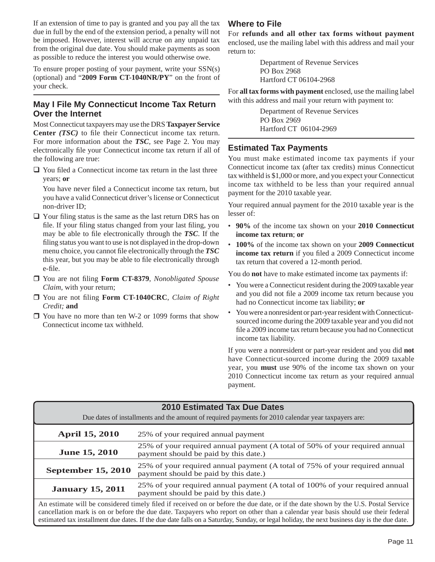If an extension of time to pay is granted and you pay all the tax due in full by the end of the extension period, a penalty will not be imposed. However, interest will accrue on any unpaid tax from the original due date. You should make payments as soon as possible to reduce the interest you would otherwise owe.

To ensure proper posting of your payment, write your SSN(s) (optional) and "**2009 Form CT-1040NR/PY**" on the front of your check.

## **May I File My Connecticut Income Tax Return Over the Internet**

Most Connecticut taxpayers may use the DRS **Taxpayer Service Center** *(TSC)* to file their Connecticut income tax return. For more information about the *TSC*, see Page 2. You may electronically file your Connecticut income tax return if all of the following are true:

 $\Box$  You filed a Connecticut income tax return in the last three years; **or**

You have never filed a Connecticut income tax return, but you have a valid Connecticut driver's license or Connecticut non-driver ID;

- $\Box$  Your filing status is the same as the last return DRS has on file. If your filing status changed from your last filing, you may be able to file electronically through the *TSC*. If the filing status you want to use is not displayed in the drop-down menu choice, you cannot file electronically through the **TSC** this year, but you may be able to file electronically through e-file.
- □ You are not filing **Form CT-8379**, *Nonobligated Spouse Claim*, with your return;
- □ You are not filing Form CT-1040CRC, *Claim of Right Credit;* **and**
- □ You have no more than ten W-2 or 1099 forms that show Connecticut income tax withheld.

## **Where to File**

For **refunds and all other tax forms without payment**  enclosed, use the mailing label with this address and mail your return to:

> Department of Revenue Services PO Box 2968 Hartford CT 06104-2968

For **all tax forms with payment** enclosed, use the mailing label with this address and mail your return with payment to:

> Department of Revenue Services PO Box 2969 Hartford CT 06104-2969

## **Estimated Tax Payments**

You must make estimated income tax payments if your Connecticut income tax (after tax credits) minus Connecticut tax withheld is \$1,000 or more, and you expect your Connecticut income tax withheld to be less than your required annual payment for the 2010 taxable year.

Your required annual payment for the 2010 taxable year is the lesser of:

- • **90%** of the income tax shown on your **2010 Connecticut income tax return**; **or**
- • **100%** of the income tax shown on your **2009 Connecticut**  income tax return if you filed a 2009 Connecticut income tax return that covered a 12-month period.

You do **not** have to make estimated income tax payments if:

- You were a Connecticut resident during the 2009 taxable year and you did not file a 2009 income tax return because you had no Connecticut income tax liability; **or**
- You were a nonresident or part-year resident with Connecticutsourced income during the 2009 taxable year and you did not file a 2009 income tax return because you had no Connecticut income tax liability.

If you were a nonresident or part-year resident and you did **not** have Connecticut-sourced income during the 2009 taxable year, you **must** use 90% of the income tax shown on your 2010 Connecticut income tax return as your required annual payment.

| <b>2010 Estimated Tax Due Dates</b>                                                                                                                                                                                                                                                                                                                                  |                                                                                                                      |  |  |  |
|----------------------------------------------------------------------------------------------------------------------------------------------------------------------------------------------------------------------------------------------------------------------------------------------------------------------------------------------------------------------|----------------------------------------------------------------------------------------------------------------------|--|--|--|
|                                                                                                                                                                                                                                                                                                                                                                      | Due dates of installments and the amount of required payments for 2010 calendar year taxpayers are:                  |  |  |  |
| <b>April 15, 2010</b>                                                                                                                                                                                                                                                                                                                                                | 25% of your required annual payment                                                                                  |  |  |  |
| <b>June 15, 2010</b>                                                                                                                                                                                                                                                                                                                                                 | 25% of your required annual payment (A total of 50% of your required annual<br>payment should be paid by this date.) |  |  |  |
| 25% of your required annual payment (A total of 75% of your required annual<br><b>September 15, 2010</b><br>payment should be paid by this date.)                                                                                                                                                                                                                    |                                                                                                                      |  |  |  |
| 25% of your required annual payment (A total of 100% of your required annual<br><b>January 15, 2011</b><br>payment should be paid by this date.)                                                                                                                                                                                                                     |                                                                                                                      |  |  |  |
| An estimate will be considered timely filed if received on or before the due date, or if the date shown by the U.S. Postal Service<br>according to control the control of the section of the companion of control of the first of the fit of the fit the fit of the fit of the fit of the fit of the fit of the fit of the fit of the fit of the fit of the fit of t |                                                                                                                      |  |  |  |

cancellation mark is on or before the due date. Taxpayers who report on other than a calendar year basis should use their federal estimated tax installment due dates. If the due date falls on a Saturday, Sunday, or legal holiday, the next business day is the due date.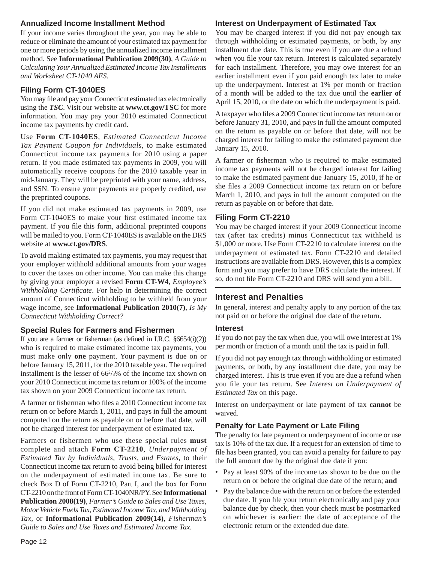## **Annualized Income Installment Method**

If your income varies throughout the year, you may be able to reduce or eliminate the amount of your estimated tax payment for one or more periods by using the annualized income installment method. See **Informational Publication 2009(30)**, *A Guide to Calculating Your Annualized Estimated Income Tax Installments and Worksheet CT-1040 AES.*

## **Filing Form CT-1040ES**

You may file and pay your Connecticut estimated tax electronically using the *TSC*. Visit our website at **www.ct.gov/TSC** for more information. You may pay your 2010 estimated Connecticut income tax payments by credit card.

Use **Form CT-1040ES**, *Estimated Connecticut Income Tax Payment Coupon for Individuals*, to make estimated Connecticut income tax payments for 2010 using a paper return. If you made estimated tax payments in 2009, you will automatically receive coupons for the 2010 taxable year in mid-January. They will be preprinted with your name, address, and SSN. To ensure your payments are properly credited, use the preprinted coupons.

If you did not make estimated tax payments in 2009, use Form CT-1040ES to make your first estimated income tax payment. If you file this form, additional preprinted coupons will be mailed to you. Form CT-1040ES is available on the DRS website at **www.ct.gov/DRS**.

To avoid making estimated tax payments, you may request that your employer withhold additional amounts from your wages to cover the taxes on other income. You can make this change by giving your employer a revised **Form CT-W4**, *Employee's Withholding Certificate*. For help in determining the correct amount of Connecticut withholding to be withheld from your wage income, see **Informational Publication 2010(7)**, *Is My Connecticut Withholding Correct?*

## **Special Rules for Farmers and Fishermen**

If you are a farmer or fisherman (as defined in I.R.C.  $§6654(i)(2)$ ) who is required to make estimated income tax payments, you must make only **one** payment. Your payment is due on or before January 15, 2011, for the 2010 taxable year. The required installment is the lesser of 662 /3% of the income tax shown on your 2010 Connecticut income tax return or 100% of the income tax shown on your 2009 Connecticut income tax return.

A farmer or fisherman who files a 2010 Connecticut income tax return on or before March 1, 2011, and pays in full the amount computed on the return as payable on or before that date, will not be charged interest for underpayment of estimated tax.

Farmers or fishermen who use these special rules **must**  complete and attach **Form CT-2210***, Underpayment of Estimated Tax by Individuals, Trusts, and Estates*, to their Connecticut income tax return to avoid being billed for interest on the underpayment of estimated income tax. Be sure to check Box D of Form CT-2210, Part I, and the box for Form CT-2210 on the front of Form CT-1040NR/PY. See **Informational Publication 2008(19)**, *Farmer's Guide to Sales and Use Taxes, Motor Vehicle Fuels Tax, Estimated Income Tax*, *and Withholding Tax,* or **Informational Publication 2009(14)**, *Fisherman's Guide to Sales and Use Taxes and Estimated Income Tax.*

## **Interest on Underpayment of Estimated Tax**

You may be charged interest if you did not pay enough tax through withholding or estimated payments, or both, by any installment due date. This is true even if you are due a refund when you file your tax return. Interest is calculated separately for each installment. Therefore, you may owe interest for an earlier installment even if you paid enough tax later to make up the underpayment. Interest at 1% per month or fraction of a month will be added to the tax due until the **earlier of** April 15, 2010, or the date on which the underpayment is paid.

A taxpayer who files a 2009 Connecticut income tax return on or before January 31, 2010, and pays in full the amount computed on the return as payable on or before that date, will not be charged interest for failing to make the estimated payment due January 15, 2010.

A farmer or fisherman who is required to make estimated income tax payments will not be charged interest for failing to make the estimated payment due January 15, 2010, if he or she files a 2009 Connecticut income tax return on or before March 1, 2010, and pays in full the amount computed on the return as payable on or before that date.

## **Filing Form CT-2210**

You may be charged interest if your 2009 Connecticut income tax (after tax credits) minus Connecticut tax withheld is \$1,000 or more. Use Form CT-2210 to calculate interest on the underpayment of estimated tax. Form CT-2210 and detailed instructions are available from DRS. However, this is a complex form and you may prefer to have DRS calculate the interest. If so, do not file Form CT-2210 and DRS will send you a bill.

## **Interest and Penalties**

In general, interest and penalty apply to any portion of the tax not paid on or before the original due date of the return.

## **Interest**

If you do not pay the tax when due, you will owe interest at 1% per month or fraction of a month until the tax is paid in full.

If you did not pay enough tax through withholding or estimated payments, or both, by any installment due date, you may be charged interest. This is true even if you are due a refund when you file your tax return. See *Interest on Underpayment of Estimated Tax* on this page.

Interest on underpayment or late payment of tax **cannot** be waived.

## **Penalty for Late Payment or Late Filing**

The penalty for late payment or underpayment of income or use tax is 10% of the tax due. If a request for an extension of time to file has been granted, you can avoid a penalty for failure to pay the full amount due by the original due date if you:

- Pay at least 90% of the income tax shown to be due on the return on or before the original due date of the return; **and**
- Pay the balance due with the return on or before the extended due date. If you file your return electronically and pay your balance due by check, then your check must be postmarked on whichever is earlier: the date of acceptance of the electronic return or the extended due date.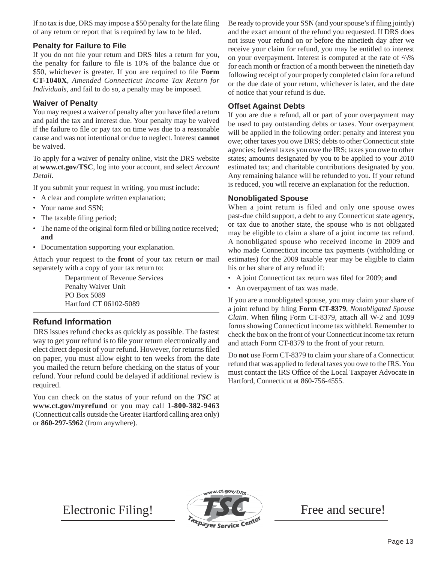If no tax is due, DRS may impose a \$50 penalty for the late filing of any return or report that is required by law to be filed.

## **Penalty for Failure to File**

If you do not file your return and DRS files a return for you, the penalty for failure to file is 10% of the balance due or \$50, whichever is greater. If you are required to file **Form CT-1040X**, *Amended Connecticut Income Tax Return for Individuals,* and fail to do so, a penalty may be imposed.

## **Waiver of Penalty**

You may request a waiver of penalty after you have filed a return and paid the tax and interest due. Your penalty may be waived if the failure to file or pay tax on time was due to a reasonable cause and was not intentional or due to neglect. Interest **cannot**  be waived.

To apply for a waiver of penalty online, visit the DRS website at **www.ct.gov/TSC**, log into your account, and select *Account Detail*.

If you submit your request in writing, you must include:

- A clear and complete written explanation;
- Your name and SSN;
- The taxable filing period;
- The name of the original form filed or billing notice received; **and**
- Documentation supporting your explanation.

Attach your request to the **front** of your tax return **or** mail separately with a copy of your tax return to:

> Department of Revenue Services Penalty Waiver Unit PO Box 5089 Hartford CT 06102-5089

## **Refund Information**

DRS issues refund checks as quickly as possible. The fastest way to get your refund is to file your return electronically and elect direct deposit of your refund. However, for returns filed on paper, you must allow eight to ten weeks from the date you mailed the return before checking on the status of your refund. Your refund could be delayed if additional review is required.

You can check on the status of your refund on the *TSC* at **www.ct.gov/myrefund** or you may call **1-800-382-9463** (Connecticut calls outside the Greater Hartford calling area only) or **860-297-5962** (from anywhere).

Be ready to provide your SSN (and your spouse's if filing jointly) and the exact amount of the refund you requested. If DRS does not issue your refund on or before the ninetieth day after we receive your claim for refund, you may be entitled to interest on your overpayment. Interest is computed at the rate of  $\frac{2}{3}\%$ for each month or fraction of a month between the ninetieth day following receipt of your properly completed claim for a refund or the due date of your return, whichever is later, and the date of notice that your refund is due.

## **Offset Against Debts**

If you are due a refund, all or part of your overpayment may be used to pay outstanding debts or taxes. Your overpayment will be applied in the following order: penalty and interest you owe; other taxes you owe DRS; debts to other Connecticut state agencies; federal taxes you owe the IRS; taxes you owe to other states; amounts designated by you to be applied to your 2010 estimated tax; and charitable contributions designated by you. Any remaining balance will be refunded to you. If your refund is reduced, you will receive an explanation for the reduction.

## **Nonobligated Spouse**

When a joint return is filed and only one spouse owes past-due child support, a debt to any Connecticut state agency, or tax due to another state, the spouse who is not obligated may be eligible to claim a share of a joint income tax refund. A nonobligated spouse who received income in 2009 and who made Connecticut income tax payments (withholding or estimates) for the 2009 taxable year may be eligible to claim his or her share of any refund if:

- A joint Connecticut tax return was filed for 2009; and
- An overpayment of tax was made.

If you are a nonobligated spouse, you may claim your share of a joint refund by filing **Form CT-8379**, *Nonobligated Spouse Claim*. When filing Form CT-8379, attach all W-2 and 1099 forms showing Connecticut income tax withheld. Remember to check the box on the front of your Connecticut income tax return and attach Form CT-8379 to the front of your return.

Do **not** use Form CT-8379 to claim your share of a Connecticut refund that was applied to federal taxes you owe to the IRS. You must contact the IRS Office of the Local Taxpayer Advocate in Hartford, Connecticut at 860-756-4555.

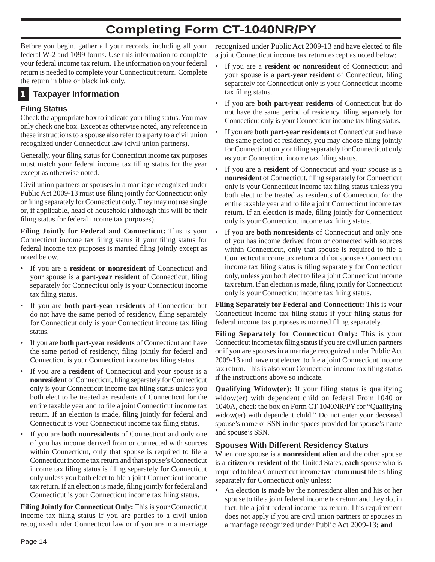## **Completing Form CT-1040NR/PY**

Before you begin, gather all your records, including all your federal W-2 and 1099 forms. Use this information to complete your federal income tax return. The information on your federal return is needed to complete your Connecticut return. Complete the return in blue or black ink only.

## **1 Taxpayer Information**

## **Filing Status**

Check the appropriate box to indicate your filing status. You may only check one box. Except as otherwise noted, any reference in these instructions to a spouse also refer to a party to a civil union recognized under Connecticut law (civil union partners).

Generally, your filing status for Connecticut income tax purposes must match your federal income tax filing status for the year except as otherwise noted.

Civil union partners or spouses in a marriage recognized under Public Act 2009-13 must use filing jointly for Connecticut only or filing separately for Connecticut only. They may not use single or, if applicable, head of household (although this will be their filing status for federal income tax purposes).

**Filing Jointly for Federal and Connecticut:** This is your Connecticut income tax filing status if your filing status for federal income tax purposes is married filing jointly except as noted below.

- If you are a **resident or nonresident** of Connecticut and your spouse is a **part-year resident** of Connecticut, filing separately for Connecticut only is your Connecticut income tax filing status.
- If you are **both part-year residents** of Connecticut but do not have the same period of residency, filing separately for Connecticut only is your Connecticut income tax filing status.
- If you are **both part-year residents** of Connecticut and have the same period of residency, filing jointly for federal and Connecticut is your Connecticut income tax filing status.
- If you are a **resident** of Connecticut and your spouse is a **nonresident** of Connecticut, filing separately for Connecticut only is your Connecticut income tax filing status unless you both elect to be treated as residents of Connecticut for the entire taxable year and to file a joint Connecticut income tax return. If an election is made, filing jointly for federal and Connecticut is your Connecticut income tax filing status.
- If you are **both nonresidents** of Connecticut and only one of you has income derived from or connected with sources within Connecticut, only that spouse is required to file a Connecticut income tax return and that spouse's Connecticut income tax filing status is filing separately for Connecticut only unless you both elect to file a joint Connecticut income tax return. If an election is made, filing jointly for federal and Connecticut is your Connecticut income tax filing status.

**Filing Jointly for Connecticut Only:** This is your Connecticut income tax filing status if you are parties to a civil union recognized under Connecticut law or if you are in a marriage

recognized under Public Act 2009-13 and have elected to file a joint Connecticut income tax return except as noted below:

- If you are a **resident or nonresident** of Connecticut and your spouse is a **part-year resident** of Connecticut, filing separately for Connecticut only is your Connecticut income tax filing status.
- If you are **both part-year residents** of Connecticut but do not have the same period of residency, filing separately for Connecticut only is your Connecticut income tax filing status.
- If you are **both part-year residents** of Connecticut and have the same period of residency, you may choose filing jointly for Connecticut only or filing separately for Connecticut only as your Connecticut income tax filing status.
- If you are a **resident** of Connecticut and your spouse is a **nonresident** of Connecticut, filing separately for Connecticut only is your Connecticut income tax filing status unless you both elect to be treated as residents of Connecticut for the entire taxable year and to file a joint Connecticut income tax return. If an election is made, filing jointly for Connecticut only is your Connecticut income tax filing status.
- If you are **both nonresidents** of Connecticut and only one of you has income derived from or connected with sources within Connecticut, only that spouse is required to file a Connecticut income tax return and that spouse's Connecticut income tax filing status is filing separately for Connecticut only, unless you both elect to file a joint Connecticut income tax return. If an election is made, filing jointly for Connecticut only is your Connecticut income tax filing status.

**Filing Separately for Federal and Connecticut:** This is your Connecticut income tax filing status if your filing status for federal income tax purposes is married filing separately.

**Filing Separately for Connecticut Only:** This is your Connecticut income tax filing status if you are civil union partners or if you are spouses in a marriage recognized under Public Act 2009-13 and have not elected to file a joint Connecticut income tax return. This is also your Connecticut income tax filing status if the instructions above so indicate.

**Qualifying Widow(er):** If your filing status is qualifying widow(er) with dependent child on federal From 1040 or 1040A, check the box on Form CT-1040NR/PY for "Qualifying widow(er) with dependent child." Do not enter your deceased spouse's name or SSN in the spaces provided for spouse's name and spouse's SSN.

## **Spouses With Different Residency Status**

When one spouse is a **nonresident alien** and the other spouse is a **citizen** or **resident** of the United States, **each** spouse who is required to file a Connecticut income tax return **must** file as filing separately for Connecticut only unless:

**•** An election is made by the nonresident alien and his or her spouse to file a joint federal income tax return and they do, in fact, file a joint federal income tax return. This requirement does not apply if you are civil union partners or spouses in a marriage recognized under Public Act 2009-13; **and**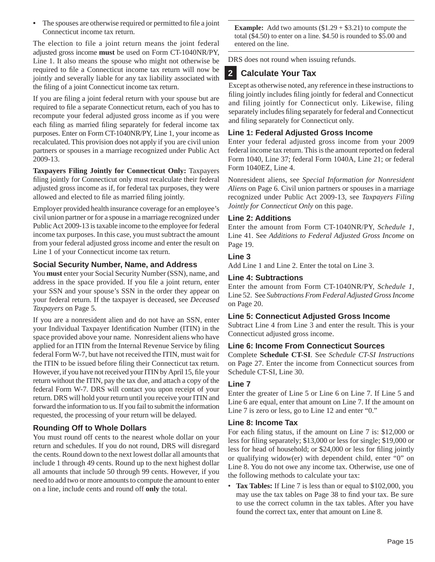• The spouses are otherwise required or permitted to file a joint Connecticut income tax return.

The election to file a joint return means the joint federal adjusted gross income **must** be used on Form CT-1040NR/PY, Line 1. It also means the spouse who might not otherwise be required to file a Connecticut income tax return will now be jointly and severally liable for any tax liability associated with the filing of a joint Connecticut income tax return.

If you are filing a joint federal return with your spouse but are required to file a separate Connecticut return, each of you has to recompute your federal adjusted gross income as if you were each filing as married filing separately for federal income tax purposes. Enter on Form CT-1040NR/PY, Line 1, your income as recalculated. This provision does not apply if you are civil union partners or spouses in a marriage recognized under Public Act 2009-13.

**Taxpayers Filing Jointly for Connecticut Only:** Taxpayers filing jointly for Connecticut only must recalculate their federal adjusted gross income as if, for federal tax purposes, they were allowed and elected to file as married filing jointly.

Employer provided health insurance coverage for an employee's civil union partner or for a spouse in a marriage recognized under Public Act 2009-13 is taxable income to the employee for federal income tax purposes. In this case, you must subtract the amount from your federal adjusted gross income and enter the result on Line 1 of your Connecticut income tax return.

## **Social Security Number, Name, and Address**

You **must** enter your Social Security Number (SSN), name, and address in the space provided. If you file a joint return, enter your SSN and your spouse's SSN in the order they appear on your federal return. If the taxpayer is deceased, see *Deceased Taxpayers* on Page 5.

If you are a nonresident alien and do not have an SSN, enter your Individual Taxpayer Identification Number (ITIN) in the space provided above your name. Nonresident aliens who have applied for an ITIN from the Internal Revenue Service by filing federal Form W-7, but have not received the ITIN, must wait for the ITIN to be issued before filing their Connecticut tax return. However, if you have not received your ITIN by April 15, file your return without the ITIN, pay the tax due, and attach a copy of the federal Form W-7. DRS will contact you upon receipt of your return. DRS will hold your return until you receive your ITIN and forward the information to us. If you fail to submit the information requested, the processing of your return will be delayed.

## **Rounding Off to Whole Dollars**

You must round off cents to the nearest whole dollar on your return and schedules. If you do not round, DRS will disregard the cents. Round down to the next lowest dollar all amounts that include 1 through 49 cents. Round up to the next highest dollar all amounts that include 50 through 99 cents. However, if you need to add two or more amounts to compute the amount to enter on a line, include cents and round off **only** the total.

**Example:** Add two amounts  $(\$1.29 + \$3.21)$  to compute the total (\$4.50) to enter on a line. \$4.50 is rounded to \$5.00 and entered on the line.

DRS does not round when issuing refunds.

## **2 Calculate Your Tax**

Except as otherwise noted, any reference in these instructions to filing jointly includes filing jointly for federal and Connecticut and filing jointly for Connecticut only. Likewise, filing separately includes filing separately for federal and Connecticut and filing separately for Connecticut only.

## **Line 1: Federal Adjusted Gross Income**

Enter your federal adjusted gross income from your 2009 federal income tax return. This is the amount reported on federal Form 1040, Line 37; federal Form 1040A, Line 21; or federal Form 1040EZ, Line 4.

Nonresident aliens, see *Special Information for Nonresident Aliens* on Page 6. Civil union partners or spouses in a marriage recognized under Public Act 2009-13, see *Taxpayers Filing Jointly for Connecticut Only* on this page.

## **Line 2: Additions**

Enter the amount from Form CT-1040NR/PY, *Schedule 1*, Line 41. See *Additions to Federal Adjusted Gross Income* on Page 19.

## **Line 3**

Add Line 1 and Line 2. Enter the total on Line 3.

## **Line 4: Subtractions**

Enter the amount from Form CT-1040NR/PY, *Schedule 1*, Line 52. See *Subtractions From Federal Adjusted Gross Income*  on Page 20.

## **Line 5: Connecticut Adjusted Gross Income**

Subtract Line 4 from Line 3 and enter the result. This is your Connecticut adjusted gross income.

## **Line 6: Income From Connecticut Sources**

Complete **Schedule CT-SI**. See *Schedule CT-SI Instructions* on Page 27. Enter the income from Connecticut sources from Schedule CT-SI, Line 30.

## **Line 7**

Enter the greater of Line 5 or Line 6 on Line 7. If Line 5 and Line 6 are equal, enter that amount on Line 7. If the amount on Line 7 is zero or less, go to Line 12 and enter "0."

## **Line 8: Income Tax**

For each filing status, if the amount on Line 7 is: \$12,000 or less for filing separately; \$13,000 or less for single; \$19,000 or less for head of household; or  $$24,000$  or less for filing jointly or qualifying widow(er) with dependent child, enter "0" on Line 8. You do not owe any income tax. Otherwise, use one of the following methods to calculate your tax:

• **Tax Tables:** If Line 7 is less than or equal to \$102,000, you may use the tax tables on Page 38 to find your tax. Be sure to use the correct column in the tax tables. After you have found the correct tax, enter that amount on Line 8.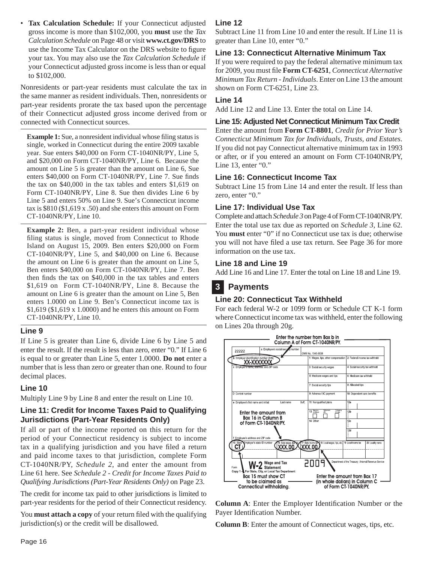• **Tax Calculation Schedule:** If your Connecticut adjusted gross income is more than \$102,000, you **must** use the *Tax Calculation Schedule* on Page 48 or visit **www.ct.gov/DRS** to use the Income Tax Calculator on the DRS website to figure your tax. You may also use the *Tax Calculation Schedule* if your Connecticut adjusted gross income is less than or equal to \$102,000.

Nonresidents or part-year residents must calculate the tax in the same manner as resident individuals. Then, nonresidents or part-year residents prorate the tax based upon the percentage of their Connecticut adjusted gross income derived from or connected with Connecticut sources.

**Example 1:** Sue, a nonresident individual whose filing status is single, worked in Connecticut during the entire 2009 taxable year. Sue enters \$40,000 on Form CT-1040NR/PY, Line 5, and \$20,000 on Form CT-1040NR/PY, Line 6. Because the amount on Line 5 is greater than the amount on Line 6, Sue enters \$40,000 on Form CT-1040NR/PY, Line 7. Sue finds the tax on \$40,000 in the tax tables and enters \$1,619 on Form CT-1040NR/PY, Line 8. Sue then divides Line 6 by Line 5 and enters 50% on Line 9. Sue's Connecticut income tax is \$810 (\$1,619 x .50) and she enters this amount on Form CT-1040NR/PY, Line 10.

**Example 2:** Ben, a part-year resident individual whose filing status is single, moved from Connecticut to Rhode Island on August 15, 2009. Ben enters \$20,000 on Form CT-1040NR/PY, Line 5, and \$40,000 on Line 6. Because the amount on Line 6 is greater than the amount on Line 5, Ben enters \$40,000 on Form CT-1040NR/PY, Line 7. Ben then finds the tax on  $$40,000$  in the tax tables and enters \$1,619 on Form CT-1040NR/PY, Line 8. Because the amount on Line 6 is greater than the amount on Line 5, Ben enters 1.0000 on Line 9. Ben's Connecticut income tax is \$1,619 (\$1,619 x 1.0000) and he enters this amount on Form CT-1040NR/PY, Line 10.

## **Line 9**

If Line 5 is greater than Line 6, divide Line 6 by Line 5 and enter the result. If the result is less than zero, enter "0." If Line 6 is equal to or greater than Line 5, enter 1.0000. **Do not** enter a number that is less than zero or greater than one. Round to four decimal places.

## **Line 10**

Multiply Line 9 by Line 8 and enter the result on Line 10.

## **Line 11: Credit for Income Taxes Paid to Qualifying Jurisdictions (Part-Year Residents Only)**

If all or part of the income reported on this return for the period of your Connecticut residency is subject to income tax in a qualifying jurisdiction and you have filed a return and paid income taxes to that jurisdiction, complete Form CT-1040NR/PY, *Schedule 2*, and enter the amount from Line 61 here. See *Schedule 2 - Credit for Income Taxes Paid to Qualifying Jurisdictions (Part-Year Residents Only)* on Page 23.

The credit for income tax paid to other jurisdictions is limited to part-year residents for the period of their Connecticut residency.

You **must attach a copy** of your return filed with the qualifying jurisdiction(s) or the credit will be disallowed.

## **Line 12**

Subtract Line 11 from Line 10 and enter the result. If Line 11 is greater than Line 10, enter "0."

## **Line 13: Connecticut Alternative Minimum Tax**

If you were required to pay the federal alternative minimum tax for 2009, you must file Form CT-6251, *Connecticut Alternative Minimum Tax Return - Individuals*. Enter on Line 13 the amount shown on Form CT-6251, Line 23.

## **Line 14**

Add Line 12 and Line 13. Enter the total on Line 14.

## **Line 15: Adjusted Net Connecticut Minimum Tax Credit**

Enter the amount from **Form CT-8801**, *Credit for Prior Year's Connecticut Minimum Tax for Individuals, Trusts, and Estates*. If you did not pay Connecticut alternative minimum tax in 1993 or after, or if you entered an amount on Form CT-1040NR/PY, Line 13, enter "0."

## **Line 16: Connecticut Income Tax**

Subtract Line 15 from Line 14 and enter the result. If less than zero, enter "0."

## **Line 17: Individual Use Tax**

Complete and attach *Schedule 3* on Page 4 of Form CT-1040NR/PY. Enter the total use tax due as reported on *Schedule 3*, Line 62. You **must** enter "0" if no Connecticut use tax is due; otherwise you will not have filed a use tax return. See Page 36 for more information on the use tax.

## **Line 18 and Line 19**

Add Line 16 and Line 17. Enter the total on Line 18 and Line 19.

## **3 Payments**

## **Line 20: Connecticut Tax Withheld**

For each federal W-2 or 1099 form or Schedule CT K-1 form where Connecticut income tax was withheld, enter the following on Lines 20a through 20g.



**Column A**: Enter the Employer Identification Number or the Payer Identification Number.

**Column B**: Enter the amount of Connecticut wages, tips, etc.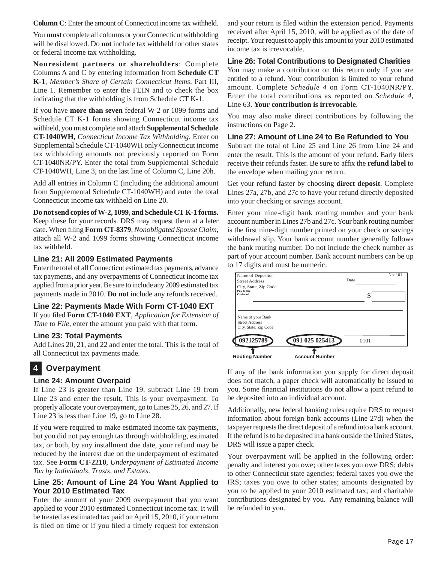**Column C**: Enter the amount of Connecticut income tax withheld.

You **must** complete all columns or your Connecticut withholding will be disallowed. Do **not** include tax withheld for other states or federal income tax withholding.

**Nonresident partners or shareholders**: Complete Columns A and C by entering information from **Schedule CT K-1**, *Member's Share of Certain Connecticut Items*, Part III, Line 1. Remember to enter the FEIN and to check the box indicating that the withholding is from Schedule CT K-1.

If you have **more than seven** federal W-2 or 1099 forms and Schedule CT K-1 forms showing Connecticut income tax withheld, you must complete and attach **Supplemental Schedule CT-1040WH**, *Connecticut Income Tax Withholding*. Enter on Supplemental Schedule CT-1040WH only Connecticut income tax withholding amounts not previously reported on Form CT-1040NR/PY. Enter the total from Supplemental Schedule CT-1040WH, Line 3, on the last line of Column C, Line 20h.

Add all entries in Column C (including the additional amount from Supplemental Schedule CT-1040WH) and enter the total Connecticut income tax withheld on Line 20.

#### **Do not send copies of W-2, 1099, and Schedule CT K-1 forms.**

Keep these for your records. DRS may request them at a later date. When filing Form CT-8379, *Nonobligated Spouse Claim*, attach all W-2 and 1099 forms showing Connecticut income tax withheld.

## **Line 21: All 2009 Estimated Payments**

Enter the total of all Connecticut estimated tax payments, advance tax payments, and any overpayments of Connecticut income tax applied from a prior year. Be sure to include any 2009 estimated tax payments made in 2010. **Do not** include any refunds received.

## **Line 22: Payments Made With Form CT-1040 EXT**

If you filed Form CT-1040 EXT, *Application for Extension of Time to File*, enter the amount you paid with that form.

## **Line 23: Total Payments**

Add Lines 20, 21, and 22 and enter the total. This is the total of all Connecticut tax payments made.

## **4 Overpayment**

## **Line 24: Amount Overpaid**

If Line 23 is greater than Line 19, subtract Line 19 from Line 23 and enter the result. This is your overpayment. To properly allocate your overpayment, go to Lines 25, 26, and 27. If Line 23 is less than Line 19, go to Line 28.

If you were required to make estimated income tax payments, but you did not pay enough tax through withholding, estimated tax, or both, by any installment due date, your refund may be reduced by the interest due on the underpayment of estimated tax. See **Form CT-2210**, *Underpayment of Estimated Income Tax by Individuals, Trusts, and Estates*.

## **Line 25: Amount of Line 24 You Want Applied to Your 2010 Estimated Tax**

Enter the amount of your 2009 overpayment that you want applied to your 2010 estimated Connecticut income tax. It will be treated as estimated tax paid on April 15, 2010, if your return is filed on time or if you filed a timely request for extension

and your return is filed within the extension period. Payments received after April 15, 2010, will be applied as of the date of receipt. Your request to apply this amount to your 2010 estimated income tax is irrevocable.

## **Line 26: Total Contributions to Designated Charities**

You may make a contribution on this return only if you are entitled to a refund. Your contribution is limited to your refund amount. Complete *Schedule 4* on Form CT-1040NR/PY. Enter the total contributions as reported on *Schedule 4*, Line 63. **Your contribution is irrevocable**.

You may also make direct contributions by following the instructions on Page 2.

#### **Line 27: Amount of Line 24 to Be Refunded to You**

Subtract the total of Line 25 and Line 26 from Line 24 and enter the result. This is the amount of your refund. Early filers receive their refunds faster. Be sure to affix the **refund label** to the envelope when mailing your return.

Get your refund faster by choosing **direct deposit**. Complete Lines 27a, 27b, and 27c to have your refund directly deposited into your checking or savings account.

Enter your nine-digit bank routing number and your bank account number in Lines 27b and 27c. Your bank routing number is the first nine-digit number printed on your check or savings withdrawal slip. Your bank account number generally follows the bank routing number. Do not include the check number as part of your account number. Bank account numbers can be up to 17 digits and must be numeric.



If any of the bank information you supply for direct deposit does not match, a paper check will automatically be issued to you. Some financial institutions do not allow a joint refund to be deposited into an individual account.

Additionally, new federal banking rules require DRS to request information about foreign bank accounts (Line 27d) when the taxpayer requests the direct deposit of a refund into a bank account. If the refund is to be deposited in a bank outside the United States, DRS will issue a paper check.

Your overpayment will be applied in the following order: penalty and interest you owe; other taxes you owe DRS; debts to other Connecticut state agencies; federal taxes you owe the IRS; taxes you owe to other states; amounts designated by you to be applied to your 2010 estimated tax; and charitable contributions designated by you. Any remaining balance will be refunded to you.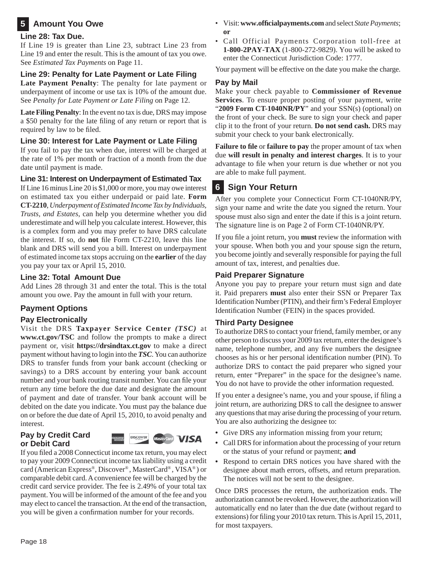## **5 Amount You Owe**

## **Line 28: Tax Due.**

If Line 19 is greater than Line 23, subtract Line 23 from Line 19 and enter the result. This is the amount of tax you owe. See *Estimated Tax Payments* on Page 11.

## **Line 29: Penalty for Late Payment or Late Filing**

**Late Payment Penalty**: The penalty for late payment or underpayment of income or use tax is 10% of the amount due. See *Penalty for Late Payment or Late Filing* on Page 12.

**Late Filing Penalty**: In the event no tax is due, DRS may impose a \$50 penalty for the late filing of any return or report that is required by law to be filed.

## **Line 30: Interest for Late Payment or Late Filing**

If you fail to pay the tax when due, interest will be charged at the rate of 1% per month or fraction of a month from the due date until payment is made.

## **Line 31: Interest on Underpayment of Estimated Tax**

If Line 16 minus Line 20 is \$1,000 or more, you may owe interest on estimated tax you either underpaid or paid late. **Form CT-2210**, *Underpayment of Estimated Income Tax by Individuals, Trusts, and Estates*, can help you determine whether you did underestimate and will help you calculate interest. However, this is a complex form and you may prefer to have DRS calculate the interest. If so, do **not** file Form CT-2210, leave this line blank and DRS will send you a bill. Interest on underpayment of estimated income tax stops accruing on the **earlier** of the day you pay your tax or April 15, 2010.

## **Line 32: Total Amount Due**

Add Lines 28 through 31 and enter the total. This is the total amount you owe. Pay the amount in full with your return.

## **Payment Options**

## **Pay Electronically**

Visit the DRS **Taxpayer Service Center** *(TSC)* at **www.ct.gov/TSC** and follow the prompts to make a direct payment or, visit **https://drsindtax.ct.gov** to make a direct payment without having to login into the *TSC*. You can authorize DRS to transfer funds from your bank account (checking or savings) to a DRS account by entering your bank account number and your bank routing transit number. You can file your return any time before the due date and designate the amount of payment and date of transfer. Your bank account will be debited on the date you indicate. You must pay the balance due on or before the due date of April 15, 2010, to avoid penalty and interest.

## **Pay by Credit Card or Debit Card**



If you filed a 2008 Connecticut income tax return, you may elect to pay your 2009 Connecticut income tax liability using a credit card (American Express®, Discover® , MasterCard® , VISA® ) or comparable debit card. A convenience fee will be charged by the credit card service provider. The fee is 2.49% of your total tax payment. You will be informed of the amount of the fee and you may elect to cancel the transaction. At the end of the transaction, you will be given a confirmation number for your records.

- Visit: **www.offi cialpayments.com** and select *State Payments*; **or**
- Call Official Payments Corporation toll-free at **1-800-2PAY-TAX** (1-800-272-9829). You will be asked to enter the Connecticut Jurisdiction Code: 1777.

Your payment will be effective on the date you make the charge.

## **Pay by Mail**

Make your check payable to **Commissioner of Revenue Services**. To ensure proper posting of your payment, write "**2009 Form CT-1040NR/PY**" and your SSN(s) (optional) on the front of your check. Be sure to sign your check and paper clip it to the front of your return. **Do not send cash.** DRS may submit your check to your bank electronically.

**Failure to file** or **failure to pay** the proper amount of tax when due **will result in penalty and interest charges**. It is to your advantage to file when your return is due whether or not you are able to make full payment.

## **6 Sign Your Return**

After you complete your Connecticut Form CT-1040NR/PY, sign your name and write the date you signed the return. Your spouse must also sign and enter the date if this is a joint return. The signature line is on Page 2 of Form CT-1040NR/PY.

If you file a joint return, you **must** review the information with your spouse. When both you and your spouse sign the return, you become jointly and severally responsible for paying the full amount of tax, interest, and penalties due.

## **Paid Preparer Signature**

Anyone you pay to prepare your return must sign and date it. Paid preparers **must** also enter their SSN or Preparer Tax Identification Number (PTIN), and their firm's Federal Employer Identification Number (FEIN) in the spaces provided.

## **Third Party Designee**

To authorize DRS to contact your friend, family member, or any other person to discuss your 2009 tax return, enter the designee's name, telephone number, and any five numbers the designee chooses as his or her personal identification number (PIN). To authorize DRS to contact the paid preparer who signed your return, enter "Preparer" in the space for the designee's name. You do not have to provide the other information requested.

If you enter a designee's name, you and your spouse, if filing a joint return, are authorizing DRS to call the designee to answer any questions that may arise during the processing of your return. You are also authorizing the designee to:

- **•** Give DRS any information missing from your return;
- **•** Call DRS for information about the processing of your return or the status of your refund or payment; **and**
- **•** Respond to certain DRS notices you have shared with the designee about math errors, offsets, and return preparation. The notices will not be sent to the designee.

Once DRS processes the return, the authorization ends. The authorization cannot be revoked. However, the authorization will automatically end no later than the due date (without regard to extensions) for filing your 2010 tax return. This is April 15, 2011, for most taxpayers.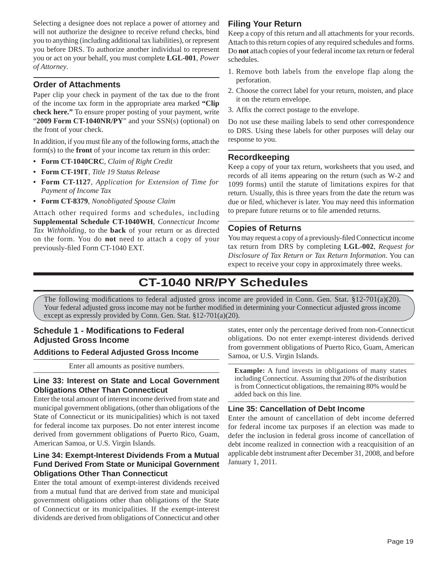Selecting a designee does not replace a power of attorney and will not authorize the designee to receive refund checks, bind you to anything (including additional tax liabilities), or represent you before DRS. To authorize another individual to represent you or act on your behalf, you must complete **LGL-001**, *Power of Attorney*.

## **Order of Attachments**

Paper clip your check in payment of the tax due to the front of the income tax form in the appropriate area marked **"Clip check here."** To ensure proper posting of your payment, write "**2009 Form CT-1040NR/PY**" and your SSN(s) (optional) on the front of your check.

In addition, if you must file any of the following forms, attach the form(s) to the **front** of your income tax return in this order:

- **Form CT-1040CRC**, *Claim of Right Credit*
- **Form CT-19IT**, *Title 19 Status Release*
- **Form CT-1127**, *Application for Extension of Time for Payment of Income Tax*
- **Form CT-8379**, *Nonobligated Spouse Claim*

Attach other required forms and schedules, including **Supplemental Schedule CT-1040WH**, *Connecticut Income Tax Withholding*, to the **back** of your return or as directed on the form. You do **not** need to attach a copy of your previously-filed Form CT-1040 EXT.

## **Filing Your Return**

Keep a copy of this return and all attachments for your records. Attach to this return copies of any required schedules and forms. Do **not** attach copies of your federal income tax return or federal schedules.

- 1. Remove both labels from the envelope flap along the perforation.
- 2. Choose the correct label for your return, moisten, and place it on the return envelope.
- 3. Affix the correct postage to the envelope.

Do not use these mailing labels to send other correspondence to DRS. Using these labels for other purposes will delay our response to you.

## **Recordkeeping**

Keep a copy of your tax return, worksheets that you used, and records of all items appearing on the return (such as W-2 and 1099 forms) until the statute of limitations expires for that return. Usually, this is three years from the date the return was due or filed, whichever is later. You may need this information to prepare future returns or to file amended returns.

## **Copies of Returns**

You may request a copy of a previously-filed Connecticut income tax return from DRS by completing **LGL-002**, *Request for Disclosure of Tax Return or Tax Return Information*. You can expect to receive your copy in approximately three weeks.

## **CT-1040 NR/PY Schedules**

The following modifications to federal adjusted gross income are provided in Conn. Gen. Stat.  $\S 12$ -701(a)(20). Your federal adjusted gross income may not be further modified in determining your Connecticut adjusted gross income except as expressly provided by Conn. Gen. Stat. §12-701(a)(20).

## **Schedule 1 - Modifications to Federal Adjusted Gross Income**

## **Additions to Federal Adjusted Gross Income**

Enter all amounts as positive numbers.

## **Line 33: Interest on State and Local Government Obligations Other Than Connecticut**

Enter the total amount of interest income derived from state and municipal government obligations, (other than obligations of the State of Connecticut or its municipalities) which is not taxed for federal income tax purposes. Do not enter interest income derived from government obligations of Puerto Rico, Guam, American Samoa, or U.S. Virgin Islands.

## **Line 34: Exempt-Interest Dividends From a Mutual Fund Derived From State or Municipal Government Obligations Other Than Connecticut**

Enter the total amount of exempt-interest dividends received from a mutual fund that are derived from state and municipal government obligations other than obligations of the State of Connecticut or its municipalities. If the exempt-interest dividends are derived from obligations of Connecticut and other states, enter only the percentage derived from non-Connecticut obligations. Do not enter exempt-interest dividends derived from government obligations of Puerto Rico, Guam, American Samoa, or U.S. Virgin Islands.

**Example:** A fund invests in obligations of many states including Connecticut. Assuming that 20% of the distribution is from Connecticut obligations, the remaining 80% would be added back on this line.

## **Line 35: Cancellation of Debt Income**

Enter the amount of cancellation of debt income deferred for federal income tax purposes if an election was made to defer the inclusion in federal gross income of cancellation of debt income realized in connection with a reacquisition of an applicable debt instrument after December 31, 2008, and before January 1, 2011.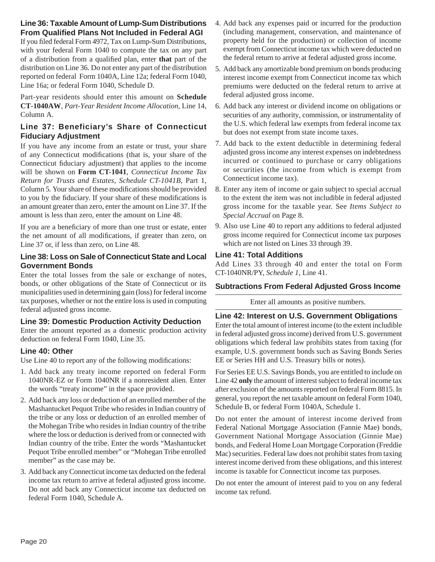## **Line 36: Taxable Amount of Lump-Sum Distributions From Qualified Plans Not Included in Federal AGI**

If you filed federal Form 4972, Tax on Lump-Sum Distributions, with your federal Form 1040 to compute the tax on any part of a distribution from a qualified plan, enter **that** part of the distribution on Line 36. Do not enter any part of the distribution reported on federal Form 1040A, Line 12a; federal Form 1040, Line 16a; or federal Form 1040, Schedule D.

Part-year residents should enter this amount on **Schedule CT-1040AW**, *Part-Year Resident Income Allocation*, Line 14, Column A.

## **Line 37: Beneficiary's Share of Connecticut Fiduciary Adjustment**

If you have any income from an estate or trust, your share of any Connecticut modifications (that is, your share of the Connecticut fiduciary adjustment) that applies to the income will be shown on **Form CT-1041**, *Connecticut Income Tax Return for Trusts and Estates, Schedule CT-1041B*, Part 1, Column 5. Your share of these modifications should be provided to you by the fiduciary. If your share of these modifications is an amount greater than zero, enter the amount on Line 37. If the amount is less than zero, enter the amount on Line 48.

If you are a beneficiary of more than one trust or estate, enter the net amount of all modifications, if greater than zero, on Line 37 or, if less than zero, on Line 48.

## **Line 38: Loss on Sale of Connecticut State and Local Government Bonds**

Enter the total losses from the sale or exchange of notes, bonds, or other obligations of the State of Connecticut or its municipalities used in determining gain (loss) for federal income tax purposes, whether or not the entire loss is used in computing federal adjusted gross income.

## **Line 39: Domestic Production Activity Deduction**

Enter the amount reported as a domestic production activity deduction on federal Form 1040, Line 35.

## **Line 40: Other**

Use Line 40 to report any of the following modifications:

- 1. Add back any treaty income reported on federal Form 1040NR-EZ or Form 1040NR if a nonresident alien. Enter the words "treaty income" in the space provided.
- 2. Add back any loss or deduction of an enrolled member of the Mashantucket Pequot Tribe who resides in Indian country of the tribe or any loss or deduction of an enrolled member of the Mohegan Tribe who resides in Indian country of the tribe where the loss or deduction is derived from or connected with Indian country of the tribe. Enter the words "Mashantucket Pequot Tribe enrolled member" or "Mohegan Tribe enrolled member" as the case may be.
- 3. Add back any Connecticut income tax deducted on the federal income tax return to arrive at federal adjusted gross income. Do not add back any Connecticut income tax deducted on federal Form 1040, Schedule A.
- 4. Add back any expenses paid or incurred for the production (including management, conservation, and maintenance of property held for the production) or collection of income exempt from Connecticut income tax which were deducted on the federal return to arrive at federal adjusted gross income.
- 5. Add back any amortizable bond premium on bonds producing interest income exempt from Connecticut income tax which premiums were deducted on the federal return to arrive at federal adjusted gross income.
- 6. Add back any interest or dividend income on obligations or securities of any authority, commission, or instrumentality of the U.S. which federal law exempts from federal income tax but does not exempt from state income taxes.
- 7. Add back to the extent deductible in determining federal adjusted gross income any interest expenses on indebtedness incurred or continued to purchase or carry obligations or securities (the income from which is exempt from Connecticut income tax).
- 8. Enter any item of income or gain subject to special accrual to the extent the item was not includible in federal adjusted gross income for the taxable year. See *Items Subject to Special Accrual* on Page 8.
- 9. Also use Line 40 to report any additions to federal adjusted gross income required for Connecticut income tax purposes which are not listed on Lines 33 through 39.

#### **Line 41: Total Additions**

Add Lines 33 through 40 and enter the total on Form CT-1040NR/PY, *Schedule 1*, Line 41.

## **Subtractions From Federal Adjusted Gross Income**

Enter all amounts as positive numbers.

## **Line 42: Interest on U.S. Government Obligations**

Enter the total amount of interest income (to the extent includible in federal adjusted gross income) derived from U.S. government obligations which federal law prohibits states from taxing (for example, U.S. government bonds such as Saving Bonds Series EE or Series HH and U.S. Treasury bills or notes).

For Series EE U.S. Savings Bonds, you are entitled to include on Line 42 **only** the amount of interest subject to federal income tax after exclusion of the amounts reported on federal Form 8815. In general, you report the net taxable amount on federal Form 1040, Schedule B, or federal Form 1040A, Schedule 1.

Do not enter the amount of interest income derived from Federal National Mortgage Association (Fannie Mae) bonds, Government National Mortgage Association (Ginnie Mae) bonds, and Federal Home Loan Mortgage Corporation (Freddie Mac) securities. Federal law does not prohibit states from taxing interest income derived from these obligations, and this interest income is taxable for Connecticut income tax purposes.

Do not enter the amount of interest paid to you on any federal income tax refund.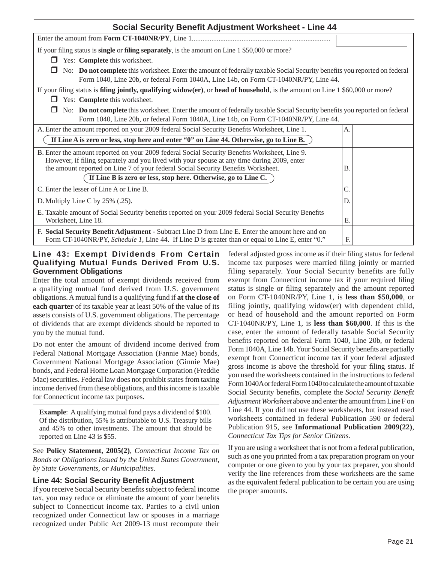| <b>Social Security Benefit Adjustment Worksheet - Line 44</b>                                                                                                                                                                                                                     |              |
|-----------------------------------------------------------------------------------------------------------------------------------------------------------------------------------------------------------------------------------------------------------------------------------|--------------|
|                                                                                                                                                                                                                                                                                   |              |
| If your filing status is <b>single</b> or <b>filing separately</b> , is the amount on Line 1 \$50,000 or more?                                                                                                                                                                    |              |
| Yes: Complete this worksheet.                                                                                                                                                                                                                                                     |              |
| No: Do not complete this worksheet. Enter the amount of federally taxable Social Security benefits you reported on federal<br>Form 1040, Line 20b, or federal Form 1040A, Line 14b, on Form CT-1040NR/PY, Line 44.                                                                |              |
| If your filing status is <b>filing jointly, qualifying widow(er)</b> , or <b>head of household</b> , is the amount on Line $1\,$ \$60,000 or more?                                                                                                                                |              |
| Yes: Complete this worksheet.                                                                                                                                                                                                                                                     |              |
| No: Do not complete this worksheet. Enter the amount of federally taxable Social Security benefits you reported on federal<br>Form 1040, Line 20b, or federal Form 1040A, Line 14b, on Form CT-1040NR/PY, Line 44.                                                                |              |
| A. Enter the amount reported on your 2009 federal Social Security Benefits Worksheet, Line 1.                                                                                                                                                                                     | A.           |
| If Line A is zero or less, stop here and enter "0" on Line 44. Otherwise, go to Line B.                                                                                                                                                                                           |              |
| B. Enter the amount reported on your 2009 federal Social Security Benefits Worksheet, Line 9.<br>However, if filing separately and you lived with your spouse at any time during 2009, enter<br>the amount reported on Line 7 of your federal Social Security Benefits Worksheet. | <b>B</b> .   |
| If Line B is zero or less, stop here. Otherwise, go to Line C.                                                                                                                                                                                                                    |              |
| C. Enter the lesser of Line A or Line B.                                                                                                                                                                                                                                          | $\mathsf{C}$ |
| D. Multiply Line C by 25% (.25).                                                                                                                                                                                                                                                  | D.           |
| E. Taxable amount of Social Security benefits reported on your 2009 federal Social Security Benefits<br>Worksheet, Line 18.                                                                                                                                                       | Е.           |
| F. Social Security Benefit Adjustment - Subtract Line D from Line E. Enter the amount here and on<br>Form CT-1040NR/PY, Schedule 1, Line 44. If Line D is greater than or equal to Line E, enter "0."                                                                             | F.           |

## **Line 43: Exempt Dividends From Certain Qualifying Mutual Funds Derived From U.S. Government Obligations**

Enter the total amount of exempt dividends received from a qualifying mutual fund derived from U.S. government obligations. A mutual fund is a qualifying fund if **at the close of each quarter** of its taxable year at least 50% of the value of its assets consists of U.S. government obligations. The percentage of dividends that are exempt dividends should be reported to you by the mutual fund.

Do not enter the amount of dividend income derived from Federal National Mortgage Association (Fannie Mae) bonds, Government National Mortgage Association (Ginnie Mae) bonds, and Federal Home Loan Mortgage Corporation (Freddie Mac) securities. Federal law does not prohibit states from taxing income derived from these obligations, and this income is taxable for Connecticut income tax purposes.

**Example**: A qualifying mutual fund pays a dividend of \$100. Of the distribution, 55% is attributable to U.S. Treasury bills and 45% to other investments. The amount that should be reported on Line 43 is \$55.

See **Policy Statement, 2005(2)**, *Connecticut Income Tax on Bonds or Obligations Issued by the United States Government, by State Governments, or Municipalities*.

## **Line 44: Social Security Benefit Adjustment**

If you receive Social Security benefits subject to federal income tax, you may reduce or eliminate the amount of your benefits subject to Connecticut income tax. Parties to a civil union recognized under Connecticut law or spouses in a marriage recognized under Public Act 2009-13 must recompute their federal adjusted gross income as if their filing status for federal income tax purposes were married filing jointly or married filing separately. Your Social Security benefits are fully exempt from Connecticut income tax if your required filing status is single or filing separately and the amount reported on Form CT-1040NR/PY, Line 1, is **less than \$50,000**, or filing jointly, qualifying widow(er) with dependent child, or head of household and the amount reported on Form CT-1040NR/PY, Line 1, is **less than \$60,000**. If this is the case, enter the amount of federally taxable Social Security benefits reported on federal Form 1040, Line 20b, or federal Form 1040A, Line 14b. Your Social Security benefits are partially exempt from Connecticut income tax if your federal adjusted gross income is above the threshold for your filing status. If you used the worksheets contained in the instructions to federal Form 1040A or federal Form 1040 to calculate the amount of taxable Social Security benefits, complete the *Social Security Benefit Adjustment Worksheet* above and enter the amount from Line F on Line 44. If you did not use these worksheets, but instead used worksheets contained in federal Publication 590 or federal Publication 915, see **Informational Publication 2009(22)**, *Connecticut Tax Tips for Senior Citizens.* 

If you are using a worksheet that is not from a federal publication, such as one you printed from a tax preparation program on your computer or one given to you by your tax preparer, you should verify the line references from these worksheets are the same as the equivalent federal publication to be certain you are using the proper amounts.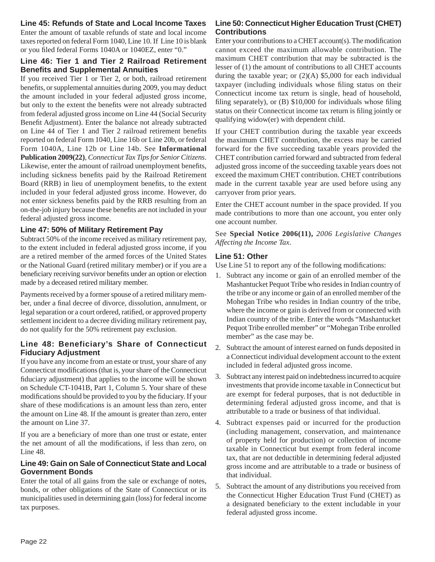## **Line 45: Refunds of State and Local Income Taxes**

Enter the amount of taxable refunds of state and local income taxes reported on federal Form 1040, Line 10. If Line 10 is blank or you filed federal Forms 1040A or 1040EZ, enter "0."

#### **Line 46: Tier 1 and Tier 2 Railroad Retirement Benefi ts and Supplemental Annuities**

If you received Tier 1 or Tier 2, or both, railroad retirement benefits, or supplemental annuities during 2009, you may deduct the amount included in your federal adjusted gross income, but only to the extent the benefits were not already subtracted from federal adjusted gross income on Line 44 (Social Security Benefit Adjustment). Enter the balance not already subtracted on Line 44 of Tier 1 and Tier 2 railroad retirement benefits reported on federal Form 1040, Line 16b or Line 20b, or federal Form 1040A, Line 12b or Line 14b. See **Informational Publication 2009(22)**, *Connecticut Tax Tips for Senior Citizens*. Likewise, enter the amount of railroad unemployment benefits, including sickness benefits paid by the Railroad Retirement Board (RRB) in lieu of unemployment benefits, to the extent included in your federal adjusted gross income. However, do not enter sickness benefits paid by the RRB resulting from an on-the-job injury because these benefits are not included in your federal adjusted gross income.

## **Line 47: 50% of Military Retirement Pay**

Subtract 50% of the income received as military retirement pay, to the extent included in federal adjusted gross income, if you are a retired member of the armed forces of the United States or the National Guard (retired military member) or if you are a beneficiary receiving survivor benefits under an option or election made by a deceased retired military member.

Payments received by a former spouse of a retired military member, under a final decree of divorce, dissolution, annulment, or legal separation or a court ordered, ratified, or approved property settlement incident to a decree dividing military retirement pay, do not qualify for the 50% retirement pay exclusion.

## **Line 48: Beneficiary's Share of Connecticut Fiduciary Adjustment**

If you have any income from an estate or trust, your share of any Connecticut modifications (that is, your share of the Connecticut fiduciary adjustment) that applies to the income will be shown on Schedule CT-1041B, Part 1, Column 5. Your share of these modifications should be provided to you by the fiduciary. If your share of these modifications is an amount less than zero, enter the amount on Line 48. If the amount is greater than zero, enter the amount on Line 37.

If you are a beneficiary of more than one trust or estate, enter the net amount of all the modifications, if less than zero, on Line 48.

## **Line 49: Gain on Sale of Connecticut State and Local Government Bonds**

Enter the total of all gains from the sale or exchange of notes, bonds, or other obligations of the State of Connecticut or its municipalities used in determining gain (loss) for federal income tax purposes.

## **Line 50: Connecticut Higher Education Trust (CHET) Contributions**

Enter your contributions to a CHET account(s). The modification cannot exceed the maximum allowable contribution. The maximum CHET contribution that may be subtracted is the lesser of (1) the amount of contributions to all CHET accounts during the taxable year; or (2)(A) \$5,000 for each individual taxpayer (including individuals whose filing status on their Connecticut income tax return is single, head of household, filing separately), or  $(B)$  \$10,000 for individuals whose filing status on their Connecticut income tax return is filing jointly or qualifying widow(er) with dependent child.

If your CHET contribution during the taxable year exceeds the maximum CHET contribution, the excess may be carried forward for the five succeeding taxable years provided the CHET contribution carried forward and subtracted from federal adjusted gross income of the succeeding taxable years does not exceed the maximum CHET contribution. CHET contributions made in the current taxable year are used before using any carryover from prior years.

Enter the CHET account number in the space provided. If you made contributions to more than one account, you enter only one account number.

See **Special Notice 2006(11),** *2006 Legislative Changes Affecting the Income Tax*.

## **Line 51: Other**

Use Line 51 to report any of the following modifications:

- 1. Subtract any income or gain of an enrolled member of the Mashantucket Pequot Tribe who resides in Indian country of the tribe or any income or gain of an enrolled member of the Mohegan Tribe who resides in Indian country of the tribe, where the income or gain is derived from or connected with Indian country of the tribe. Enter the words "Mashantucket Pequot Tribe enrolled member" or "Mohegan Tribe enrolled member" as the case may be.
- 2. Subtract the amount of interest earned on funds deposited in a Connecticut individual development account to the extent included in federal adjusted gross income.
- 3. Subtract any interest paid on indebtedness incurred to acquire investments that provide income taxable in Connecticut but are exempt for federal purposes, that is not deductible in determining federal adjusted gross income, and that is attributable to a trade or business of that individual.
- 4. Subtract expenses paid or incurred for the production (including management, conservation, and maintenance of property held for production) or collection of income taxable in Connecticut but exempt from federal income tax, that are not deductible in determining federal adjusted gross income and are attributable to a trade or business of that individual.
- 5. Subtract the amount of any distributions you received from the Connecticut Higher Education Trust Fund (CHET) as a designated beneficiary to the extent includable in your federal adjusted gross income.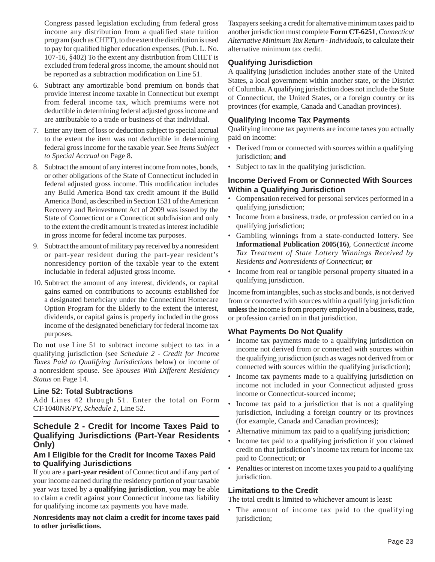Congress passed legislation excluding from federal gross income any distribution from a qualified state tuition program (such as CHET), to the extent the distribution is used to pay for qualified higher education expenses. (Pub. L. No. 107-16, §402) To the extent any distribution from CHET is excluded from federal gross income, the amount should not be reported as a subtraction modification on Line 51.

- 6. Subtract any amortizable bond premium on bonds that provide interest income taxable in Connecticut but exempt from federal income tax, which premiums were not deductible in determining federal adjusted gross income and are attributable to a trade or business of that individual.
- 7. Enter any item of loss or deduction subject to special accrual to the extent the item was not deductible in determining federal gross income for the taxable year. See *Items Subject to Special Accrual* on Page 8.
- 8. Subtract the amount of any interest income from notes, bonds, or other obligations of the State of Connecticut included in federal adjusted gross income. This modification includes any Build America Bond tax credit amount if the Build America Bond, as described in Section 1531 of the American Recovery and Reinvestment Act of 2009 was issued by the State of Connecticut or a Connecticut subdivision and only to the extent the credit amount is treated as interest includible in gross income for federal income tax purposes.
- 9. Subtract the amount of military pay received by a nonresident or part-year resident during the part-year resident's nonresidency portion of the taxable year to the extent includable in federal adjusted gross income.
- 10. Subtract the amount of any interest, dividends, or capital gains earned on contributions to accounts established for a designated beneficiary under the Connecticut Homecare Option Program for the Elderly to the extent the interest, dividends, or capital gains is properly included in the gross income of the designated beneficiary for federal income tax purposes.

Do **not** use Line 51 to subtract income subject to tax in a qualifying jurisdiction (see *Schedule 2 - Credit for Income Taxes Paid to Qualifying Jurisdictions* below) or income of a nonresident spouse. See *Spouses With Different Residency Status* on Page 14.

## **Line 52: Total Subtractions**

Add Lines 42 through 51. Enter the total on Form CT-1040NR/PY, *Schedule 1*, Line 52.

## **Schedule 2 - Credit for Income Taxes Paid to Qualifying Jurisdictions (Part-Year Residents Only)**

## **Am I Eligible for the Credit for Income Taxes Paid to Qualifying Jurisdictions**

If you are a **part-year resident** of Connecticut and if any part of your income earned during the residency portion of your taxable year was taxed by a **qualifying jurisdiction**, you **may** be able to claim a credit against your Connecticut income tax liability for qualifying income tax payments you have made.

**Nonresidents may not claim a credit for income taxes paid to other jurisdictions.**

Taxpayers seeking a credit for alternative minimum taxes paid to another jurisdiction must complete **Form CT-6251**, *Connecticut Alternative Minimum Tax Return - Individuals*, to calculate their alternative minimum tax credit.

## **Qualifying Jurisdiction**

A qualifying jurisdiction includes another state of the United States, a local government within another state, or the District of Columbia. A qualifying jurisdiction does not include the State of Connecticut, the United States, or a foreign country or its provinces (for example, Canada and Canadian provinces).

## **Qualifying Income Tax Payments**

Qualifying income tax payments are income taxes you actually paid on income:

- Derived from or connected with sources within a qualifying jurisdiction; **and**
- Subject to tax in the qualifying jurisdiction.

## **Income Derived From or Connected With Sources Within a Qualifying Jurisdiction**

- Compensation received for personal services performed in a qualifying jurisdiction;
- Income from a business, trade, or profession carried on in a qualifying jurisdiction;
- Gambling winnings from a state-conducted lottery. See **Informational Publication 2005(16)**, *Connecticut Income Tax Treatment of State Lottery Winnings Received by Residents and Nonresidents of Connecticut*; **or**
- Income from real or tangible personal property situated in a qualifying jurisdiction.

Income from intangibles, such as stocks and bonds, is not derived from or connected with sources within a qualifying jurisdiction **unless** the income is from property employed in a business, trade, or profession carried on in that jurisdiction.

## **What Payments Do Not Qualify**

- Income tax payments made to a qualifying jurisdiction on income not derived from or connected with sources within the qualifying jurisdiction (such as wages not derived from or connected with sources within the qualifying jurisdiction);
- Income tax payments made to a qualifying jurisdiction on income not included in your Connecticut adjusted gross income or Connecticut-sourced income;
- Income tax paid to a jurisdiction that is not a qualifying jurisdiction, including a foreign country or its provinces (for example, Canada and Canadian provinces);
- Alternative minimum tax paid to a qualifying jurisdiction;
- Income tax paid to a qualifying jurisdiction if you claimed credit on that jurisdiction's income tax return for income tax paid to Connecticut; **or**
- Penalties or interest on income taxes you paid to a qualifying jurisdiction.

## **Limitations to the Credit**

The total credit is limited to whichever amount is least:

• The amount of income tax paid to the qualifying jurisdiction;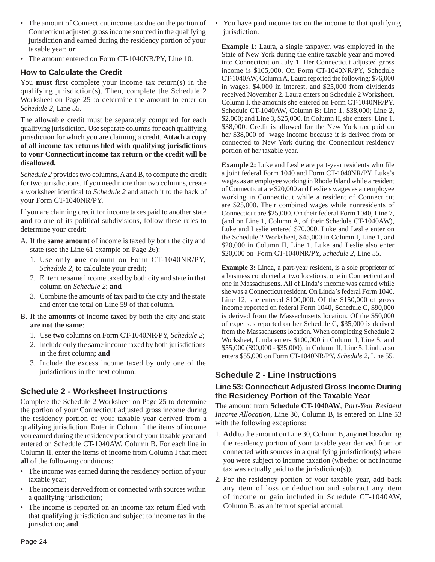- The amount of Connecticut income tax due on the portion of Connecticut adjusted gross income sourced in the qualifying jurisdiction and earned during the residency portion of your taxable year; **or**
- The amount entered on Form CT-1040NR/PY, Line 10.

## **How to Calculate the Credit**

You **must** first complete your income tax return(s) in the qualifying jurisdiction(s). Then, complete the Schedule 2 Worksheet on Page 25 to determine the amount to enter on *Schedule 2,* Line 55.

The allowable credit must be separately computed for each qualifying jurisdiction. Use separate columns for each qualifying jurisdiction for which you are claiming a credit. **Attach a copy of all income tax returns fi led with qualifying jurisdictions to your Connecticut income tax return or the credit will be disallowed.** 

*Schedule 2* provides two columns, A and B, to compute the credit for two jurisdictions. If you need more than two columns, create a worksheet identical to *Schedule 2* and attach it to the back of your Form CT-1040NR/PY.

If you are claiming credit for income taxes paid to another state **and** to one of its political subdivisions, follow these rules to determine your credit:

- A. If the **same amount** of income is taxed by both the city and state (see the Line 61 example on Page 26):
	- 1. Use only **one** column on Form CT-1040NR/PY, *Schedule 2,* to calculate your credit;
	- 2. Enter the same income taxed by both city and state in that column on *Schedule 2*; **and**
	- 3. Combine the amounts of tax paid to the city and the state and enter the total on Line 59 of that column.
- B. If the **amounts** of income taxed by both the city and state **are not the same**:
	- 1. Use **two** columns on Form CT-1040NR/PY, *Schedule 2*;
	- 2. Include only the same income taxed by both jurisdictions in the first column; and
	- 3. Include the excess income taxed by only one of the jurisdictions in the next column.

## **Schedule 2 - Worksheet Instructions**

Complete the Schedule 2 Worksheet on Page 25 to determine the portion of your Connecticut adjusted gross income during the residency portion of your taxable year derived from a qualifying jurisdiction. Enter in Column I the items of income you earned during the residency portion of your taxable year and entered on Schedule CT-1040AW, Column B. For each line in Column II, enter the items of income from Column I that meet **all** of the following conditions:

- The income was earned during the residency portion of your taxable year;
- The income is derived from or connected with sources within a qualifying jurisdiction;
- The income is reported on an income tax return filed with that qualifying jurisdiction and subject to income tax in the jurisdiction; **and**

• You have paid income tax on the income to that qualifying jurisdiction.

**Example 1:** Laura, a single taxpayer, was employed in the State of New York during the entire taxable year and moved into Connecticut on July 1. Her Connecticut adjusted gross income is \$105,000. On Form CT-1040NR/PY, Schedule CT-1040AW, Column A, Laura reported the following: \$76,000 in wages, \$4,000 in interest, and \$25,000 from dividends received November 2. Laura enters on Schedule 2 Worksheet, Column I, the amounts she entered on Form CT-1040NR/PY, Schedule CT-1040AW, Column B: Line 1, \$38,000; Line 2, \$2,000; and Line 3, \$25,000. In Column II, she enters: Line 1, \$38,000. Credit is allowed for the New York tax paid on her \$38,000 of wage income because it is derived from or connected to New York during the Connecticut residency portion of her taxable year.

**Example 2:** Luke and Leslie are part-year residents who file a joint federal Form 1040 and Form CT-1040NR/PY. Luke's wages as an employee working in Rhode Island while a resident of Connecticut are \$20,000 and Leslie's wages as an employee working in Connecticut while a resident of Connecticut are \$25,000. Their combined wages while nonresidents of Connecticut are \$25,000. On their federal Form 1040, Line 7, (and on Line 1, Column A, of their Schedule CT-1040AW), Luke and Leslie entered \$70,000. Luke and Leslie enter on the Schedule 2 Worksheet, \$45,000 in Column I, Line 1, and \$20,000 in Column II, Line 1. Luke and Leslie also enter \$20,000 on Form CT-1040NR/PY, *Schedule 2*, Line 55.

**Example 3:** Linda, a part-year resident, is a sole proprietor of a business conducted at two locations, one in Connecticut and one in Massachusetts. All of Linda's income was earned while she was a Connecticut resident. On Linda's federal Form 1040, Line 12, she entered \$100,000. Of the \$150,000 of gross income reported on federal Form 1040, Schedule C, \$90,000 is derived from the Massachusetts location. Of the \$50,000 of expenses reported on her Schedule C, \$35,000 is derived from the Massachusetts location. When completing Schedule 2 Worksheet, Linda enters \$100,000 in Column I, Line 5, and \$55,000 (\$90,000 - \$35,000), in Column II, Line 5. Linda also enters \$55,000 on Form CT-1040NR/PY, *Schedule 2*, Line 55.

## **Schedule 2 - Line Instructions**

## **Line 53: Connecticut Adjusted Gross Income During the Residency Portion of the Taxable Year**

The amount from **Schedule CT-1040AW**, *Part-Year Resident Income Allocation*, Line 30, Column B, is entered on Line 53 with the following exceptions:

- 1. **Add** to the amount on Line 30, Column B, any **net** loss during the residency portion of your taxable year derived from or connected with sources in a qualifying jurisdiction(s) where you were subject to income taxation (whether or not income tax was actually paid to the jurisdiction(s)).
- 2. For the residency portion of your taxable year, add back any item of loss or deduction and subtract any item of income or gain included in Schedule CT-1040AW, Column B, as an item of special accrual.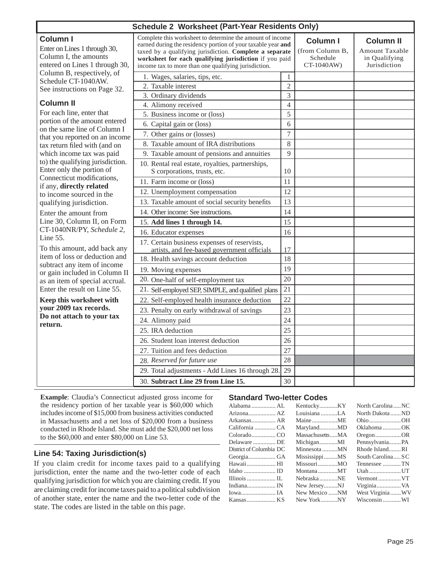|  | <b>Schedule 2 Worksheet (Part-Year Residents Only)</b> |  |  |  |
|--|--------------------------------------------------------|--|--|--|
|--|--------------------------------------------------------|--|--|--|

| Schedule 2 Worksheet (Part-Year Residents Only)                                                                                                                |                                                                                                                                                                                                                                                                                                        |                                                              |                                                                            |  |  |  |
|----------------------------------------------------------------------------------------------------------------------------------------------------------------|--------------------------------------------------------------------------------------------------------------------------------------------------------------------------------------------------------------------------------------------------------------------------------------------------------|--------------------------------------------------------------|----------------------------------------------------------------------------|--|--|--|
| <b>Column I</b><br>Enter on Lines 1 through 30,<br>Column I, the amounts<br>entered on Lines 1 through 30,                                                     | Complete this worksheet to determine the amount of income<br>earned during the residency portion of your taxable year and<br>taxed by a qualifying jurisdiction. Complete a separate<br>worksheet for each qualifying jurisdiction if you paid<br>income tax to more than one qualifying jurisdiction. | <b>Column I</b><br>(from Column B,<br>Schedule<br>CT-1040AW) | <b>Column II</b><br><b>Amount Taxable</b><br>in Qualifying<br>Jurisdiction |  |  |  |
| Column B, respectively, of<br>Schedule CT-1040AW.<br>See instructions on Page 32.                                                                              | 1. Wages, salaries, tips, etc.<br>2. Taxable interest<br>3. Ordinary dividends                                                                                                                                                                                                                         | $\mathbf{1}$<br>$\overline{2}$<br>3                          |                                                                            |  |  |  |
| <b>Column II</b><br>For each line, enter that<br>portion of the amount entered<br>on the same line of Column I<br>that you reported on an income               | 4. Alimony received<br>5. Business income or (loss)<br>6. Capital gain or (loss)<br>7. Other gains or (losses)                                                                                                                                                                                         | $\overline{4}$<br>5<br>6<br>$\tau$                           |                                                                            |  |  |  |
| tax return filed with (and on<br>which income tax was paid<br>to) the qualifying jurisdiction.<br>Enter only the portion of                                    | 8. Taxable amount of IRA distributions<br>9. Taxable amount of pensions and annuities<br>10. Rental real estate, royalties, partnerships,<br>S corporations, trusts, etc.                                                                                                                              | 8<br>9<br>10                                                 |                                                                            |  |  |  |
| Connecticut modifications,<br>if any, directly related<br>to income sourced in the<br>qualifying jurisdiction.                                                 | 11. Farm income or (loss)<br>12. Unemployment compensation<br>13. Taxable amount of social security benefits                                                                                                                                                                                           | 11<br>12<br>13                                               |                                                                            |  |  |  |
| Enter the amount from<br>Line 30, Column II, on Form<br>CT-1040NR/PY, Schedule 2,<br>Line 55.<br>To this amount, add back any<br>item of loss or deduction and | 14. Other income: See instructions.<br>15. Add lines 1 through 14.<br>16. Educator expenses<br>17. Certain business expenses of reservists,<br>artists, and fee-based government officials<br>18. Health savings account deduction                                                                     | 14<br>15<br>16<br>17<br>18                                   |                                                                            |  |  |  |
| subtract any item of income<br>or gain included in Column II<br>as an item of special accrual.<br>Enter the result on Line 55.                                 | 19. Moving expenses<br>20. One-half of self-employment tax<br>21. Self-employed SEP, SIMPLE, and qualified plans                                                                                                                                                                                       | 19<br>20<br>21<br>22                                         |                                                                            |  |  |  |
| Keep this worksheet with<br>your 2009 tax records.<br>Do not attach to your tax<br>return.                                                                     | 22. Self-employed health insurance deduction<br>23. Penalty on early withdrawal of savings<br>24. Alimony paid<br>25. IRA deduction                                                                                                                                                                    | 23<br>24<br>25                                               |                                                                            |  |  |  |
|                                                                                                                                                                | 26. Student loan interest deduction<br>27. Tuition and fees deduction<br>28. Reserved for future use<br>29. Total adjustments - Add Lines 16 through 28.<br>30. Subtract Line 29 from Line 15.                                                                                                         | 26<br>27<br>28<br>29<br>30                                   |                                                                            |  |  |  |

**Example**: Claudia's Connecticut adjusted gross income for the residency portion of her taxable year is \$60,000 which includes income of \$15,000 from business activities conducted in Massachusetts and a net loss of \$20,000 from a business conducted in Rhode Island. She must add the \$20,000 net loss to the \$60,000 and enter \$80,000 on Line 53.

## **Line 54: Taxing Jurisdiction(s)**

If you claim credit for income taxes paid to a qualifying jurisdiction, enter the name and the two-letter code of each qualifying jurisdiction for which you are claiming credit. If you are claiming credit for income taxes paid to a political subdivision of another state, enter the name and the two-letter code of the state. The codes are listed in the table on this page.

## **Standard Two-letter Codes**

| Alabama  AL             | KentuckyKY      | North CarolinaNC |
|-------------------------|-----------------|------------------|
| Arizona AZ              | Louisiana LA    | North DakotaND   |
| Arkansas AR             |                 | OhioOH           |
| California  CA          | MarylandMD      | Oklahoma OK      |
| ColoradoCO              | MassachusettsMA | $O$ regonOR      |
| Delaware  DE            | MichiganMI      | PennsylvaniaPA   |
| District of Columbia DC | Minnesota MN    | Rhode IslandRI   |
| GeorgiaGA               | MississippiMS   | South CarolinaSC |
| Hawaii  HI              | MissouriMO      | Tennessee TN     |
| Idaho  ID               | MontanaMT       | Utah UT          |
| Illinois  IL            | NebraskaNE      | Vermont VT       |
| Indiana IN              | New JerseyNJ    |                  |
| Iowa IA                 | New Mexico NM   | West VirginiaWV  |
| Kansas  KS              | New YorkNY      | Wisconsin  WI    |
|                         |                 |                  |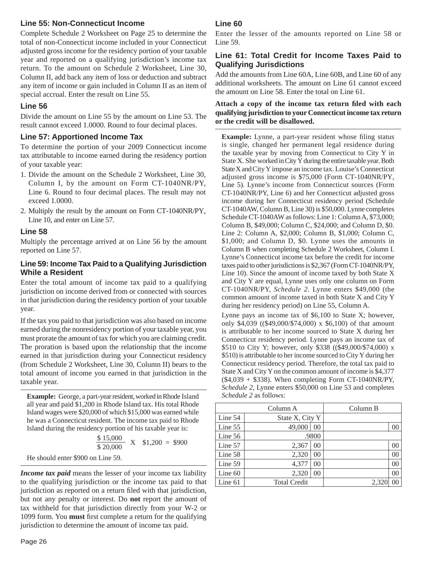## **Line 55: Non-Connecticut Income**

Complete Schedule 2 Worksheet on Page 25 to determine the total of non-Connecticut income included in your Connecticut adjusted gross income for the residency portion of your taxable year and reported on a qualifying jurisdiction's income tax return. To the amount on Schedule 2 Worksheet, Line 30, Column II, add back any item of loss or deduction and subtract any item of income or gain included in Column II as an item of special accrual. Enter the result on Line 55.

## **Line 56**

Divide the amount on Line 55 by the amount on Line 53. The result cannot exceed 1.0000. Round to four decimal places.

## **Line 57: Apportioned Income Tax**

To determine the portion of your 2009 Connecticut income tax attributable to income earned during the residency portion of your taxable year:

- 1. Divide the amount on the Schedule 2 Worksheet, Line 30, Column I, by the amount on Form CT-1040NR/PY, Line 6. Round to four decimal places. The result may not exceed 1.0000.
- 2. Multiply the result by the amount on Form CT-1040NR/PY, Line 10, and enter on Line 57.

## **Line 58**

Multiply the percentage arrived at on Line 56 by the amount reported on Line 57.

## **Line 59: Income Tax Paid to a Qualifying Jurisdiction While a Resident**

Enter the total amount of income tax paid to a qualifying jurisdiction on income derived from or connected with sources in that jurisdiction during the residency portion of your taxable year.

If the tax you paid to that jurisdiction was also based on income earned during the nonresidency portion of your taxable year, you must prorate the amount of tax for which you are claiming credit. The proration is based upon the relationship that the income earned in that jurisdiction during your Connecticut residency (from Schedule 2 Worksheet, Line 30, Column II) bears to the total amount of income you earned in that jurisdiction in the taxable year.

**Example:** George, a part-year resident, worked in Rhode Island all year and paid \$1,200 in Rhode Island tax. His total Rhode Island wages were \$20,000 of which \$15,000 was earned while he was a Connecticut resident. The income tax paid to Rhode Island during the residency portion of his taxable year is:

$$
\frac{\$~15,000}{\$~20,000} \text{ X } \$1,200 = \$900
$$
  
He should enter \\$900 on Line 59.

*Income tax paid* means the lesser of your income tax liability to the qualifying jurisdiction or the income tax paid to that jurisdiction as reported on a return filed with that jurisdiction, but not any penalty or interest. Do **not** report the amount of tax withheld for that jurisdiction directly from your W-2 or 1099 form. You **must** first complete a return for the qualifying jurisdiction to determine the amount of income tax paid.

## **Line 60**

Enter the lesser of the amounts reported on Line 58 or Line 59.

## **Line 61: Total Credit for Income Taxes Paid to Qualifying Jurisdictions**

Add the amounts from Line 60A, Line 60B, and Line 60 of any additional worksheets. The amount on Line 61 cannot exceed the amount on Line 58. Enter the total on Line 61.

#### Attach a copy of the income tax return filed with each **qualifying jurisdiction to your Connecticut income tax return or the credit will be disallowed.**

**Example:** Lynne, a part-year resident whose filing status is single, changed her permanent legal residence during the taxable year by moving from Connecticut to City Y in State X. She worked in City Y during the entire taxable year. Both State X and City Y impose an income tax. Louise's Connecticut adjusted gross income is \$75,000 (Form CT-1040NR/PY, Line 5). Lynne's income from Connecticut sources (Form CT-1040NR/PY, Line 6) and her Connecticut adjusted gross income during her Connecticut residency period (Schedule CT-1040AW, Column B, Line 30) is \$50,000. Lynne completes Schedule CT-1040AW as follows: Line 1: Column A, \$73,000; Column B, \$49,000; Column C, \$24,000; and Column D, \$0. Line 2: Column A, \$2,000; Column B, \$1,000; Column C, \$1,000; and Column D, \$0. Lynne uses the amounts in Column B when completing Schedule 2 Worksheet, Column I. Lynne's Connecticut income tax before the credit for income taxes paid to other jurisdictions is \$2,367 (Form CT-1040NR/PY, Line 10). Since the amount of income taxed by both State X and City Y are equal, Lynne uses only one column on Form CT-1040NR/PY, *Schedule 2*. Lynne enters \$49,000 (the common amount of income taxed in both State X and City Y during her residency period) on Line 55, Column A.

Lynne pays an income tax of \$6,100 to State X; however, only \$4,039 ((\$49,000/\$74,000) x \$6,100) of that amount is attributable to her income sourced to State X during her Connecticut residency period. Lynne pays an income tax of \$510 to City Y; however, only \$338 ((\$49,000/\$74,000) x \$510) is attributable to her income sourced to City Y during her Connecticut residency period. Therefore, the total tax paid to State X and City Y on the common amount of income is \$4,377  $(\$4,039 + \$338)$ . When completing Form CT-1040NR/PY, *Schedule 2*, Lynne enters \$50,000 on Line 53 and completes *Schedule 2* as follows:

| Column A  |                     |                 | Column B |    |
|-----------|---------------------|-----------------|----------|----|
| Line 54   |                     | State X, City Y |          |    |
| Line 55   | 49,000              | $00\,$          |          | 00 |
| Line 56   |                     | .9800           |          |    |
| Line 57   | 2,367               | 00              |          | 00 |
| Line 58   | 2,320               | 00              |          | 00 |
| Line 59   | 4,377               | 0 <sup>0</sup>  |          | 00 |
| Line $60$ | 2,320               | 00              |          | 00 |
| Line 61   | <b>Total Credit</b> |                 | 2.32     |    |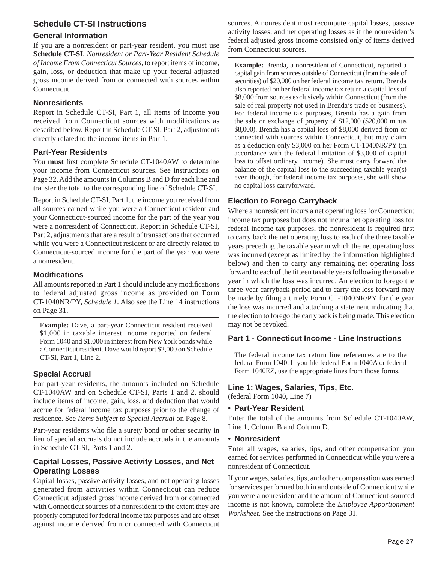## **Schedule CT-SI Instructions**

## **General Information**

If you are a nonresident or part-year resident, you must use **Schedule CT-SI**, *Nonresident or Part-Year Resident Schedule of Income From Connecticut Sources,* to report items of income, gain, loss, or deduction that make up your federal adjusted gross income derived from or connected with sources within Connecticut.

## **Nonresidents**

Report in Schedule CT-SI, Part 1, all items of income you received from Connecticut sources with modifications as described below. Report in Schedule CT-SI, Part 2, adjustments directly related to the income items in Part 1.

## **Part-Year Residents**

You **must** first complete Schedule CT-1040AW to determine your income from Connecticut sources. See instructions on Page 32. Add the amounts in Columns B and D for each line and transfer the total to the corresponding line of Schedule CT-SI.

Report in Schedule CT-SI, Part 1, the income you received from all sources earned while you were a Connecticut resident and your Connecticut-sourced income for the part of the year you were a nonresident of Connecticut. Report in Schedule CT-SI, Part 2, adjustments that are a result of transactions that occurred while you were a Connecticut resident or are directly related to Connecticut-sourced income for the part of the year you were a nonresident.

## **Modifi cations**

All amounts reported in Part 1 should include any modifications to federal adjusted gross income as provided on Form CT-1040NR/PY, *Schedule 1*. Also see the Line 14 instructions on Page 31.

**Example:** Dave, a part-year Connecticut resident received \$1,000 in taxable interest income reported on federal Form 1040 and \$1,000 in interest from New York bonds while a Connecticut resident. Dave would report \$2,000 on Schedule CT-SI, Part 1, Line 2.

## **Special Accrual**

For part-year residents, the amounts included on Schedule CT-1040AW and on Schedule CT-SI, Parts 1 and 2, should include items of income, gain, loss, and deduction that would accrue for federal income tax purposes prior to the change of residence. See *Items Subject to Special Accrual* on Page 8.

Part-year residents who file a surety bond or other security in lieu of special accruals do not include accruals in the amounts in Schedule CT-SI, Parts 1 and 2.

## **Capital Losses, Passive Activity Losses, and Net Operating Losses**

Capital losses, passive activity losses, and net operating losses generated from activities within Connecticut can reduce Connecticut adjusted gross income derived from or connected with Connecticut sources of a nonresident to the extent they are properly computed for federal income tax purposes and are offset against income derived from or connected with Connecticut

sources. A nonresident must recompute capital losses, passive activity losses, and net operating losses as if the nonresident's federal adjusted gross income consisted only of items derived from Connecticut sources.

**Example:** Brenda, a nonresident of Connecticut, reported a capital gain from sources outside of Connecticut (from the sale of securities) of \$20,000 on her federal income tax return. Brenda also reported on her federal income tax return a capital loss of \$8,000 from sources exclusively within Connecticut (from the sale of real property not used in Brenda's trade or business). For federal income tax purposes, Brenda has a gain from the sale or exchange of property of \$12,000 (\$20,000 minus \$8,000). Brenda has a capital loss of \$8,000 derived from or connected with sources within Connecticut, but may claim as a deduction only \$3,000 on her Form CT-1040NR/PY (in accordance with the federal limitation of \$3,000 of capital loss to offset ordinary income). She must carry forward the balance of the capital loss to the succeeding taxable year(s) even though, for federal income tax purposes, she will show no capital loss carryforward.

## **Election to Forego Carryback**

Where a nonresident incurs a net operating loss for Connecticut income tax purposes but does not incur a net operating loss for federal income tax purposes, the nonresident is required first to carry back the net operating loss to each of the three taxable years preceding the taxable year in which the net operating loss was incurred (except as limited by the information highlighted below) and then to carry any remaining net operating loss forward to each of the fifteen taxable years following the taxable year in which the loss was incurred. An election to forego the three-year carryback period and to carry the loss forward may be made by filing a timely Form CT-1040NR/PY for the year the loss was incurred and attaching a statement indicating that the election to forego the carryback is being made. This election may not be revoked.

## **Part 1 - Connecticut Income - Line Instructions**

The federal income tax return line references are to the federal Form 1040. If you file federal Form 1040A or federal Form 1040EZ, use the appropriate lines from those forms.

## **Line 1: Wages, Salaries, Tips, Etc.**

(federal Form 1040, Line 7)

## **• Part-Year Resident**

Enter the total of the amounts from Schedule CT-1040AW, Line 1, Column B and Column D.

## **• Nonresident**

Enter all wages, salaries, tips, and other compensation you earned for services performed in Connecticut while you were a nonresident of Connecticut.

If your wages, salaries, tips, and other compensation was earned for services performed both in and outside of Connecticut while you were a nonresident and the amount of Connecticut-sourced income is not known, complete the *Employee Apportionment Worksheet.* See the instructions on Page 31.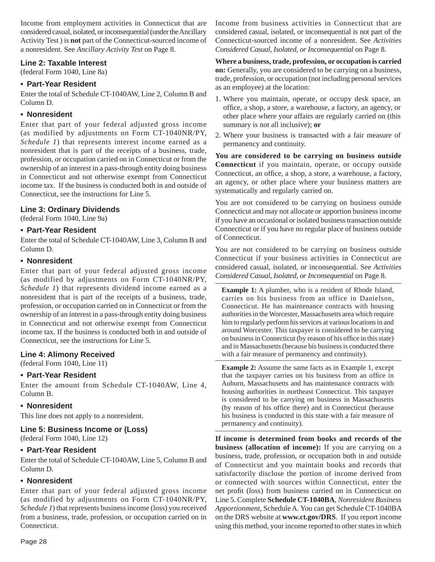Income from employment activities in Connecticut that are considered casual, isolated, or inconsequential (under the Ancillary Activity Test ) is **not** part of the Connecticut-sourced income of a nonresident. See *Ancillary Activity Test* on Page 8.

## **Line 2: Taxable Interest**

(federal Form 1040, Line 8a)

## **• Part-Year Resident**

Enter the total of Schedule CT-1040AW, Line 2, Column B and Column D.

## **• Nonresident**

Enter that part of your federal adjusted gross income (as modified by adjustments on Form CT-1040NR/PY, *Schedule 1*) that represents interest income earned as a nonresident that is part of the receipts of a business, trade, profession, or occupation carried on in Connecticut or from the ownership of an interest in a pass-through entity doing business in Connecticut and not otherwise exempt from Connecticut income tax. If the business is conducted both in and outside of Connecticut, see the instructions for Line 5.

## **Line 3: Ordinary Dividends**

(federal Form 1040, Line 9a)

## **• Part-Year Resident**

Enter the total of Schedule CT-1040AW, Line 3, Column B and Column D.

## **• Nonresident**

Enter that part of your federal adjusted gross income (as modified by adjustments on Form CT-1040NR/PY, *Schedule 1*) that represents dividend income earned as a nonresident that is part of the receipts of a business, trade, profession, or occupation carried on in Connecticut or from the ownership of an interest in a pass-through entity doing business in Connecticut and not otherwise exempt from Connecticut income tax. If the business is conducted both in and outside of Connecticut, see the instructions for Line 5.

## **Line 4: Alimony Received**

(federal Form 1040, Line 11)

## **• Part-Year Resident**

Enter the amount from Schedule CT-1040AW, Line 4, Column B.

## **• Nonresident**

This line does not apply to a nonresident.

## **Line 5: Business Income or (Loss)**

(federal Form 1040, Line 12)

## **• Part-Year Resident**

Enter the total of Schedule CT-1040AW, Line 5, Column B and Column D.

## **• Nonresident**

Enter that part of your federal adjusted gross income (as modified by adjustments on Form CT-1040NR/PY, *Schedule 1*) that represents business income (loss) you received from a business, trade, profession, or occupation carried on in Connecticut.

Income from business activities in Connecticut that are considered casual, isolated, or inconsequential is not part of the Connecticut-sourced income of a nonresident. See *Activities Considered Casual, Isolated, or Inconsequential* on Page 8.

**Where a business, trade, profession, or occupation is carried on:** Generally, you are considered to be carrying on a business, trade, profession, or occupation (not including personal services as an employee) at the location:

- 1. Where you maintain, operate, or occupy desk space, an office, a shop, a store, a warehouse, a factory, an agency, or other place where your affairs are regularly carried on (this summary is not all inclusive); **or**
- 2. Where your business is transacted with a fair measure of permanency and continuity.

**You are considered to be carrying on business outside Connecticut** if you maintain, operate, or occupy outside Connecticut, an office, a shop, a store, a warehouse, a factory, an agency, or other place where your business matters are systematically and regularly carried on.

You are not considered to be carrying on business outside Connecticut and may not allocate or apportion business income if you have an occasional or isolated business transaction outside Connecticut or if you have no regular place of business outside of Connecticut.

You are not considered to be carrying on business outside Connecticut if your business activities in Connecticut are considered casual, isolated, or inconsequential. See *Activities Considered Casual, Isolated, or Inconsequential* on Page 8.

**Example 1:** A plumber, who is a resident of Rhode Island, carries on his business from an office in Danielson, Connecticut. He has maintenance contracts with housing authorities in the Worcester, Massachusetts area which require him to regularly perform his services at various locations in and around Worcester. This taxpayer is considered to be carrying on business in Connecticut (by reason of his office in this state) and in Massachusetts (because his business is conducted there with a fair measure of permanency and continuity).

**Example 2:** Assume the same facts as in Example 1, except that the taxpayer carries on his business from an office in Auburn, Massachusetts and has maintenance contracts with housing authorities in northeast Connecticut. This taxpayer is considered to be carrying on business in Massachusetts (by reason of his office there) and in Connecticut (because his business is conducted in this state with a fair measure of permanency and continuity).

**If income is determined from books and records of the business (allocation of income):** If you are carrying on a business, trade, profession, or occupation both in and outside of Connecticut and you maintain books and records that satisfactorily disclose the portion of income derived from or connected with sources within Connecticut, enter the net profit (loss) from business carried on in Connecticut on Line 5. Complete **Schedule CT-1040BA**, *Nonresident Business Apportionment,* Schedule A. You can get Schedule CT-1040BA on the DRS website at **www.ct.gov/DRS**. If you report income using this method, your income reported to other states in which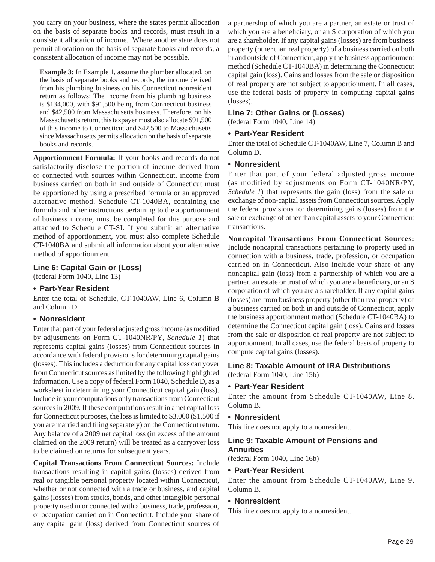you carry on your business, where the states permit allocation on the basis of separate books and records, must result in a consistent allocation of income. Where another state does not permit allocation on the basis of separate books and records, a consistent allocation of income may not be possible.

**Example 3:** In Example 1, assume the plumber allocated, on the basis of separate books and records, the income derived from his plumbing business on his Connecticut nonresident return as follows: The income from his plumbing business is \$134,000, with \$91,500 being from Connecticut business and \$42,500 from Massachusetts business. Therefore, on his Massachusetts return, this taxpayer must also allocate \$91,500 of this income to Connecticut and \$42,500 to Massachusetts since Massachusetts permits allocation on the basis of separate books and records.

**Apportionment Formula:** If your books and records do not satisfactorily disclose the portion of income derived from or connected with sources within Connecticut, income from business carried on both in and outside of Connecticut must be apportioned by using a prescribed formula or an approved alternative method. Schedule CT-1040BA, containing the formula and other instructions pertaining to the apportionment of business income, must be completed for this purpose and attached to Schedule CT-SI. If you submit an alternative method of apportionment, you must also complete Schedule CT-1040BA and submit all information about your alternative method of apportionment.

## **Line 6: Capital Gain or (Loss)**

(federal Form 1040, Line 13)

## **• Part-Year Resident**

Enter the total of Schedule, CT-1040AW, Line 6, Column B and Column D.

## **• Nonresident**

Enter that part of your federal adjusted gross income (as modified by adjustments on Form CT-1040NR/PY, *Schedule 1*) that represents capital gains (losses) from Connecticut sources in accordance with federal provisions for determining capital gains (losses). This includes a deduction for any capital loss carryover from Connecticut sources as limited by the following highlighted information. Use a copy of federal Form 1040, Schedule D, as a worksheet in determining your Connecticut capital gain (loss). Include in your computations only transactions from Connecticut sources in 2009. If these computations result in a net capital loss for Connecticut purposes, the loss is limited to \$3,000 (\$1,500 if you are married and filing separately) on the Connecticut return. Any balance of a 2009 net capital loss (in excess of the amount claimed on the 2009 return) will be treated as a carryover loss to be claimed on returns for subsequent years.

**Capital Transactions From Connecticut Sources:** Include transactions resulting in capital gains (losses) derived from real or tangible personal property located within Connecticut, whether or not connected with a trade or business, and capital gains (losses) from stocks, bonds, and other intangible personal property used in or connected with a business, trade, profession, or occupation carried on in Connecticut. Include your share of any capital gain (loss) derived from Connecticut sources of a partnership of which you are a partner, an estate or trust of which you are a beneficiary, or an S corporation of which you are a shareholder. If any capital gains (losses) are from business property (other than real property) of a business carried on both in and outside of Connecticut, apply the business apportionment method (Schedule CT-1040BA) in determining the Connecticut capital gain (loss). Gains and losses from the sale or disposition of real property are not subject to apportionment. In all cases, use the federal basis of property in computing capital gains (losses).

#### **Line 7: Other Gains or (Losses)**

(federal Form 1040, Line 14)

#### **• Part-Year Resident**

Enter the total of Schedule CT-1040AW, Line 7, Column B and Column D.

#### **• Nonresident**

Enter that part of your federal adjusted gross income (as modified by adjustments on Form CT-1040NR/PY, *Schedule 1*) that represents the gain (loss) from the sale or exchange of non-capital assets from Connecticut sources. Apply the federal provisions for determining gains (losses) from the sale or exchange of other than capital assets to your Connecticut transactions.

**Noncapital Transactions From Connecticut Sources:**  Include noncapital transactions pertaining to property used in connection with a business, trade, profession, or occupation carried on in Connecticut. Also include your share of any noncapital gain (loss) from a partnership of which you are a partner, an estate or trust of which you are a beneficiary, or an S corporation of which you are a shareholder. If any capital gains (losses) are from business property (other than real property) of a business carried on both in and outside of Connecticut, apply the business apportionment method (Schedule CT-1040BA) to determine the Connecticut capital gain (loss). Gains and losses from the sale or disposition of real property are not subject to apportionment. In all cases, use the federal basis of property to compute capital gains (losses).

#### **Line 8: Taxable Amount of IRA Distributions**

(federal Form 1040, Line 15b)

#### **• Part-Year Resident**

Enter the amount from Schedule CT-1040AW, Line 8, Column B.

#### **• Nonresident**

This line does not apply to a nonresident.

## **Line 9: Taxable Amount of Pensions and Annuities**

(federal Form 1040, Line 16b)

#### **• Part-Year Resident**

Enter the amount from Schedule CT-1040AW, Line 9, Column B.

#### **• Nonresident**

This line does not apply to a nonresident.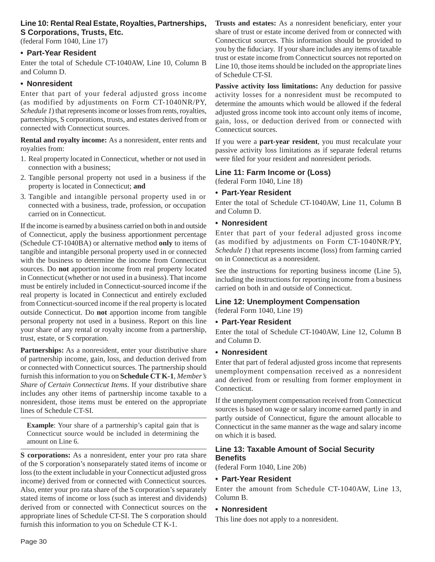## **Line 10: Rental Real Estate, Royalties, Partnerships, S Corporations, Trusts, Etc.**

(federal Form 1040, Line 17)

## **• Part-Year Resident**

Enter the total of Schedule CT-1040AW, Line 10, Column B and Column D.

## **• Nonresident**

Enter that part of your federal adjusted gross income (as modified by adjustments on Form CT-1040NR/PY, *Schedule 1*) that represents income or losses from rents, royalties, partnerships, S corporations, trusts, and estates derived from or connected with Connecticut sources.

**Rental and royalty income:** As a nonresident, enter rents and royalties from:

- 1. Real property located in Connecticut, whether or not used in connection with a business;
- 2. Tangible personal property not used in a business if the property is located in Connecticut; **and**
- 3. Tangible and intangible personal property used in or connected with a business, trade, profession, or occupation carried on in Connecticut.

If the income is earned by a business carried on both in and outside of Connecticut, apply the business apportionment percentage (Schedule CT-1040BA) or alternative method **only** to items of tangible and intangible personal property used in or connected with the business to determine the income from Connecticut sources. Do **not** apportion income from real property located in Connecticut (whether or not used in a business). That income must be entirely included in Connecticut-sourced income if the real property is located in Connecticut and entirely excluded from Connecticut-sourced income if the real property is located outside Connecticut. Do **not** apportion income from tangible personal property not used in a business. Report on this line your share of any rental or royalty income from a partnership, trust, estate, or S corporation.

Partnerships: As a nonresident, enter your distributive share of partnership income, gain, loss, and deduction derived from or connected with Connecticut sources. The partnership should furnish this information to you on **Schedule CT K-1**, *Member's Share of Certain Connecticut Items*. If your distributive share includes any other items of partnership income taxable to a nonresident, those items must be entered on the appropriate lines of Schedule CT-SI.

**Example**: Your share of a partnership's capital gain that is Connecticut source would be included in determining the amount on Line 6.

**S corporations:** As a nonresident, enter your pro rata share of the S corporation's nonseparately stated items of income or loss (to the extent includable in your Connecticut adjusted gross income) derived from or connected with Connecticut sources. Also, enter your pro rata share of the S corporation's separately stated items of income or loss (such as interest and dividends) derived from or connected with Connecticut sources on the appropriate lines of Schedule CT-SI. The S corporation should furnish this information to you on Schedule CT K-1.

Trusts and estates: As a nonresident beneficiary, enter your share of trust or estate income derived from or connected with Connecticut sources. This information should be provided to you by the fiduciary. If your share includes any items of taxable trust or estate income from Connecticut sources not reported on Line 10, those items should be included on the appropriate lines of Schedule CT-SI.

**Passive activity loss limitations:** Any deduction for passive activity losses for a nonresident must be recomputed to determine the amounts which would be allowed if the federal adjusted gross income took into account only items of income, gain, loss, or deduction derived from or connected with Connecticut sources.

If you were a **part-year resident**, you must recalculate your passive activity loss limitations as if separate federal returns were filed for your resident and nonresident periods.

## **Line 11: Farm Income or (Loss)**

(federal Form 1040, Line 18)

## **• Part-Year Resident**

Enter the total of Schedule CT-1040AW, Line 11, Column B and Column D.

## **• Nonresident**

Enter that part of your federal adjusted gross income (as modified by adjustments on Form CT-1040NR/PY, *Schedule 1*) that represents income (loss) from farming carried on in Connecticut as a nonresident.

See the instructions for reporting business income (Line 5), including the instructions for reporting income from a business carried on both in and outside of Connecticut.

## **Line 12: Unemployment Compensation**

(federal Form 1040, Line 19)

## **• Part-Year Resident**

Enter the total of Schedule CT-1040AW, Line 12, Column B and Column D.

## **• Nonresident**

Enter that part of federal adjusted gross income that represents unemployment compensation received as a nonresident and derived from or resulting from former employment in Connecticut.

If the unemployment compensation received from Connecticut sources is based on wage or salary income earned partly in and partly outside of Connecticut, figure the amount allocable to Connecticut in the same manner as the wage and salary income on which it is based.

## **Line 13: Taxable Amount of Social Security Benefi ts**

(federal Form 1040, Line 20b)

## **• Part-Year Resident**

Enter the amount from Schedule CT-1040AW, Line 13, Column B.

## **• Nonresident**

This line does not apply to a nonresident.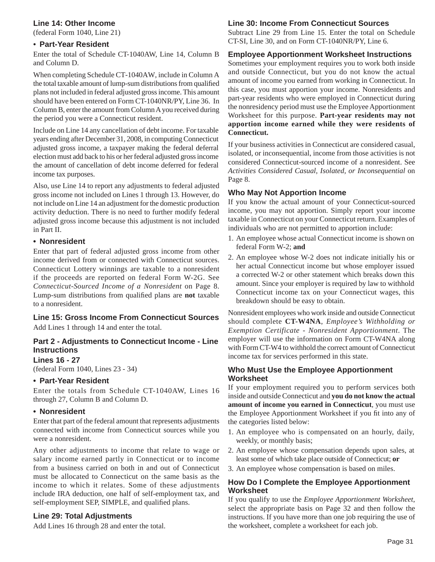## **Line 14: Other Income**

(federal Form 1040, Line 21)

#### • **Part-Year Resident**

Enter the total of Schedule CT-1040AW, Line 14, Column B and Column D.

When completing Schedule CT-1040AW, include in Column A the total taxable amount of lump-sum distributions from qualified plans not included in federal adjusted gross income. This amount should have been entered on Form CT-1040NR/PY, Line 36. In Column B, enter the amount from Column A you received during the period you were a Connecticut resident.

Include on Line 14 any cancellation of debt income. For taxable years ending after December 31, 2008, in computing Connecticut adjusted gross income, a taxpayer making the federal deferral election must add back to his or her federal adjusted gross income the amount of cancellation of debt income deferred for federal income tax purposes.

Also, use Line 14 to report any adjustments to federal adjusted gross income not included on Lines 1 through 13. However, do not include on Line 14 an adjustment for the domestic production activity deduction. There is no need to further modify federal adjusted gross income because this adjustment is not included in Part II.

## **• Nonresident**

Enter that part of federal adjusted gross income from other income derived from or connected with Connecticut sources. Connecticut Lottery winnings are taxable to a nonresident if the proceeds are reported on federal Form W-2G. See *Connecticut-Sourced Income of a Nonresident* on Page 8. Lump-sum distributions from qualified plans are **not** taxable to a nonresident.

## **Line 15: Gross Income From Connecticut Sources** Add Lines 1 through 14 and enter the total.

## **Part 2 - Adjustments to Connecticut Income - Line Instructions**

#### **Lines 16 - 27**

(federal Form 1040, Lines 23 - 34)

## **• Part-Year Resident**

Enter the totals from Schedule CT-1040AW, Lines 16 through 27, Column B and Column D.

## **• Nonresident**

Enter that part of the federal amount that represents adjustments connected with income from Connecticut sources while you were a nonresident.

Any other adjustments to income that relate to wage or salary income earned partly in Connecticut or to income from a business carried on both in and out of Connecticut must be allocated to Connecticut on the same basis as the income to which it relates. Some of these adjustments include IRA deduction, one half of self-employment tax, and self-employment SEP, SIMPLE, and qualified plans.

## **Line 29: Total Adjustments**

Add Lines 16 through 28 and enter the total.

## **Line 30: Income From Connecticut Sources**

Subtract Line 29 from Line 15. Enter the total on Schedule CT-SI, Line 30, and on Form CT-1040NR/PY, Line 6.

## **Employee Apportionment Worksheet Instructions**

Sometimes your employment requires you to work both inside and outside Connecticut, but you do not know the actual amount of income you earned from working in Connecticut. In this case, you must apportion your income. Nonresidents and part-year residents who were employed in Connecticut during the nonresidency period must use the Employee Apportionment Worksheet for this purpose. **Part-year residents may not apportion income earned while they were residents of Connecticut.**

If your business activities in Connecticut are considered casual, isolated, or inconsequential, income from those activities is not considered Connecticut-sourced income of a nonresident. See *Activities Considered Casual, Isolated, or Inconsequential* on Page 8.

## **Who May Not Apportion Income**

If you know the actual amount of your Connecticut-sourced income, you may not apportion. Simply report your income taxable in Connecticut on your Connecticut return. Examples of individuals who are not permitted to apportion include:

- 1. An employee whose actual Connecticut income is shown on federal Form W-2; **and**
- 2. An employee whose W-2 does not indicate initially his or her actual Connecticut income but whose employer issued a corrected W-2 or other statement which breaks down this amount. Since your employer is required by law to withhold Connecticut income tax on your Connecticut wages, this breakdown should be easy to obtain.

Nonresident employees who work inside and outside Connecticut should complete **CT-W4NA**, *Employee's Withholding or Exemption Certificate - Nonresident Apportionment*. The employer will use the information on Form CT-W4NA along with Form CT-W4 to withhold the correct amount of Connecticut income tax for services performed in this state.

## **Who Must Use the Employee Apportionment Worksheet**

If your employment required you to perform services both inside and outside Connecticut and **you do not know the actual amount of income you earned in Connecticut**, you must use the Employee Apportionment Worksheet if you fit into any of the categories listed below:

- 1. An employee who is compensated on an hourly, daily, weekly, or monthly basis;
- 2. An employee whose compensation depends upon sales, at least some of which take place outside of Connecticut; **or**
- 3. An employee whose compensation is based on miles.

## **How Do I Complete the Employee Apportionment Worksheet**

If you qualify to use the *Employee Apportionment Worksheet*, select the appropriate basis on Page 32 and then follow the instructions. If you have more than one job requiring the use of the worksheet, complete a worksheet for each job.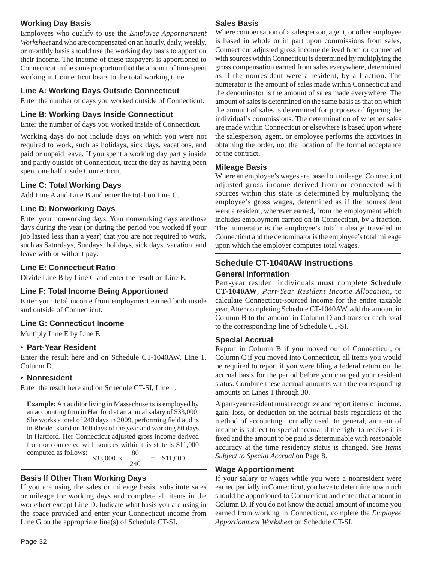## **Working Day Basis**

Employees who qualify to use the *Employee Apportionment Worksheet* and who are compensated on an hourly, daily, weekly, or monthly basis should use the working day basis to apportion their income. The income of these taxpayers is apportioned to Connecticut in the same proportion that the amount of time spent working in Connecticut bears to the total working time.

## **Line A: Working Days Outside Connecticut**

Enter the number of days you worked outside of Connecticut.

## **Line B: Working Days Inside Connecticut**

Enter the number of days you worked inside of Connecticut.

Working days do not include days on which you were not required to work, such as holidays, sick days, vacations, and paid or unpaid leave. If you spent a working day partly inside and partly outside of Connecticut, treat the day as having been spent one half inside Connecticut.

## **Line C: Total Working Days**

Add Line A and Line B and enter the total on Line C.

## **Line D: Nonworking Days**

Enter your nonworking days. Your nonworking days are those days during the year (or during the period you worked if your job lasted less than a year) that you are not required to work, such as Saturdays, Sundays, holidays, sick days, vacation, and leave with or without pay.

## **Line E: Connecticut Ratio**

Divide Line B by Line C and enter the result on Line E.

## **Line F: Total Income Being Apportioned**

Enter your total income from employment earned both inside and outside of Connecticut.

## **Line G: Connecticut Income**

Multiply Line E by Line F.

## • **Part-Year Resident**

Enter the result here and on Schedule CT-1040AW, Line 1, Column D.

## **• Nonresident**

Enter the result here and on Schedule CT-SI, Line 1.

**Example:** An auditor living in Massachusetts is employed by an accounting firm in Hartford at an annual salary of \$33,000. She works a total of 240 days in 2009, performing field audits in Rhode Island on 160 days of the year and working 80 days in Hartford. Her Connecticut adjusted gross income derived from or connected with sources within this state is \$11,000 computed as follows: computed as follows:

$$
\frac{80}{33,000} \times \frac{80}{240} = $11,000
$$

## **Basis If Other Than Working Days**

If you are using the sales or mileage basis, substitute sales or mileage for working days and complete all items in the worksheet except Line D. Indicate what basis you are using in the space provided and enter your Connecticut income from Line G on the appropriate line(s) of Schedule CT-SI.

## **Sales Basis**

Where compensation of a salesperson, agent, or other employee is based in whole or in part upon commissions from sales, Connecticut adjusted gross income derived from or connected with sources within Connecticut is determined by multiplying the gross compensation earned from sales everywhere, determined as if the nonresident were a resident, by a fraction. The numerator is the amount of sales made within Connecticut and the denominator is the amount of sales made everywhere. The amount of sales is determined on the same basis as that on which the amount of sales is determined for purposes of figuring the individual's commissions. The determination of whether sales are made within Connecticut or elsewhere is based upon where the salesperson, agent, or employee performs the activities in obtaining the order, not the location of the formal acceptance of the contract.

## **Mileage Basis**

Where an employee's wages are based on mileage, Connecticut adjusted gross income derived from or connected with sources within this state is determined by multiplying the employee's gross wages, determined as if the nonresident were a resident, wherever earned, from the employment which includes employment carried on in Connecticut, by a fraction. The numerator is the employee's total mileage traveled in Connecticut and the denominator is the employee's total mileage upon which the employer computes total wages.

## **Schedule CT-1040AW Instructions General Information**

Part-year resident individuals **must** complete **Schedule CT-1040AW**, *Part-Year Resident Income Allocation*, to calculate Connecticut-sourced income for the entire taxable year. After completing Schedule CT-1040AW, add the amount in Column B to the amount in Column D and transfer each total to the corresponding line of Schedule CT-SI.

## **Special Accrual**

Report in Column B if you moved out of Connecticut, or Column C if you moved into Connecticut, all items you would be required to report if you were filing a federal return on the accrual basis for the period before you changed your resident status. Combine these accrual amounts with the corresponding amounts on Lines 1 through 30.

A part-year resident must recognize and report items of income, gain, loss, or deduction on the accrual basis regardless of the method of accounting normally used. In general, an item of income is subject to special accrual if the right to receive it is fixed and the amount to be paid is determinable with reasonable accuracy at the time residency status is changed. See *Items Subject to Special Accrual* on Page 8.

## **Wage Apportionment**

If your salary or wages while you were a nonresident were earned partially in Connecticut, you have to determine how much should be apportioned to Connecticut and enter that amount in Column D. If you do not know the actual amount of income you earned from working in Connecticut, complete the *Employee Apportionment Worksheet* on Schedule CT-SI.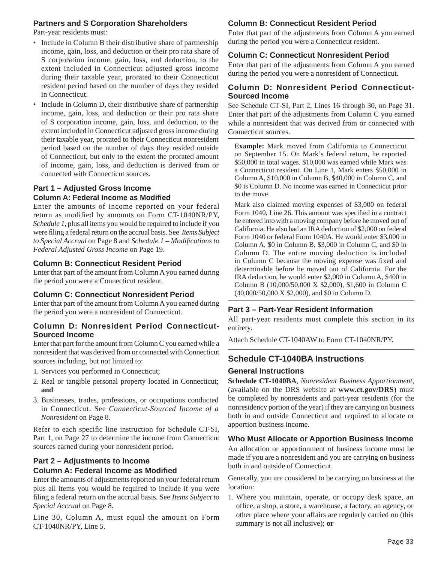## **Partners and S Corporation Shareholders**

Part-year residents must:

- Include in Column B their distributive share of partnership income, gain, loss, and deduction or their pro rata share of S corporation income, gain, loss, and deduction, to the extent included in Connecticut adjusted gross income during their taxable year, prorated to their Connecticut resident period based on the number of days they resided in Connecticut.
- Include in Column D, their distributive share of partnership income, gain, loss, and deduction or their pro rata share of S corporation income, gain, loss, and deduction, to the extent included in Connecticut adjusted gross income during their taxable year, prorated to their Connecticut nonresident period based on the number of days they resided outside of Connecticut, but only to the extent the prorated amount of income, gain, loss, and deduction is derived from or connected with Connecticut sources.

## **Part 1 – Adjusted Gross Income Column A: Federal Income as Modifi ed**

Enter the amounts of income reported on your federal return as modified by amounts on Form CT-1040NR/PY, *Schedule 1*, plus all items you would be required to include if you were filing a federal return on the accrual basis. See *Items Subject to Special Accrual* on Page 8 and *Schedule 1* – *Modifi cations to Federal Adjusted Gross Income* on Page 19.

## **Column B: Connecticut Resident Period**

Enter that part of the amount from Column A you earned during the period you were a Connecticut resident.

## **Column C: Connecticut Nonresident Period**

Enter that part of the amount from Column A you earned during the period you were a nonresident of Connecticut.

## **Column D: Nonresident Period Connecticut-Sourced Income**

Enter that part for the amount from Column C you earned while a nonresident that was derived from or connected with Connecticut sources including, but not limited to:

- 1. Services you performed in Connecticut;
- 2. Real or tangible personal property located in Connecticut; **and**
- 3. Businesses, trades, professions, or occupations conducted in Connecticut. See *Connecticut-Sourced Income of a Nonresident* on Page 8.

Refer to each specific line instruction for Schedule CT-SI, Part 1, on Page 27 to determine the income from Connecticut sources earned during your nonresident period.

## **Part 2 – Adjustments to Income**

## **Column A: Federal Income as Modified**

Enter the amounts of adjustments reported on your federal return plus all items you would be required to include if you were filing a federal return on the accrual basis. See *Items Subject to Special Accrual* on Page 8.

Line 30, Column A, must equal the amount on Form CT-1040NR/PY, Line 5.

## **Column B: Connecticut Resident Period**

Enter that part of the adjustments from Column A you earned during the period you were a Connecticut resident.

## **Column C: Connecticut Nonresident Period**

Enter that part of the adjustments from Column A you earned during the period you were a nonresident of Connecticut.

## **Column D: Nonresident Period Connecticut-Sourced Income**

See Schedule CT-SI, Part 2, Lines 16 through 30, on Page 31. Enter that part of the adjustments from Column C you earned while a nonresident that was derived from or connected with Connecticut sources.

**Example:** Mark moved from California to Connecticut on September 15. On Mark's federal return, he reported \$50,000 in total wages. \$10,000 was earned while Mark was a Connecticut resident. On Line 1, Mark enters \$50,000 in Column A, \$10,000 in Column B, \$40,000 in Column C, and \$0 is Column D. No income was earned in Connecticut prior to the move.

Mark also claimed moving expenses of \$3,000 on federal Form 1040, Line 26. This amount was specified in a contract he entered into with a moving company before he moved out of California. He also had an IRA deduction of \$2,000 on federal Form 1040 or federal Form 1040A. He would enter \$3,000 in Column A, \$0 in Column B, \$3,000 in Column C, and \$0 in Column D. The entire moving deduction is included in Column C because the moving expense was fixed and determinable before he moved out of California. For the IRA deduction, he would enter \$2,000 in Column A, \$400 in Column B (10,000/50,000 X \$2,000), \$1,600 in Column C (40,000/50,000 X \$2,000), and \$0 in Column D.

## **Part 3 – Part-Year Resident Information**

All part-year residents must complete this section in its entirety.

Attach Schedule CT-1040AW to Form CT-1040NR/PY.

## **Schedule CT-1040BA Instructions**

## **General Instructions**

**Schedule CT-1040BA**, *Nonresident Business Apportionment*, (available on the DRS website at **www.ct.gov/DRS**) must be completed by nonresidents and part-year residents (for the nonresidency portion of the year) if they are carrying on business both in and outside Connecticut and required to allocate or apportion business income.

## **Who Must Allocate or Apportion Business Income**

An allocation or apportionment of business income must be made if you are a nonresident and you are carrying on business both in and outside of Connecticut.

Generally, you are considered to be carrying on business at the location:

1. Where you maintain, operate, or occupy desk space, an office, a shop, a store, a warehouse, a factory, an agency, or other place where your affairs are regularly carried on (this summary is not all inclusive); **or**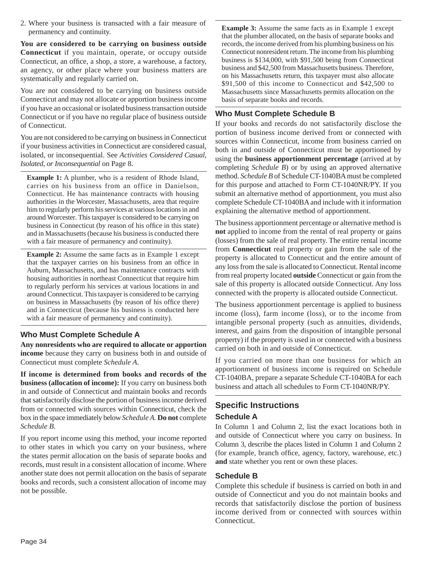2. Where your business is transacted with a fair measure of permanency and continuity.

**You are considered to be carrying on business outside Connecticut** if you maintain, operate, or occupy outside Connecticut, an office, a shop, a store, a warehouse, a factory, an agency, or other place where your business matters are systematically and regularly carried on.

You are not considered to be carrying on business outside Connecticut and may not allocate or apportion business income if you have an occasional or isolated business transaction outside Connecticut or if you have no regular place of business outside of Connecticut.

You are not considered to be carrying on business in Connecticut if your business activities in Connecticut are considered casual, isolated, or inconsequential. See *Activities Considered Casual, Isolated, or Inconsequential* on Page 8.

**Example 1:** A plumber, who is a resident of Rhode Island, carries on his business from an office in Danielson, Connecticut. He has maintenance contracts with housing authorities in the Worcester, Massachusetts, area that require him to regularly perform his services at various locations in and around Worcester. This taxpayer is considered to be carrying on business in Connecticut (by reason of his office in this state) and in Massachusetts (because his business is conducted there with a fair measure of permanency and continuity).

**Example 2:** Assume the same facts as in Example 1 except that the taxpayer carries on his business from an office in Auburn, Massachusetts, and has maintenance contracts with housing authorities in northeast Connecticut that require him to regularly perform his services at various locations in and around Connecticut. This taxpayer is considered to be carrying on business in Massachusetts (by reason of his office there) and in Connecticut (because his business is conducted here with a fair measure of permanency and continuity).

## **Who Must Complete Schedule A**

**Any nonresidents who are required to allocate or apportion income** because they carry on business both in and outside of Connecticut must complete *Schedule A*.

**If income is determined from books and records of the business (allocation of income):** If you carry on business both in and outside of Connecticut and maintain books and records that satisfactorily disclose the portion of business income derived from or connected with sources within Connecticut, check the box in the space immediately below *Schedule A.* **Do not** complete *Schedule B*.

If you report income using this method, your income reported to other states in which you carry on your business, where the states permit allocation on the basis of separate books and records, must result in a consistent allocation of income. Where another state does not permit allocation on the basis of separate books and records, such a consistent allocation of income may not be possible.

**Example 3:** Assume the same facts as in Example 1 except that the plumber allocated, on the basis of separate books and records, the income derived from his plumbing business on his Connecticut nonresident return. The income from his plumbing business is \$134,000, with \$91,500 being from Connecticut business and \$42,500 from Massachusetts business. Therefore, on his Massachusetts return, this taxpayer must also allocate \$91,500 of this income to Connecticut and \$42,500 to Massachusetts since Massachusetts permits allocation on the basis of separate books and records.

## **Who Must Complete Schedule B**

If your books and records do not satisfactorily disclose the portion of business income derived from or connected with sources within Connecticut, income from business carried on both in and outside of Connecticut must be apportioned by using the **business apportionment percentage** (arrived at by completing *Schedule B*) or by using an approved alternative method. *Schedule B* of Schedule CT-1040BA must be completed for this purpose and attached to Form CT-1040NR/PY. If you submit an alternative method of apportionment, you must also complete Schedule CT-1040BA and include with it information explaining the alternative method of apportionment.

The business apportionment percentage or alternative method is **not** applied to income from the rental of real property or gains (losses) from the sale of real property. The entire rental income from **Connecticut** real property or gain from the sale of the property is allocated to Connecticut and the entire amount of any loss from the sale is allocated to Connecticut. Rental income from real property located **outside** Connecticut or gain from the sale of this property is allocated outside Connecticut. Any loss connected with the property is allocated outside Connecticut.

The business apportionment percentage is applied to business income (loss), farm income (loss), or to the income from intangible personal property (such as annuities, dividends, interest, and gains from the disposition of intangible personal property) if the property is used in or connected with a business carried on both in and outside of Connecticut.

If you carried on more than one business for which an apportionment of business income is required on Schedule CT-1040BA, prepare a separate Schedule CT-1040BA for each business and attach all schedules to Form CT-1040NR/PY.

## **Specific Instructions Schedule A**

In Column 1 and Column 2, list the exact locations both in and outside of Connecticut where you carry on business. In Column 3, describe the places listed in Column 1 and Column 2 (for example, branch office, agency, factory, warehouse, etc.) **and** state whether you rent or own these places.

## **Schedule B**

Complete this schedule if business is carried on both in and outside of Connecticut and you do not maintain books and records that satisfactorily disclose the portion of business income derived from or connected with sources within Connecticut.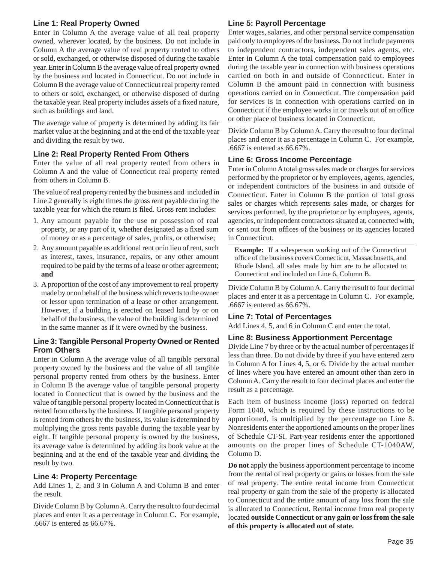## **Line 1: Real Property Owned**

Enter in Column A the average value of all real property owned, wherever located, by the business. Do not include in Column A the average value of real property rented to others or sold, exchanged, or otherwise disposed of during the taxable year. Enter in Column B the average value of real property owned by the business and located in Connecticut. Do not include in Column B the average value of Connecticut real property rented to others or sold, exchanged, or otherwise disposed of during the taxable year. Real property includes assets of a fixed nature, such as buildings and land.

The average value of property is determined by adding its fair market value at the beginning and at the end of the taxable year and dividing the result by two.

## **Line 2: Real Property Rented From Others**

Enter the value of all real property rented from others in Column A and the value of Connecticut real property rented from others in Column B.

The value of real property rented by the business and included in Line 2 generally is eight times the gross rent payable during the taxable year for which the return is filed. Gross rent includes:

- 1. Any amount payable for the use or possession of real property, or any part of it, whether designated as a fixed sum of money or as a percentage of sales, profits, or otherwise;
- 2. Any amount payable as additional rent or in lieu of rent, such as interest, taxes, insurance, repairs, or any other amount required to be paid by the terms of a lease or other agreement; **and**
- 3. A proportion of the cost of any improvement to real property made by or on behalf of the business which reverts to the owner or lessor upon termination of a lease or other arrangement. However, if a building is erected on leased land by or on behalf of the business, the value of the building is determined in the same manner as if it were owned by the business.

## **Line 3: Tangible Personal Property Owned or Rented From Others**

Enter in Column A the average value of all tangible personal property owned by the business and the value of all tangible personal property rented from others by the business. Enter in Column B the average value of tangible personal property located in Connecticut that is owned by the business and the value of tangible personal property located in Connecticut that is rented from others by the business. If tangible personal property is rented from others by the business, its value is determined by multiplying the gross rents payable during the taxable year by eight. If tangible personal property is owned by the business, its average value is determined by adding its book value at the beginning and at the end of the taxable year and dividing the result by two.

## **Line 4: Property Percentage**

Add Lines 1, 2, and 3 in Column A and Column B and enter the result.

Divide Column B by Column A. Carry the result to four decimal places and enter it as a percentage in Column C. For example, .6667 is entered as 66.67%.

## **Line 5: Payroll Percentage**

Enter wages, salaries, and other personal service compensation paid only to employees of the business. Do not include payments to independent contractors, independent sales agents, etc. Enter in Column A the total compensation paid to employees during the taxable year in connection with business operations carried on both in and outside of Connecticut. Enter in Column B the amount paid in connection with business operations carried on in Connecticut. The compensation paid for services is in connection with operations carried on in Connecticut if the employee works in or travels out of an office or other place of business located in Connecticut.

Divide Column B by Column A. Carry the result to four decimal places and enter it as a percentage in Column C. For example, .6667 is entered as 66.67%.

## **Line 6: Gross Income Percentage**

Enter in Column A total gross sales made or charges for services performed by the proprietor or by employees, agents, agencies, or independent contractors of the business in and outside of Connecticut. Enter in Column B the portion of total gross sales or charges which represents sales made, or charges for services performed, by the proprietor or by employees, agents, agencies, or independent contractors situated at, connected with, or sent out from offices of the business or its agencies located in Connecticut.

**Example:** If a salesperson working out of the Connecticut office of the business covers Connecticut, Massachusetts, and Rhode Island, all sales made by him are to be allocated to Connecticut and included on Line 6, Column B.

Divide Column B by Column A. Carry the result to four decimal places and enter it as a percentage in Column C. For example, .6667 is entered as 66.67%.

## **Line 7: Total of Percentages**

Add Lines 4, 5, and 6 in Column C and enter the total.

#### **Line 8: Business Apportionment Percentage**

Divide Line 7 by three or by the actual number of percentages if less than three. Do not divide by three if you have entered zero in Column A for Lines 4, 5, or 6. Divide by the actual number of lines where you have entered an amount other than zero in Column A. Carry the result to four decimal places and enter the result as a percentage.

Each item of business income (loss) reported on federal Form 1040, which is required by these instructions to be apportioned, is multiplied by the percentage on Line 8. Nonresidents enter the apportioned amounts on the proper lines of Schedule CT-SI. Part-year residents enter the apportioned amounts on the proper lines of Schedule CT-1040AW, Column D.

**Do not** apply the business apportionment percentage to income from the rental of real property or gains or losses from the sale of real property. The entire rental income from Connecticut real property or gain from the sale of the property is allocated to Connecticut and the entire amount of any loss from the sale is allocated to Connecticut. Rental income from real property located **outside Connecticut or any gain or loss from the sale of this property is allocated out of state.**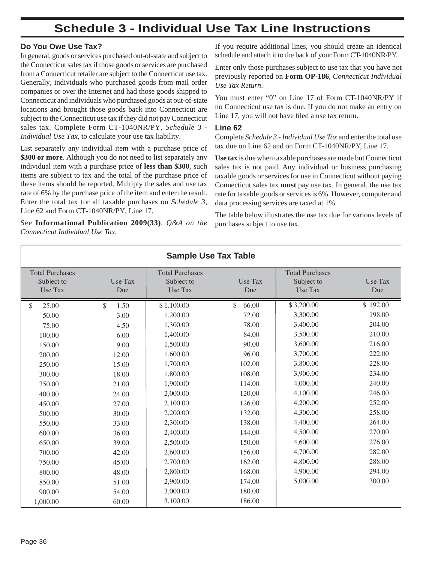## **Schedule 3 - Individual Use Tax Line Instructions**

## **Do You Owe Use Tax?**

In general, goods or services purchased out-of-state and subject to the Connecticut sales tax if those goods or services are purchased from a Connecticut retailer are subject to the Connecticut use tax. Generally, individuals who purchased goods from mail order companies or over the Internet and had those goods shipped to Connecticut and individuals who purchased goods at out-of-state locations and brought those goods back into Connecticut are subject to the Connecticut use tax if they did not pay Connecticut sales tax. Complete Form CT-1040NR/PY, *Schedule 3 - Individual Use Tax*, to calculate your use tax liability.

List separately any individual item with a purchase price of **\$300 or more**. Although you do not need to list separately any individual item with a purchase price of **less than \$300**, such items are subject to tax and the total of the purchase price of these items should be reported. Multiply the sales and use tax rate of 6% by the purchase price of the item and enter the result. Enter the total tax for all taxable purchases on *Schedule 3,*  Line 62 and Form CT-1040NR/PY, Line 17.

See **Informational Publication 2009(33)**, *Q&A on the Connecticut Individual Use Tax*.

If you require additional lines, you should create an identical schedule and attach it to the back of your Form CT-1040NR/PY.

Enter only those purchases subject to use tax that you have not previously reported on **Form OP-186**, *Connecticut Individual Use Tax Return*.

You must enter "0" on Line 17 of Form CT-1040NR/PY if no Connecticut use tax is due. If you do not make an entry on Line 17, you will not have filed a use tax return.

#### **Line 62**

Complete *Schedule 3 - Individual Use Tax* and enter the total use tax due on Line 62 and on Form CT-1040NR/PY, Line 17.

**Use tax** is due when taxable purchases are made but Connecticut sales tax is not paid. Any individual or business purchasing taxable goods or services for use in Connecticut without paying Connecticut sales tax **must** pay use tax. In general, the use tax rate for taxable goods or services is 6%. However, computer and data processing services are taxed at 1%.

The table below illustrates the use tax due for various levels of purchases subject to use tax.

| <b>Sample Use Tax Table</b>          |            |                                      |             |                                      |          |
|--------------------------------------|------------|--------------------------------------|-------------|--------------------------------------|----------|
| <b>Total Purchases</b><br>Subject to | Use Tax    | <b>Total Purchases</b><br>Subject to | Use Tax     | <b>Total Purchases</b><br>Subject to | Use Tax  |
| Use Tax                              | Due        | Use Tax                              | Due         | Use Tax                              | Due      |
| \$<br>25.00                          | \$<br>1.50 | \$1.100.00                           | \$<br>66.00 | \$3,200.00                           | \$192.00 |
| 50.00                                | 3.00       | 1.200.00                             | 72.00       | 3,300.00                             | 198.00   |
| 75.00                                | 4.50       | 1,300.00                             | 78.00       | 3,400.00                             | 204.00   |
| 100.00                               | 6.00       | 1,400.00                             | 84.00       | 3,500.00                             | 210.00   |
| 150.00                               | 9.00       | 1,500.00                             | 90.00       | 3,600.00                             | 216.00   |
| 200.00                               | 12.00      | 1,600.00                             | 96.00       | 3,700.00                             | 222.00   |
| 250.00                               | 15.00      | 1,700.00                             | 102.00      | 3,800.00                             | 228.00   |
| 300.00                               | 18.00      | 1,800.00                             | 108.00      | 3,900.00                             | 234.00   |
| 350.00                               | 21.00      | 1,900.00                             | 114.00      | 4,000.00                             | 240.00   |
| 400.00                               | 24.00      | 2,000.00                             | 120.00      | 4,100.00                             | 246.00   |
| 450.00                               | 27.00      | 2,100.00                             | 126.00      | 4,200.00                             | 252.00   |
| 500.00                               | 30.00      | 2,200.00                             | 132.00      | 4,300.00                             | 258.00   |
| 550.00                               | 33.00      | 2,300.00                             | 138.00      | 4,400.00                             | 264.00   |
| 600.00                               | 36.00      | 2,400.00                             | 144.00      | 4,500.00                             | 270.00   |
| 650.00                               | 39.00      | 2,500.00                             | 150.00      | 4,600.00                             | 276.00   |
| 700.00                               | 42.00      | 2,600.00                             | 156.00      | 4,700.00                             | 282.00   |
| 750.00                               | 45.00      | 2,700.00                             | 162.00      | 4,800.00                             | 288.00   |
| 800.00                               | 48.00      | 2,800.00                             | 168.00      | 4,900.00                             | 294.00   |
| 850.00                               | 51.00      | 2,900.00                             | 174.00      | 5,000.00                             | 300.00   |
| 900.00                               | 54.00      | 3,000.00                             | 180.00      |                                      |          |
| 1,000.00                             | 60.00      | 3,100.00                             | 186.00      |                                      |          |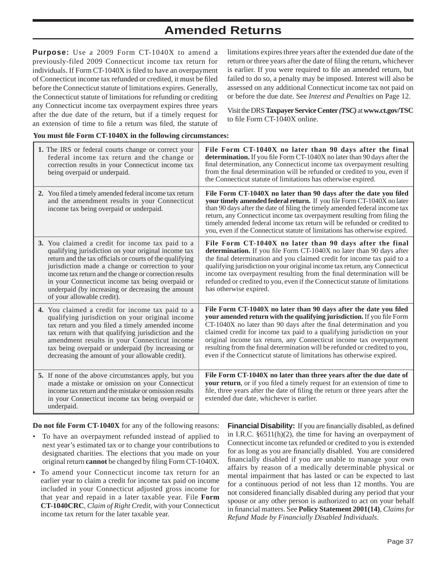## **Amended Returns**

**Purpose:** Use a 2009 Form CT-1040X to amend a previously-filed 2009 Connecticut income tax return for individuals. If Form CT-1040X is filed to have an overpayment of Connecticut income tax refunded or credited, it must be filed before the Connecticut statute of limitations expires. Generally, the Connecticut statute of limitations for refunding or crediting any Connecticut income tax overpayment expires three years after the due date of the return, but if a timely request for an extension of time to file a return was filed, the statute of

limitations expires three years after the extended due date of the return or three years after the date of filing the return, whichever is earlier. If you were required to file an amended return, but failed to do so, a penalty may be imposed. Interest will also be assessed on any additional Connecticut income tax not paid on or before the due date. See *Interest and Penalties* on Page 12.

Visit the DRS **Taxpayer Service Center** *(TSC)* at **www.ct.gov/TSC** to file Form CT-1040X online.

#### **You must fi le Form CT-1040X in the following circumstances:**

| 1. The IRS or federal courts change or correct your<br>federal income tax return and the change or<br>correction results in your Connecticut income tax<br>being overpaid or underpaid.                                                                                                                                                                                                                                  | File Form CT-1040X no later than 90 days after the final<br>determination. If you file Form CT-1040X no later than 90 days after the<br>final determination, any Connecticut income tax overpayment resulting<br>from the final determination will be refunded or credited to you, even if<br>the Connecticut statute of limitations has otherwise expired.                                                                                                                                                                  |
|--------------------------------------------------------------------------------------------------------------------------------------------------------------------------------------------------------------------------------------------------------------------------------------------------------------------------------------------------------------------------------------------------------------------------|------------------------------------------------------------------------------------------------------------------------------------------------------------------------------------------------------------------------------------------------------------------------------------------------------------------------------------------------------------------------------------------------------------------------------------------------------------------------------------------------------------------------------|
| 2. You filed a timely amended federal income tax return<br>and the amendment results in your Connecticut<br>income tax being overpaid or underpaid.                                                                                                                                                                                                                                                                      | File Form CT-1040X no later than 90 days after the date you filed<br>your timely amended federal return. If you file Form CT-1040X no later<br>than 90 days after the date of filing the timely amended federal income tax<br>return, any Connecticut income tax overpayment resulting from filing the<br>timely amended federal income tax return will be refunded or credited to<br>you, even if the Connecticut statute of limitations has otherwise expired.                                                             |
| 3. You claimed a credit for income tax paid to a<br>qualifying jurisdiction on your original income tax<br>return and the tax officials or courts of the qualifying<br>jurisdiction made a change or correction to your<br>income tax return and the change or correction results<br>in your Connecticut income tax being overpaid or<br>underpaid (by increasing or decreasing the amount<br>of your allowable credit). | File Form CT-1040X no later than 90 days after the final<br>determination. If you file Form CT-1040X no later than 90 days after<br>the final determination and you claimed credit for income tax paid to a<br>qualifying jurisdiction on your original income tax return, any Connecticut<br>income tax overpayment resulting from the final determination will be<br>refunded or credited to you, even if the Connecticut statute of limitations<br>has otherwise expired.                                                 |
| 4. You claimed a credit for income tax paid to a<br>qualifying jurisdiction on your original income<br>tax return and you filed a timely amended income<br>tax return with that qualifying jurisdiction and the<br>amendment results in your Connecticut income<br>tax being overpaid or underpaid (by increasing or<br>decreasing the amount of your allowable credit).                                                 | File Form CT-1040X no later than 90 days after the date you filed<br>your amended return with the qualifying jurisdiction. If you file Form<br>CT-1040X no later than 90 days after the final determination and you<br>claimed credit for income tax paid to a qualifying jurisdiction on your<br>original income tax return, any Connecticut income tax overpayment<br>resulting from the final determination will be refunded or credited to you,<br>even if the Connecticut statute of limitations has otherwise expired. |
| 5. If none of the above circumstances apply, but you<br>made a mistake or omission on your Connecticut<br>income tax return and the mistake or omission results<br>in your Connecticut income tax being overpaid or<br>underpaid.                                                                                                                                                                                        | File Form CT-1040X no later than three years after the due date of<br>your return, or if you filed a timely request for an extension of time to<br>file, three years after the date of filing the return or three years after the<br>extended due date, whichever is earlier.                                                                                                                                                                                                                                                |

**Do not fi le Form CT-1040X** for any of the following reasons:

- To have an overpayment refunded instead of applied to next year's estimated tax or to change your contributions to designated charities. The elections that you made on your original return **cannot** be changed by filing Form CT-1040X.
- To amend your Connecticut income tax return for an earlier year to claim a credit for income tax paid on income included in your Connecticut adjusted gross income for that year and repaid in a later taxable year. File **Form CT-1040CRC**, *Claim of Right Credit*, with your Connecticut income tax return for the later taxable year.

**Financial Disability:** If you are financially disabled, as defined in I.R.C. §6511(h)(2), the time for having an overpayment of Connecticut income tax refunded or credited to you is extended for as long as you are financially disabled. You are considered financially disabled if you are unable to manage your own affairs by reason of a medically determinable physical or mental impairment that has lasted or can be expected to last for a continuous period of not less than 12 months. You are not considered financially disabled during any period that your spouse or any other person is authorized to act on your behalf in financial matters. See Policy Statement 2001(14), *Claims for Refund Made by Financially Disabled Individuals*.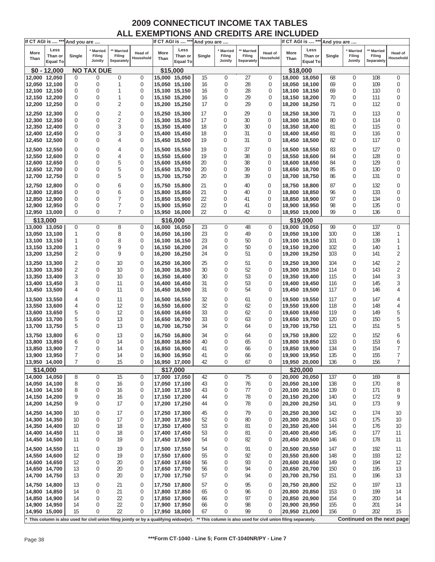|               | If CT AGI is  *** And you are      |             |                                |                                        |                             |                                |                                    | If CT AGI is  *** And you are |                                     |                                    |                                                                                                                                                         |              | If CT AGI is  *** And you are      |            |                              |                                    |                      |
|---------------|------------------------------------|-------------|--------------------------------|----------------------------------------|-----------------------------|--------------------------------|------------------------------------|-------------------------------|-------------------------------------|------------------------------------|---------------------------------------------------------------------------------------------------------------------------------------------------------|--------------|------------------------------------|------------|------------------------------|------------------------------------|----------------------|
| More<br>Than  | Less<br>Than or<br><b>Equal To</b> | Single      | ' Married<br>Filing<br>Jointly | <b>Married</b><br>Filing<br>Separately | <b>Head of</b><br>Household | More<br>Than                   | Less<br>Than or<br><b>Equal To</b> | Single                        | <b>Married</b><br>Filing<br>Jointly | ** Married<br>Filing<br>Separately | Head of<br>Household                                                                                                                                    | More<br>Than | Less<br>Than or<br><b>Equal To</b> | Single     | Married<br>Filing<br>Jointly | ** Married<br>Filing<br>Separately | Head of<br>Household |
|               | $$0 - 12,000$                      |             | <b>NO TAX DUE</b>              |                                        |                             | \$15,000                       |                                    |                               |                                     |                                    |                                                                                                                                                         | \$18,000     |                                    |            |                              |                                    |                      |
|               | 12,000 12,050                      | 0           | 0                              | $\bf{0}$                               | $\mathbf 0$                 | 15,000 15,050                  |                                    | 15                            | 0                                   | 27                                 | 0                                                                                                                                                       |              | 18,000 18,050                      | 68         | 0                            | 108                                | $\boldsymbol{0}$     |
|               | 12,050 12,100                      | 0           | 0                              | 1                                      | 0                           | 15,050 15,100                  |                                    | 16                            | 0                                   | 28                                 | $\bf{0}$                                                                                                                                                |              | 18,050 18,100                      | 69         | 0                            | 109                                | 0                    |
|               | 12,100 12,150                      | 0           | 0                              | $\mathbf{1}$                           | 0                           | 15,100 15,150                  |                                    | 16                            | 0                                   | 28                                 | 0                                                                                                                                                       |              | 18,100 18,150                      | 69         | 0                            | 110                                | 0                    |
| 12,150 12,200 |                                    | 0           | 0                              | $\mathbf{1}$                           | 0                           | 15,150 15,200                  |                                    | 16                            | 0                                   | 29                                 | 0                                                                                                                                                       |              | 18,150 18,200                      | 70         | 0                            | 111                                | $\bf{0}$             |
|               | 12,200 12,250                      | 0           | 0                              | 2                                      | 0                           | 15,200 15,250                  |                                    | 17                            | $\Omega$                            | 29                                 | 0                                                                                                                                                       |              | 18,200 18,250                      | 71         | 0                            | 112                                | 0                    |
| 12,250 12,300 |                                    | 0           | 0                              | 2                                      | 0                           | 15,250 15,300                  |                                    | 17                            | 0                                   | 29                                 | 0                                                                                                                                                       |              | 18,250 18,300                      | 71         | 0                            | 113                                | 0                    |
|               | 12,300 12,350                      | $\mathbf 0$ | 0                              | $\overline{2}$                         | 0                           | 15,300 15,350                  |                                    | 17                            | 0                                   | 30                                 | 0                                                                                                                                                       |              | 18,300 18,350                      | 80         | 0                            | 114                                | 0                    |
| 12,350 12,400 |                                    | 0           | 0                              | 3                                      | 0                           | 15,350 15,400                  |                                    | 18                            | 0                                   | 30                                 | 0                                                                                                                                                       |              | 18,350 18,400                      | 81         | 0                            | 115                                | 0                    |
| 12,400 12,450 |                                    | 0           | 0                              | 3                                      | 0                           | 15,400 15,450                  |                                    | 18                            | 0                                   | 31                                 | 0                                                                                                                                                       |              | 18,400 18,450                      | 81         | 0                            | 116                                | 0                    |
| 12,450 12,500 |                                    | 0           | 0                              | 4                                      | 0                           | 15,450 15,500                  |                                    | 19                            | 0                                   | 31                                 | 0                                                                                                                                                       |              | 18,450 18,500                      | 82         | $\mathbf 0$                  | 117                                | $\bf{0}$             |
| 12,500 12,550 |                                    | 0           | 0                              | 4                                      | 0                           | 15,500 15,550                  |                                    | 19                            | 0                                   | 37                                 | 0                                                                                                                                                       |              | 18,500 18,550                      | 83         | 0                            | 127                                | $\bf{0}$             |
| 12,550 12,600 |                                    | $\mathbf 0$ | 0                              | 4                                      | 0                           | 15,550 15,600                  |                                    | 19                            | 0                                   | 38                                 | 0                                                                                                                                                       |              | 18,550 18,600                      | 84         | 0                            | 128                                | 0                    |
| 12,600 12,650 |                                    | 0           | 0                              | 5                                      | 0                           | 15,600 15,650                  |                                    | 20                            | 0                                   | 38                                 | 0                                                                                                                                                       |              | 18,600 18,650                      | 84         | 0                            | 129                                | 0                    |
| 12,650 12,700 |                                    | 0           | 0                              | 5                                      | 0                           | 15,650 15,700                  |                                    | 20                            | 0                                   | 39                                 | 0                                                                                                                                                       |              | 18,650 18,700                      | 85         | 0                            | 130                                | 0                    |
| 12,700 12,750 |                                    | 0           | 0                              | 5                                      | 0                           | 15,700 15,750                  |                                    | 20                            | 0                                   | 39                                 | 0                                                                                                                                                       |              | 18,700 18,750                      | 86         | 0                            | 131                                | 0                    |
|               |                                    |             |                                |                                        |                             |                                |                                    |                               |                                     |                                    |                                                                                                                                                         |              |                                    |            |                              |                                    |                      |
|               | 12,750 12,800                      | 0           | 0                              | 6                                      | 0                           | 15,750 15,800                  |                                    | 21                            | 0                                   | 40                                 | 0                                                                                                                                                       |              | 18,750 18,800                      | 87         | 0                            | 132                                | 0                    |
| 12,800 12,850 |                                    | 0           | 0                              | 6                                      | 0                           | 15,800 15,850                  |                                    | 21                            | 0                                   | 40                                 | 0                                                                                                                                                       |              | 18,800 18,850                      | 96         | 0                            | 133                                | 0                    |
| 12,850 12,900 |                                    | $\mathbf 0$ | 0                              | 7                                      | 0                           | 15,850 15,900                  |                                    | 22                            | 0                                   | 41                                 | 0                                                                                                                                                       |              | 18,850 18,900                      | 97         | 0                            | 134                                | 0                    |
| 12,900 12,950 |                                    | 0           | 0                              | 7<br>7                                 | 0                           | 15,900 15,950                  |                                    | 22                            | 0                                   | 41                                 | 0                                                                                                                                                       |              | 18,900 18,950                      | 98<br>99   | 0                            | 135                                | 0                    |
| 12,950 13,000 |                                    | 0           | 0                              |                                        | $\bf{0}$                    | 15,950 16,000                  |                                    | 22                            | 0                                   | 42                                 | 0                                                                                                                                                       |              | 18,950 19,000                      |            | $\bf{0}$                     | 136                                | 0                    |
|               | \$13,000                           |             |                                |                                        |                             |                                | \$16,000                           |                               |                                     |                                    |                                                                                                                                                         |              | \$19,000                           |            |                              |                                    |                      |
| 13,000 13,050 |                                    | 0<br>1      | $\mathbf 0$<br>0               | 8                                      | $\mathbf 0$<br>$\mathbf 0$  | 16,000 16,050                  |                                    | 23                            | 0                                   | 48                                 | 0<br>$\mathbf 0$                                                                                                                                        |              | 19,000 19,050                      | 99         | $\mathbf 0$                  | 137<br>138                         | $\mathbf{0}$         |
| 13,100 13,150 | 13,050 13,100                      | 1           | 0                              | 8<br>8                                 | 0                           | 16,050 16,100<br>16,100 16,150 |                                    | 23<br>23                      | 0<br>0                              | 49<br>50                           | 0                                                                                                                                                       |              | 19,050 19,100<br>19,100 19,150     | 100<br>101 | 0<br>0                       | 139                                | 1<br>1               |
| 13,150 13,200 |                                    | 1           | 0                              | 9                                      | 0                           | 16,150 16,200                  |                                    | 24                            | 0                                   | 50                                 | $\mathbf 0$                                                                                                                                             |              | 19,150 19,200                      | 102        | 0                            | 140                                | $\mathbf{1}$         |
| 13,200 13,250 |                                    | 2           | 0                              | 9                                      | 0                           | 16,200 16,250                  |                                    | 24                            | 0                                   | 51                                 | $\bf{0}$                                                                                                                                                |              | 19,200 19,250                      | 103        | 0                            | 141                                | 2                    |
|               |                                    |             |                                |                                        |                             |                                |                                    |                               |                                     |                                    |                                                                                                                                                         |              |                                    |            |                              |                                    |                      |
| 13,250 13,300 |                                    | 2           | 0                              | 10                                     | $\mathbf 0$                 | 16,250 16,300                  |                                    | 25                            | 0                                   | 51                                 | $\mathbf 0$                                                                                                                                             |              | 19,250 19,300                      | 104        | 0                            | 142                                | 2                    |
| 13,300 13,350 |                                    | 2           | 0                              | 10                                     | $\mathbf 0$                 | 16,300 16,350                  |                                    | 30                            | 0                                   | 52                                 | 0                                                                                                                                                       |              | 19,300 19,350                      | 114        | 0                            | 143                                | 2                    |
| 13,350 13,400 |                                    | 3           | 0                              | 10                                     | 0                           | 16,350 16,400                  |                                    | 30                            | $\mathbf 0$<br>0                    | 53                                 | $\mathbf 0$                                                                                                                                             |              | 19,350 19,400                      | 115        | 0                            | 144                                | 3                    |
| 13,400 13,450 |                                    | 3<br>4      | 0<br>0                         | 11<br>11                               | 0<br>0                      | 16,400 16,450                  |                                    | 31<br>31                      | 0                                   | 53<br>54                           | $\bf{0}$<br>$\mathbf 0$                                                                                                                                 |              | 19,400 19,450                      | 116<br>117 | 0<br>0                       | 145<br>146                         | 3<br>4               |
| 13,450 13,500 |                                    |             |                                |                                        |                             | 16,450 16,500                  |                                    |                               |                                     |                                    |                                                                                                                                                         |              | 19,450 19,500                      |            |                              |                                    |                      |
| 13,500 13,550 |                                    | 4           | 0                              | 11                                     | 0                           | 16,500 16,550                  |                                    | 32                            | 0                                   | 61                                 | $\mathbf 0$                                                                                                                                             |              | 19,500 19,550                      | 117        | 0                            | 147                                | 4                    |
| 13,550 13,600 |                                    | 4           | 0                              | 12                                     | 0                           | 16,550 16,600                  |                                    | 32                            | 0                                   | 62                                 | $\bf{0}$                                                                                                                                                |              | 19,550 19,600                      | 118        | $\mathbf 0$                  | 148                                | 4                    |
| 13,600 13,650 |                                    | 5           | 0                              | 12                                     | 0                           | 16,600 16,650                  |                                    | 33                            | 0                                   | 62                                 | $\bf{0}$                                                                                                                                                |              | 19,600 19,650                      | 119        | 0                            | 149                                | 5                    |
| 13,650 13,700 |                                    | 5           | 0                              | 13                                     | 0                           | 16,650 16,700                  |                                    | 33                            | $\mathbf 0$                         | 63                                 | 0                                                                                                                                                       |              | 19,650 19,700                      | 120        | 0                            | 150                                | 5                    |
| 13,700 13,750 |                                    | 5           | 0                              | 13                                     | $\bf{0}$                    | 16,700 16,750                  |                                    | 34                            | 0                                   | 64                                 | $\bf{0}$                                                                                                                                                |              | 19,700 19,750                      | 121        | 0                            | 151                                | 5                    |
| 13,750 13,800 |                                    | 6           | 0                              | 13                                     | 0                           | 16,750 16,800                  |                                    | 34                            | 0                                   | 64                                 | $\bf{0}$                                                                                                                                                |              | 19,750 19,800                      | 122        | 0                            | 152                                | 6                    |
| 13,800 13,850 |                                    | 6           | 0                              | 14                                     | 0                           | 16,800 16,850                  |                                    | 40                            | 0                                   | 65                                 | $\bf{0}$                                                                                                                                                |              | 19,800 19,850                      | 133        | 0                            | 153                                | 6                    |
| 13,850 13,900 |                                    | 7           | 0                              | 14                                     | 0                           | 16,850 16,900                  |                                    | 41                            | 0                                   | 66                                 | $\bf{0}$                                                                                                                                                |              | 19,850 19,900                      | 134        | 0                            | 154                                | 7                    |
| 13,900 13,950 |                                    | 7           | $\Omega$                       | 14                                     | $\Omega$                    | 16,900 16,950                  |                                    | 41                            | $\Omega$                            | 66                                 | $\Omega$                                                                                                                                                |              | 19,900 19,950                      | 135        | 0                            | 155                                | 7                    |
|               | 13,950 14,000                      | 7           | 0                              | 15                                     | 0                           | 16,950 17,000                  |                                    | 42                            | 0                                   | 67                                 | 0                                                                                                                                                       |              | 19,950 20,000                      | 136        | 0                            | 156                                | 7                    |
|               | \$14,000                           |             |                                |                                        |                             |                                | \$17,000                           |                               |                                     |                                    |                                                                                                                                                         |              | \$20,000                           |            |                              |                                    |                      |
|               | 14,000 14,050<br>14,050 14,100     | 8           | 0                              | 15                                     | 0                           | 17,000 17,050                  |                                    | 42                            | 0                                   | 75                                 | 0                                                                                                                                                       |              | 20,000 20,050<br>20,050 20,100     | 137        | 0                            | 169                                | 8                    |
| 14,100 14,150 |                                    | 8<br>8      | 0<br>0                         | 16<br>16                               | 0<br>0                      | 17,050 17,100<br>17,100 17,150 |                                    | 43<br>43                      | 0<br>0                              | 76<br>77                           | 0<br>$\bf{0}$                                                                                                                                           |              | 20,100 20,150                      | 138<br>139 | 0<br>0                       | 170<br>171                         | 8<br>8               |
|               | 14,150 14,200                      | 9           | 0                              | 16                                     | 0                           | 17,150 17,200                  |                                    | 44                            | 0                                   | 78                                 | 0                                                                                                                                                       |              | 20,150 20,200                      | 140        | 0                            | 172                                | 9                    |
|               | 14,200 14,250                      | 9           | 0                              | 17                                     | 0                           | 17,200 17,250                  |                                    | 44                            | 0                                   | 78                                 | 0                                                                                                                                                       |              | 20,200 20,250                      | 141        | 0                            | 173                                | 9                    |
|               |                                    |             |                                |                                        |                             |                                |                                    |                               |                                     |                                    |                                                                                                                                                         |              |                                    |            |                              |                                    |                      |
|               | 14,250 14,300                      | 10          | 0                              | 17<br>17                               | 0                           | 17,250 17,300                  |                                    | 45                            | $\mathbf 0$<br>$\mathbf 0$          | 79                                 | 0                                                                                                                                                       |              | 20,250 20,300<br>20,300 20,350     | 142        | 0                            | 174                                | 10                   |
| 14,300 14,350 | 14,350 14,400                      | 10<br>10    | 0<br>0                         | 18                                     | 0<br>0                      | 17,300 17,350<br>17,350 17,400 |                                    | 52<br>53                      | 0                                   | 80<br>81                           | 0<br>$\mathbf{0}$                                                                                                                                       |              | 20,350 20,400                      | 143<br>144 | 0<br>0                       | 175<br>176                         | 10<br>10             |
|               | 14,400 14,450                      | 11          | 0                              | 18                                     | 0                           | 17,400 17,450                  |                                    | 53                            | 0                                   | 81                                 | 0                                                                                                                                                       |              | 20,400 20,450                      | 145        | 0                            | 177                                | 11                   |
|               | 14,450 14,500                      | 11          | 0                              | 19                                     | 0                           | 17,450 17,500                  |                                    | 54                            | 0                                   | 82                                 | 0                                                                                                                                                       |              | 20,450 20,500                      | 146        | 0                            | 178                                | 11                   |
|               |                                    |             |                                |                                        |                             |                                |                                    |                               |                                     |                                    |                                                                                                                                                         |              |                                    |            |                              |                                    |                      |
|               | 14,500 14,550                      | 11          | 0                              | 19                                     | 0                           | 17,500 17,550                  |                                    | 54                            | 0                                   | 91                                 | 0                                                                                                                                                       |              | 20,500 20,550                      | 147        | 0                            | 192                                | 11                   |
|               | 14,550 14,600                      | 12          | 0                              | 19                                     | 0                           | 17,550 17,600                  |                                    | 55                            | $\mathbf 0$                         | 92                                 | 0                                                                                                                                                       |              | 20,550 20,600                      | 148        | 0                            | 193                                | 12                   |
|               | 14,600 14,650                      | 12          | 0                              | 20                                     | 0                           | 17,600 17,650                  |                                    | 56                            | 0                                   | 93                                 | $\bf{0}$                                                                                                                                                |              | 20,600 20,650                      | 149        | 0                            | 194                                | 12                   |
|               | 14,650 14,700                      | 13<br>13    | 0<br>0                         | 20<br>20                               | 0<br>0                      | 17,650 17,700                  |                                    | 56<br>57                      | 0<br>0                              | 94<br>94                           | 0<br>0                                                                                                                                                  |              | 20,650 20,700<br>20,700 20,750     | 150        | 0<br>0                       | 195<br>196                         | 13<br>13             |
|               | 14,700 14,750                      |             |                                |                                        |                             | 17,700 17,750                  |                                    |                               |                                     |                                    |                                                                                                                                                         |              |                                    | 151        |                              |                                    |                      |
|               | 14,750 14,800                      | 13          | 0                              | 21                                     | 0                           | 17,750 17,800                  |                                    | 57                            | 0                                   | 95                                 | 0                                                                                                                                                       |              | 20,750 20,800                      | 152        | 0                            | 197                                | 13                   |
|               | 14,800 14,850                      | 14          | 0                              | 21                                     | 0                           | 17,800 17,850                  |                                    | 65                            | $\mathbf{0}$                        | 96                                 | $\mathbf{0}$                                                                                                                                            |              | 20,800 20,850                      | 153        | 0                            | 199                                | 14                   |
|               | 14,850 14,900                      | 14          | 0                              | 22                                     | 0                           | 17,850 17,900                  |                                    | 66                            | $\mathbf 0$                         | 97                                 | $\mathbf{0}$                                                                                                                                            |              | 20,850 20,900                      | 154        | 0                            | 200                                | 14                   |
|               | 14,900 14,950                      | 14          | 0                              | 22                                     | 0                           | 17,900 17,950                  |                                    | 66                            | 0                                   | 98                                 | 0                                                                                                                                                       |              | 20,900 20,950                      | 155        | 0                            | 201                                | 14                   |
|               | 14,950 15,000                      | 15          | 0                              | 22                                     | 0                           | 17,950 18,000                  |                                    | 67                            | 0                                   | 99                                 | $\Omega$                                                                                                                                                |              | 20,950 21,000                      | 156        | 0                            | 202                                | 15                   |
|               |                                    |             |                                |                                        |                             |                                |                                    |                               |                                     |                                    | * This column is also used for civil union filing jointly or by a qualifying widow(er). *** This column is also used for civil union filing separately. |              |                                    |            |                              | Continued on the next page         |                      |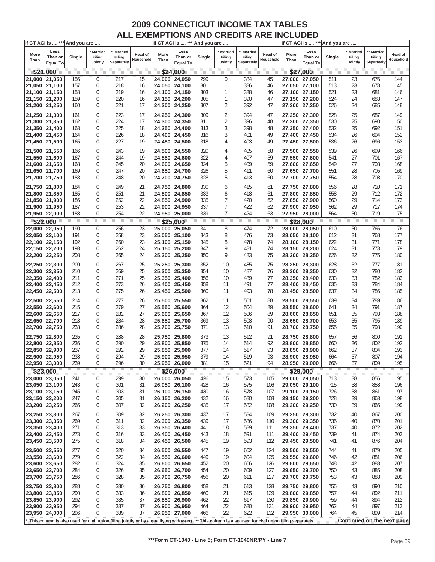|               | If CT AGI is  *** And you are |        |                                |                                    |                             |               |                 | If CT AGI is  *** And you are |                                     |                                    |                                                                                                                                                      |               | If CT AGI is  *** And you are |        |                                     |                                    |                      |
|---------------|-------------------------------|--------|--------------------------------|------------------------------------|-----------------------------|---------------|-----------------|-------------------------------|-------------------------------------|------------------------------------|------------------------------------------------------------------------------------------------------------------------------------------------------|---------------|-------------------------------|--------|-------------------------------------|------------------------------------|----------------------|
| More<br>Than  | Less<br>Than or               | Single | * Married<br>Filing<br>Jointly | ** Married<br>Filing<br>Separately | <b>Head of</b><br>Household | More<br>Than  | Less<br>Than or | Single                        | <b>Married</b><br>Filing<br>Jointly | ** Married<br>Filing<br>Separately | Head of<br>Household                                                                                                                                 | More<br>Than  | Less<br>Than or               | Single | <b>Married</b><br>Filing<br>Jointly | ** Married<br>Filing<br>Separately | Head of<br>Household |
|               | <b>Equal To</b>               |        |                                |                                    |                             |               | Equal To        |                               |                                     |                                    |                                                                                                                                                      |               | <b>Equal To</b>               |        |                                     |                                    |                      |
| 21,000 21,050 | \$21,000                      | 156    | $\overline{0}$                 | 217                                | 15                          | 24,000 24,050 | \$24,000        | 299                           | $\mathbf 0$                         | 384                                | 45                                                                                                                                                   |               | \$27,000<br>27,000 27,050     | 511    | 23                                  | 676                                | 144                  |
| 21,050 21,100 |                               | 157    | 0                              | 218                                | 16                          | 24,050 24,100 |                 | 301                           | 1                                   | 386                                | 46                                                                                                                                                   |               | 27,050 27,100                 | 513    | 23                                  | 678                                | 145                  |
| 21,100 21,150 |                               | 158    | 0                              | 219                                | 16                          | 24,100 24,150 |                 | 303                           | 1                                   | 388                                | 46                                                                                                                                                   |               | 27,100 27,150                 | 521    | 23                                  | 681                                | 146                  |
|               |                               |        |                                |                                    |                             |               |                 |                               |                                     |                                    |                                                                                                                                                      |               |                               |        |                                     |                                    |                      |
| 21,150 21,200 |                               | 159    | 0                              | 220                                | 16                          | 24,150 24,200 |                 | 305                           | 1                                   | 390                                | 47                                                                                                                                                   |               | 27,150 27,200                 | 524    | 24                                  | 683                                | 147                  |
| 21,200 21,250 |                               | 160    | 0                              | 221                                | 17                          | 24,200 24,250 |                 | 307                           | 2                                   | 392                                | 47                                                                                                                                                   |               | 27,200 27,250                 | 526    | 24                                  | 685                                | 148                  |
| 21,250 21,300 |                               | 161    | 0                              | 223                                | 17                          | 24,250 24,300 |                 | 309                           | 2                                   | 394                                | 47                                                                                                                                                   |               | 27,250 27,300                 | 528    | 25                                  | 687                                | 149                  |
| 21,300 21,350 |                               | 162    | 0                              | 224                                | 17                          | 24,300 24,350 |                 | 311                           | $\overline{2}$                      | 396                                | 48                                                                                                                                                   |               | 27,300 27,350                 | 530    | 25                                  | 690                                | 150                  |
| 21,350 21,400 |                               | 163    | 0                              | 225                                | 18                          | 24,350 24,400 |                 | 313                           | 3                                   | 398                                | 48                                                                                                                                                   |               | 27,350 27,400                 | 532    | 25                                  | 692                                | 151                  |
| 21,400 21,450 |                               | 164    | 0                              | 226                                | 18                          | 24,400 24,450 |                 | 316                           | 3                                   | 401                                | 49                                                                                                                                                   |               | 27,400 27,450                 | 534    | 26                                  | 694                                | 152                  |
| 21,450 21,500 |                               | 165    | 0                              | 227                                | 19                          | 24,450 24,500 |                 | 318                           | 4                                   | 403                                | 49                                                                                                                                                   |               | 27,450 27,500                 | 536    | 26                                  | 696                                | 153                  |
|               |                               |        |                                |                                    |                             |               |                 |                               |                                     |                                    |                                                                                                                                                      |               |                               |        |                                     |                                    |                      |
| 21,500 21,550 |                               | 166    | 0                              | 243                                | 19                          | 24,500 24,550 |                 | 320                           | 4                                   | 405                                | 58                                                                                                                                                   |               | 27,500 27,550                 | 539    | 26                                  | 699                                | 166                  |
| 21,550 21,600 |                               | 167    | 0                              | 244                                | 19                          | 24,550 24,600 |                 | 322                           | 4                                   | 407                                | 59                                                                                                                                                   |               | 27,550 27,600                 | 541    | 27                                  | 701                                | 167                  |
| 21,600 21,650 |                               | 168    | 0                              | 245                                | 20                          | 24,600 24,650 |                 | 324                           | 5                                   | 409                                | 59                                                                                                                                                   |               | 27,600 27,650                 | 549    | 27                                  | 703                                | 168                  |
| 21,650 21,700 |                               | 169    | 0                              | 247                                | 20                          | 24,650 24,700 |                 | 326                           | 5                                   | 411                                | 60                                                                                                                                                   |               | 27,650 27,700                 | 551    | 28                                  | 705                                | 169                  |
| 21,700 21,750 |                               | 183    | 0                              | 248                                | 20                          | 24,700 24,750 |                 | 328                           | 5                                   | 413                                | 60                                                                                                                                                   | 27,700 27,750 |                               | 554    | 28                                  | 708                                | 170                  |
| 21,750 21,800 |                               | 184    | 0                              | 249                                | 21                          | 24,750 24,800 |                 | 330                           | 6                                   | 415                                | 61                                                                                                                                                   |               | 27,750 27,800                 | 556    | 28                                  | 710                                | 171                  |
| 21,800 21,850 |                               | 185    | 0                              | 251                                | 21                          | 24,800 24,850 |                 | 333                           | 6                                   | 418                                | 61                                                                                                                                                   |               | 27,800 27,850                 | 558    | 29                                  | 712                                | 172                  |
| 21,850 21,900 |                               | 186    | 0                              | 252                                | 22                          | 24,850 24,900 |                 | 335                           | 7                                   | 420                                | 62                                                                                                                                                   |               | 27,850 27,900                 | 560    | 29                                  | 714                                | 173                  |
| 21,900 21,950 |                               | 187    | 0                              | 253                                | 22                          | 24,900 24,950 |                 | 337                           | 7                                   | 422                                | 62                                                                                                                                                   |               | 27,900 27,950                 | 562    | 29                                  | 717                                | 174                  |
| 21,950 22,000 |                               | 188    | 0                              | 254                                | 22                          |               | 24,950 25,000   | 339                           | $\overline{7}$                      | 424                                | 63                                                                                                                                                   | 27,950 28,000 |                               | 564    | 30                                  | 719                                | 175                  |
|               |                               |        |                                |                                    |                             |               |                 |                               |                                     |                                    |                                                                                                                                                      |               |                               |        |                                     |                                    |                      |
|               | \$22,000                      |        |                                |                                    |                             |               | \$25,000        |                               |                                     |                                    |                                                                                                                                                      |               | \$28.000                      |        |                                     |                                    |                      |
| 22,000 22,050 |                               | 190    | $\mathbf 0$                    | 256                                | 23                          | 25,000 25,050 |                 | 341                           | 8                                   | 474                                | 72                                                                                                                                                   |               | 28,000 28,050                 | 610    | 30                                  | 766                                | 176                  |
| 22,050 22,100 |                               | 191    | $\mathbf 0$                    | 258                                | 23                          | 25,050 25,100 |                 | 343                           | 8                                   | 476                                | 73                                                                                                                                                   |               | 28,050 28,100                 | 612    | 31                                  | 768                                | 177                  |
| 22,100 22,150 |                               | 192    | 0                              | 260                                | 23                          | 25,100 25,150 |                 | 345                           | 8                                   | 478                                | 74                                                                                                                                                   |               | 28,100 28,150                 | 622    | 31                                  | 771                                | 178                  |
| 22,150 22,200 |                               | 193    | $\mathbf 0$                    | 262                                | 24                          | 25,150 25,200 |                 | 347                           | 9                                   | 481                                | 74                                                                                                                                                   |               | 28,150 28,200                 | 624    | 31                                  | 773                                | 179                  |
| 22,200 22,250 |                               | 208    | 0                              | 265                                | 24                          | 25,200 25,250 |                 | 350                           | 9                                   | 483                                | 75                                                                                                                                                   | 28,200 28,250 |                               | 626    | 32                                  | 775                                | 180                  |
| 22,250 22,300 |                               | 209    | 0                              | 267                                | 25                          | 25,250 25,300 |                 | 352                           | 10                                  | 485                                | 75                                                                                                                                                   |               | 28,250 28,300                 | 628    | 32                                  | 777                                | 181                  |
| 22,300 22,350 |                               | 210    | 0                              | 269                                | 25                          | 25,300 25,350 |                 | 354                           | 10                                  | 487                                | 76                                                                                                                                                   |               | 28,300 28,350                 | 630    | 32                                  | 780                                | 182                  |
| 22,350 22,400 |                               | 211    | 0                              | 271                                | 25                          | 25,350 25,400 |                 | 356                           | 10                                  | 489                                | 77                                                                                                                                                   |               | 28,350 28,400                 | 633    | 33                                  | 782                                | 183                  |
| 22,400 22,450 |                               | 212    | 0                              | 273                                | 26                          | 25,400 25,450 |                 | 358                           | 11                                  | 491                                | 77                                                                                                                                                   |               | 28,400 28,450                 | 635    | 33                                  | 784                                | 184                  |
| 22,450 22,500 |                               | 213    | 0                              | 275                                | 26                          | 25,450 25,500 |                 | 360                           | 11                                  | 493                                | 78                                                                                                                                                   |               | 28,450 28,500                 | 637    | 34                                  | 786                                | 185                  |
|               |                               |        |                                |                                    |                             |               |                 |                               |                                     |                                    |                                                                                                                                                      |               |                               |        |                                     |                                    |                      |
| 22,500 22,550 |                               | 214    | 0                              | 277                                | 26                          | 25,500 25,550 |                 | 362                           | 11                                  | 501                                | 88                                                                                                                                                   |               | 28,500 28,550                 | 639    | 34                                  | 789                                | 186                  |
| 22,550 22,600 |                               | 215    | 0                              | 279                                | 27                          | 25,550 25,600 |                 | 364                           | 12                                  | 504                                | 89                                                                                                                                                   |               | 28,550 28,600                 | 641    | 34                                  | 791                                | 187                  |
| 22,600 22,650 |                               | 217    | 0                              | 282                                | 27                          | 25,600 25,650 |                 | 367                           | 12                                  | 506                                | 89                                                                                                                                                   |               | 28,600 28,650                 | 651    | 35                                  | 793                                | 188                  |
| 22,650 22,700 |                               | 218    | $\mathbf 0$                    | 284                                | 28                          | 25,650 25,700 |                 | 369                           | 13                                  | 508                                | 90                                                                                                                                                   |               | 28,650 28,700                 | 653    | 35                                  | 795                                | 189                  |
| 22,700 22,750 |                               | 233    | 0                              | 286                                | 28                          | 25,700 25,750 |                 | 371                           | 13                                  | 510                                | 91                                                                                                                                                   |               | 28,700 28,750                 | 655    | 35                                  | 798                                | 190                  |
| 22,750 22,800 |                               | 235    | 0                              | 288                                | 28                          | 25,750 25,800 |                 | 373                           | 13                                  | 512                                | 91                                                                                                                                                   |               | 28,750 28,800                 | 657    | 36                                  | 800                                | 191                  |
| 22,800 22,850 |                               | 236    | 0                              | 290                                | 29                          | 25,800 25,850 |                 | 375                           | 14                                  | 514                                | 92                                                                                                                                                   |               | 28,800 28,850                 | 660    | 36                                  | 802                                | 192                  |
| 22,850 22,900 |                               | 237    | 0                              | 292                                | 29                          | 25,850 25,900 |                 | 377                           | 14                                  | 517                                | 93                                                                                                                                                   |               | 28,850 28,900                 | 662    | 37                                  | 804                                | 193                  |
|               |                               | 238    | $\Omega$                       | 294                                | 29                          | 25.900 25.950 |                 | 379                           | 14                                  | 519                                | 93                                                                                                                                                   |               | 28,900 28,950                 | 664    | 37                                  | 807                                | 194                  |
| 22,900 22,950 |                               | 239    |                                | 296                                |                             |               |                 |                               |                                     |                                    |                                                                                                                                                      |               |                               |        | 37                                  | 809                                |                      |
| 22,950 23,000 |                               |        | 0                              |                                    | 30                          | 25,950 26,000 |                 | 381                           | 15                                  | 521                                | 94                                                                                                                                                   | 28,950 29,000 |                               | 666    |                                     |                                    | 195                  |
|               | \$23,000                      |        |                                |                                    |                             |               | \$26,000        |                               |                                     |                                    |                                                                                                                                                      |               | \$29,000                      |        |                                     |                                    |                      |
| 23,000 23,050 |                               | 241    | 0                              | 299                                | 30                          | 26,000 26,050 |                 | 426                           | 15                                  | 573                                | 105                                                                                                                                                  |               | 29,000 29,050                 | 713    | 38                                  | 856                                | 195                  |
| 23,050 23,100 |                               | 243    | 0                              | 301                                | 31                          | 26,050 26,100 |                 | 428                           | 16                                  | 575                                | 106                                                                                                                                                  |               | 29,050 29,100                 | 715    | 38                                  | 858                                | 196                  |
| 23,100 23,150 |                               | 245    | 0                              | 303                                | 31                          | 26,100 26,150 |                 | 430                           | 16                                  | 578                                | 107                                                                                                                                                  |               | 29,100 29,150                 | 726    | 38                                  | 861                                | 197                  |
| 23,150 23,200 |                               | 247    | 0                              | 305                                | 31                          | 26,150 26,200 |                 | 432                           | 16                                  | 580                                | 108                                                                                                                                                  |               | 29,150 29,200                 | 728    | 39                                  | 863                                | 198                  |
| 23,200 23,250 |                               | 265    | 0                              | 307                                | 32                          | 26,200 26,250 |                 | 435                           | 17                                  | 582                                | 108                                                                                                                                                  |               | 29,200 29,250                 | 730    | 39                                  | 865                                | 199                  |
| 23,250 23,300 |                               | 267    | 0                              | 309                                | 32                          | 26,250 26,300 |                 | 437                           | 17                                  | 584                                | 109                                                                                                                                                  |               | 29,250 29,300                 | 732    | 40                                  | 867                                | 200                  |
| 23,300 23,350 |                               | 269    | 0                              | 311                                | 32                          | 26,300 26,350 |                 | 439                           | 17                                  | 586                                | 110                                                                                                                                                  | 29,300 29,350 |                               | 735    | 40                                  | 870                                | 201                  |
| 23,350 23,400 |                               | 271    | 0                              | 313                                | 33                          | 26,350 26,400 |                 | 441                           | 18                                  | 589                                | 111                                                                                                                                                  |               | 29,350 29,400                 | 737    | 40                                  | 872                                | 202                  |
| 23,400 23,450 |                               | 273    | 0                              | 316                                | 33                          | 26,400 26,450 |                 | 443                           | 18                                  | 591                                | 111                                                                                                                                                  |               | 29,400 29,450                 | 739    | 41                                  | 874                                | 203                  |
| 23,450 23,500 |                               | 275    | 0                              | 318                                | 34                          | 26,450 26,500 |                 | 445                           | 19                                  | 593                                | 112                                                                                                                                                  |               | 29,450 29,500                 | 741    | 41                                  | 876                                | 204                  |
|               |                               |        |                                |                                    |                             |               |                 |                               |                                     |                                    |                                                                                                                                                      |               |                               |        |                                     |                                    |                      |
| 23,500 23,550 |                               | 277    | 0                              | 320                                | 34                          | 26,500 26,550 |                 | 447                           | 19                                  | 602                                | 124                                                                                                                                                  |               | 29,500 29,550                 | 744    | 41                                  | 879                                | 205                  |
| 23,550 23,600 |                               | 279    | 0                              | 322                                | 34                          | 26,550 26,600 |                 | 449                           | 19                                  | 604                                | 125                                                                                                                                                  |               | 29,550 29,600                 | 746    | 42                                  | 881                                | 206                  |
| 23,600 23,650 |                               | 282    | 0                              | 324                                | 35                          | 26,600 26,650 |                 | 452                           | 20                                  | 606                                | 126                                                                                                                                                  |               | 29,600 29,650                 | 748    | 42                                  | 883                                | 207                  |
| 23,650 23,700 |                               | 284    | 0                              | 326                                | 35                          | 26,650 26,700 |                 | 454                           | 20                                  | 609                                | 127                                                                                                                                                  | 29,650 29,700 |                               | 750    | 43                                  | 885                                | 208                  |
| 23,700 23,750 |                               | 286    | 0                              | 328                                | 35                          | 26,700 26,750 |                 | 456                           | 20                                  | 611                                | 127                                                                                                                                                  |               | 29,700 29,750                 | 753    | 43                                  | 888                                | 209                  |
| 23,750 23,800 |                               | 288    | 0                              | 330                                | 36                          | 26,750 26,800 |                 | 458                           | 21                                  | 613                                | 128                                                                                                                                                  |               | 29,750 29,800                 | 755    | 43                                  | 890                                | 210                  |
| 23,800 23,850 |                               | 290    | 0                              | 333                                | 36                          | 26,800 26,850 |                 | 460                           | 21                                  | 615                                | 129                                                                                                                                                  |               | 29,800 29,850                 | 757    | 44                                  | 892                                | 211                  |
| 23,850 23,900 |                               | 292    | 0                              | 335                                | 37                          | 26,850 26,900 |                 | 462                           | 22                                  | 617                                | 130                                                                                                                                                  |               | 29,850 29,900                 | 759    | 44                                  | 894                                | 212                  |
| 23,900 23,950 |                               | 294    | 0                              | 337                                | 37                          | 26,900 26,950 |                 | 464                           | 22                                  | 620                                | 131                                                                                                                                                  | 29,900 29,950 |                               | 762    | 44                                  | 897                                | 213                  |
|               |                               | 296    | 0                              | 339                                | 37                          |               |                 | 466                           | 22                                  | 622                                | 132                                                                                                                                                  |               |                               | 764    | 45                                  | 899                                |                      |
| 23,950 24,000 |                               |        |                                |                                    |                             | 26,950 27,000 |                 |                               |                                     |                                    |                                                                                                                                                      |               | 29,950 30,000                 |        |                                     |                                    | 214                  |
|               |                               |        |                                |                                    |                             |               |                 |                               |                                     |                                    | This column is also used for civil union filing jointly or by a qualifying widow(er). ** This column is also used for civil union filing separately. |               |                               |        |                                     | Continued on the next page         |                      |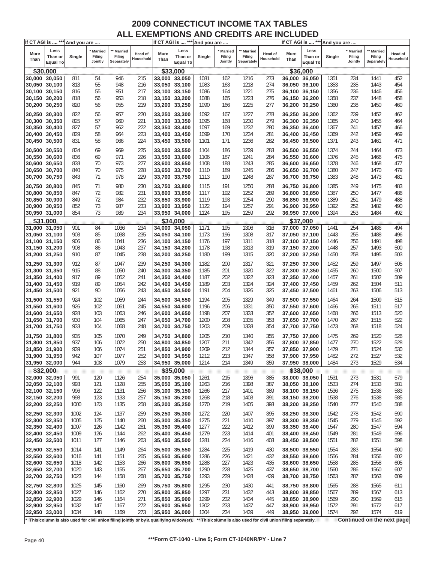| Less<br>Less<br>Less<br>** Married<br>* Married<br><b>Married</b><br>** Married<br>Married<br>** Married<br>More<br>More<br>More<br>Head of<br><b>Head of</b><br>Head of<br>Than or<br>Single<br>Filing<br>Filing<br>Than or<br>Single<br>Filing<br>Filing<br>Than or<br>Single<br>Filing<br>Filing<br>Household<br>Household<br>Than<br>Than<br>Than<br>Jointly<br>Separately<br>Jointly<br>Separately<br>Jointly<br>Separately<br><b>Equal To</b><br>Equal To<br><b>Equal To</b><br>\$33,000<br>\$36,000<br>\$30,000<br>946<br>215<br>1216<br>273<br>234<br>452<br>30,000 30,050<br>811<br>54<br>33,000 33,050<br>1081<br>162<br>36,000 36,050<br>1351<br>1441<br>55<br>948<br>235<br>454<br>30,050 30,100<br>813<br>216<br>33,050 33,100<br>1083<br>163<br>1218<br>274<br>36,050 36,100<br>1353<br>1443<br>30,100 30,150<br>816<br>55<br>951<br>217<br>1086<br>1221<br>275<br>1356<br>236<br>456<br>33,100 33,150<br>164<br>36,100 36,150<br>1446<br>30,150 30,200<br>818<br>56<br>953<br>218<br>33,150 33,200<br>1088<br>165<br>1223<br>276<br>36,150 36,200<br>1358<br>237<br>1448<br>458<br>1225<br>30,200 30,250<br>820<br>955<br>219<br>33,200 33,250<br>1090<br>277<br>36,200 36,250<br>1360<br>238<br>1450<br>460<br>56<br>166<br>30,250 30,300<br>957<br>1092<br>1227<br>36,250 36,300<br>1452<br>822<br>56<br>220<br>33,250 33,300<br>167<br>278<br>1362<br>239<br>462<br>825<br>57<br>221<br>1095<br>168<br>1230<br>279<br>1455<br>30,300 30,350<br>960<br>33,300 33,350<br>36,300 36,350<br>1365<br>240<br>464<br>827<br>57<br>222<br>1232<br>30,350 30,400<br>962<br>33,350 33,400<br>1097<br>169<br>280<br>36,350 36,400<br>1367<br>241<br>1457<br>466<br>223<br>30,400 30,450<br>829<br>58<br>964<br>33,400 33,450<br>1099<br>170<br>1234<br>281<br>36,400 36,450<br>1369<br>242<br>1459<br>469<br>1236<br>30,450 30,500<br>831<br>58<br>966<br>224<br>33,450 33,500<br>1101<br>171<br>282<br>36,450 36,500<br>1371<br>243<br>1461<br>471<br>969<br>225<br>1239<br>1374<br>473<br>30,500 30,550<br>834<br>69<br>33,500 33,550<br>1104<br>186<br>283<br>36,500 36,550<br>244<br>1464<br>971<br>187<br>1241<br>30,550 30,600<br>836<br>69<br>226<br>33,550 33,600<br>1106<br>284<br>36,550 36,600<br>1376<br>245<br>1466<br>475<br>30,600 30,650<br>838<br>973<br>227<br>188<br>285<br>1378<br>477<br>70<br>33,600 33,650<br>1108<br>1243<br>36,600 36,650<br>246<br>1468<br>975<br>228<br>30,650 30,700<br>840<br>70<br>1110<br>189<br>1245<br>286<br>36,650 36,700<br>1380<br>247<br>1470<br>479<br>33,650 33,700<br>30,700 30,750<br>843<br>71<br>978<br>229<br>33,700 33,750<br>1113<br>190<br>1248<br>287<br>36,700 36,750<br>1383<br>1473<br>481<br>248<br>980<br>1250<br>1475<br>30,750 30,800<br>845<br>71<br>230<br>33,750 33,800<br>1115<br>191<br>288<br>36,750 36,800<br>1385<br>249<br>483<br>982<br>231<br>192<br>1252<br>1387<br>250<br>1477<br>30,800 30,850<br>847<br>72<br>33,800 33,850<br>1117<br>289<br>36,800 36,850<br>486<br>849<br>72<br>984<br>232<br>193<br>1254<br>1389<br>251<br>1479<br>488<br>30,850 30,900<br>33,850 33,900<br>1119<br>290<br>36,850 36,900<br>852<br>73<br>987<br>233<br>1257<br>252<br>490<br>30,900 30,950<br>1122<br>194<br>291<br>36,900 36,950<br>1392<br>1482<br>33,900 33,950<br>30,950 31,000<br>854<br>73<br>989<br>234<br>1124<br>195<br>1259<br>292<br>1394<br>253<br>1484<br>492<br>33,950 34,000<br>36,950 37,000<br>\$31,000<br>\$34,000<br>\$37,000<br>195<br>254<br>31,000 31,050<br>901<br>84<br>1036<br>234<br>34.000 34.050<br>1171<br>1306<br>316<br>37,000 37,050<br>1441<br>1486<br>494<br>1038<br>235<br>1308<br>255<br>1488<br>496<br>31,050 31,100<br>903<br>85<br>34,050 34,100<br>1173<br>196<br>317<br>37,050 37,100<br>1443<br>1041<br>236<br>197<br>1311<br>256<br>1491<br>498<br>31,100 31,150<br>906<br>86<br>34,100 34,150<br>1176<br>318<br>37,100 37,150<br>1446<br>237<br>1313<br>1448<br>257<br>1493<br>31,150 31,200<br>908<br>1043<br>1178<br>198<br>319<br>37,150 37,200<br>500<br>86<br>34,150 34,200<br>31,200 31,250<br>910<br>87<br>1045<br>238<br>34,200 34,250<br>1180<br>199<br>1315<br>320<br>37,200 37,250<br>1450<br>258<br>1495<br>503<br>259<br>31,250 31,300<br>912<br>87<br>1047<br>239<br>1182<br>200<br>1317<br>321<br>37,250 37,300<br>1452<br>1497<br>505<br>34,250 34,300<br>507<br>31,300 31,350<br>915<br>88<br>1050<br>240<br>34,300 34,350<br>1185<br>201<br>1320<br>322<br>37,300 37,350<br>1455<br>260<br>1500<br>1052<br>202<br>1322<br>1457<br>1502<br>31,350 31,400<br>917<br>89<br>241<br>34,350 34,400<br>1187<br>323<br>37,350 37,400<br>261<br>509<br>919<br>89<br>1054<br>203<br>1324<br>1459<br>1504<br>31,400 31,450<br>242<br>34,400 34,450<br>1189<br>324<br>37,400 37,450<br>262<br>511<br>1326<br>1506<br>31,450 31,500<br>921<br>90<br>1056<br>243<br>1191<br>204<br>325<br>1461<br>263<br>513<br>34,450 34,500<br>37,450 37,500<br>924<br>102<br>1059<br>244<br>1194<br>205<br>1329<br>349<br>1464<br>264<br>1509<br>515<br>31,500 31,550<br>34,500 34,550<br>37,500 37,550<br>1331<br>31,550 31,600<br>926<br>102<br>1061<br>245<br>34,550 34,600<br>1196<br>206<br>350<br>37,550 37,600<br>1466<br>265<br>1511<br>517<br>1333<br>520<br>31,600 31,650<br>928<br>103<br>1063<br>246<br>34,600 34,650<br>1198<br>207<br>352<br>37,600 37,650<br>1468<br>266<br>1513<br>208<br>1335<br>1470<br>1515<br>522<br>31,650 31,700<br>930<br>104<br>1065<br>247<br>34,650 34,700<br>1200<br>353<br>37,650 37,700<br>267<br>209<br>1338<br>524<br>31,700 31,750<br>933<br>104<br>1068<br>248<br>1203<br>354<br>37,700 37,750<br>1473<br>1518<br>34,700 34,750<br>268<br>935<br>105<br>1070<br>249<br>1205<br>210<br>37,750 37,800<br>1475<br>269<br>1520<br>526<br>31,750 31,800<br>34,750 34,800<br>1340<br>355<br>937<br>1072<br>250<br>1207<br>211<br>1522<br>528<br>31,800 31,850<br>106<br>1342<br>356<br>37,800 37,850<br>1477<br>270<br>34,800 34,850<br>939<br>1074<br>251<br>1209<br>212<br>1344<br>357<br>1479<br>271<br>1524<br>530<br>31,850 31,900<br>106<br>34,850 34,900<br>37,850 37,900<br>31,900 31,950<br>942<br>107<br>1077<br>252<br>34,900 34,950<br>1212<br>213<br>1347<br>358<br>37,900 37,950<br>1482<br>272<br>1527<br>532<br>1529<br>944<br>108<br>1079<br>214<br>1349<br>359<br>37,950 38,000<br>1484<br>273<br>534<br>31,950 32,000<br>253<br>34,950 35,000<br>1214<br>\$32,000<br>\$35,000<br>\$38,000<br>32,000 32,050<br>991<br>120<br>1126<br>254<br>35,000 35,050<br>215<br>1396<br>385<br>38,000 38,050<br>1531<br>273<br>1531<br>579<br>1261<br>32,050 32,100<br>1398<br>387<br>38,050 38,100<br>1533<br>274<br>1533<br>993<br>121<br>1128<br>255<br>35,050 35,100<br>1263<br>216<br>581<br>32,100 32,150<br>35,100 35,150<br>1401<br>38,100 38,150<br>275<br>1536<br>996<br>122<br>1131<br>256<br>1266<br>217<br>389<br>1536<br>583<br>998<br>123<br>1133<br>218<br>1403<br>1538<br>276<br>1538<br>585<br>32,150 32,200<br>257<br>35,150 35,200<br>1268<br>391<br>38,150 38,200<br>277<br>1540<br>32,200 32,250<br>1000<br>123<br>1135<br>258<br>35,200 35,250<br>1270<br>219<br>1405<br>393<br>38,200 38,250<br>1540<br>588<br>32,250 32,300<br>1002<br>124<br>1137<br>259<br>35,250 35,300<br>1272<br>220<br>1407<br>38,250 38,300<br>1542<br>278<br>1542<br>590<br>395<br>32,300 32,350<br>1140<br>35,300 35,350<br>1275<br>221<br>1410<br>38,300 38,350<br>1545<br>279<br>1545<br>592<br>1005<br>125<br>260<br>397<br>32,350 32,400<br>1007<br>1412<br>38,350 38,400<br>1547<br>1547<br>126<br>1142<br>261<br>35,350 35,400<br>1277<br>222<br>399<br>280<br>594<br>32,400 32,450<br>223<br>38,400 38,450<br>1549<br>1009<br>126<br>1144<br>262<br>35,400 35,450<br>1279<br>1414<br>401<br>1549<br>281<br>596<br>1011<br>127<br>1551<br>32,450 32,500<br>1146<br>1281<br>224<br>1416<br>38,450 38,500<br>1551<br>282<br>598<br>263<br>35,450 35,500<br>403<br>1554<br>32,500 32,550<br>1014<br>141<br>1149<br>35,500 35,550<br>225<br>1419<br>38,500 38,550<br>1554<br>283<br>600<br>264<br>1284<br>430<br>32,550 32,600<br>1016<br>141<br>1151<br>35,550 35,600<br>226<br>1421<br>432<br>38,550 38,600<br>1556<br>284<br>1556<br>265<br>1286<br>602<br>32,600 32,650<br>1153<br>227<br>1423<br>38,600 38,650<br>1558<br>285<br>1558<br>1018<br>142<br>35,600 35,650<br>1288<br>435<br>605<br>266<br>32,650 32,700<br>1425<br>38,650 38,700<br>1560<br>1020<br>143<br>1155<br>35,650 35,700<br>1290<br>228<br>437<br>1560<br>286<br>607<br>267<br>1563<br>32,700 32,750<br>1023<br>144<br>1158<br>35,700 35,750<br>1293<br>229<br>1428<br>439<br>38,700 38,750<br>1563<br>287<br>609<br>268<br>32,750 32,800<br>1025<br>35,750 35,800<br>230<br>1430<br>38,750 38,800<br>1565<br>1565<br>145<br>1160<br>269<br>1295<br>441<br>288<br>611<br>32,800 32,850<br>1027<br>231<br>1432<br>289<br>1567<br>146<br>1162<br>270<br>35,800 35,850<br>1297<br>443<br>38,800 38,850<br>1567<br>613<br>32,850 32,900<br>1029<br>232<br>1434<br>38,850 38,900<br>1569<br>290<br>1569<br>146<br>1164<br>271<br>35,850 35,900<br>1299<br>615<br>445<br>32,900 32,950<br>1032<br>38,900 38,950<br>1572<br>147<br>1167<br>272<br>35,900 35,950<br>1302<br>233<br>1437<br>1572<br>291<br>617<br>447<br>1034<br>1169<br>273<br>234<br>1439<br>449<br>292<br>1574<br>619<br>32,950 33,000<br>148<br>35,950 36,000<br>1304<br>38,950 39,000<br>1574<br>Continued on the next page<br>This column is also used for civil union filing jointly or by a qualifying widow(er).<br>** This column is also used for civil union filing separately. | If CT AGI is  *** And you are |  |  |  |  | If CT AGI is  *** And you are |  |  | If CT AGI is  *** And you are |  |           |
|-------------------------------------------------------------------------------------------------------------------------------------------------------------------------------------------------------------------------------------------------------------------------------------------------------------------------------------------------------------------------------------------------------------------------------------------------------------------------------------------------------------------------------------------------------------------------------------------------------------------------------------------------------------------------------------------------------------------------------------------------------------------------------------------------------------------------------------------------------------------------------------------------------------------------------------------------------------------------------------------------------------------------------------------------------------------------------------------------------------------------------------------------------------------------------------------------------------------------------------------------------------------------------------------------------------------------------------------------------------------------------------------------------------------------------------------------------------------------------------------------------------------------------------------------------------------------------------------------------------------------------------------------------------------------------------------------------------------------------------------------------------------------------------------------------------------------------------------------------------------------------------------------------------------------------------------------------------------------------------------------------------------------------------------------------------------------------------------------------------------------------------------------------------------------------------------------------------------------------------------------------------------------------------------------------------------------------------------------------------------------------------------------------------------------------------------------------------------------------------------------------------------------------------------------------------------------------------------------------------------------------------------------------------------------------------------------------------------------------------------------------------------------------------------------------------------------------------------------------------------------------------------------------------------------------------------------------------------------------------------------------------------------------------------------------------------------------------------------------------------------------------------------------------------------------------------------------------------------------------------------------------------------------------------------------------------------------------------------------------------------------------------------------------------------------------------------------------------------------------------------------------------------------------------------------------------------------------------------------------------------------------------------------------------------------------------------------------------------------------------------------------------------------------------------------------------------------------------------------------------------------------------------------------------------------------------------------------------------------------------------------------------------------------------------------------------------------------------------------------------------------------------------------------------------------------------------------------------------------------------------------------------------------------------------------------------------------------------------------------------------------------------------------------------------------------------------------------------------------------------------------------------------------------------------------------------------------------------------------------------------------------------------------------------------------------------------------------------------------------------------------------------------------------------------------------------------------------------------------------------------------------------------------------------------------------------------------------------------------------------------------------------------------------------------------------------------------------------------------------------------------------------------------------------------------------------------------------------------------------------------------------------------------------------------------------------------------------------------------------------------------------------------------------------------------------------------------------------------------------------------------------------------------------------------------------------------------------------------------------------------------------------------------------------------------------------------------------------------------------------------------------------------------------------------------------------------------------------------------------------------------------------------------------------------------------------------------------------------------------------------------------------------------------------------------------------------------------------------------------------------------------------------------------------------------------------------------------------------------------------------------------------------------------------------------------------------------------------------------------------------------------------------------------------------------------------------------------------------------------------------------------------------------------------------------------------------------------------------------------------------------------------------------------------------------------------------------------------------------------------------------------------------------------------------------------------------------------------------------------------------------------------------------------------------------------------------------------------------------------------------------------------------------------------------------------------------------------------------------------------------------------------------------------------------------------------------------------------------------------------------------------------------------------------------------------------------------------------------------------------------------------------------------------------------------------------------------------------------------------------------------------------------------------------------------------------------------------------------------------------------------------------------------------------------------------------------------------------------------------------------------------------------------------------------------------------------------------------------------------------------------------------------------------------------------------------------------------------------------------------------------------------------------------------------------------------------------------------------------------------------------------------------------------------------------------------------------------------------------------------------------------------------------------------------------------------------------------------------------------------------------------------------------------------------------------------------------------------------------------------------------------------------------------------------------------------------------------------------------------------------------------------------------------------------------------------------------------------------------------------------------------------------------------------------------------------------------------------------------------------------------------------------------------------------------------------------------------------------------------------------------------------------------------------------------------------------------------------------------------------------------------------------------------------------------------------------------------------------------------------------------------------------------------------------------------------------------------------------------------------------------------------------------------------------------------------------------------------------------------------------------|-------------------------------|--|--|--|--|-------------------------------|--|--|-------------------------------|--|-----------|
|                                                                                                                                                                                                                                                                                                                                                                                                                                                                                                                                                                                                                                                                                                                                                                                                                                                                                                                                                                                                                                                                                                                                                                                                                                                                                                                                                                                                                                                                                                                                                                                                                                                                                                                                                                                                                                                                                                                                                                                                                                                                                                                                                                                                                                                                                                                                                                                                                                                                                                                                                                                                                                                                                                                                                                                                                                                                                                                                                                                                                                                                                                                                                                                                                                                                                                                                                                                                                                                                                                                                                                                                                                                                                                                                                                                                                                                                                                                                                                                                                                                                                                                                                                                                                                                                                                                                                                                                                                                                                                                                                                                                                                                                                                                                                                                                                                                                                                                                                                                                                                                                                                                                                                                                                                                                                                                                                                                                                                                                                                                                                                                                                                                                                                                                                                                                                                                                                                                                                                                                                                                                                                                                                                                                                                                                                                                                                                                                                                                                                                                                                                                                                                                                                                                                                                                                                                                                                                                                                                                                                                                                                                                                                                                                                                                                                                                                                                                                                                                                                                                                                                                                                                                                                                                                                                                                                                                                                                                                                                                                                                                                                                                                                                                                                                                                                                                                                                                                                                                                                                                                                                                                                                                                                                                                                                                                                                                                                                                                                                                                                                                                                                                                                                                                                                                                                                                                                                                                                                                                                                       |                               |  |  |  |  |                               |  |  |                               |  | Household |
|                                                                                                                                                                                                                                                                                                                                                                                                                                                                                                                                                                                                                                                                                                                                                                                                                                                                                                                                                                                                                                                                                                                                                                                                                                                                                                                                                                                                                                                                                                                                                                                                                                                                                                                                                                                                                                                                                                                                                                                                                                                                                                                                                                                                                                                                                                                                                                                                                                                                                                                                                                                                                                                                                                                                                                                                                                                                                                                                                                                                                                                                                                                                                                                                                                                                                                                                                                                                                                                                                                                                                                                                                                                                                                                                                                                                                                                                                                                                                                                                                                                                                                                                                                                                                                                                                                                                                                                                                                                                                                                                                                                                                                                                                                                                                                                                                                                                                                                                                                                                                                                                                                                                                                                                                                                                                                                                                                                                                                                                                                                                                                                                                                                                                                                                                                                                                                                                                                                                                                                                                                                                                                                                                                                                                                                                                                                                                                                                                                                                                                                                                                                                                                                                                                                                                                                                                                                                                                                                                                                                                                                                                                                                                                                                                                                                                                                                                                                                                                                                                                                                                                                                                                                                                                                                                                                                                                                                                                                                                                                                                                                                                                                                                                                                                                                                                                                                                                                                                                                                                                                                                                                                                                                                                                                                                                                                                                                                                                                                                                                                                                                                                                                                                                                                                                                                                                                                                                                                                                                                                                       |                               |  |  |  |  |                               |  |  |                               |  |           |
|                                                                                                                                                                                                                                                                                                                                                                                                                                                                                                                                                                                                                                                                                                                                                                                                                                                                                                                                                                                                                                                                                                                                                                                                                                                                                                                                                                                                                                                                                                                                                                                                                                                                                                                                                                                                                                                                                                                                                                                                                                                                                                                                                                                                                                                                                                                                                                                                                                                                                                                                                                                                                                                                                                                                                                                                                                                                                                                                                                                                                                                                                                                                                                                                                                                                                                                                                                                                                                                                                                                                                                                                                                                                                                                                                                                                                                                                                                                                                                                                                                                                                                                                                                                                                                                                                                                                                                                                                                                                                                                                                                                                                                                                                                                                                                                                                                                                                                                                                                                                                                                                                                                                                                                                                                                                                                                                                                                                                                                                                                                                                                                                                                                                                                                                                                                                                                                                                                                                                                                                                                                                                                                                                                                                                                                                                                                                                                                                                                                                                                                                                                                                                                                                                                                                                                                                                                                                                                                                                                                                                                                                                                                                                                                                                                                                                                                                                                                                                                                                                                                                                                                                                                                                                                                                                                                                                                                                                                                                                                                                                                                                                                                                                                                                                                                                                                                                                                                                                                                                                                                                                                                                                                                                                                                                                                                                                                                                                                                                                                                                                                                                                                                                                                                                                                                                                                                                                                                                                                                                                                       |                               |  |  |  |  |                               |  |  |                               |  |           |
|                                                                                                                                                                                                                                                                                                                                                                                                                                                                                                                                                                                                                                                                                                                                                                                                                                                                                                                                                                                                                                                                                                                                                                                                                                                                                                                                                                                                                                                                                                                                                                                                                                                                                                                                                                                                                                                                                                                                                                                                                                                                                                                                                                                                                                                                                                                                                                                                                                                                                                                                                                                                                                                                                                                                                                                                                                                                                                                                                                                                                                                                                                                                                                                                                                                                                                                                                                                                                                                                                                                                                                                                                                                                                                                                                                                                                                                                                                                                                                                                                                                                                                                                                                                                                                                                                                                                                                                                                                                                                                                                                                                                                                                                                                                                                                                                                                                                                                                                                                                                                                                                                                                                                                                                                                                                                                                                                                                                                                                                                                                                                                                                                                                                                                                                                                                                                                                                                                                                                                                                                                                                                                                                                                                                                                                                                                                                                                                                                                                                                                                                                                                                                                                                                                                                                                                                                                                                                                                                                                                                                                                                                                                                                                                                                                                                                                                                                                                                                                                                                                                                                                                                                                                                                                                                                                                                                                                                                                                                                                                                                                                                                                                                                                                                                                                                                                                                                                                                                                                                                                                                                                                                                                                                                                                                                                                                                                                                                                                                                                                                                                                                                                                                                                                                                                                                                                                                                                                                                                                                                                       |                               |  |  |  |  |                               |  |  |                               |  |           |
|                                                                                                                                                                                                                                                                                                                                                                                                                                                                                                                                                                                                                                                                                                                                                                                                                                                                                                                                                                                                                                                                                                                                                                                                                                                                                                                                                                                                                                                                                                                                                                                                                                                                                                                                                                                                                                                                                                                                                                                                                                                                                                                                                                                                                                                                                                                                                                                                                                                                                                                                                                                                                                                                                                                                                                                                                                                                                                                                                                                                                                                                                                                                                                                                                                                                                                                                                                                                                                                                                                                                                                                                                                                                                                                                                                                                                                                                                                                                                                                                                                                                                                                                                                                                                                                                                                                                                                                                                                                                                                                                                                                                                                                                                                                                                                                                                                                                                                                                                                                                                                                                                                                                                                                                                                                                                                                                                                                                                                                                                                                                                                                                                                                                                                                                                                                                                                                                                                                                                                                                                                                                                                                                                                                                                                                                                                                                                                                                                                                                                                                                                                                                                                                                                                                                                                                                                                                                                                                                                                                                                                                                                                                                                                                                                                                                                                                                                                                                                                                                                                                                                                                                                                                                                                                                                                                                                                                                                                                                                                                                                                                                                                                                                                                                                                                                                                                                                                                                                                                                                                                                                                                                                                                                                                                                                                                                                                                                                                                                                                                                                                                                                                                                                                                                                                                                                                                                                                                                                                                                                                       |                               |  |  |  |  |                               |  |  |                               |  |           |
|                                                                                                                                                                                                                                                                                                                                                                                                                                                                                                                                                                                                                                                                                                                                                                                                                                                                                                                                                                                                                                                                                                                                                                                                                                                                                                                                                                                                                                                                                                                                                                                                                                                                                                                                                                                                                                                                                                                                                                                                                                                                                                                                                                                                                                                                                                                                                                                                                                                                                                                                                                                                                                                                                                                                                                                                                                                                                                                                                                                                                                                                                                                                                                                                                                                                                                                                                                                                                                                                                                                                                                                                                                                                                                                                                                                                                                                                                                                                                                                                                                                                                                                                                                                                                                                                                                                                                                                                                                                                                                                                                                                                                                                                                                                                                                                                                                                                                                                                                                                                                                                                                                                                                                                                                                                                                                                                                                                                                                                                                                                                                                                                                                                                                                                                                                                                                                                                                                                                                                                                                                                                                                                                                                                                                                                                                                                                                                                                                                                                                                                                                                                                                                                                                                                                                                                                                                                                                                                                                                                                                                                                                                                                                                                                                                                                                                                                                                                                                                                                                                                                                                                                                                                                                                                                                                                                                                                                                                                                                                                                                                                                                                                                                                                                                                                                                                                                                                                                                                                                                                                                                                                                                                                                                                                                                                                                                                                                                                                                                                                                                                                                                                                                                                                                                                                                                                                                                                                                                                                                                                       |                               |  |  |  |  |                               |  |  |                               |  |           |
|                                                                                                                                                                                                                                                                                                                                                                                                                                                                                                                                                                                                                                                                                                                                                                                                                                                                                                                                                                                                                                                                                                                                                                                                                                                                                                                                                                                                                                                                                                                                                                                                                                                                                                                                                                                                                                                                                                                                                                                                                                                                                                                                                                                                                                                                                                                                                                                                                                                                                                                                                                                                                                                                                                                                                                                                                                                                                                                                                                                                                                                                                                                                                                                                                                                                                                                                                                                                                                                                                                                                                                                                                                                                                                                                                                                                                                                                                                                                                                                                                                                                                                                                                                                                                                                                                                                                                                                                                                                                                                                                                                                                                                                                                                                                                                                                                                                                                                                                                                                                                                                                                                                                                                                                                                                                                                                                                                                                                                                                                                                                                                                                                                                                                                                                                                                                                                                                                                                                                                                                                                                                                                                                                                                                                                                                                                                                                                                                                                                                                                                                                                                                                                                                                                                                                                                                                                                                                                                                                                                                                                                                                                                                                                                                                                                                                                                                                                                                                                                                                                                                                                                                                                                                                                                                                                                                                                                                                                                                                                                                                                                                                                                                                                                                                                                                                                                                                                                                                                                                                                                                                                                                                                                                                                                                                                                                                                                                                                                                                                                                                                                                                                                                                                                                                                                                                                                                                                                                                                                                                                       |                               |  |  |  |  |                               |  |  |                               |  |           |
|                                                                                                                                                                                                                                                                                                                                                                                                                                                                                                                                                                                                                                                                                                                                                                                                                                                                                                                                                                                                                                                                                                                                                                                                                                                                                                                                                                                                                                                                                                                                                                                                                                                                                                                                                                                                                                                                                                                                                                                                                                                                                                                                                                                                                                                                                                                                                                                                                                                                                                                                                                                                                                                                                                                                                                                                                                                                                                                                                                                                                                                                                                                                                                                                                                                                                                                                                                                                                                                                                                                                                                                                                                                                                                                                                                                                                                                                                                                                                                                                                                                                                                                                                                                                                                                                                                                                                                                                                                                                                                                                                                                                                                                                                                                                                                                                                                                                                                                                                                                                                                                                                                                                                                                                                                                                                                                                                                                                                                                                                                                                                                                                                                                                                                                                                                                                                                                                                                                                                                                                                                                                                                                                                                                                                                                                                                                                                                                                                                                                                                                                                                                                                                                                                                                                                                                                                                                                                                                                                                                                                                                                                                                                                                                                                                                                                                                                                                                                                                                                                                                                                                                                                                                                                                                                                                                                                                                                                                                                                                                                                                                                                                                                                                                                                                                                                                                                                                                                                                                                                                                                                                                                                                                                                                                                                                                                                                                                                                                                                                                                                                                                                                                                                                                                                                                                                                                                                                                                                                                                                                       |                               |  |  |  |  |                               |  |  |                               |  |           |
|                                                                                                                                                                                                                                                                                                                                                                                                                                                                                                                                                                                                                                                                                                                                                                                                                                                                                                                                                                                                                                                                                                                                                                                                                                                                                                                                                                                                                                                                                                                                                                                                                                                                                                                                                                                                                                                                                                                                                                                                                                                                                                                                                                                                                                                                                                                                                                                                                                                                                                                                                                                                                                                                                                                                                                                                                                                                                                                                                                                                                                                                                                                                                                                                                                                                                                                                                                                                                                                                                                                                                                                                                                                                                                                                                                                                                                                                                                                                                                                                                                                                                                                                                                                                                                                                                                                                                                                                                                                                                                                                                                                                                                                                                                                                                                                                                                                                                                                                                                                                                                                                                                                                                                                                                                                                                                                                                                                                                                                                                                                                                                                                                                                                                                                                                                                                                                                                                                                                                                                                                                                                                                                                                                                                                                                                                                                                                                                                                                                                                                                                                                                                                                                                                                                                                                                                                                                                                                                                                                                                                                                                                                                                                                                                                                                                                                                                                                                                                                                                                                                                                                                                                                                                                                                                                                                                                                                                                                                                                                                                                                                                                                                                                                                                                                                                                                                                                                                                                                                                                                                                                                                                                                                                                                                                                                                                                                                                                                                                                                                                                                                                                                                                                                                                                                                                                                                                                                                                                                                                                                       |                               |  |  |  |  |                               |  |  |                               |  |           |
|                                                                                                                                                                                                                                                                                                                                                                                                                                                                                                                                                                                                                                                                                                                                                                                                                                                                                                                                                                                                                                                                                                                                                                                                                                                                                                                                                                                                                                                                                                                                                                                                                                                                                                                                                                                                                                                                                                                                                                                                                                                                                                                                                                                                                                                                                                                                                                                                                                                                                                                                                                                                                                                                                                                                                                                                                                                                                                                                                                                                                                                                                                                                                                                                                                                                                                                                                                                                                                                                                                                                                                                                                                                                                                                                                                                                                                                                                                                                                                                                                                                                                                                                                                                                                                                                                                                                                                                                                                                                                                                                                                                                                                                                                                                                                                                                                                                                                                                                                                                                                                                                                                                                                                                                                                                                                                                                                                                                                                                                                                                                                                                                                                                                                                                                                                                                                                                                                                                                                                                                                                                                                                                                                                                                                                                                                                                                                                                                                                                                                                                                                                                                                                                                                                                                                                                                                                                                                                                                                                                                                                                                                                                                                                                                                                                                                                                                                                                                                                                                                                                                                                                                                                                                                                                                                                                                                                                                                                                                                                                                                                                                                                                                                                                                                                                                                                                                                                                                                                                                                                                                                                                                                                                                                                                                                                                                                                                                                                                                                                                                                                                                                                                                                                                                                                                                                                                                                                                                                                                                                                       |                               |  |  |  |  |                               |  |  |                               |  |           |
|                                                                                                                                                                                                                                                                                                                                                                                                                                                                                                                                                                                                                                                                                                                                                                                                                                                                                                                                                                                                                                                                                                                                                                                                                                                                                                                                                                                                                                                                                                                                                                                                                                                                                                                                                                                                                                                                                                                                                                                                                                                                                                                                                                                                                                                                                                                                                                                                                                                                                                                                                                                                                                                                                                                                                                                                                                                                                                                                                                                                                                                                                                                                                                                                                                                                                                                                                                                                                                                                                                                                                                                                                                                                                                                                                                                                                                                                                                                                                                                                                                                                                                                                                                                                                                                                                                                                                                                                                                                                                                                                                                                                                                                                                                                                                                                                                                                                                                                                                                                                                                                                                                                                                                                                                                                                                                                                                                                                                                                                                                                                                                                                                                                                                                                                                                                                                                                                                                                                                                                                                                                                                                                                                                                                                                                                                                                                                                                                                                                                                                                                                                                                                                                                                                                                                                                                                                                                                                                                                                                                                                                                                                                                                                                                                                                                                                                                                                                                                                                                                                                                                                                                                                                                                                                                                                                                                                                                                                                                                                                                                                                                                                                                                                                                                                                                                                                                                                                                                                                                                                                                                                                                                                                                                                                                                                                                                                                                                                                                                                                                                                                                                                                                                                                                                                                                                                                                                                                                                                                                                                       |                               |  |  |  |  |                               |  |  |                               |  |           |
|                                                                                                                                                                                                                                                                                                                                                                                                                                                                                                                                                                                                                                                                                                                                                                                                                                                                                                                                                                                                                                                                                                                                                                                                                                                                                                                                                                                                                                                                                                                                                                                                                                                                                                                                                                                                                                                                                                                                                                                                                                                                                                                                                                                                                                                                                                                                                                                                                                                                                                                                                                                                                                                                                                                                                                                                                                                                                                                                                                                                                                                                                                                                                                                                                                                                                                                                                                                                                                                                                                                                                                                                                                                                                                                                                                                                                                                                                                                                                                                                                                                                                                                                                                                                                                                                                                                                                                                                                                                                                                                                                                                                                                                                                                                                                                                                                                                                                                                                                                                                                                                                                                                                                                                                                                                                                                                                                                                                                                                                                                                                                                                                                                                                                                                                                                                                                                                                                                                                                                                                                                                                                                                                                                                                                                                                                                                                                                                                                                                                                                                                                                                                                                                                                                                                                                                                                                                                                                                                                                                                                                                                                                                                                                                                                                                                                                                                                                                                                                                                                                                                                                                                                                                                                                                                                                                                                                                                                                                                                                                                                                                                                                                                                                                                                                                                                                                                                                                                                                                                                                                                                                                                                                                                                                                                                                                                                                                                                                                                                                                                                                                                                                                                                                                                                                                                                                                                                                                                                                                                                                       |                               |  |  |  |  |                               |  |  |                               |  |           |
|                                                                                                                                                                                                                                                                                                                                                                                                                                                                                                                                                                                                                                                                                                                                                                                                                                                                                                                                                                                                                                                                                                                                                                                                                                                                                                                                                                                                                                                                                                                                                                                                                                                                                                                                                                                                                                                                                                                                                                                                                                                                                                                                                                                                                                                                                                                                                                                                                                                                                                                                                                                                                                                                                                                                                                                                                                                                                                                                                                                                                                                                                                                                                                                                                                                                                                                                                                                                                                                                                                                                                                                                                                                                                                                                                                                                                                                                                                                                                                                                                                                                                                                                                                                                                                                                                                                                                                                                                                                                                                                                                                                                                                                                                                                                                                                                                                                                                                                                                                                                                                                                                                                                                                                                                                                                                                                                                                                                                                                                                                                                                                                                                                                                                                                                                                                                                                                                                                                                                                                                                                                                                                                                                                                                                                                                                                                                                                                                                                                                                                                                                                                                                                                                                                                                                                                                                                                                                                                                                                                                                                                                                                                                                                                                                                                                                                                                                                                                                                                                                                                                                                                                                                                                                                                                                                                                                                                                                                                                                                                                                                                                                                                                                                                                                                                                                                                                                                                                                                                                                                                                                                                                                                                                                                                                                                                                                                                                                                                                                                                                                                                                                                                                                                                                                                                                                                                                                                                                                                                                                                       |                               |  |  |  |  |                               |  |  |                               |  |           |
|                                                                                                                                                                                                                                                                                                                                                                                                                                                                                                                                                                                                                                                                                                                                                                                                                                                                                                                                                                                                                                                                                                                                                                                                                                                                                                                                                                                                                                                                                                                                                                                                                                                                                                                                                                                                                                                                                                                                                                                                                                                                                                                                                                                                                                                                                                                                                                                                                                                                                                                                                                                                                                                                                                                                                                                                                                                                                                                                                                                                                                                                                                                                                                                                                                                                                                                                                                                                                                                                                                                                                                                                                                                                                                                                                                                                                                                                                                                                                                                                                                                                                                                                                                                                                                                                                                                                                                                                                                                                                                                                                                                                                                                                                                                                                                                                                                                                                                                                                                                                                                                                                                                                                                                                                                                                                                                                                                                                                                                                                                                                                                                                                                                                                                                                                                                                                                                                                                                                                                                                                                                                                                                                                                                                                                                                                                                                                                                                                                                                                                                                                                                                                                                                                                                                                                                                                                                                                                                                                                                                                                                                                                                                                                                                                                                                                                                                                                                                                                                                                                                                                                                                                                                                                                                                                                                                                                                                                                                                                                                                                                                                                                                                                                                                                                                                                                                                                                                                                                                                                                                                                                                                                                                                                                                                                                                                                                                                                                                                                                                                                                                                                                                                                                                                                                                                                                                                                                                                                                                                                                       |                               |  |  |  |  |                               |  |  |                               |  |           |
|                                                                                                                                                                                                                                                                                                                                                                                                                                                                                                                                                                                                                                                                                                                                                                                                                                                                                                                                                                                                                                                                                                                                                                                                                                                                                                                                                                                                                                                                                                                                                                                                                                                                                                                                                                                                                                                                                                                                                                                                                                                                                                                                                                                                                                                                                                                                                                                                                                                                                                                                                                                                                                                                                                                                                                                                                                                                                                                                                                                                                                                                                                                                                                                                                                                                                                                                                                                                                                                                                                                                                                                                                                                                                                                                                                                                                                                                                                                                                                                                                                                                                                                                                                                                                                                                                                                                                                                                                                                                                                                                                                                                                                                                                                                                                                                                                                                                                                                                                                                                                                                                                                                                                                                                                                                                                                                                                                                                                                                                                                                                                                                                                                                                                                                                                                                                                                                                                                                                                                                                                                                                                                                                                                                                                                                                                                                                                                                                                                                                                                                                                                                                                                                                                                                                                                                                                                                                                                                                                                                                                                                                                                                                                                                                                                                                                                                                                                                                                                                                                                                                                                                                                                                                                                                                                                                                                                                                                                                                                                                                                                                                                                                                                                                                                                                                                                                                                                                                                                                                                                                                                                                                                                                                                                                                                                                                                                                                                                                                                                                                                                                                                                                                                                                                                                                                                                                                                                                                                                                                                                       |                               |  |  |  |  |                               |  |  |                               |  |           |
|                                                                                                                                                                                                                                                                                                                                                                                                                                                                                                                                                                                                                                                                                                                                                                                                                                                                                                                                                                                                                                                                                                                                                                                                                                                                                                                                                                                                                                                                                                                                                                                                                                                                                                                                                                                                                                                                                                                                                                                                                                                                                                                                                                                                                                                                                                                                                                                                                                                                                                                                                                                                                                                                                                                                                                                                                                                                                                                                                                                                                                                                                                                                                                                                                                                                                                                                                                                                                                                                                                                                                                                                                                                                                                                                                                                                                                                                                                                                                                                                                                                                                                                                                                                                                                                                                                                                                                                                                                                                                                                                                                                                                                                                                                                                                                                                                                                                                                                                                                                                                                                                                                                                                                                                                                                                                                                                                                                                                                                                                                                                                                                                                                                                                                                                                                                                                                                                                                                                                                                                                                                                                                                                                                                                                                                                                                                                                                                                                                                                                                                                                                                                                                                                                                                                                                                                                                                                                                                                                                                                                                                                                                                                                                                                                                                                                                                                                                                                                                                                                                                                                                                                                                                                                                                                                                                                                                                                                                                                                                                                                                                                                                                                                                                                                                                                                                                                                                                                                                                                                                                                                                                                                                                                                                                                                                                                                                                                                                                                                                                                                                                                                                                                                                                                                                                                                                                                                                                                                                                                                                       |                               |  |  |  |  |                               |  |  |                               |  |           |
|                                                                                                                                                                                                                                                                                                                                                                                                                                                                                                                                                                                                                                                                                                                                                                                                                                                                                                                                                                                                                                                                                                                                                                                                                                                                                                                                                                                                                                                                                                                                                                                                                                                                                                                                                                                                                                                                                                                                                                                                                                                                                                                                                                                                                                                                                                                                                                                                                                                                                                                                                                                                                                                                                                                                                                                                                                                                                                                                                                                                                                                                                                                                                                                                                                                                                                                                                                                                                                                                                                                                                                                                                                                                                                                                                                                                                                                                                                                                                                                                                                                                                                                                                                                                                                                                                                                                                                                                                                                                                                                                                                                                                                                                                                                                                                                                                                                                                                                                                                                                                                                                                                                                                                                                                                                                                                                                                                                                                                                                                                                                                                                                                                                                                                                                                                                                                                                                                                                                                                                                                                                                                                                                                                                                                                                                                                                                                                                                                                                                                                                                                                                                                                                                                                                                                                                                                                                                                                                                                                                                                                                                                                                                                                                                                                                                                                                                                                                                                                                                                                                                                                                                                                                                                                                                                                                                                                                                                                                                                                                                                                                                                                                                                                                                                                                                                                                                                                                                                                                                                                                                                                                                                                                                                                                                                                                                                                                                                                                                                                                                                                                                                                                                                                                                                                                                                                                                                                                                                                                                                                       |                               |  |  |  |  |                               |  |  |                               |  |           |
|                                                                                                                                                                                                                                                                                                                                                                                                                                                                                                                                                                                                                                                                                                                                                                                                                                                                                                                                                                                                                                                                                                                                                                                                                                                                                                                                                                                                                                                                                                                                                                                                                                                                                                                                                                                                                                                                                                                                                                                                                                                                                                                                                                                                                                                                                                                                                                                                                                                                                                                                                                                                                                                                                                                                                                                                                                                                                                                                                                                                                                                                                                                                                                                                                                                                                                                                                                                                                                                                                                                                                                                                                                                                                                                                                                                                                                                                                                                                                                                                                                                                                                                                                                                                                                                                                                                                                                                                                                                                                                                                                                                                                                                                                                                                                                                                                                                                                                                                                                                                                                                                                                                                                                                                                                                                                                                                                                                                                                                                                                                                                                                                                                                                                                                                                                                                                                                                                                                                                                                                                                                                                                                                                                                                                                                                                                                                                                                                                                                                                                                                                                                                                                                                                                                                                                                                                                                                                                                                                                                                                                                                                                                                                                                                                                                                                                                                                                                                                                                                                                                                                                                                                                                                                                                                                                                                                                                                                                                                                                                                                                                                                                                                                                                                                                                                                                                                                                                                                                                                                                                                                                                                                                                                                                                                                                                                                                                                                                                                                                                                                                                                                                                                                                                                                                                                                                                                                                                                                                                                                                       |                               |  |  |  |  |                               |  |  |                               |  |           |
|                                                                                                                                                                                                                                                                                                                                                                                                                                                                                                                                                                                                                                                                                                                                                                                                                                                                                                                                                                                                                                                                                                                                                                                                                                                                                                                                                                                                                                                                                                                                                                                                                                                                                                                                                                                                                                                                                                                                                                                                                                                                                                                                                                                                                                                                                                                                                                                                                                                                                                                                                                                                                                                                                                                                                                                                                                                                                                                                                                                                                                                                                                                                                                                                                                                                                                                                                                                                                                                                                                                                                                                                                                                                                                                                                                                                                                                                                                                                                                                                                                                                                                                                                                                                                                                                                                                                                                                                                                                                                                                                                                                                                                                                                                                                                                                                                                                                                                                                                                                                                                                                                                                                                                                                                                                                                                                                                                                                                                                                                                                                                                                                                                                                                                                                                                                                                                                                                                                                                                                                                                                                                                                                                                                                                                                                                                                                                                                                                                                                                                                                                                                                                                                                                                                                                                                                                                                                                                                                                                                                                                                                                                                                                                                                                                                                                                                                                                                                                                                                                                                                                                                                                                                                                                                                                                                                                                                                                                                                                                                                                                                                                                                                                                                                                                                                                                                                                                                                                                                                                                                                                                                                                                                                                                                                                                                                                                                                                                                                                                                                                                                                                                                                                                                                                                                                                                                                                                                                                                                                                                       |                               |  |  |  |  |                               |  |  |                               |  |           |
|                                                                                                                                                                                                                                                                                                                                                                                                                                                                                                                                                                                                                                                                                                                                                                                                                                                                                                                                                                                                                                                                                                                                                                                                                                                                                                                                                                                                                                                                                                                                                                                                                                                                                                                                                                                                                                                                                                                                                                                                                                                                                                                                                                                                                                                                                                                                                                                                                                                                                                                                                                                                                                                                                                                                                                                                                                                                                                                                                                                                                                                                                                                                                                                                                                                                                                                                                                                                                                                                                                                                                                                                                                                                                                                                                                                                                                                                                                                                                                                                                                                                                                                                                                                                                                                                                                                                                                                                                                                                                                                                                                                                                                                                                                                                                                                                                                                                                                                                                                                                                                                                                                                                                                                                                                                                                                                                                                                                                                                                                                                                                                                                                                                                                                                                                                                                                                                                                                                                                                                                                                                                                                                                                                                                                                                                                                                                                                                                                                                                                                                                                                                                                                                                                                                                                                                                                                                                                                                                                                                                                                                                                                                                                                                                                                                                                                                                                                                                                                                                                                                                                                                                                                                                                                                                                                                                                                                                                                                                                                                                                                                                                                                                                                                                                                                                                                                                                                                                                                                                                                                                                                                                                                                                                                                                                                                                                                                                                                                                                                                                                                                                                                                                                                                                                                                                                                                                                                                                                                                                                                       |                               |  |  |  |  |                               |  |  |                               |  |           |
|                                                                                                                                                                                                                                                                                                                                                                                                                                                                                                                                                                                                                                                                                                                                                                                                                                                                                                                                                                                                                                                                                                                                                                                                                                                                                                                                                                                                                                                                                                                                                                                                                                                                                                                                                                                                                                                                                                                                                                                                                                                                                                                                                                                                                                                                                                                                                                                                                                                                                                                                                                                                                                                                                                                                                                                                                                                                                                                                                                                                                                                                                                                                                                                                                                                                                                                                                                                                                                                                                                                                                                                                                                                                                                                                                                                                                                                                                                                                                                                                                                                                                                                                                                                                                                                                                                                                                                                                                                                                                                                                                                                                                                                                                                                                                                                                                                                                                                                                                                                                                                                                                                                                                                                                                                                                                                                                                                                                                                                                                                                                                                                                                                                                                                                                                                                                                                                                                                                                                                                                                                                                                                                                                                                                                                                                                                                                                                                                                                                                                                                                                                                                                                                                                                                                                                                                                                                                                                                                                                                                                                                                                                                                                                                                                                                                                                                                                                                                                                                                                                                                                                                                                                                                                                                                                                                                                                                                                                                                                                                                                                                                                                                                                                                                                                                                                                                                                                                                                                                                                                                                                                                                                                                                                                                                                                                                                                                                                                                                                                                                                                                                                                                                                                                                                                                                                                                                                                                                                                                                                                       |                               |  |  |  |  |                               |  |  |                               |  |           |
|                                                                                                                                                                                                                                                                                                                                                                                                                                                                                                                                                                                                                                                                                                                                                                                                                                                                                                                                                                                                                                                                                                                                                                                                                                                                                                                                                                                                                                                                                                                                                                                                                                                                                                                                                                                                                                                                                                                                                                                                                                                                                                                                                                                                                                                                                                                                                                                                                                                                                                                                                                                                                                                                                                                                                                                                                                                                                                                                                                                                                                                                                                                                                                                                                                                                                                                                                                                                                                                                                                                                                                                                                                                                                                                                                                                                                                                                                                                                                                                                                                                                                                                                                                                                                                                                                                                                                                                                                                                                                                                                                                                                                                                                                                                                                                                                                                                                                                                                                                                                                                                                                                                                                                                                                                                                                                                                                                                                                                                                                                                                                                                                                                                                                                                                                                                                                                                                                                                                                                                                                                                                                                                                                                                                                                                                                                                                                                                                                                                                                                                                                                                                                                                                                                                                                                                                                                                                                                                                                                                                                                                                                                                                                                                                                                                                                                                                                                                                                                                                                                                                                                                                                                                                                                                                                                                                                                                                                                                                                                                                                                                                                                                                                                                                                                                                                                                                                                                                                                                                                                                                                                                                                                                                                                                                                                                                                                                                                                                                                                                                                                                                                                                                                                                                                                                                                                                                                                                                                                                                                                       |                               |  |  |  |  |                               |  |  |                               |  |           |
|                                                                                                                                                                                                                                                                                                                                                                                                                                                                                                                                                                                                                                                                                                                                                                                                                                                                                                                                                                                                                                                                                                                                                                                                                                                                                                                                                                                                                                                                                                                                                                                                                                                                                                                                                                                                                                                                                                                                                                                                                                                                                                                                                                                                                                                                                                                                                                                                                                                                                                                                                                                                                                                                                                                                                                                                                                                                                                                                                                                                                                                                                                                                                                                                                                                                                                                                                                                                                                                                                                                                                                                                                                                                                                                                                                                                                                                                                                                                                                                                                                                                                                                                                                                                                                                                                                                                                                                                                                                                                                                                                                                                                                                                                                                                                                                                                                                                                                                                                                                                                                                                                                                                                                                                                                                                                                                                                                                                                                                                                                                                                                                                                                                                                                                                                                                                                                                                                                                                                                                                                                                                                                                                                                                                                                                                                                                                                                                                                                                                                                                                                                                                                                                                                                                                                                                                                                                                                                                                                                                                                                                                                                                                                                                                                                                                                                                                                                                                                                                                                                                                                                                                                                                                                                                                                                                                                                                                                                                                                                                                                                                                                                                                                                                                                                                                                                                                                                                                                                                                                                                                                                                                                                                                                                                                                                                                                                                                                                                                                                                                                                                                                                                                                                                                                                                                                                                                                                                                                                                                                                       |                               |  |  |  |  |                               |  |  |                               |  |           |
|                                                                                                                                                                                                                                                                                                                                                                                                                                                                                                                                                                                                                                                                                                                                                                                                                                                                                                                                                                                                                                                                                                                                                                                                                                                                                                                                                                                                                                                                                                                                                                                                                                                                                                                                                                                                                                                                                                                                                                                                                                                                                                                                                                                                                                                                                                                                                                                                                                                                                                                                                                                                                                                                                                                                                                                                                                                                                                                                                                                                                                                                                                                                                                                                                                                                                                                                                                                                                                                                                                                                                                                                                                                                                                                                                                                                                                                                                                                                                                                                                                                                                                                                                                                                                                                                                                                                                                                                                                                                                                                                                                                                                                                                                                                                                                                                                                                                                                                                                                                                                                                                                                                                                                                                                                                                                                                                                                                                                                                                                                                                                                                                                                                                                                                                                                                                                                                                                                                                                                                                                                                                                                                                                                                                                                                                                                                                                                                                                                                                                                                                                                                                                                                                                                                                                                                                                                                                                                                                                                                                                                                                                                                                                                                                                                                                                                                                                                                                                                                                                                                                                                                                                                                                                                                                                                                                                                                                                                                                                                                                                                                                                                                                                                                                                                                                                                                                                                                                                                                                                                                                                                                                                                                                                                                                                                                                                                                                                                                                                                                                                                                                                                                                                                                                                                                                                                                                                                                                                                                                                                       |                               |  |  |  |  |                               |  |  |                               |  |           |
|                                                                                                                                                                                                                                                                                                                                                                                                                                                                                                                                                                                                                                                                                                                                                                                                                                                                                                                                                                                                                                                                                                                                                                                                                                                                                                                                                                                                                                                                                                                                                                                                                                                                                                                                                                                                                                                                                                                                                                                                                                                                                                                                                                                                                                                                                                                                                                                                                                                                                                                                                                                                                                                                                                                                                                                                                                                                                                                                                                                                                                                                                                                                                                                                                                                                                                                                                                                                                                                                                                                                                                                                                                                                                                                                                                                                                                                                                                                                                                                                                                                                                                                                                                                                                                                                                                                                                                                                                                                                                                                                                                                                                                                                                                                                                                                                                                                                                                                                                                                                                                                                                                                                                                                                                                                                                                                                                                                                                                                                                                                                                                                                                                                                                                                                                                                                                                                                                                                                                                                                                                                                                                                                                                                                                                                                                                                                                                                                                                                                                                                                                                                                                                                                                                                                                                                                                                                                                                                                                                                                                                                                                                                                                                                                                                                                                                                                                                                                                                                                                                                                                                                                                                                                                                                                                                                                                                                                                                                                                                                                                                                                                                                                                                                                                                                                                                                                                                                                                                                                                                                                                                                                                                                                                                                                                                                                                                                                                                                                                                                                                                                                                                                                                                                                                                                                                                                                                                                                                                                                                                       |                               |  |  |  |  |                               |  |  |                               |  |           |
|                                                                                                                                                                                                                                                                                                                                                                                                                                                                                                                                                                                                                                                                                                                                                                                                                                                                                                                                                                                                                                                                                                                                                                                                                                                                                                                                                                                                                                                                                                                                                                                                                                                                                                                                                                                                                                                                                                                                                                                                                                                                                                                                                                                                                                                                                                                                                                                                                                                                                                                                                                                                                                                                                                                                                                                                                                                                                                                                                                                                                                                                                                                                                                                                                                                                                                                                                                                                                                                                                                                                                                                                                                                                                                                                                                                                                                                                                                                                                                                                                                                                                                                                                                                                                                                                                                                                                                                                                                                                                                                                                                                                                                                                                                                                                                                                                                                                                                                                                                                                                                                                                                                                                                                                                                                                                                                                                                                                                                                                                                                                                                                                                                                                                                                                                                                                                                                                                                                                                                                                                                                                                                                                                                                                                                                                                                                                                                                                                                                                                                                                                                                                                                                                                                                                                                                                                                                                                                                                                                                                                                                                                                                                                                                                                                                                                                                                                                                                                                                                                                                                                                                                                                                                                                                                                                                                                                                                                                                                                                                                                                                                                                                                                                                                                                                                                                                                                                                                                                                                                                                                                                                                                                                                                                                                                                                                                                                                                                                                                                                                                                                                                                                                                                                                                                                                                                                                                                                                                                                                                                       |                               |  |  |  |  |                               |  |  |                               |  |           |
|                                                                                                                                                                                                                                                                                                                                                                                                                                                                                                                                                                                                                                                                                                                                                                                                                                                                                                                                                                                                                                                                                                                                                                                                                                                                                                                                                                                                                                                                                                                                                                                                                                                                                                                                                                                                                                                                                                                                                                                                                                                                                                                                                                                                                                                                                                                                                                                                                                                                                                                                                                                                                                                                                                                                                                                                                                                                                                                                                                                                                                                                                                                                                                                                                                                                                                                                                                                                                                                                                                                                                                                                                                                                                                                                                                                                                                                                                                                                                                                                                                                                                                                                                                                                                                                                                                                                                                                                                                                                                                                                                                                                                                                                                                                                                                                                                                                                                                                                                                                                                                                                                                                                                                                                                                                                                                                                                                                                                                                                                                                                                                                                                                                                                                                                                                                                                                                                                                                                                                                                                                                                                                                                                                                                                                                                                                                                                                                                                                                                                                                                                                                                                                                                                                                                                                                                                                                                                                                                                                                                                                                                                                                                                                                                                                                                                                                                                                                                                                                                                                                                                                                                                                                                                                                                                                                                                                                                                                                                                                                                                                                                                                                                                                                                                                                                                                                                                                                                                                                                                                                                                                                                                                                                                                                                                                                                                                                                                                                                                                                                                                                                                                                                                                                                                                                                                                                                                                                                                                                                                                       |                               |  |  |  |  |                               |  |  |                               |  |           |
|                                                                                                                                                                                                                                                                                                                                                                                                                                                                                                                                                                                                                                                                                                                                                                                                                                                                                                                                                                                                                                                                                                                                                                                                                                                                                                                                                                                                                                                                                                                                                                                                                                                                                                                                                                                                                                                                                                                                                                                                                                                                                                                                                                                                                                                                                                                                                                                                                                                                                                                                                                                                                                                                                                                                                                                                                                                                                                                                                                                                                                                                                                                                                                                                                                                                                                                                                                                                                                                                                                                                                                                                                                                                                                                                                                                                                                                                                                                                                                                                                                                                                                                                                                                                                                                                                                                                                                                                                                                                                                                                                                                                                                                                                                                                                                                                                                                                                                                                                                                                                                                                                                                                                                                                                                                                                                                                                                                                                                                                                                                                                                                                                                                                                                                                                                                                                                                                                                                                                                                                                                                                                                                                                                                                                                                                                                                                                                                                                                                                                                                                                                                                                                                                                                                                                                                                                                                                                                                                                                                                                                                                                                                                                                                                                                                                                                                                                                                                                                                                                                                                                                                                                                                                                                                                                                                                                                                                                                                                                                                                                                                                                                                                                                                                                                                                                                                                                                                                                                                                                                                                                                                                                                                                                                                                                                                                                                                                                                                                                                                                                                                                                                                                                                                                                                                                                                                                                                                                                                                                                                       |                               |  |  |  |  |                               |  |  |                               |  |           |
|                                                                                                                                                                                                                                                                                                                                                                                                                                                                                                                                                                                                                                                                                                                                                                                                                                                                                                                                                                                                                                                                                                                                                                                                                                                                                                                                                                                                                                                                                                                                                                                                                                                                                                                                                                                                                                                                                                                                                                                                                                                                                                                                                                                                                                                                                                                                                                                                                                                                                                                                                                                                                                                                                                                                                                                                                                                                                                                                                                                                                                                                                                                                                                                                                                                                                                                                                                                                                                                                                                                                                                                                                                                                                                                                                                                                                                                                                                                                                                                                                                                                                                                                                                                                                                                                                                                                                                                                                                                                                                                                                                                                                                                                                                                                                                                                                                                                                                                                                                                                                                                                                                                                                                                                                                                                                                                                                                                                                                                                                                                                                                                                                                                                                                                                                                                                                                                                                                                                                                                                                                                                                                                                                                                                                                                                                                                                                                                                                                                                                                                                                                                                                                                                                                                                                                                                                                                                                                                                                                                                                                                                                                                                                                                                                                                                                                                                                                                                                                                                                                                                                                                                                                                                                                                                                                                                                                                                                                                                                                                                                                                                                                                                                                                                                                                                                                                                                                                                                                                                                                                                                                                                                                                                                                                                                                                                                                                                                                                                                                                                                                                                                                                                                                                                                                                                                                                                                                                                                                                                                                       |                               |  |  |  |  |                               |  |  |                               |  |           |
|                                                                                                                                                                                                                                                                                                                                                                                                                                                                                                                                                                                                                                                                                                                                                                                                                                                                                                                                                                                                                                                                                                                                                                                                                                                                                                                                                                                                                                                                                                                                                                                                                                                                                                                                                                                                                                                                                                                                                                                                                                                                                                                                                                                                                                                                                                                                                                                                                                                                                                                                                                                                                                                                                                                                                                                                                                                                                                                                                                                                                                                                                                                                                                                                                                                                                                                                                                                                                                                                                                                                                                                                                                                                                                                                                                                                                                                                                                                                                                                                                                                                                                                                                                                                                                                                                                                                                                                                                                                                                                                                                                                                                                                                                                                                                                                                                                                                                                                                                                                                                                                                                                                                                                                                                                                                                                                                                                                                                                                                                                                                                                                                                                                                                                                                                                                                                                                                                                                                                                                                                                                                                                                                                                                                                                                                                                                                                                                                                                                                                                                                                                                                                                                                                                                                                                                                                                                                                                                                                                                                                                                                                                                                                                                                                                                                                                                                                                                                                                                                                                                                                                                                                                                                                                                                                                                                                                                                                                                                                                                                                                                                                                                                                                                                                                                                                                                                                                                                                                                                                                                                                                                                                                                                                                                                                                                                                                                                                                                                                                                                                                                                                                                                                                                                                                                                                                                                                                                                                                                                                                       |                               |  |  |  |  |                               |  |  |                               |  |           |
|                                                                                                                                                                                                                                                                                                                                                                                                                                                                                                                                                                                                                                                                                                                                                                                                                                                                                                                                                                                                                                                                                                                                                                                                                                                                                                                                                                                                                                                                                                                                                                                                                                                                                                                                                                                                                                                                                                                                                                                                                                                                                                                                                                                                                                                                                                                                                                                                                                                                                                                                                                                                                                                                                                                                                                                                                                                                                                                                                                                                                                                                                                                                                                                                                                                                                                                                                                                                                                                                                                                                                                                                                                                                                                                                                                                                                                                                                                                                                                                                                                                                                                                                                                                                                                                                                                                                                                                                                                                                                                                                                                                                                                                                                                                                                                                                                                                                                                                                                                                                                                                                                                                                                                                                                                                                                                                                                                                                                                                                                                                                                                                                                                                                                                                                                                                                                                                                                                                                                                                                                                                                                                                                                                                                                                                                                                                                                                                                                                                                                                                                                                                                                                                                                                                                                                                                                                                                                                                                                                                                                                                                                                                                                                                                                                                                                                                                                                                                                                                                                                                                                                                                                                                                                                                                                                                                                                                                                                                                                                                                                                                                                                                                                                                                                                                                                                                                                                                                                                                                                                                                                                                                                                                                                                                                                                                                                                                                                                                                                                                                                                                                                                                                                                                                                                                                                                                                                                                                                                                                                                       |                               |  |  |  |  |                               |  |  |                               |  |           |
|                                                                                                                                                                                                                                                                                                                                                                                                                                                                                                                                                                                                                                                                                                                                                                                                                                                                                                                                                                                                                                                                                                                                                                                                                                                                                                                                                                                                                                                                                                                                                                                                                                                                                                                                                                                                                                                                                                                                                                                                                                                                                                                                                                                                                                                                                                                                                                                                                                                                                                                                                                                                                                                                                                                                                                                                                                                                                                                                                                                                                                                                                                                                                                                                                                                                                                                                                                                                                                                                                                                                                                                                                                                                                                                                                                                                                                                                                                                                                                                                                                                                                                                                                                                                                                                                                                                                                                                                                                                                                                                                                                                                                                                                                                                                                                                                                                                                                                                                                                                                                                                                                                                                                                                                                                                                                                                                                                                                                                                                                                                                                                                                                                                                                                                                                                                                                                                                                                                                                                                                                                                                                                                                                                                                                                                                                                                                                                                                                                                                                                                                                                                                                                                                                                                                                                                                                                                                                                                                                                                                                                                                                                                                                                                                                                                                                                                                                                                                                                                                                                                                                                                                                                                                                                                                                                                                                                                                                                                                                                                                                                                                                                                                                                                                                                                                                                                                                                                                                                                                                                                                                                                                                                                                                                                                                                                                                                                                                                                                                                                                                                                                                                                                                                                                                                                                                                                                                                                                                                                                                                       |                               |  |  |  |  |                               |  |  |                               |  |           |
|                                                                                                                                                                                                                                                                                                                                                                                                                                                                                                                                                                                                                                                                                                                                                                                                                                                                                                                                                                                                                                                                                                                                                                                                                                                                                                                                                                                                                                                                                                                                                                                                                                                                                                                                                                                                                                                                                                                                                                                                                                                                                                                                                                                                                                                                                                                                                                                                                                                                                                                                                                                                                                                                                                                                                                                                                                                                                                                                                                                                                                                                                                                                                                                                                                                                                                                                                                                                                                                                                                                                                                                                                                                                                                                                                                                                                                                                                                                                                                                                                                                                                                                                                                                                                                                                                                                                                                                                                                                                                                                                                                                                                                                                                                                                                                                                                                                                                                                                                                                                                                                                                                                                                                                                                                                                                                                                                                                                                                                                                                                                                                                                                                                                                                                                                                                                                                                                                                                                                                                                                                                                                                                                                                                                                                                                                                                                                                                                                                                                                                                                                                                                                                                                                                                                                                                                                                                                                                                                                                                                                                                                                                                                                                                                                                                                                                                                                                                                                                                                                                                                                                                                                                                                                                                                                                                                                                                                                                                                                                                                                                                                                                                                                                                                                                                                                                                                                                                                                                                                                                                                                                                                                                                                                                                                                                                                                                                                                                                                                                                                                                                                                                                                                                                                                                                                                                                                                                                                                                                                                                       |                               |  |  |  |  |                               |  |  |                               |  |           |
|                                                                                                                                                                                                                                                                                                                                                                                                                                                                                                                                                                                                                                                                                                                                                                                                                                                                                                                                                                                                                                                                                                                                                                                                                                                                                                                                                                                                                                                                                                                                                                                                                                                                                                                                                                                                                                                                                                                                                                                                                                                                                                                                                                                                                                                                                                                                                                                                                                                                                                                                                                                                                                                                                                                                                                                                                                                                                                                                                                                                                                                                                                                                                                                                                                                                                                                                                                                                                                                                                                                                                                                                                                                                                                                                                                                                                                                                                                                                                                                                                                                                                                                                                                                                                                                                                                                                                                                                                                                                                                                                                                                                                                                                                                                                                                                                                                                                                                                                                                                                                                                                                                                                                                                                                                                                                                                                                                                                                                                                                                                                                                                                                                                                                                                                                                                                                                                                                                                                                                                                                                                                                                                                                                                                                                                                                                                                                                                                                                                                                                                                                                                                                                                                                                                                                                                                                                                                                                                                                                                                                                                                                                                                                                                                                                                                                                                                                                                                                                                                                                                                                                                                                                                                                                                                                                                                                                                                                                                                                                                                                                                                                                                                                                                                                                                                                                                                                                                                                                                                                                                                                                                                                                                                                                                                                                                                                                                                                                                                                                                                                                                                                                                                                                                                                                                                                                                                                                                                                                                                                                       |                               |  |  |  |  |                               |  |  |                               |  |           |
|                                                                                                                                                                                                                                                                                                                                                                                                                                                                                                                                                                                                                                                                                                                                                                                                                                                                                                                                                                                                                                                                                                                                                                                                                                                                                                                                                                                                                                                                                                                                                                                                                                                                                                                                                                                                                                                                                                                                                                                                                                                                                                                                                                                                                                                                                                                                                                                                                                                                                                                                                                                                                                                                                                                                                                                                                                                                                                                                                                                                                                                                                                                                                                                                                                                                                                                                                                                                                                                                                                                                                                                                                                                                                                                                                                                                                                                                                                                                                                                                                                                                                                                                                                                                                                                                                                                                                                                                                                                                                                                                                                                                                                                                                                                                                                                                                                                                                                                                                                                                                                                                                                                                                                                                                                                                                                                                                                                                                                                                                                                                                                                                                                                                                                                                                                                                                                                                                                                                                                                                                                                                                                                                                                                                                                                                                                                                                                                                                                                                                                                                                                                                                                                                                                                                                                                                                                                                                                                                                                                                                                                                                                                                                                                                                                                                                                                                                                                                                                                                                                                                                                                                                                                                                                                                                                                                                                                                                                                                                                                                                                                                                                                                                                                                                                                                                                                                                                                                                                                                                                                                                                                                                                                                                                                                                                                                                                                                                                                                                                                                                                                                                                                                                                                                                                                                                                                                                                                                                                                                                                       |                               |  |  |  |  |                               |  |  |                               |  |           |
|                                                                                                                                                                                                                                                                                                                                                                                                                                                                                                                                                                                                                                                                                                                                                                                                                                                                                                                                                                                                                                                                                                                                                                                                                                                                                                                                                                                                                                                                                                                                                                                                                                                                                                                                                                                                                                                                                                                                                                                                                                                                                                                                                                                                                                                                                                                                                                                                                                                                                                                                                                                                                                                                                                                                                                                                                                                                                                                                                                                                                                                                                                                                                                                                                                                                                                                                                                                                                                                                                                                                                                                                                                                                                                                                                                                                                                                                                                                                                                                                                                                                                                                                                                                                                                                                                                                                                                                                                                                                                                                                                                                                                                                                                                                                                                                                                                                                                                                                                                                                                                                                                                                                                                                                                                                                                                                                                                                                                                                                                                                                                                                                                                                                                                                                                                                                                                                                                                                                                                                                                                                                                                                                                                                                                                                                                                                                                                                                                                                                                                                                                                                                                                                                                                                                                                                                                                                                                                                                                                                                                                                                                                                                                                                                                                                                                                                                                                                                                                                                                                                                                                                                                                                                                                                                                                                                                                                                                                                                                                                                                                                                                                                                                                                                                                                                                                                                                                                                                                                                                                                                                                                                                                                                                                                                                                                                                                                                                                                                                                                                                                                                                                                                                                                                                                                                                                                                                                                                                                                                                                       |                               |  |  |  |  |                               |  |  |                               |  |           |
|                                                                                                                                                                                                                                                                                                                                                                                                                                                                                                                                                                                                                                                                                                                                                                                                                                                                                                                                                                                                                                                                                                                                                                                                                                                                                                                                                                                                                                                                                                                                                                                                                                                                                                                                                                                                                                                                                                                                                                                                                                                                                                                                                                                                                                                                                                                                                                                                                                                                                                                                                                                                                                                                                                                                                                                                                                                                                                                                                                                                                                                                                                                                                                                                                                                                                                                                                                                                                                                                                                                                                                                                                                                                                                                                                                                                                                                                                                                                                                                                                                                                                                                                                                                                                                                                                                                                                                                                                                                                                                                                                                                                                                                                                                                                                                                                                                                                                                                                                                                                                                                                                                                                                                                                                                                                                                                                                                                                                                                                                                                                                                                                                                                                                                                                                                                                                                                                                                                                                                                                                                                                                                                                                                                                                                                                                                                                                                                                                                                                                                                                                                                                                                                                                                                                                                                                                                                                                                                                                                                                                                                                                                                                                                                                                                                                                                                                                                                                                                                                                                                                                                                                                                                                                                                                                                                                                                                                                                                                                                                                                                                                                                                                                                                                                                                                                                                                                                                                                                                                                                                                                                                                                                                                                                                                                                                                                                                                                                                                                                                                                                                                                                                                                                                                                                                                                                                                                                                                                                                                                                       |                               |  |  |  |  |                               |  |  |                               |  |           |
|                                                                                                                                                                                                                                                                                                                                                                                                                                                                                                                                                                                                                                                                                                                                                                                                                                                                                                                                                                                                                                                                                                                                                                                                                                                                                                                                                                                                                                                                                                                                                                                                                                                                                                                                                                                                                                                                                                                                                                                                                                                                                                                                                                                                                                                                                                                                                                                                                                                                                                                                                                                                                                                                                                                                                                                                                                                                                                                                                                                                                                                                                                                                                                                                                                                                                                                                                                                                                                                                                                                                                                                                                                                                                                                                                                                                                                                                                                                                                                                                                                                                                                                                                                                                                                                                                                                                                                                                                                                                                                                                                                                                                                                                                                                                                                                                                                                                                                                                                                                                                                                                                                                                                                                                                                                                                                                                                                                                                                                                                                                                                                                                                                                                                                                                                                                                                                                                                                                                                                                                                                                                                                                                                                                                                                                                                                                                                                                                                                                                                                                                                                                                                                                                                                                                                                                                                                                                                                                                                                                                                                                                                                                                                                                                                                                                                                                                                                                                                                                                                                                                                                                                                                                                                                                                                                                                                                                                                                                                                                                                                                                                                                                                                                                                                                                                                                                                                                                                                                                                                                                                                                                                                                                                                                                                                                                                                                                                                                                                                                                                                                                                                                                                                                                                                                                                                                                                                                                                                                                                                                       |                               |  |  |  |  |                               |  |  |                               |  |           |
|                                                                                                                                                                                                                                                                                                                                                                                                                                                                                                                                                                                                                                                                                                                                                                                                                                                                                                                                                                                                                                                                                                                                                                                                                                                                                                                                                                                                                                                                                                                                                                                                                                                                                                                                                                                                                                                                                                                                                                                                                                                                                                                                                                                                                                                                                                                                                                                                                                                                                                                                                                                                                                                                                                                                                                                                                                                                                                                                                                                                                                                                                                                                                                                                                                                                                                                                                                                                                                                                                                                                                                                                                                                                                                                                                                                                                                                                                                                                                                                                                                                                                                                                                                                                                                                                                                                                                                                                                                                                                                                                                                                                                                                                                                                                                                                                                                                                                                                                                                                                                                                                                                                                                                                                                                                                                                                                                                                                                                                                                                                                                                                                                                                                                                                                                                                                                                                                                                                                                                                                                                                                                                                                                                                                                                                                                                                                                                                                                                                                                                                                                                                                                                                                                                                                                                                                                                                                                                                                                                                                                                                                                                                                                                                                                                                                                                                                                                                                                                                                                                                                                                                                                                                                                                                                                                                                                                                                                                                                                                                                                                                                                                                                                                                                                                                                                                                                                                                                                                                                                                                                                                                                                                                                                                                                                                                                                                                                                                                                                                                                                                                                                                                                                                                                                                                                                                                                                                                                                                                                                                       |                               |  |  |  |  |                               |  |  |                               |  |           |
|                                                                                                                                                                                                                                                                                                                                                                                                                                                                                                                                                                                                                                                                                                                                                                                                                                                                                                                                                                                                                                                                                                                                                                                                                                                                                                                                                                                                                                                                                                                                                                                                                                                                                                                                                                                                                                                                                                                                                                                                                                                                                                                                                                                                                                                                                                                                                                                                                                                                                                                                                                                                                                                                                                                                                                                                                                                                                                                                                                                                                                                                                                                                                                                                                                                                                                                                                                                                                                                                                                                                                                                                                                                                                                                                                                                                                                                                                                                                                                                                                                                                                                                                                                                                                                                                                                                                                                                                                                                                                                                                                                                                                                                                                                                                                                                                                                                                                                                                                                                                                                                                                                                                                                                                                                                                                                                                                                                                                                                                                                                                                                                                                                                                                                                                                                                                                                                                                                                                                                                                                                                                                                                                                                                                                                                                                                                                                                                                                                                                                                                                                                                                                                                                                                                                                                                                                                                                                                                                                                                                                                                                                                                                                                                                                                                                                                                                                                                                                                                                                                                                                                                                                                                                                                                                                                                                                                                                                                                                                                                                                                                                                                                                                                                                                                                                                                                                                                                                                                                                                                                                                                                                                                                                                                                                                                                                                                                                                                                                                                                                                                                                                                                                                                                                                                                                                                                                                                                                                                                                                                       |                               |  |  |  |  |                               |  |  |                               |  |           |
|                                                                                                                                                                                                                                                                                                                                                                                                                                                                                                                                                                                                                                                                                                                                                                                                                                                                                                                                                                                                                                                                                                                                                                                                                                                                                                                                                                                                                                                                                                                                                                                                                                                                                                                                                                                                                                                                                                                                                                                                                                                                                                                                                                                                                                                                                                                                                                                                                                                                                                                                                                                                                                                                                                                                                                                                                                                                                                                                                                                                                                                                                                                                                                                                                                                                                                                                                                                                                                                                                                                                                                                                                                                                                                                                                                                                                                                                                                                                                                                                                                                                                                                                                                                                                                                                                                                                                                                                                                                                                                                                                                                                                                                                                                                                                                                                                                                                                                                                                                                                                                                                                                                                                                                                                                                                                                                                                                                                                                                                                                                                                                                                                                                                                                                                                                                                                                                                                                                                                                                                                                                                                                                                                                                                                                                                                                                                                                                                                                                                                                                                                                                                                                                                                                                                                                                                                                                                                                                                                                                                                                                                                                                                                                                                                                                                                                                                                                                                                                                                                                                                                                                                                                                                                                                                                                                                                                                                                                                                                                                                                                                                                                                                                                                                                                                                                                                                                                                                                                                                                                                                                                                                                                                                                                                                                                                                                                                                                                                                                                                                                                                                                                                                                                                                                                                                                                                                                                                                                                                                                                       |                               |  |  |  |  |                               |  |  |                               |  |           |
|                                                                                                                                                                                                                                                                                                                                                                                                                                                                                                                                                                                                                                                                                                                                                                                                                                                                                                                                                                                                                                                                                                                                                                                                                                                                                                                                                                                                                                                                                                                                                                                                                                                                                                                                                                                                                                                                                                                                                                                                                                                                                                                                                                                                                                                                                                                                                                                                                                                                                                                                                                                                                                                                                                                                                                                                                                                                                                                                                                                                                                                                                                                                                                                                                                                                                                                                                                                                                                                                                                                                                                                                                                                                                                                                                                                                                                                                                                                                                                                                                                                                                                                                                                                                                                                                                                                                                                                                                                                                                                                                                                                                                                                                                                                                                                                                                                                                                                                                                                                                                                                                                                                                                                                                                                                                                                                                                                                                                                                                                                                                                                                                                                                                                                                                                                                                                                                                                                                                                                                                                                                                                                                                                                                                                                                                                                                                                                                                                                                                                                                                                                                                                                                                                                                                                                                                                                                                                                                                                                                                                                                                                                                                                                                                                                                                                                                                                                                                                                                                                                                                                                                                                                                                                                                                                                                                                                                                                                                                                                                                                                                                                                                                                                                                                                                                                                                                                                                                                                                                                                                                                                                                                                                                                                                                                                                                                                                                                                                                                                                                                                                                                                                                                                                                                                                                                                                                                                                                                                                                                                       |                               |  |  |  |  |                               |  |  |                               |  |           |
|                                                                                                                                                                                                                                                                                                                                                                                                                                                                                                                                                                                                                                                                                                                                                                                                                                                                                                                                                                                                                                                                                                                                                                                                                                                                                                                                                                                                                                                                                                                                                                                                                                                                                                                                                                                                                                                                                                                                                                                                                                                                                                                                                                                                                                                                                                                                                                                                                                                                                                                                                                                                                                                                                                                                                                                                                                                                                                                                                                                                                                                                                                                                                                                                                                                                                                                                                                                                                                                                                                                                                                                                                                                                                                                                                                                                                                                                                                                                                                                                                                                                                                                                                                                                                                                                                                                                                                                                                                                                                                                                                                                                                                                                                                                                                                                                                                                                                                                                                                                                                                                                                                                                                                                                                                                                                                                                                                                                                                                                                                                                                                                                                                                                                                                                                                                                                                                                                                                                                                                                                                                                                                                                                                                                                                                                                                                                                                                                                                                                                                                                                                                                                                                                                                                                                                                                                                                                                                                                                                                                                                                                                                                                                                                                                                                                                                                                                                                                                                                                                                                                                                                                                                                                                                                                                                                                                                                                                                                                                                                                                                                                                                                                                                                                                                                                                                                                                                                                                                                                                                                                                                                                                                                                                                                                                                                                                                                                                                                                                                                                                                                                                                                                                                                                                                                                                                                                                                                                                                                                                                       |                               |  |  |  |  |                               |  |  |                               |  |           |
|                                                                                                                                                                                                                                                                                                                                                                                                                                                                                                                                                                                                                                                                                                                                                                                                                                                                                                                                                                                                                                                                                                                                                                                                                                                                                                                                                                                                                                                                                                                                                                                                                                                                                                                                                                                                                                                                                                                                                                                                                                                                                                                                                                                                                                                                                                                                                                                                                                                                                                                                                                                                                                                                                                                                                                                                                                                                                                                                                                                                                                                                                                                                                                                                                                                                                                                                                                                                                                                                                                                                                                                                                                                                                                                                                                                                                                                                                                                                                                                                                                                                                                                                                                                                                                                                                                                                                                                                                                                                                                                                                                                                                                                                                                                                                                                                                                                                                                                                                                                                                                                                                                                                                                                                                                                                                                                                                                                                                                                                                                                                                                                                                                                                                                                                                                                                                                                                                                                                                                                                                                                                                                                                                                                                                                                                                                                                                                                                                                                                                                                                                                                                                                                                                                                                                                                                                                                                                                                                                                                                                                                                                                                                                                                                                                                                                                                                                                                                                                                                                                                                                                                                                                                                                                                                                                                                                                                                                                                                                                                                                                                                                                                                                                                                                                                                                                                                                                                                                                                                                                                                                                                                                                                                                                                                                                                                                                                                                                                                                                                                                                                                                                                                                                                                                                                                                                                                                                                                                                                                                                       |                               |  |  |  |  |                               |  |  |                               |  |           |
|                                                                                                                                                                                                                                                                                                                                                                                                                                                                                                                                                                                                                                                                                                                                                                                                                                                                                                                                                                                                                                                                                                                                                                                                                                                                                                                                                                                                                                                                                                                                                                                                                                                                                                                                                                                                                                                                                                                                                                                                                                                                                                                                                                                                                                                                                                                                                                                                                                                                                                                                                                                                                                                                                                                                                                                                                                                                                                                                                                                                                                                                                                                                                                                                                                                                                                                                                                                                                                                                                                                                                                                                                                                                                                                                                                                                                                                                                                                                                                                                                                                                                                                                                                                                                                                                                                                                                                                                                                                                                                                                                                                                                                                                                                                                                                                                                                                                                                                                                                                                                                                                                                                                                                                                                                                                                                                                                                                                                                                                                                                                                                                                                                                                                                                                                                                                                                                                                                                                                                                                                                                                                                                                                                                                                                                                                                                                                                                                                                                                                                                                                                                                                                                                                                                                                                                                                                                                                                                                                                                                                                                                                                                                                                                                                                                                                                                                                                                                                                                                                                                                                                                                                                                                                                                                                                                                                                                                                                                                                                                                                                                                                                                                                                                                                                                                                                                                                                                                                                                                                                                                                                                                                                                                                                                                                                                                                                                                                                                                                                                                                                                                                                                                                                                                                                                                                                                                                                                                                                                                                                       |                               |  |  |  |  |                               |  |  |                               |  |           |
|                                                                                                                                                                                                                                                                                                                                                                                                                                                                                                                                                                                                                                                                                                                                                                                                                                                                                                                                                                                                                                                                                                                                                                                                                                                                                                                                                                                                                                                                                                                                                                                                                                                                                                                                                                                                                                                                                                                                                                                                                                                                                                                                                                                                                                                                                                                                                                                                                                                                                                                                                                                                                                                                                                                                                                                                                                                                                                                                                                                                                                                                                                                                                                                                                                                                                                                                                                                                                                                                                                                                                                                                                                                                                                                                                                                                                                                                                                                                                                                                                                                                                                                                                                                                                                                                                                                                                                                                                                                                                                                                                                                                                                                                                                                                                                                                                                                                                                                                                                                                                                                                                                                                                                                                                                                                                                                                                                                                                                                                                                                                                                                                                                                                                                                                                                                                                                                                                                                                                                                                                                                                                                                                                                                                                                                                                                                                                                                                                                                                                                                                                                                                                                                                                                                                                                                                                                                                                                                                                                                                                                                                                                                                                                                                                                                                                                                                                                                                                                                                                                                                                                                                                                                                                                                                                                                                                                                                                                                                                                                                                                                                                                                                                                                                                                                                                                                                                                                                                                                                                                                                                                                                                                                                                                                                                                                                                                                                                                                                                                                                                                                                                                                                                                                                                                                                                                                                                                                                                                                                                                       |                               |  |  |  |  |                               |  |  |                               |  |           |
|                                                                                                                                                                                                                                                                                                                                                                                                                                                                                                                                                                                                                                                                                                                                                                                                                                                                                                                                                                                                                                                                                                                                                                                                                                                                                                                                                                                                                                                                                                                                                                                                                                                                                                                                                                                                                                                                                                                                                                                                                                                                                                                                                                                                                                                                                                                                                                                                                                                                                                                                                                                                                                                                                                                                                                                                                                                                                                                                                                                                                                                                                                                                                                                                                                                                                                                                                                                                                                                                                                                                                                                                                                                                                                                                                                                                                                                                                                                                                                                                                                                                                                                                                                                                                                                                                                                                                                                                                                                                                                                                                                                                                                                                                                                                                                                                                                                                                                                                                                                                                                                                                                                                                                                                                                                                                                                                                                                                                                                                                                                                                                                                                                                                                                                                                                                                                                                                                                                                                                                                                                                                                                                                                                                                                                                                                                                                                                                                                                                                                                                                                                                                                                                                                                                                                                                                                                                                                                                                                                                                                                                                                                                                                                                                                                                                                                                                                                                                                                                                                                                                                                                                                                                                                                                                                                                                                                                                                                                                                                                                                                                                                                                                                                                                                                                                                                                                                                                                                                                                                                                                                                                                                                                                                                                                                                                                                                                                                                                                                                                                                                                                                                                                                                                                                                                                                                                                                                                                                                                                                                       |                               |  |  |  |  |                               |  |  |                               |  |           |
|                                                                                                                                                                                                                                                                                                                                                                                                                                                                                                                                                                                                                                                                                                                                                                                                                                                                                                                                                                                                                                                                                                                                                                                                                                                                                                                                                                                                                                                                                                                                                                                                                                                                                                                                                                                                                                                                                                                                                                                                                                                                                                                                                                                                                                                                                                                                                                                                                                                                                                                                                                                                                                                                                                                                                                                                                                                                                                                                                                                                                                                                                                                                                                                                                                                                                                                                                                                                                                                                                                                                                                                                                                                                                                                                                                                                                                                                                                                                                                                                                                                                                                                                                                                                                                                                                                                                                                                                                                                                                                                                                                                                                                                                                                                                                                                                                                                                                                                                                                                                                                                                                                                                                                                                                                                                                                                                                                                                                                                                                                                                                                                                                                                                                                                                                                                                                                                                                                                                                                                                                                                                                                                                                                                                                                                                                                                                                                                                                                                                                                                                                                                                                                                                                                                                                                                                                                                                                                                                                                                                                                                                                                                                                                                                                                                                                                                                                                                                                                                                                                                                                                                                                                                                                                                                                                                                                                                                                                                                                                                                                                                                                                                                                                                                                                                                                                                                                                                                                                                                                                                                                                                                                                                                                                                                                                                                                                                                                                                                                                                                                                                                                                                                                                                                                                                                                                                                                                                                                                                                                                       |                               |  |  |  |  |                               |  |  |                               |  |           |
|                                                                                                                                                                                                                                                                                                                                                                                                                                                                                                                                                                                                                                                                                                                                                                                                                                                                                                                                                                                                                                                                                                                                                                                                                                                                                                                                                                                                                                                                                                                                                                                                                                                                                                                                                                                                                                                                                                                                                                                                                                                                                                                                                                                                                                                                                                                                                                                                                                                                                                                                                                                                                                                                                                                                                                                                                                                                                                                                                                                                                                                                                                                                                                                                                                                                                                                                                                                                                                                                                                                                                                                                                                                                                                                                                                                                                                                                                                                                                                                                                                                                                                                                                                                                                                                                                                                                                                                                                                                                                                                                                                                                                                                                                                                                                                                                                                                                                                                                                                                                                                                                                                                                                                                                                                                                                                                                                                                                                                                                                                                                                                                                                                                                                                                                                                                                                                                                                                                                                                                                                                                                                                                                                                                                                                                                                                                                                                                                                                                                                                                                                                                                                                                                                                                                                                                                                                                                                                                                                                                                                                                                                                                                                                                                                                                                                                                                                                                                                                                                                                                                                                                                                                                                                                                                                                                                                                                                                                                                                                                                                                                                                                                                                                                                                                                                                                                                                                                                                                                                                                                                                                                                                                                                                                                                                                                                                                                                                                                                                                                                                                                                                                                                                                                                                                                                                                                                                                                                                                                                                                       |                               |  |  |  |  |                               |  |  |                               |  |           |
|                                                                                                                                                                                                                                                                                                                                                                                                                                                                                                                                                                                                                                                                                                                                                                                                                                                                                                                                                                                                                                                                                                                                                                                                                                                                                                                                                                                                                                                                                                                                                                                                                                                                                                                                                                                                                                                                                                                                                                                                                                                                                                                                                                                                                                                                                                                                                                                                                                                                                                                                                                                                                                                                                                                                                                                                                                                                                                                                                                                                                                                                                                                                                                                                                                                                                                                                                                                                                                                                                                                                                                                                                                                                                                                                                                                                                                                                                                                                                                                                                                                                                                                                                                                                                                                                                                                                                                                                                                                                                                                                                                                                                                                                                                                                                                                                                                                                                                                                                                                                                                                                                                                                                                                                                                                                                                                                                                                                                                                                                                                                                                                                                                                                                                                                                                                                                                                                                                                                                                                                                                                                                                                                                                                                                                                                                                                                                                                                                                                                                                                                                                                                                                                                                                                                                                                                                                                                                                                                                                                                                                                                                                                                                                                                                                                                                                                                                                                                                                                                                                                                                                                                                                                                                                                                                                                                                                                                                                                                                                                                                                                                                                                                                                                                                                                                                                                                                                                                                                                                                                                                                                                                                                                                                                                                                                                                                                                                                                                                                                                                                                                                                                                                                                                                                                                                                                                                                                                                                                                                                                       |                               |  |  |  |  |                               |  |  |                               |  |           |
|                                                                                                                                                                                                                                                                                                                                                                                                                                                                                                                                                                                                                                                                                                                                                                                                                                                                                                                                                                                                                                                                                                                                                                                                                                                                                                                                                                                                                                                                                                                                                                                                                                                                                                                                                                                                                                                                                                                                                                                                                                                                                                                                                                                                                                                                                                                                                                                                                                                                                                                                                                                                                                                                                                                                                                                                                                                                                                                                                                                                                                                                                                                                                                                                                                                                                                                                                                                                                                                                                                                                                                                                                                                                                                                                                                                                                                                                                                                                                                                                                                                                                                                                                                                                                                                                                                                                                                                                                                                                                                                                                                                                                                                                                                                                                                                                                                                                                                                                                                                                                                                                                                                                                                                                                                                                                                                                                                                                                                                                                                                                                                                                                                                                                                                                                                                                                                                                                                                                                                                                                                                                                                                                                                                                                                                                                                                                                                                                                                                                                                                                                                                                                                                                                                                                                                                                                                                                                                                                                                                                                                                                                                                                                                                                                                                                                                                                                                                                                                                                                                                                                                                                                                                                                                                                                                                                                                                                                                                                                                                                                                                                                                                                                                                                                                                                                                                                                                                                                                                                                                                                                                                                                                                                                                                                                                                                                                                                                                                                                                                                                                                                                                                                                                                                                                                                                                                                                                                                                                                                                                       |                               |  |  |  |  |                               |  |  |                               |  |           |
|                                                                                                                                                                                                                                                                                                                                                                                                                                                                                                                                                                                                                                                                                                                                                                                                                                                                                                                                                                                                                                                                                                                                                                                                                                                                                                                                                                                                                                                                                                                                                                                                                                                                                                                                                                                                                                                                                                                                                                                                                                                                                                                                                                                                                                                                                                                                                                                                                                                                                                                                                                                                                                                                                                                                                                                                                                                                                                                                                                                                                                                                                                                                                                                                                                                                                                                                                                                                                                                                                                                                                                                                                                                                                                                                                                                                                                                                                                                                                                                                                                                                                                                                                                                                                                                                                                                                                                                                                                                                                                                                                                                                                                                                                                                                                                                                                                                                                                                                                                                                                                                                                                                                                                                                                                                                                                                                                                                                                                                                                                                                                                                                                                                                                                                                                                                                                                                                                                                                                                                                                                                                                                                                                                                                                                                                                                                                                                                                                                                                                                                                                                                                                                                                                                                                                                                                                                                                                                                                                                                                                                                                                                                                                                                                                                                                                                                                                                                                                                                                                                                                                                                                                                                                                                                                                                                                                                                                                                                                                                                                                                                                                                                                                                                                                                                                                                                                                                                                                                                                                                                                                                                                                                                                                                                                                                                                                                                                                                                                                                                                                                                                                                                                                                                                                                                                                                                                                                                                                                                                                                       |                               |  |  |  |  |                               |  |  |                               |  |           |
|                                                                                                                                                                                                                                                                                                                                                                                                                                                                                                                                                                                                                                                                                                                                                                                                                                                                                                                                                                                                                                                                                                                                                                                                                                                                                                                                                                                                                                                                                                                                                                                                                                                                                                                                                                                                                                                                                                                                                                                                                                                                                                                                                                                                                                                                                                                                                                                                                                                                                                                                                                                                                                                                                                                                                                                                                                                                                                                                                                                                                                                                                                                                                                                                                                                                                                                                                                                                                                                                                                                                                                                                                                                                                                                                                                                                                                                                                                                                                                                                                                                                                                                                                                                                                                                                                                                                                                                                                                                                                                                                                                                                                                                                                                                                                                                                                                                                                                                                                                                                                                                                                                                                                                                                                                                                                                                                                                                                                                                                                                                                                                                                                                                                                                                                                                                                                                                                                                                                                                                                                                                                                                                                                                                                                                                                                                                                                                                                                                                                                                                                                                                                                                                                                                                                                                                                                                                                                                                                                                                                                                                                                                                                                                                                                                                                                                                                                                                                                                                                                                                                                                                                                                                                                                                                                                                                                                                                                                                                                                                                                                                                                                                                                                                                                                                                                                                                                                                                                                                                                                                                                                                                                                                                                                                                                                                                                                                                                                                                                                                                                                                                                                                                                                                                                                                                                                                                                                                                                                                                                                       |                               |  |  |  |  |                               |  |  |                               |  |           |
|                                                                                                                                                                                                                                                                                                                                                                                                                                                                                                                                                                                                                                                                                                                                                                                                                                                                                                                                                                                                                                                                                                                                                                                                                                                                                                                                                                                                                                                                                                                                                                                                                                                                                                                                                                                                                                                                                                                                                                                                                                                                                                                                                                                                                                                                                                                                                                                                                                                                                                                                                                                                                                                                                                                                                                                                                                                                                                                                                                                                                                                                                                                                                                                                                                                                                                                                                                                                                                                                                                                                                                                                                                                                                                                                                                                                                                                                                                                                                                                                                                                                                                                                                                                                                                                                                                                                                                                                                                                                                                                                                                                                                                                                                                                                                                                                                                                                                                                                                                                                                                                                                                                                                                                                                                                                                                                                                                                                                                                                                                                                                                                                                                                                                                                                                                                                                                                                                                                                                                                                                                                                                                                                                                                                                                                                                                                                                                                                                                                                                                                                                                                                                                                                                                                                                                                                                                                                                                                                                                                                                                                                                                                                                                                                                                                                                                                                                                                                                                                                                                                                                                                                                                                                                                                                                                                                                                                                                                                                                                                                                                                                                                                                                                                                                                                                                                                                                                                                                                                                                                                                                                                                                                                                                                                                                                                                                                                                                                                                                                                                                                                                                                                                                                                                                                                                                                                                                                                                                                                                                                       |                               |  |  |  |  |                               |  |  |                               |  |           |
|                                                                                                                                                                                                                                                                                                                                                                                                                                                                                                                                                                                                                                                                                                                                                                                                                                                                                                                                                                                                                                                                                                                                                                                                                                                                                                                                                                                                                                                                                                                                                                                                                                                                                                                                                                                                                                                                                                                                                                                                                                                                                                                                                                                                                                                                                                                                                                                                                                                                                                                                                                                                                                                                                                                                                                                                                                                                                                                                                                                                                                                                                                                                                                                                                                                                                                                                                                                                                                                                                                                                                                                                                                                                                                                                                                                                                                                                                                                                                                                                                                                                                                                                                                                                                                                                                                                                                                                                                                                                                                                                                                                                                                                                                                                                                                                                                                                                                                                                                                                                                                                                                                                                                                                                                                                                                                                                                                                                                                                                                                                                                                                                                                                                                                                                                                                                                                                                                                                                                                                                                                                                                                                                                                                                                                                                                                                                                                                                                                                                                                                                                                                                                                                                                                                                                                                                                                                                                                                                                                                                                                                                                                                                                                                                                                                                                                                                                                                                                                                                                                                                                                                                                                                                                                                                                                                                                                                                                                                                                                                                                                                                                                                                                                                                                                                                                                                                                                                                                                                                                                                                                                                                                                                                                                                                                                                                                                                                                                                                                                                                                                                                                                                                                                                                                                                                                                                                                                                                                                                                                                       |                               |  |  |  |  |                               |  |  |                               |  |           |
|                                                                                                                                                                                                                                                                                                                                                                                                                                                                                                                                                                                                                                                                                                                                                                                                                                                                                                                                                                                                                                                                                                                                                                                                                                                                                                                                                                                                                                                                                                                                                                                                                                                                                                                                                                                                                                                                                                                                                                                                                                                                                                                                                                                                                                                                                                                                                                                                                                                                                                                                                                                                                                                                                                                                                                                                                                                                                                                                                                                                                                                                                                                                                                                                                                                                                                                                                                                                                                                                                                                                                                                                                                                                                                                                                                                                                                                                                                                                                                                                                                                                                                                                                                                                                                                                                                                                                                                                                                                                                                                                                                                                                                                                                                                                                                                                                                                                                                                                                                                                                                                                                                                                                                                                                                                                                                                                                                                                                                                                                                                                                                                                                                                                                                                                                                                                                                                                                                                                                                                                                                                                                                                                                                                                                                                                                                                                                                                                                                                                                                                                                                                                                                                                                                                                                                                                                                                                                                                                                                                                                                                                                                                                                                                                                                                                                                                                                                                                                                                                                                                                                                                                                                                                                                                                                                                                                                                                                                                                                                                                                                                                                                                                                                                                                                                                                                                                                                                                                                                                                                                                                                                                                                                                                                                                                                                                                                                                                                                                                                                                                                                                                                                                                                                                                                                                                                                                                                                                                                                                                                       |                               |  |  |  |  |                               |  |  |                               |  |           |
|                                                                                                                                                                                                                                                                                                                                                                                                                                                                                                                                                                                                                                                                                                                                                                                                                                                                                                                                                                                                                                                                                                                                                                                                                                                                                                                                                                                                                                                                                                                                                                                                                                                                                                                                                                                                                                                                                                                                                                                                                                                                                                                                                                                                                                                                                                                                                                                                                                                                                                                                                                                                                                                                                                                                                                                                                                                                                                                                                                                                                                                                                                                                                                                                                                                                                                                                                                                                                                                                                                                                                                                                                                                                                                                                                                                                                                                                                                                                                                                                                                                                                                                                                                                                                                                                                                                                                                                                                                                                                                                                                                                                                                                                                                                                                                                                                                                                                                                                                                                                                                                                                                                                                                                                                                                                                                                                                                                                                                                                                                                                                                                                                                                                                                                                                                                                                                                                                                                                                                                                                                                                                                                                                                                                                                                                                                                                                                                                                                                                                                                                                                                                                                                                                                                                                                                                                                                                                                                                                                                                                                                                                                                                                                                                                                                                                                                                                                                                                                                                                                                                                                                                                                                                                                                                                                                                                                                                                                                                                                                                                                                                                                                                                                                                                                                                                                                                                                                                                                                                                                                                                                                                                                                                                                                                                                                                                                                                                                                                                                                                                                                                                                                                                                                                                                                                                                                                                                                                                                                                                                       |                               |  |  |  |  |                               |  |  |                               |  |           |
|                                                                                                                                                                                                                                                                                                                                                                                                                                                                                                                                                                                                                                                                                                                                                                                                                                                                                                                                                                                                                                                                                                                                                                                                                                                                                                                                                                                                                                                                                                                                                                                                                                                                                                                                                                                                                                                                                                                                                                                                                                                                                                                                                                                                                                                                                                                                                                                                                                                                                                                                                                                                                                                                                                                                                                                                                                                                                                                                                                                                                                                                                                                                                                                                                                                                                                                                                                                                                                                                                                                                                                                                                                                                                                                                                                                                                                                                                                                                                                                                                                                                                                                                                                                                                                                                                                                                                                                                                                                                                                                                                                                                                                                                                                                                                                                                                                                                                                                                                                                                                                                                                                                                                                                                                                                                                                                                                                                                                                                                                                                                                                                                                                                                                                                                                                                                                                                                                                                                                                                                                                                                                                                                                                                                                                                                                                                                                                                                                                                                                                                                                                                                                                                                                                                                                                                                                                                                                                                                                                                                                                                                                                                                                                                                                                                                                                                                                                                                                                                                                                                                                                                                                                                                                                                                                                                                                                                                                                                                                                                                                                                                                                                                                                                                                                                                                                                                                                                                                                                                                                                                                                                                                                                                                                                                                                                                                                                                                                                                                                                                                                                                                                                                                                                                                                                                                                                                                                                                                                                                                                       |                               |  |  |  |  |                               |  |  |                               |  |           |
|                                                                                                                                                                                                                                                                                                                                                                                                                                                                                                                                                                                                                                                                                                                                                                                                                                                                                                                                                                                                                                                                                                                                                                                                                                                                                                                                                                                                                                                                                                                                                                                                                                                                                                                                                                                                                                                                                                                                                                                                                                                                                                                                                                                                                                                                                                                                                                                                                                                                                                                                                                                                                                                                                                                                                                                                                                                                                                                                                                                                                                                                                                                                                                                                                                                                                                                                                                                                                                                                                                                                                                                                                                                                                                                                                                                                                                                                                                                                                                                                                                                                                                                                                                                                                                                                                                                                                                                                                                                                                                                                                                                                                                                                                                                                                                                                                                                                                                                                                                                                                                                                                                                                                                                                                                                                                                                                                                                                                                                                                                                                                                                                                                                                                                                                                                                                                                                                                                                                                                                                                                                                                                                                                                                                                                                                                                                                                                                                                                                                                                                                                                                                                                                                                                                                                                                                                                                                                                                                                                                                                                                                                                                                                                                                                                                                                                                                                                                                                                                                                                                                                                                                                                                                                                                                                                                                                                                                                                                                                                                                                                                                                                                                                                                                                                                                                                                                                                                                                                                                                                                                                                                                                                                                                                                                                                                                                                                                                                                                                                                                                                                                                                                                                                                                                                                                                                                                                                                                                                                                                                       |                               |  |  |  |  |                               |  |  |                               |  |           |
|                                                                                                                                                                                                                                                                                                                                                                                                                                                                                                                                                                                                                                                                                                                                                                                                                                                                                                                                                                                                                                                                                                                                                                                                                                                                                                                                                                                                                                                                                                                                                                                                                                                                                                                                                                                                                                                                                                                                                                                                                                                                                                                                                                                                                                                                                                                                                                                                                                                                                                                                                                                                                                                                                                                                                                                                                                                                                                                                                                                                                                                                                                                                                                                                                                                                                                                                                                                                                                                                                                                                                                                                                                                                                                                                                                                                                                                                                                                                                                                                                                                                                                                                                                                                                                                                                                                                                                                                                                                                                                                                                                                                                                                                                                                                                                                                                                                                                                                                                                                                                                                                                                                                                                                                                                                                                                                                                                                                                                                                                                                                                                                                                                                                                                                                                                                                                                                                                                                                                                                                                                                                                                                                                                                                                                                                                                                                                                                                                                                                                                                                                                                                                                                                                                                                                                                                                                                                                                                                                                                                                                                                                                                                                                                                                                                                                                                                                                                                                                                                                                                                                                                                                                                                                                                                                                                                                                                                                                                                                                                                                                                                                                                                                                                                                                                                                                                                                                                                                                                                                                                                                                                                                                                                                                                                                                                                                                                                                                                                                                                                                                                                                                                                                                                                                                                                                                                                                                                                                                                                                                       |                               |  |  |  |  |                               |  |  |                               |  |           |
|                                                                                                                                                                                                                                                                                                                                                                                                                                                                                                                                                                                                                                                                                                                                                                                                                                                                                                                                                                                                                                                                                                                                                                                                                                                                                                                                                                                                                                                                                                                                                                                                                                                                                                                                                                                                                                                                                                                                                                                                                                                                                                                                                                                                                                                                                                                                                                                                                                                                                                                                                                                                                                                                                                                                                                                                                                                                                                                                                                                                                                                                                                                                                                                                                                                                                                                                                                                                                                                                                                                                                                                                                                                                                                                                                                                                                                                                                                                                                                                                                                                                                                                                                                                                                                                                                                                                                                                                                                                                                                                                                                                                                                                                                                                                                                                                                                                                                                                                                                                                                                                                                                                                                                                                                                                                                                                                                                                                                                                                                                                                                                                                                                                                                                                                                                                                                                                                                                                                                                                                                                                                                                                                                                                                                                                                                                                                                                                                                                                                                                                                                                                                                                                                                                                                                                                                                                                                                                                                                                                                                                                                                                                                                                                                                                                                                                                                                                                                                                                                                                                                                                                                                                                                                                                                                                                                                                                                                                                                                                                                                                                                                                                                                                                                                                                                                                                                                                                                                                                                                                                                                                                                                                                                                                                                                                                                                                                                                                                                                                                                                                                                                                                                                                                                                                                                                                                                                                                                                                                                                                       |                               |  |  |  |  |                               |  |  |                               |  |           |
|                                                                                                                                                                                                                                                                                                                                                                                                                                                                                                                                                                                                                                                                                                                                                                                                                                                                                                                                                                                                                                                                                                                                                                                                                                                                                                                                                                                                                                                                                                                                                                                                                                                                                                                                                                                                                                                                                                                                                                                                                                                                                                                                                                                                                                                                                                                                                                                                                                                                                                                                                                                                                                                                                                                                                                                                                                                                                                                                                                                                                                                                                                                                                                                                                                                                                                                                                                                                                                                                                                                                                                                                                                                                                                                                                                                                                                                                                                                                                                                                                                                                                                                                                                                                                                                                                                                                                                                                                                                                                                                                                                                                                                                                                                                                                                                                                                                                                                                                                                                                                                                                                                                                                                                                                                                                                                                                                                                                                                                                                                                                                                                                                                                                                                                                                                                                                                                                                                                                                                                                                                                                                                                                                                                                                                                                                                                                                                                                                                                                                                                                                                                                                                                                                                                                                                                                                                                                                                                                                                                                                                                                                                                                                                                                                                                                                                                                                                                                                                                                                                                                                                                                                                                                                                                                                                                                                                                                                                                                                                                                                                                                                                                                                                                                                                                                                                                                                                                                                                                                                                                                                                                                                                                                                                                                                                                                                                                                                                                                                                                                                                                                                                                                                                                                                                                                                                                                                                                                                                                                                                       |                               |  |  |  |  |                               |  |  |                               |  |           |
|                                                                                                                                                                                                                                                                                                                                                                                                                                                                                                                                                                                                                                                                                                                                                                                                                                                                                                                                                                                                                                                                                                                                                                                                                                                                                                                                                                                                                                                                                                                                                                                                                                                                                                                                                                                                                                                                                                                                                                                                                                                                                                                                                                                                                                                                                                                                                                                                                                                                                                                                                                                                                                                                                                                                                                                                                                                                                                                                                                                                                                                                                                                                                                                                                                                                                                                                                                                                                                                                                                                                                                                                                                                                                                                                                                                                                                                                                                                                                                                                                                                                                                                                                                                                                                                                                                                                                                                                                                                                                                                                                                                                                                                                                                                                                                                                                                                                                                                                                                                                                                                                                                                                                                                                                                                                                                                                                                                                                                                                                                                                                                                                                                                                                                                                                                                                                                                                                                                                                                                                                                                                                                                                                                                                                                                                                                                                                                                                                                                                                                                                                                                                                                                                                                                                                                                                                                                                                                                                                                                                                                                                                                                                                                                                                                                                                                                                                                                                                                                                                                                                                                                                                                                                                                                                                                                                                                                                                                                                                                                                                                                                                                                                                                                                                                                                                                                                                                                                                                                                                                                                                                                                                                                                                                                                                                                                                                                                                                                                                                                                                                                                                                                                                                                                                                                                                                                                                                                                                                                                                                       |                               |  |  |  |  |                               |  |  |                               |  |           |
|                                                                                                                                                                                                                                                                                                                                                                                                                                                                                                                                                                                                                                                                                                                                                                                                                                                                                                                                                                                                                                                                                                                                                                                                                                                                                                                                                                                                                                                                                                                                                                                                                                                                                                                                                                                                                                                                                                                                                                                                                                                                                                                                                                                                                                                                                                                                                                                                                                                                                                                                                                                                                                                                                                                                                                                                                                                                                                                                                                                                                                                                                                                                                                                                                                                                                                                                                                                                                                                                                                                                                                                                                                                                                                                                                                                                                                                                                                                                                                                                                                                                                                                                                                                                                                                                                                                                                                                                                                                                                                                                                                                                                                                                                                                                                                                                                                                                                                                                                                                                                                                                                                                                                                                                                                                                                                                                                                                                                                                                                                                                                                                                                                                                                                                                                                                                                                                                                                                                                                                                                                                                                                                                                                                                                                                                                                                                                                                                                                                                                                                                                                                                                                                                                                                                                                                                                                                                                                                                                                                                                                                                                                                                                                                                                                                                                                                                                                                                                                                                                                                                                                                                                                                                                                                                                                                                                                                                                                                                                                                                                                                                                                                                                                                                                                                                                                                                                                                                                                                                                                                                                                                                                                                                                                                                                                                                                                                                                                                                                                                                                                                                                                                                                                                                                                                                                                                                                                                                                                                                                                       |                               |  |  |  |  |                               |  |  |                               |  |           |
|                                                                                                                                                                                                                                                                                                                                                                                                                                                                                                                                                                                                                                                                                                                                                                                                                                                                                                                                                                                                                                                                                                                                                                                                                                                                                                                                                                                                                                                                                                                                                                                                                                                                                                                                                                                                                                                                                                                                                                                                                                                                                                                                                                                                                                                                                                                                                                                                                                                                                                                                                                                                                                                                                                                                                                                                                                                                                                                                                                                                                                                                                                                                                                                                                                                                                                                                                                                                                                                                                                                                                                                                                                                                                                                                                                                                                                                                                                                                                                                                                                                                                                                                                                                                                                                                                                                                                                                                                                                                                                                                                                                                                                                                                                                                                                                                                                                                                                                                                                                                                                                                                                                                                                                                                                                                                                                                                                                                                                                                                                                                                                                                                                                                                                                                                                                                                                                                                                                                                                                                                                                                                                                                                                                                                                                                                                                                                                                                                                                                                                                                                                                                                                                                                                                                                                                                                                                                                                                                                                                                                                                                                                                                                                                                                                                                                                                                                                                                                                                                                                                                                                                                                                                                                                                                                                                                                                                                                                                                                                                                                                                                                                                                                                                                                                                                                                                                                                                                                                                                                                                                                                                                                                                                                                                                                                                                                                                                                                                                                                                                                                                                                                                                                                                                                                                                                                                                                                                                                                                                                                       |                               |  |  |  |  |                               |  |  |                               |  |           |
|                                                                                                                                                                                                                                                                                                                                                                                                                                                                                                                                                                                                                                                                                                                                                                                                                                                                                                                                                                                                                                                                                                                                                                                                                                                                                                                                                                                                                                                                                                                                                                                                                                                                                                                                                                                                                                                                                                                                                                                                                                                                                                                                                                                                                                                                                                                                                                                                                                                                                                                                                                                                                                                                                                                                                                                                                                                                                                                                                                                                                                                                                                                                                                                                                                                                                                                                                                                                                                                                                                                                                                                                                                                                                                                                                                                                                                                                                                                                                                                                                                                                                                                                                                                                                                                                                                                                                                                                                                                                                                                                                                                                                                                                                                                                                                                                                                                                                                                                                                                                                                                                                                                                                                                                                                                                                                                                                                                                                                                                                                                                                                                                                                                                                                                                                                                                                                                                                                                                                                                                                                                                                                                                                                                                                                                                                                                                                                                                                                                                                                                                                                                                                                                                                                                                                                                                                                                                                                                                                                                                                                                                                                                                                                                                                                                                                                                                                                                                                                                                                                                                                                                                                                                                                                                                                                                                                                                                                                                                                                                                                                                                                                                                                                                                                                                                                                                                                                                                                                                                                                                                                                                                                                                                                                                                                                                                                                                                                                                                                                                                                                                                                                                                                                                                                                                                                                                                                                                                                                                                                                       |                               |  |  |  |  |                               |  |  |                               |  |           |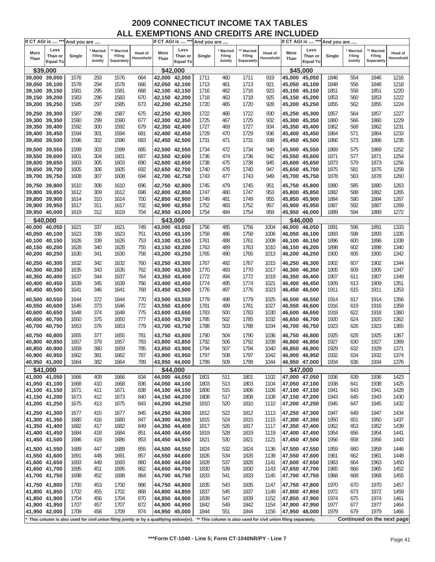|                                | If CT AGI is  *** And you are      |              |                              |                                                                                       |                             |                                |                                    | If CT AGI is  *** And you are |                                     |                                    |                                                                |                                | If CT AGI is  *** And you are      |              |                              |                                    |                      |
|--------------------------------|------------------------------------|--------------|------------------------------|---------------------------------------------------------------------------------------|-----------------------------|--------------------------------|------------------------------------|-------------------------------|-------------------------------------|------------------------------------|----------------------------------------------------------------|--------------------------------|------------------------------------|--------------|------------------------------|------------------------------------|----------------------|
| More<br>Than                   | Less<br>Than or<br><b>Equal To</b> | Single       | Married<br>Filing<br>Jointly | ** Married<br>Filing<br>Separately                                                    | <b>Head of</b><br>Household | More<br>Than                   | Less<br>Than or<br><b>Equal To</b> | Single                        | <b>Married</b><br>Filing<br>Jointly | ** Married<br>Filing<br>Separately | Head of<br>Household                                           | More<br>Than                   | Less<br>Than or<br><b>Equal To</b> | Single       | Married<br>Filing<br>Jointly | ** Married<br>Filing<br>Separately | Head of<br>Household |
|                                | \$39,000                           |              |                              |                                                                                       |                             |                                | \$42,000                           |                               |                                     |                                    |                                                                |                                | \$45,000                           |              |                              |                                    |                      |
| 39,000 39,050                  |                                    | 1576         | 293                          | 1576                                                                                  | 664                         | 42,000 42,050                  |                                    | 1711                          | 460                                 | 1711                               | 919                                                            |                                | 45,000 45,050                      | 1846         | 554                          | 1846                               | 1216                 |
| 39,050 39,100                  |                                    | 1578         | 294                          | 1578                                                                                  | 666                         | 42,050 42,100                  |                                    | 1713                          | 461                                 | 1713                               | 921                                                            |                                | 45,050 45,100                      | 1848         | 556                          | 1848                               | 1218                 |
| 39,100 39,150                  |                                    | 1581         | 295                          | 1581                                                                                  | 668                         | 42,100 42,150                  |                                    | 1716                          | 462                                 | 1716                               | 923                                                            |                                | 45,100 45,150                      | 1851         | 558                          | 1851                               | 1220                 |
| 39,150 39,200                  |                                    | 1583         | 296                          | 1583                                                                                  | 670                         | 42,150 42,200                  |                                    | 1718                          | 463                                 | 1718                               | 925                                                            |                                | 45,150 45,200                      | 1853         | 560                          | 1853                               | 1222                 |
| 39,200 39,250                  |                                    | 1585         | 297                          | 1585                                                                                  | 673                         | 42,200 42,250                  |                                    | 1720                          | 465                                 | 1720                               | 928                                                            |                                | 45,200 45,250                      | 1855         | 562                          | 1855                               | 1224                 |
| 39,250 39,300                  |                                    | 1587         | 298                          | 1587                                                                                  | 675                         | 42,250 42,300                  |                                    | 1722                          | 466                                 | 1722                               | 930                                                            |                                | 45,250 45,300                      | 1857         | 564                          | 1857                               | 1227                 |
| 39,300 39,350                  |                                    | 1590         | 299                          | 1590                                                                                  | 677                         | 42,300 42,350                  |                                    | 1725                          | 467                                 | 1725                               | 932                                                            |                                | 45,300 45,350                      | 1860         | 566                          | 1860                               | 1229                 |
| 39,350 39,400                  |                                    | 1592         | 300                          | 1592                                                                                  | 679                         | 42,350 42,400                  |                                    | 1727                          | 469                                 | 1727                               | 934                                                            |                                | 45,350 45,400                      | 1862         | 568                          | 1862                               | 1231                 |
| 39,400 39,450                  |                                    | 1594         | 301                          | 1594                                                                                  | 681                         | 42,400 42,450                  |                                    | 1729                          | 470                                 | 1729                               | 936                                                            |                                | 45,400 45,450                      | 1864         | 571                          | 1864                               | 1233                 |
| 39,450 39,500                  |                                    | 1596         | 302                          | 1596                                                                                  | 683                         | 42,450 42,500                  |                                    | 1731                          | 471                                 | 1731                               | 938                                                            |                                | 45,450 45,500                      | 1866         | 573                          | 1866                               | 1235                 |
| 39,500 39,550                  |                                    | 1599         | 303                          | 1599                                                                                  | 685                         | 42,500 42,550                  |                                    | 1734                          | 472                                 | 1734                               | 940                                                            |                                | 45,500 45,550                      | 1869         | 575                          | 1869                               | 1252                 |
| 39,550 39,600                  |                                    | 1601         | 304                          | 1601                                                                                  | 687                         | 42,550 42,600                  |                                    | 1736                          | 474                                 | 1736                               | 942                                                            |                                | 45,550 45,600                      | 1871         | 577                          | 1871                               | 1254                 |
| 39,600 39,650                  |                                    | 1603         | 305                          | 1603                                                                                  | 690                         | 42,600 42,650                  |                                    | 1738                          | 475                                 | 1738                               | 945                                                            |                                | 45,600 45,650                      | 1873         | 579                          | 1873                               | 1256                 |
| 39,650 39,700                  |                                    | 1605         | 306                          | 1605                                                                                  | 692                         | 42,650 42,700                  |                                    | 1740                          | 476                                 | 1740                               | 947                                                            |                                | 45,650 45,700                      | 1875         | 581                          | 1875                               | 1258                 |
| 39,700 39,750                  |                                    | 1608         | 307                          | 1608                                                                                  | 694                         | 42,700 42,750                  |                                    | 1743                          | 477                                 | 1743                               | 949                                                            |                                | 45,700 45,750                      | 1878         | 583                          | 1878                               | 1260                 |
|                                |                                    |              |                              |                                                                                       |                             |                                |                                    |                               |                                     |                                    |                                                                |                                |                                    |              |                              |                                    |                      |
| 39,750 39,800                  |                                    | 1610         | 308                          | 1610                                                                                  | 696                         | 42.750 42.800                  |                                    | 1745                          | 479                                 | 1745                               | 951                                                            |                                | 45,750 45,800                      | 1880         | 585                          | 1880                               | 1263                 |
| 39,800 39,850                  |                                    | 1612         | 309                          | 1612                                                                                  | 698                         | 42.800 42.850                  |                                    | 1747                          | 480                                 | 1747                               | 953                                                            |                                | 45,800 45,850                      | 1882         | 588                          | 1882                               | 1265                 |
| 39,850 39,900<br>39,900 39,950 |                                    | 1614<br>1617 | 310<br>311                   | 1614<br>1617                                                                          | 700<br>702                  | 42,850 42,900<br>42,900 42,950 |                                    | 1749<br>1752                  | 481<br>483                          | 1749<br>1752                       | 955<br>957                                                     |                                | 45,850 45,900<br>45,900 45,950     | 1884<br>1887 | 590<br>592                   | 1884<br>1887                       | 1267<br>1269         |
| 39,950 40,000                  |                                    | 1619         | 312                          | 1619                                                                                  | 704                         | 42,950 43,000                  |                                    | 1754                          | 484                                 | 1754                               | 959                                                            | 45,950 46,000                  |                                    | 1889         | 594                          | 1889                               | 1272                 |
|                                |                                    |              |                              |                                                                                       |                             |                                |                                    |                               |                                     |                                    |                                                                |                                |                                    |              |                              |                                    |                      |
| 40.000 40.050                  | \$40,000                           | 1621         | 337                          | 1621                                                                                  | 749                         | 43,000 43,050                  | \$43,000                           | 1756                          | 485                                 | 1756                               | 1004                                                           |                                | \$46,000<br>46,000 46,050          | 1891         | 596                          | 1891                               | 1333                 |
| 40,050 40,100                  |                                    | 1623         | 338                          | 1623                                                                                  | 751                         | 43,050 43,100                  |                                    | 1758                          | 486                                 | 1758                               | 1006                                                           |                                | 46,050 46,100                      | 1893         | 598                          | 1893                               | 1335                 |
| 40,100 40,150                  |                                    | 1626         | 339                          | 1626                                                                                  | 753                         | 43,100 43,150                  |                                    | 1761                          | 488                                 | 1761                               | 1008                                                           |                                | 46,100 46,150                      | 1896         | 600                          | 1896                               | 1338                 |
| 40,150 40,200                  |                                    | 1628         | 340                          | 1628                                                                                  | 755                         | 43,150 43,200                  |                                    | 1763                          | 489                                 | 1763                               | 1010                                                           |                                | 46,150 46,200                      | 1898         | 602                          | 1898                               | 1340                 |
| 40,200 40,250                  |                                    | 1630         | 341                          | 1630                                                                                  | 758                         | 43,200 43,250                  |                                    | 1765                          | 490                                 | 1765                               | 1013                                                           |                                | 46,200 46,250                      | 1900         | 605                          | 1900                               | 1342                 |
| 40,250 40,300                  |                                    | 1632         | 342                          | 1632                                                                                  | 760                         | 43,250 43,300                  |                                    | 1767                          | 492                                 | 1767                               | 1015                                                           |                                | 46,250 46,300                      | 1902         | 607                          | 1902                               | 1344                 |
| 40,300 40,350                  |                                    | 1635         | 343                          | 1635                                                                                  | 762                         | 43,300 43,350                  |                                    | 1770                          | 493                                 | 1770                               | 1017                                                           |                                | 46,300 46,350                      | 1905         | 609                          | 1905                               | 1347                 |
| 40,350 40,400                  |                                    | 1637         | 344                          | 1637                                                                                  | 764                         | 43,350 43,400                  |                                    | 1772                          | 494                                 | 1772                               | 1019                                                           |                                | 46,350 46,400                      | 1907         | 611                          | 1907                               | 1349                 |
| 40,400 40,450                  |                                    | 1639         | 345                          | 1639                                                                                  | 766                         | 43,400 43,450                  |                                    | 1774                          | 495                                 | 1774                               | 1021                                                           |                                | 46,400 46,450                      | 1909         | 613                          | 1909                               | 1351                 |
| 40,450 40,500                  |                                    | 1641         | 346                          | 1641                                                                                  | 768                         | 43,450 43,500                  |                                    | 1776                          | 497                                 | 1776                               | 1023                                                           |                                | 46,450 46,500                      | 1911         | 615                          | 1911                               | 1353                 |
|                                |                                    |              | 372                          |                                                                                       |                             |                                |                                    |                               |                                     |                                    |                                                                |                                |                                    | 1914         |                              | 1914                               |                      |
| 40,500 40,550<br>40,550 40,600 |                                    | 1644<br>1646 | 373                          | 1644<br>1646                                                                          | 770<br>772                  | 43,500 43,550<br>43,550 43,600 |                                    | 1779<br>1781                  | 498<br>499                          | 1779<br>1781                       | 1025<br>1027                                                   | 46,500 46,550<br>46,550 46,600 |                                    | 1916         | 617<br>619                   | 1916                               | 1356<br>1358         |
| 40,600 40,650                  |                                    | 1648         | 374                          | 1648                                                                                  | 775                         | 43,600 43,650                  |                                    | 1783                          | 500                                 | 1783                               | 1030                                                           |                                | 46,600 46,650                      | 1918         | 622                          | 1918                               | 1360                 |
| 40,650 40,700                  |                                    | 1650         | 375                          | 1650                                                                                  | 777                         | 43,650 43,700                  |                                    | 1785                          | 502                                 | 1785                               | 1032                                                           |                                | 46,650 46,700                      | 1920         | 624                          | 1920                               | 1362                 |
| 40,700 40,750                  |                                    | 1653         | 376                          | 1653                                                                                  | 779                         | 43,700 43,750                  |                                    | 1788                          | 503                                 | 1788                               | 1034                                                           |                                | 46,700 46,750                      | 1923         | 626                          | 1923                               | 1365                 |
|                                |                                    |              |                              |                                                                                       |                             |                                |                                    |                               |                                     |                                    |                                                                |                                |                                    |              |                              |                                    |                      |
| 40,750 40,800<br>40,800 40,850 |                                    | 1655<br>1657 | 377<br>379                   | 1655<br>1657                                                                          | 781<br>783                  | 43,750 43,800<br>43,800 43,850 |                                    | 1790<br>1792                  | 504<br>506                          | 1790<br>1792                       | 1036<br>1038                                                   |                                | 46,750 46,800<br>46,800 46,850     | 1925<br>1927 | 628<br>630                   | 1925<br>1927                       | 1367<br>1369         |
| 40,850 40,900                  |                                    | 1659         | 380                          | 1659                                                                                  | 785                         | 43,850 43,900                  |                                    | 1794                          | 507                                 | 1794                               | 1040                                                           |                                | 46,850 46,900                      | 1929         | 632                          | 1929                               | 1371                 |
| 40.900 40.950                  |                                    | 1662         | 381                          | 1662                                                                                  | 787                         | 43.900 43.950                  |                                    | 1797                          | 508                                 | 1797                               | 1042                                                           |                                | 46,900 46,950                      | 1932         | 634                          | 1932                               | 1374                 |
| 40,950 41,000                  |                                    | 1664         | 382                          | 1664                                                                                  | 789                         | 43,950 44,000                  |                                    | 1799                          | 509                                 | 1799                               | 1044                                                           |                                | 46,950 47,000                      | 1934         | 636                          | 1934                               | 1376                 |
|                                | \$41,000                           |              |                              |                                                                                       |                             |                                | \$44,000                           |                               |                                     |                                    |                                                                |                                | \$47.000                           |              |                              |                                    |                      |
| 41,000 41,050                  |                                    | 1666         | 409                          | 1666                                                                                  | 834                         | 44,000 44,050                  |                                    | 1801                          | 511                                 | 1801                               | 1102                                                           |                                | 47,000 47,050                      | 1936         | 639                          | 1936                               | 1423                 |
| 41,050 41,100                  |                                    | 1668         | 410                          | 1668                                                                                  | 836                         | 44,050 44,100                  |                                    | 1803                          | 513                                 | 1803                               | 1104                                                           |                                | 47,050 47,100                      | 1938         | 641                          | 1938                               | 1425                 |
| 41,100 41,150                  |                                    | 1671         | 411                          | 1671                                                                                  | 838                         | 44,100 44,150                  |                                    | 1806                          | 515                                 | 1806                               | 1106                                                           |                                | 47,100 47,150                      | 1941         | 643                          | 1941                               | 1428                 |
| 41,150 41,200                  |                                    | 1673         | 412                          | 1673                                                                                  | 840                         | 44,150 44,200                  |                                    | 1808                          | 517                                 | 1808                               | 1108                                                           |                                | 47,150 47,200                      | 1943         | 645                          | 1943                               | 1430                 |
| 41,200 41,250                  |                                    | 1675         | 413                          | 1675                                                                                  | 843                         | 44,200 44,250                  |                                    | 1810                          | 520                                 | 1810                               | 1110                                                           | 47,200 47,250                  |                                    | 1945         | 647                          | 1945                               | 1432                 |
| 41,250 41,300                  |                                    | 1677         | 415                          | 1677                                                                                  | 845                         | 44,250 44,300                  |                                    | 1812                          | 522                                 | 1812                               | 1113                                                           |                                | 47,250 47,300                      | 1947         | 649                          | 1947                               | 1434                 |
| 41,300 41,350                  |                                    | 1680         | 416                          | 1680                                                                                  | 847                         | 44,300 44,350                  |                                    | 1815                          | 524                                 | 1815                               | 1115                                                           |                                | 47,300 47,350                      | 1950         | 651                          | 1950                               | 1437                 |
| 41,350 41,400                  |                                    | 1682         | 417                          | 1682                                                                                  | 849                         | 44,350 44,400                  |                                    | 1817                          | 526                                 | 1817                               | 1117                                                           |                                | 47,350 47,400                      | 1952         | 653                          | 1952                               | 1439                 |
| 41,400 41,450                  |                                    | 1684         | 418                          | 1684                                                                                  | 851                         | 44,400 44,450                  |                                    | 1819                          | 528                                 | 1819                               | 1119                                                           | 47,400 47,450                  |                                    | 1954         | 656                          | 1954                               | 1441                 |
| 41,450 41,500                  |                                    | 1686         | 419                          | 1686                                                                                  | 853                         | 44,450 44,500                  |                                    | 1821                          | 530                                 | 1821                               | 1121                                                           |                                | 47,450 47,500                      | 1956         | 658                          | 1956                               | 1443                 |
| 41,500 41,550                  |                                    | 1689         | 447                          | 1689                                                                                  | 855                         | 44,500 44,550                  |                                    | 1824                          | 532                                 | 1824                               | 1136                                                           | 47,500 47,550                  |                                    | 1959         | 660                          | 1959                               | 1446                 |
| 41,550 41,600                  |                                    | 1691         | 448                          | 1691                                                                                  | 857                         | 44,550 44,600                  |                                    | 1826                          | 534                                 | 1826                               | 1139                                                           |                                | 47,550 47,600                      | 1961         | 662                          | 1961                               | 1448                 |
| 41,600 41,650                  |                                    | 1693         | 449                          | 1693                                                                                  | 860                         | 44,600 44,650                  |                                    | 1828                          | 537                                 | 1828                               | 1141                                                           |                                | 47,600 47,650                      | 1963         | 664                          | 1963                               | 1450                 |
| 41,650 41,700                  |                                    | 1695         | 451                          | 1695                                                                                  | 862                         | 44,650 44,700                  |                                    | 1830                          | 539                                 | 1830                               | 1143                                                           |                                | 47,650 47,700                      | 1965         | 666                          | 1965                               | 1452                 |
| 41,700 41,750                  |                                    | 1698         | 452                          | 1698                                                                                  | 864                         | 44,700 44,750                  |                                    | 1833                          | 541                                 | 1833                               | 1145                                                           | 47,700 47,750                  |                                    | 1968         | 668                          | 1968                               | 1455                 |
| 41,750 41,800                  |                                    | 1700         | 453                          | 1700                                                                                  | 866                         | 44,750 44,800                  |                                    | 1835                          | 543                                 | 1835                               | 1147                                                           |                                | 47,750 47,800                      | 1970         | 670                          | 1970                               | 1457                 |
| 41,800 41,850                  |                                    | 1702         | 455                          | 1702                                                                                  | 868                         | 44,800 44,850                  |                                    | 1837                          | 545                                 | 1837                               | 1149                                                           |                                | 47,800 47,850                      | 1972         | 673                          | 1972                               | 1459                 |
| 41,850 41,900                  |                                    | 1704         | 456                          | 1704                                                                                  | 870                         | 44,850 44,900                  |                                    | 1839                          | 547                                 | 1839                               | 1152                                                           |                                | 47,850 47,900                      | 1974         | 675                          | 1974                               | 1461                 |
| 41,900 41,950                  |                                    | 1707         | 457                          | 1707                                                                                  | 872                         | 44,900 44,950                  |                                    | 1842                          | 549                                 | 1842                               | 1154                                                           | 47,900 47,950                  |                                    | 1977         | 677                          | 1977                               | 1464                 |
| 41,950 42,000                  |                                    | 1709         | 458                          | 1709                                                                                  | 874                         | 44,950 45,000                  |                                    | 1844                          | 551                                 | 1844                               | 1156                                                           |                                | 47,950 48,000                      | 1979         | 679                          | 1979                               | 1466                 |
|                                |                                    |              |                              | This column is also used for civil union filing jointly or by a qualifying widow(er). |                             |                                |                                    |                               |                                     |                                    | ** This column is also used for civil union filing separately. |                                |                                    |              |                              | Continued on the next page         |                      |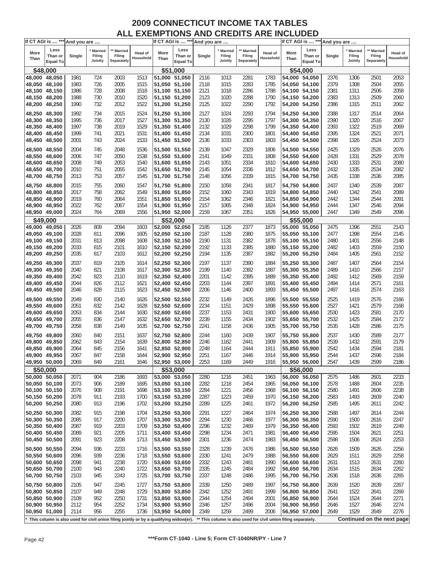|               | If CT AGI is  *** And you are |        |                   |                                                                                       |                      |               |                            | If CT AGI is  *** And you are |                   |                                                                |                      |               | If CT AGI is  *** And you are |        |                   |                            |                      |
|---------------|-------------------------------|--------|-------------------|---------------------------------------------------------------------------------------|----------------------|---------------|----------------------------|-------------------------------|-------------------|----------------------------------------------------------------|----------------------|---------------|-------------------------------|--------|-------------------|----------------------------|----------------------|
|               | Less                          |        | Married           | <b>Married</b>                                                                        |                      |               | Less                       |                               | <b>Married</b>    | ** Married                                                     |                      |               | Less                          |        | <b>Married</b>    | ** Married                 |                      |
| More<br>Than  | Than or<br><b>Equal To</b>    | Single | Filing<br>Jointly | Filing<br>Separately                                                                  | Head of<br>Household | More<br>Than  | Than or<br><b>Equal To</b> | Single                        | Filing<br>Jointly | Filing<br>Separately                                           | Head of<br>Household | More<br>Than  | Than or<br><b>Equal To</b>    | Single | Filing<br>Jointly | Filing<br>Separately       | Head of<br>Household |
|               | \$48,000                      |        |                   |                                                                                       |                      |               | \$51,000                   |                               |                   |                                                                |                      |               | \$54,000                      |        |                   |                            |                      |
|               | 48,000 48,050                 | 1981   | 724               | 2003                                                                                  | 1513                 | 51,000 51,050 |                            | 2116                          | 1013              | 2281                                                           | 1783                 |               | 54,000 54,050                 | 2376   | 1306              | 2501                       | 2053                 |
| 48,050 48,100 |                               | 1983   | 726               | 2005                                                                                  | 1515                 | 51,050 51,100 |                            | 2118                          | 1015              | 2283                                                           | 1785                 |               | 54,050 54,100                 | 2379   | 1308              | 2504                       | 2055                 |
| 48,100 48,150 |                               | 1986   | 728               | 2008                                                                                  | 1518                 | 51,100 51,150 |                            | 2121                          | 1018              | 2286                                                           | 1788                 |               | 54,100 54,150                 | 2381   | 1311              | 2506                       | 2058                 |
|               |                               |        |                   |                                                                                       |                      |               |                            |                               |                   |                                                                |                      |               |                               |        |                   |                            |                      |
| 48,150 48,200 |                               | 1988   | 730               | 2010                                                                                  | 1520                 | 51,150 51,200 |                            | 2123                          | 1020              | 2288                                                           | 1790                 |               | 54,150 54,200                 | 2383   | 1313              | 2509                       | 2060                 |
| 48,200 48,250 |                               | 1990   | 732               | 2012                                                                                  | 1522                 | 51,200 51,250 |                            | 2125                          | 1022              | 2290                                                           | 1792                 |               | 54,200 54,250                 | 2386   | 1315              | 2511                       | 2062                 |
| 48,250 48,300 |                               | 1992   | 734               | 2015                                                                                  | 1524                 | 51,250 51,300 |                            | 2127                          | 1024              | 2293                                                           | 1794                 | 54,250 54,300 |                               | 2388   | 1317              | 2514                       | 2064                 |
| 48,300 48,350 |                               | 1995   | 736               | 2017                                                                                  | 1527                 | 51,300 51,350 |                            | 2130                          | 1026              | 2295                                                           | 1797                 |               | 54,300 54,350                 | 2390   | 1320              | 2516                       | 2067                 |
| 48,350 48,400 |                               | 1997   | 738               | 2019                                                                                  | 1529                 | 51,350 51,400 |                            | 2132                          | 1029              | 2298                                                           | 1799                 |               | 54,350 54,400                 | 2393   | 1322              | 2519                       | 2069                 |
| 48,400 48,450 |                               | 1999   | 741               | 2021                                                                                  | 1531                 | 51,400 51,450 |                            | 2134                          | 1031              | 2300                                                           | 1801                 |               | 54,400 54,450                 | 2395   | 1324              | 2521                       | 2071                 |
| 48,450 48,500 |                               | 2001   | 743               | 2024                                                                                  | 1533                 | 51,450 51,500 |                            | 2136                          | 1033              | 2303                                                           | 1803                 |               | 54,450 54,500                 | 2398   | 1326              | 2524                       | 2073                 |
|               |                               |        |                   |                                                                                       |                      |               |                            |                               |                   |                                                                |                      |               |                               |        |                   |                            |                      |
| 48,500 48,550 |                               | 2004   | 745               | 2048                                                                                  | 1536                 | 51,500 51,550 |                            | 2139                          | 1047              | 2329                                                           | 1806                 | 54,500 54,550 |                               | 2425   | 1329              | 2526                       | 2076                 |
| 48,550 48,600 |                               | 2006   | 747               | 2050                                                                                  | 1538                 | 51,550 51,600 |                            | 2141                          | 1049              | 2331                                                           | 1808                 |               | 54,550 54,600                 | 2428   | 1331              | 2529                       | 2078                 |
| 48,600 48,650 |                               | 2008   | 749               | 2053                                                                                  | 1540                 | 51,600 51,650 |                            | 2143                          | 1051              | 2334                                                           | 1810                 |               | 54,600 54,650                 | 2430   | 1333              | 2531                       | 2080                 |
| 48,650 48,700 |                               | 2010   | 751               | 2055                                                                                  | 1542                 | 51,650 51,700 |                            | 2145                          | 1054              | 2336                                                           | 1812                 |               | 54,650 54,700                 | 2432   | 1335              | 2534                       | 2082                 |
| 48,700 48,750 |                               | 2013   | 753               | 2057                                                                                  | 1545                 | 51,700 51,750 |                            | 2148                          | 1056              | 2339                                                           | 1815                 |               | 54,700 54,750                 | 2435   | 1338              | 2536                       | 2085                 |
|               |                               |        |                   |                                                                                       |                      |               |                            |                               |                   |                                                                |                      |               |                               |        |                   |                            |                      |
| 48,750 48,800 |                               | 2015   | 755               | 2060                                                                                  | 1547                 | 51,750 51,800 |                            | 2150                          | 1058              | 2341                                                           | 1817                 |               | 54,750 54,800                 | 2437   | 1340              | 2539                       | 2087                 |
| 48,800 48,850 |                               | 2017   | 758               | 2062                                                                                  | 1549                 | 51,800 51,850 |                            | 2152                          | 1060              | 2343                                                           | 1819                 |               | 54,800 54,850                 | 2440   | 1342              | 2541                       | 2089                 |
| 48,850 48,900 |                               | 2019   | 760               | 2064                                                                                  | 1551                 | 51,850 51,900 |                            | 2154                          | 1062              | 2346                                                           | 1821                 | 54,850 54,900 |                               | 2442   | 1344              | 2544                       | 2091                 |
| 48,900 48,950 |                               | 2022   | 762               | 2067                                                                                  | 1554                 | 51,900 51,950 |                            | 2157                          | 1065              | 2348                                                           | 1824                 |               | 54,900 54,950                 | 2444   | 1347              | 2546                       | 2094                 |
| 48,950 49,000 |                               | 2024   | 764               | 2069                                                                                  | 1556                 | 51,950 52,000 |                            | 2159                          | 1067              | 2351                                                           | 1826                 | 54,950 55,000 |                               | 2447   | 1349              | 2549                       | 2096                 |
|               | \$49,000                      |        |                   |                                                                                       |                      |               | \$52,000                   |                               |                   |                                                                |                      |               | \$55,000                      |        |                   |                            |                      |
| 49,000 49,050 |                               | 2026   | 809               | 2094                                                                                  | 1603                 | 52,000 52,050 |                            | 2185                          | 1126              | 2377                                                           | 1873                 |               | 55,000 55,050                 | 2475   | 1396              | 2551                       | 2143                 |
| 49,050 49,100 |                               | 2028   | 811               | 2096                                                                                  | 1605                 | 52,050 52,100 |                            | 2187                          | 1128              | 2380                                                           | 1875                 |               | 55,050 55,100                 | 2477   | 1398              | 2554                       | 2145                 |
| 49,100 49,150 |                               | 2031   | 813               | 2098                                                                                  | 1608                 | 52,100 52,150 |                            | 2190                          | 1131              | 2382                                                           | 1878                 |               | 55,100 55,150                 | 2480   | 1401              | 2556                       | 2148                 |
| 49,150 49,200 |                               | 2033   | 815               | 2101                                                                                  | 1610                 | 52,150 52,200 |                            | 2192                          | 1133              | 2385                                                           | 1880                 |               | 55,150 55,200                 | 2482   | 1403              | 2559                       | 2150                 |
| 49,200 49,250 |                               | 2035   | 817               | 2103                                                                                  | 1612                 | 52,200 52,250 |                            | 2194                          | 1135              | 2387                                                           | 1882                 |               | 55,200 55,250                 | 2484   | 1405              | 2561                       | 2152                 |
|               |                               |        |                   |                                                                                       |                      |               |                            |                               |                   |                                                                |                      |               |                               |        |                   |                            |                      |
| 49,250 49,300 |                               | 2037   | 819               | 2105                                                                                  | 1614                 | 52,250 52,300 |                            | 2197                          | 1137              | 2390                                                           | 1884                 | 55,250 55,300 |                               | 2487   | 1407              | 2564                       | 2154                 |
| 49,300 49,350 |                               | 2040   | 821               | 2108                                                                                  | 1617                 | 52,300 52,350 |                            | 2199                          | 1140              | 2392                                                           | 1887                 |               | 55,300 55,350                 | 2489   | 1410              | 2566                       | 2157                 |
| 49,350 49,400 |                               | 2042   | 823               | 2110                                                                                  | 1619                 | 52,350 52,400 |                            | 2201                          | 1142              | 2395                                                           | 1889                 |               | 55,350 55,400                 | 2492   | 1412              | 2569                       | 2159                 |
| 49,400 49,450 |                               | 2044   | 826               | 2112                                                                                  | 1621                 | 52,400 52,450 |                            | 2203                          | 1144              | 2397                                                           | 1891                 |               | 55,400 55,450                 | 2494   | 1414              | 2571                       | 2161                 |
| 49,450 49,500 |                               | 2046   | 828               | 2115                                                                                  | 1623                 | 52,450 52,500 |                            | 2206                          | 1146              | 2400                                                           | 1893                 |               | 55,450 55,500                 | 2497   | 1416              | 2574                       | 2163                 |
| 49,500 49,550 |                               | 2049   | 830               | 2140                                                                                  | 1626                 | 52,500 52,550 |                            | 2232                          | 1149              | 2426                                                           | 1896                 | 55,500 55,550 |                               | 2525   | 1419              | 2576                       | 2166                 |
|               |                               |        |                   |                                                                                       |                      |               |                            |                               |                   |                                                                |                      |               |                               |        |                   |                            |                      |
| 49,550 49,600 |                               | 2051   | 832               | 2142                                                                                  | 1628                 | 52,550 52,600 |                            | 2234                          | 1151              | 2429                                                           | 1898                 |               | 55,550 55,600                 | 2527   | 1421              | 2579                       | 2168                 |
| 49,600 49,650 |                               | 2053   | 834               | 2144                                                                                  | 1630                 | 52,600 52,650 |                            | 2237                          | 1153              | 2431                                                           | 1900                 |               | 55,600 55,650                 | 2530   | 1423              | 2581                       | 2170                 |
| 49,650 49,700 |                               | 2055   | 836               | 2147                                                                                  | 1632                 | 52,650 52,700 |                            | 2239                          | 1155              | 2434                                                           | 1902                 |               | 55,650 55,700                 | 2532   | 1425              | 2584                       | 2172                 |
| 49,700 49,750 |                               | 2058   | 838               | 2149                                                                                  | 1635                 | 52,700 52,750 |                            | 2241                          | 1158              | 2436                                                           | 1905                 |               | 55,700 55,750                 | 2535   | 1428              | 2586                       | 2175                 |
| 49,750 49,800 |                               | 2060   | 840               | 2151                                                                                  | 1637                 | 52,750 52,800 |                            | 2244                          | 1160              | 2439                                                           | 1907                 |               | 55,750 55,800                 | 2537   | 1430              | 2589                       | 2177                 |
| 49,800 49,850 |                               | 2062   | 843               | 2154                                                                                  | 1639                 | 52,800 52,850 |                            | 2246                          | 1162              | 2441                                                           | 1909                 |               | 55,800 55,850                 | 2539   | 1432              | 2591                       | 2179                 |
| 49,850 49,900 |                               | 2064   | 845               | 2156                                                                                  | 1641                 | 52,850 52,900 |                            | 2248                          | 1164              | 2444                                                           | 1911                 |               | 55,850 55,900                 | 2542   | 1434              | 2594                       | 2181                 |
| 49.900 49.950 |                               | 2067   | 847               | 2158                                                                                  | 1644                 | 52.900 52.950 |                            | 2251                          | 1167              | 2446                                                           | 1914                 | 55,900 55,950 |                               | 2544   | 1437              | 2596                       | 2184                 |
| 49,950 50,000 |                               |        |                   |                                                                                       |                      |               |                            |                               |                   |                                                                |                      |               |                               |        | 1439              | 2599                       |                      |
|               |                               | 2069   | 849               | 2161                                                                                  | 1646                 | 52,950 53,000 |                            | 2253                          | 1169              | 2449                                                           | 1916                 |               | 55,950 56,000                 | 2547   |                   |                            | 2186                 |
|               | \$50,000                      |        |                   |                                                                                       |                      |               | \$53,000                   |                               |                   |                                                                |                      |               | \$56,000                      |        |                   |                            |                      |
|               | 50,000 50,050                 | 2071   | 904               | 2186                                                                                  | 1693                 | 53,000 53,050 |                            | 2280                          | 1216              | 2451                                                           | 1963                 |               | 56,000 56,050                 | 2575   | 1486              | 2601                       | 2233                 |
|               | 50,050 50,100                 | 2073   | 906               | 2189                                                                                  | 1695                 | 53,050 53,100 |                            | 2282                          | 1218              | 2454                                                           | 1965                 |               | 56,050 56,100                 | 2578   | 1488              | 2604                       | 2235                 |
| 50,100 50,150 |                               | 2076   | 908               | 2191                                                                                  | 1698                 | 53,100 53,150 |                            | 2284                          | 1221              | 2456                                                           | 1968                 |               | 56,100 56,150                 | 2580   | 1491              | 2606                       | 2238                 |
| 50,150 50,200 |                               | 2078   | 911               | 2193                                                                                  | 1700                 | 53,150 53,200 |                            | 2287                          | 1223              | 2459                                                           | 1970                 |               | 56,150 56,200                 | 2583   | 1493              | 2609                       | 2240                 |
| 50,200 50,250 |                               | 2080   | 913               | 2196                                                                                  | 1702                 | 53,200 53,250 |                            | 2289                          | 1225              | 2461                                                           | 1972                 |               | 56,200 56,250                 | 2585   | 1495              | 2611                       | 2242                 |
| 50,250 50,300 |                               | 2082   | 915               | 2198                                                                                  | 1704                 | 53,250 53,300 |                            | 2291                          | 1227              | 2464                                                           | 1974                 |               | 56,250 56,300                 | 2588   | 1497              | 2614                       | 2244                 |
| 50,300 50,350 |                               | 2085   | 917               | 2200                                                                                  | 1707                 | 53,300 53,350 |                            | 2294                          | 1230              | 2466                                                           | 1977                 | 56,300 56,350 |                               | 2590   | 1500              | 2616                       | 2247                 |
| 50,350 50,400 |                               | 2087   | 919               | 2203                                                                                  | 1709                 | 53,350 53,400 |                            | 2296                          | 1232              | 2469                                                           | 1979                 |               | 56,350 56,400                 | 2593   | 1502              | 2619                       | 2249                 |
| 50,400 50,450 |                               | 2089   | 921               | 2205                                                                                  | 1711                 | 53,400 53,450 |                            | 2298                          | 1234              | 2471                                                           | 1981                 |               | 56,400 56,450                 | 2595   | 1504              | 2621                       | 2251                 |
| 50,450 50,500 |                               | 2091   | 923               | 2208                                                                                  | 1713                 | 53,450 53,500 |                            | 2301                          | 1236              | 2474                                                           | 1983                 |               | 56,450 56,500                 | 2598   | 1506              | 2624                       | 2253                 |
|               |                               |        |                   |                                                                                       |                      |               |                            |                               |                   |                                                                |                      |               |                               |        |                   |                            |                      |
| 50,500 50,550 |                               | 2094   | 936               | 2233                                                                                  | 1716                 | 53,500 53,550 |                            | 2328                          | 1239              | 2476                                                           | 1986                 | 56,500 56,550 |                               | 2626   | 1509              | 2626                       | 2256                 |
| 50,550 50,600 |                               | 2096   | 939               | 2236                                                                                  | 1718                 | 53,550 53,600 |                            | 2330                          | 1241              | 2479                                                           | 1988                 |               | 56,550 56,600                 | 2629   | 1511              | 2629                       | 2258                 |
| 50,600 50,650 |                               | 2098   | 941               | 2238                                                                                  | 1720                 | 53,600 53,650 |                            | 2332                          | 1243              | 2481                                                           | 1990                 | 56,600 56,650 |                               | 2631   | 1513              | 2631                       | 2260                 |
| 50,650 50,700 |                               | 2100   | 943               | 2240                                                                                  | 1722                 | 53,650 53,700 |                            | 2335                          | 1245              | 2484                                                           | 1992                 |               | 56,650 56,700                 | 2634   | 1515              | 2634                       | 2262                 |
| 50,700 50,750 |                               | 2103   | 945               | 2243                                                                                  | 1725                 | 53,700 53,750 |                            | 2337                          | 1248              | 2486                                                           | 1995                 | 56,700 56,750 |                               | 2636   | 1518              | 2636                       | 2265                 |
|               |                               |        |                   |                                                                                       |                      |               |                            |                               |                   |                                                                |                      |               |                               |        |                   |                            |                      |
| 50,750 50,800 |                               | 2105   | 947               | 2245                                                                                  | 1727                 | 53,750 53,800 |                            | 2339                          | 1250              | 2489                                                           | 1997                 |               | 56,750 56,800                 | 2639   | 1520              | 2639                       | 2267                 |
| 50,800 50,850 |                               | 2107   | 949               | 2248                                                                                  | 1729                 | 53,800 53,850 |                            | 2342                          | 1252              | 2491                                                           | 1999                 |               | 56,800 56,850                 | 2641   | 1522              | 2641                       | 2269                 |
| 50,850 50,900 |                               | 2109   | 952               | 2250                                                                                  | 1731                 | 53,850 53,900 |                            | 2344                          | 1254              | 2494                                                           | 2001                 |               | 56,850 56,900                 | 2644   | 1524              | 2644                       | 2271                 |
| 50,900 50,950 |                               | 2112   | 954               | 2252                                                                                  | 1734                 | 53,900 53,950 |                            | 2346                          | 1257              | 2496                                                           | 2004                 | 56,900 56,950 |                               | 2646   | 1527              | 2646                       | 2274                 |
| 50,950 51,000 |                               | 2114   | 956               | 2255                                                                                  | 1736                 | 53,950 54,000 |                            | 2349                          | 1259              | 2499                                                           | 2006                 | 56,950 57,000 |                               | 2649   | 1529              | 2649                       | 2276                 |
|               |                               |        |                   | This column is also used for civil union filing jointly or by a qualifying widow(er). |                      |               |                            |                               |                   | ** This column is also used for civil union filing separately. |                      |               |                               |        |                   | Continued on the next page |                      |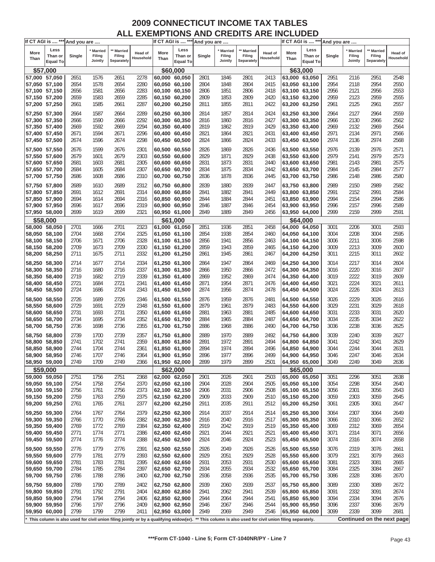| If CT AGI is  *** And you are |                 |        |           |                                                                                                                                                        |                      |               | If CT AGI is  *** And you are |        |                |            |                      |               | If CT AGI is  *** And you are |        |         |                            |                      |
|-------------------------------|-----------------|--------|-----------|--------------------------------------------------------------------------------------------------------------------------------------------------------|----------------------|---------------|-------------------------------|--------|----------------|------------|----------------------|---------------|-------------------------------|--------|---------|----------------------------|----------------------|
|                               | Less            |        | ' Married | <b>Married</b>                                                                                                                                         |                      |               | Less                          |        | <b>Married</b> | ** Married |                      |               | Less                          |        | Married | ** Married                 |                      |
| More<br>Than                  | Than or         | Single | Filing    | Filing                                                                                                                                                 | Head of<br>Household | More<br>Than  | Than or                       | Single | Filing         | Filing     | Head of<br>Household | More<br>Than  | Than or                       | Single | Filing  | Filing                     | Head of<br>Household |
|                               | <b>Equal To</b> |        | Jointly   | Separately                                                                                                                                             |                      |               | <b>Equal To</b>               |        | Jointly        | Separately |                      |               | <b>Equal To</b>               |        | Jointly | Separately                 |                      |
|                               | \$57,000        |        |           |                                                                                                                                                        |                      |               | \$60,000                      |        |                |            |                      |               | \$63,000                      |        |         |                            |                      |
| 57,000 57,050                 |                 | 2651   | 1576      | 2651                                                                                                                                                   | 2278                 | 60,000 60,050 |                               | 2801   | 1846           | 2801       | 2413                 | 63,000 63,050 |                               | 2951   | 2116    | 2951                       | 2548                 |
| 57,050 57,100                 |                 | 2654   | 1578      | 2654                                                                                                                                                   | 2280                 | 60,050 60,100 |                               | 2804   | 1848           | 2804       | 2415                 | 63,050 63,100 |                               | 2954   | 2118    | 2954                       | 2550                 |
| 57,100 57,150                 |                 | 2656   | 1581      | 2656                                                                                                                                                   | 2283                 | 60,100 60,150 |                               | 2806   | 1851           | 2806       | 2418                 | 63,100 63,150 |                               | 2956   | 2121    | 2956                       | 2553                 |
| 57,150 57,200                 |                 | 2659   | 1583      | 2659                                                                                                                                                   | 2285                 | 60,150 60,200 |                               | 2809   | 1853           | 2809       | 2420                 |               | 63,150 63,200                 | 2959   | 2123    | 2959                       | 2555                 |
| 57,200 57,250                 |                 | 2661   | 1585      | 2661                                                                                                                                                   | 2287                 | 60,200 60,250 |                               | 2811   | 1855           | 2811       | 2422                 | 63,200 63,250 |                               | 2961   | 2125    | 2961                       | 2557                 |
|                               |                 |        |           |                                                                                                                                                        |                      |               |                               |        |                |            |                      |               |                               |        |         |                            |                      |
| 57,250 57,300                 |                 | 2664   | 1587      | 2664                                                                                                                                                   | 2289                 | 60,250 60,300 |                               | 2814   | 1857           | 2814       | 2424                 | 63,250 63,300 |                               | 2964   | 2127    | 2964                       | 2559                 |
| 57,300 57,350                 |                 | 2666   | 1590      | 2666                                                                                                                                                   | 2292                 | 60,300 60,350 |                               | 2816   | 1860           | 2816       | 2427                 | 63,300 63,350 |                               | 2966   | 2130    | 2966                       | 2562                 |
| 57,350 57,400                 |                 | 2669   | 1592      | 2669                                                                                                                                                   | 2294                 | 60,350 60,400 |                               | 2819   | 1862           | 2819       | 2429                 | 63,350 63,400 |                               | 2969   | 2132    | 2969                       | 2564                 |
| 57,400 57,450                 |                 | 2671   | 1594      | 2671                                                                                                                                                   | 2296                 | 60,400 60,450 |                               | 2821   | 1864           | 2821       | 2431                 | 63,400 63,450 |                               | 2971   | 2134    | 2971                       | 2566                 |
| 57,450 57,500                 |                 | 2674   | 1596      | 2674                                                                                                                                                   | 2298                 | 60,450 60,500 |                               | 2824   | 1866           | 2824       | 2433                 |               | 63,450 63,500                 | 2974   | 2136    | 2974                       | 2568                 |
| 57,500 57,550                 |                 | 2676   | 1599      | 2676                                                                                                                                                   | 2301                 | 60,500 60,550 |                               | 2826   | 1869           | 2826       | 2436                 | 63,500 63,550 |                               | 2976   | 2139    | 2976                       | 2571                 |
| 57,550 57,600                 |                 | 2679   | 1601      | 2679                                                                                                                                                   | 2303                 | 60,550 60,600 |                               | 2829   | 1871           | 2829       | 2438                 | 63,550 63,600 |                               | 2979   | 2141    | 2979                       | 2573                 |
| 57,600 57,650                 |                 | 2681   | 1603      | 2681                                                                                                                                                   | 2305                 | 60,600 60,650 |                               | 2831   | 1873           | 2831       | 2440                 | 63,600 63,650 |                               | 2981   | 2143    | 2981                       | 2575                 |
| 57,650 57,700                 |                 | 2684   | 1605      | 2684                                                                                                                                                   | 2307                 | 60,650 60,700 |                               | 2834   | 1875           | 2834       | 2442                 | 63,650 63,700 |                               | 2984   | 2145    | 2984                       | 2577                 |
| 57,700 57,750                 |                 | 2686   | 1608      | 2686                                                                                                                                                   | 2310                 | 60,700 60,750 |                               | 2836   | 1878           | 2836       | 2445                 | 63,700 63,750 |                               | 2986   | 2148    | 2986                       | 2580                 |
|                               |                 |        |           |                                                                                                                                                        |                      |               |                               |        |                |            |                      |               |                               |        |         |                            |                      |
| 57,750 57,800                 |                 | 2689   | 1610      | 2689                                                                                                                                                   | 2312                 | 60,750 60,800 |                               | 2839   | 1880           | 2839       | 2447                 | 63,750 63,800 |                               | 2989   | 2150    | 2989                       | 2582                 |
| 57,800 57,850                 |                 | 2691   | 1612      | 2691                                                                                                                                                   | 2314                 | 60,800 60,850 |                               | 2841   | 1882           | 2841       | 2449                 | 63,800 63,850 |                               | 2991   | 2152    | 2991                       | 2584                 |
| 57,850 57,900                 |                 | 2694   | 1614      | 2694                                                                                                                                                   | 2316                 | 60,850 60,900 |                               | 2844   | 1884           | 2844       | 2451                 | 63,850 63,900 |                               | 2994   | 2154    | 2994                       | 2586                 |
| 57,900 57,950                 |                 | 2696   | 1617      | 2696                                                                                                                                                   | 2319                 | 60,900 60,950 |                               | 2846   | 1887           | 2846       | 2454                 | 63,900 63,950 |                               | 2996   | 2157    | 2996                       | 2589                 |
| 57,950 58,000                 |                 | 2699   | 1619      | 2699                                                                                                                                                   | 2321                 | 60,950 61,000 |                               | 2849   | 1889           | 2849       | 2456                 | 63,950 64,000 |                               | 2999   | 2159    | 2999                       | 2591                 |
|                               | \$58,000        |        |           |                                                                                                                                                        |                      |               | \$61,000                      |        |                |            |                      |               | \$64,000                      |        |         |                            |                      |
| 58,000 58,050                 |                 | 2701   | 1666      | 2701                                                                                                                                                   | 2323                 | 61,000 61,050 |                               | 2851   | 1936           | 2851       | 2458                 | 64,000 64,050 |                               | 3001   | 2206    | 3001                       | 2593                 |
| 58,050 58,100                 |                 | 2704   | 1668      | 2704                                                                                                                                                   | 2325                 | 61,050 61,100 |                               | 2854   | 1938           | 2854       | 2460                 | 64,050 64,100 |                               | 3004   | 2208    | 3004                       | 2595                 |
| 58,100 58,150                 |                 | 2706   | 1671      | 2706                                                                                                                                                   | 2328                 | 61,100 61,150 |                               | 2856   | 1941           | 2856       | 2463                 | 64,100 64,150 |                               | 3006   | 2211    | 3006                       | 2598                 |
| 58,150 58,200                 |                 | 2709   | 1673      | 2709                                                                                                                                                   | 2330                 | 61,150 61,200 |                               | 2859   | 1943           | 2859       | 2465                 | 64,150 64,200 |                               | 3009   | 2213    | 3009                       | 2600                 |
| 58,200 58,250                 |                 | 2711   | 1675      | 2711                                                                                                                                                   | 2332                 | 61,200 61,250 |                               | 2861   | 1945           | 2861       | 2467                 | 64,200 64,250 |                               | 3011   | 2215    | 3011                       | 2602                 |
|                               |                 |        |           |                                                                                                                                                        |                      |               |                               |        |                |            |                      |               |                               |        |         |                            |                      |
| 58,250 58,300                 |                 | 2714   | 1677      | 2714                                                                                                                                                   | 2334                 | 61,250 61,300 |                               | 2864   | 1947           | 2864       | 2469                 | 64,250 64,300 |                               | 3014   | 2217    | 3014                       | 2604                 |
| 58,300 58,350                 |                 | 2716   | 1680      | 2716                                                                                                                                                   | 2337                 | 61,300 61,350 |                               | 2866   | 1950           | 2866       | 2472                 | 64,300 64,350 |                               | 3016   | 2220    | 3016                       | 2607                 |
| 58,350 58,400                 |                 | 2719   | 1682      | 2719                                                                                                                                                   | 2339                 | 61,350 61,400 |                               | 2869   | 1952           | 2869       | 2474                 | 64,350 64,400 |                               | 3019   | 2222    | 3019                       | 2609                 |
| 58,400 58,450                 |                 | 2721   | 1684      | 2721                                                                                                                                                   | 2341                 | 61,400 61,450 |                               | 2871   | 1954           | 2871       | 2476                 | 64,400 64,450 |                               | 3021   | 2224    | 3021                       | 2611                 |
| 58,450 58,500                 |                 | 2724   | 1686      | 2724                                                                                                                                                   | 2343                 | 61,450 61,500 |                               | 2874   | 1956           | 2874       | 2478                 | 64,450 64,500 |                               | 3024   | 2226    | 3024                       | 2613                 |
| 58,500 58,550                 |                 | 2726   | 1689      | 2726                                                                                                                                                   | 2346                 | 61,500 61,550 |                               | 2876   | 1959           | 2876       | 2481                 | 64,500 64,550 |                               | 3026   | 2229    | 3026                       | 2616                 |
| 58,550 58,600                 |                 | 2729   | 1691      | 2729                                                                                                                                                   | 2348                 | 61,550 61,600 |                               | 2879   | 1961           | 2879       | 2483                 | 64,550 64,600 |                               | 3029   | 2231    | 3029                       | 2618                 |
| 58,600 58,650                 |                 | 2731   | 1693      | 2731                                                                                                                                                   | 2350                 | 61,600 61,650 |                               | 2881   | 1963           | 2881       | 2485                 | 64,600 64,650 |                               | 3031   | 2233    | 3031                       | 2620                 |
| 58,650 58,700                 |                 | 2734   | 1695      | 2734                                                                                                                                                   | 2352                 | 61,650 61,700 |                               | 2884   | 1965           | 2884       | 2487                 | 64,650 64,700 |                               | 3034   | 2235    | 3034                       | 2622                 |
| 58,700 58,750                 |                 | 2736   | 1698      | 2736                                                                                                                                                   | 2355                 | 61,700 61,750 |                               | 2886   | 1968           | 2886       | 2490                 | 64,700 64,750 |                               | 3036   | 2238    | 3036                       | 2625                 |
|                               |                 |        |           |                                                                                                                                                        |                      |               |                               |        |                |            |                      |               |                               |        |         |                            |                      |
| 58,750 58,800                 |                 | 2739   | 1700      | 2739                                                                                                                                                   | 2357                 | 61,750 61,800 |                               | 2889   | 1970           | 2889       | 2492                 | 64,750 64,800 |                               | 3039   | 2240    | 3039                       | 2627                 |
| 58,800 58,850                 |                 | 2741   | 1702      | 2741                                                                                                                                                   | 2359                 | 61,800 61,850 |                               | 2891   | 1972           | 2891       | 2494                 | 64,800 64,850 |                               | 3041   | 2242    | 3041                       | 2629                 |
| 58,850 58,900                 |                 | 2744   | 1704      | 2744                                                                                                                                                   | 2361                 | 61,850 61,900 |                               | 2894   | 1974           | 2894       | 2496                 | 64,850 64,900 |                               | 3044   | 2244    | 3044                       | 2631                 |
| 58,900 58,950                 |                 | 2746   | 1707      | 2746                                                                                                                                                   | 2364                 | 61,900 61,950 |                               | 2896   | 1977           | 2896       | 2499                 | 64,900 64,950 |                               | 3046   | 2247    | 3046                       | 2634                 |
| 58,950 59,000                 |                 | 2749   | 1709      | 2749                                                                                                                                                   | 2366                 | 61,950 62,000 |                               | 2899   | 1979           | 2899       | 2501                 | 64,950 65,000 |                               | 3049   | 2249    | 3049                       | 2636                 |
|                               | \$59,000        |        |           |                                                                                                                                                        |                      |               | \$62,000                      |        |                |            |                      |               | \$65,000                      |        |         |                            |                      |
| 59,000 59,050                 |                 | 2751   | 1756      | 2751                                                                                                                                                   | 2368                 | 62,000 62,050 |                               | 2901   | 2026           | 2901       | 2503                 | 65,000 65,050 |                               | 3051   | 2296    | 3051                       | 2638                 |
| 59,050 59,100                 |                 | 2754   | 1758      | 2754                                                                                                                                                   | 2370                 | 62,050 62,100 |                               | 2904   | 2028           | 2904       | 2505                 |               | 65,050 65,100                 | 3054   | 2298    | 3054                       | 2640                 |
| 59,100 59,150                 |                 | 2756   | 1761      | 2756                                                                                                                                                   | 2373                 | 62,100 62,150 |                               | 2906   | 2031           | 2906       | 2508                 | 65,100 65,150 |                               | 3056   | 2301    | 3056                       | 2643                 |
| 59,150 59,200                 |                 | 2759   | 1763      | 2759                                                                                                                                                   | 2375                 | 62,150 62,200 |                               | 2909   | 2033           | 2909       | 2510                 | 65,150 65,200 |                               | 3059   | 2303    | 3059                       | 2645                 |
| 59,200 59,250                 |                 | 2761   | 1765      | 2761                                                                                                                                                   | 2377                 | 62,200 62,250 |                               | 2911   | 2035           | 2911       | 2512                 | 65,200 65,250 |                               | 3061   | 2305    | 3061                       | 2647                 |
| 59,250 59,300                 |                 | 2764   | 1767      | 2764                                                                                                                                                   | 2379                 | 62,250 62,300 |                               | 2914   | 2037           | 2914       | 2514                 | 65,250 65,300 |                               | 3064   | 2307    | 3064                       | 2649                 |
| 59,300 59,350                 |                 | 2766   | 1770      | 2766                                                                                                                                                   | 2382                 | 62,300 62,350 |                               | 2916   | 2040           | 2916       | 2517                 | 65,300 65,350 |                               | 3066   | 2310    | 3066                       | 2652                 |
| 59,350 59,400                 |                 | 2769   | 1772      | 2769                                                                                                                                                   | 2384                 | 62,350 62,400 |                               | 2919   | 2042           | 2919       | 2519                 |               | 65,350 65,400                 | 3069   | 2312    | 3069                       | 2654                 |
| 59,400 59,450                 |                 | 2771   | 1774      | 2771                                                                                                                                                   | 2386                 | 62,400 62,450 |                               | 2921   | 2044           | 2921       | 2521                 | 65,400 65,450 |                               | 3071   | 2314    | 3071                       | 2656                 |
| 59,450 59,500                 |                 | 2774   | 1776      | 2774                                                                                                                                                   | 2388                 | 62,450 62,500 |                               | 2924   | 2046           | 2924       | 2523                 | 65,450 65,500 |                               | 3074   | 2316    | 3074                       | 2658                 |
|                               |                 |        |           |                                                                                                                                                        |                      |               |                               |        |                |            |                      |               |                               |        |         |                            |                      |
| 59,500 59,550                 |                 | 2776   | 1779      | 2776                                                                                                                                                   | 2391                 | 62,500 62,550 |                               | 2926   | 2049           | 2926       | 2526                 | 65,500 65,550 |                               | 3076   | 2319    | 3076                       | 2661                 |
| 59,550 59,600                 |                 | 2779   | 1781      | 2779                                                                                                                                                   | 2393                 | 62,550 62,600 |                               | 2929   | 2051           | 2929       | 2528                 | 65,550 65,600 |                               | 3079   | 2321    | 3079                       | 2663                 |
| 59,600 59,650                 |                 | 2781   | 1783      | 2781                                                                                                                                                   | 2395                 | 62,600 62,650 |                               | 2931   | 2053           | 2931       | 2530                 | 65,600 65,650 |                               | 3081   | 2323    | 3081                       | 2665                 |
| 59,650 59,700                 |                 | 2784   | 1785      | 2784                                                                                                                                                   | 2397                 | 62,650 62,700 |                               | 2934   | 2055           | 2934       | 2532                 | 65,650 65,700 |                               | 3084   | 2325    | 3084                       | 2667                 |
| 59,700 59,750                 |                 | 2786   | 1788      | 2786                                                                                                                                                   | 2400                 | 62,700 62,750 |                               | 2936   | 2058           | 2936       | 2535                 | 65,700 65,750 |                               | 3086   | 2328    | 3086                       | 2670                 |
| 59,750 59,800                 |                 | 2789   | 1790      | 2789                                                                                                                                                   | 2402                 | 62,750 62,800 |                               | 2939   | 2060           | 2939       | 2537                 | 65,750 65,800 |                               | 3089   | 2330    | 3089                       | 2672                 |
| 59,800 59,850                 |                 | 2791   | 1792      | 2791                                                                                                                                                   | 2404                 | 62,800 62,850 |                               | 2941   | 2062           | 2941       | 2539                 | 65,800 65,850 |                               | 3091   | 2332    | 3091                       | 2674                 |
| 59,850 59,900                 |                 | 2794   | 1794      | 2794                                                                                                                                                   | 2406                 | 62,850 62,900 |                               | 2944   | 2064           | 2944       | 2541                 |               | 65,850 65,900                 | 3094   | 2334    | 3094                       | 2676                 |
| 59,900 59,950                 |                 | 2796   | 1797      | 2796                                                                                                                                                   | 2409                 | 62,900 62,950 |                               | 2946   | 2067           | 2946       | 2544                 | 65,900 65,950 |                               | 3096   | 2337    | 3096                       | 2679                 |
| 59,950 60,000                 |                 | 2799   | 1799      | 2799                                                                                                                                                   | 2411                 | 62,950 63,000 |                               | 2949   | 2069           | 2949       | 2546                 | 65,950 66,000 |                               | 3099   | 2339    | 3099                       | 2681                 |
|                               |                 |        |           |                                                                                                                                                        |                      |               |                               |        |                |            |                      |               |                               |        |         |                            |                      |
|                               |                 |        |           | * This column is also used for civil union filing jointly or by a qualifying widow(er). ** This column is also used for civil union filing separately. |                      |               |                               |        |                |            |                      |               |                               |        |         | Continued on the next page |                      |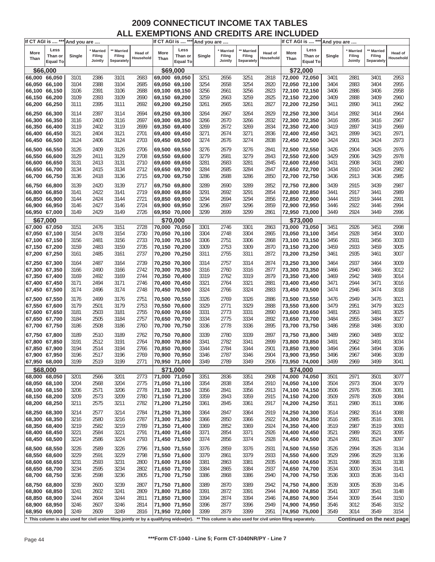| Less<br>Less<br>Less<br>** Married<br>** Married<br><b>Married</b><br><b>Married</b><br><b>Married</b><br>' Married<br>More<br>More<br>More<br>Head of<br><b>Head of</b><br>Head of<br>Filing<br>Filing<br>Filing<br>Filing<br>Filing<br>Filing<br>Than or<br>Single<br>Than or<br>Single<br>Than or<br>Single<br>Household<br>Household<br>Household<br>Than<br>Than<br>Than<br>Jointly<br>Separately<br>Separately<br>Jointly<br>Separately<br>Jointly<br><b>Equal To</b><br><b>Equal To</b><br><b>Equal To</b><br>\$66,000<br>\$72,000<br>\$69,000<br>2386<br>3101<br>2683<br>3251<br>2656<br>3251<br>2818<br>3401<br>2953<br>66,000 66,050<br>3101<br>69,000 69,050<br>72,000 72,050<br>3401<br>2881<br>66,050 66,100<br>3104<br>2388<br>3104<br>2685<br>3254<br>2658<br>3254<br>2820<br>2883<br>3404<br>2955<br>69,050 69,100<br>72,050 72,100<br>3404<br>2391<br>3256<br>2958<br>66,100 66,150<br>3106<br>3106<br>2688<br>3256<br>2661<br>2823<br>72,100 72,150<br>2886<br>3406<br>69,100 69,150<br>3406<br>3259<br>2960<br>66,150 66,200<br>3109<br>2393<br>3109<br>2690<br>69,150 69,200<br>3259<br>2663<br>2825<br>72,150 72,200<br>3409<br>2888<br>3409<br>2962<br>66,200 66,250<br>3111<br>2395<br>3111<br>2692<br>69,200 69,250<br>3261<br>2665<br>3261<br>2827<br>72,200 72,250<br>2890<br>3411<br>3411<br>66,250 66,300<br>2397<br>2694<br>69,250 69,300<br>2667<br>3264<br>2829<br>2964<br>3114<br>3114<br>3264<br>72,250 72,300<br>3414<br>2892<br>3414<br>2400<br>2697<br>2670<br>3266<br>2895<br>3416<br>2967<br>66,300 66,350<br>3116<br>3116<br>69,300 69,350<br>3266<br>2832<br>72,300 72,350<br>3416<br>66,350 66,400<br>3119<br>2402<br>3119<br>2699<br>2672<br>3269<br>2834<br>3419<br>2897<br>3419<br>2969<br>69,350 69,400<br>3269<br>72,350 72,400<br>2674<br>3271<br>2899<br>2971<br>66,400 66,450<br>3121<br>2404<br>3121<br>2701<br>3271<br>2836<br>72,400 72,450<br>3421<br>3421<br>69,400 69,450<br>66,450 66,500<br>3124<br>2406<br>3124<br>2703<br>69,450 69,500<br>3274<br>2676<br>3274<br>2838<br>3424<br>2901<br>3424<br>2973<br>72,450 72,500<br>2409<br>2706<br>2679<br>3276<br>3426<br>2976<br>66,500 66,550<br>3126<br>3126<br>69,500 69,550<br>3276<br>2841<br>72,500 72,550<br>3426<br>2904<br>3129<br>3129<br>2708<br>2681<br>3279<br>2906<br>3429<br>2978<br>66,550 66,600<br>2411<br>69,550 69,600<br>3279<br>2843<br>72,550 72,600<br>3429<br>66,600 66,650<br>3131<br>3131<br>2710<br>3281<br>2683<br>3281<br>2908<br>3431<br>2980<br>2413<br>69,600 69,650<br>2845<br>72,600 72,650<br>3431<br>2712<br>2685<br>3284<br>3434<br>2982<br>66,650 66,700<br>3134<br>2415<br>3134<br>69,650 69,700<br>3284<br>2847<br>72,650 72,700<br>3434<br>2910<br>2715<br>2985<br>66,700 66,750<br>3136<br>2418<br>3136<br>3286<br>2688<br>3286<br>2850<br>72,700 72,750<br>2913<br>3436<br>69,700 69,750<br>3436<br>3139<br>2420<br>3139<br>2717<br>3289<br>2690<br>3289<br>2852<br>2915<br>3439<br>2987<br>66,750 66,800<br>69,750 69,800<br>72,750 72,800<br>3439<br>2422<br>3141<br>2719<br>3291<br>2692<br>3291<br>2917<br>3441<br>2989<br>66,800 66,850<br>3141<br>69,800 69,850<br>2854<br>72,800 72,850<br>3441<br>2424<br>2721<br>3294<br>2694<br>3294<br>2919<br>3444<br>2991<br>66,850 66,900<br>3144<br>3144<br>69,850 69,900<br>2856<br>72,850 72,900<br>3444<br>2427<br>2724<br>3296<br>2697<br>3296<br>2922<br>2994<br>66,900 66,950<br>3146<br>3146<br>69,900 69,950<br>2859<br>72,900 72,950<br>3446<br>3446<br>2429<br>2699<br>3299<br>66,950 67,000<br>3149<br>3149<br>2726<br>69,950 70,000<br>3299<br>2861<br>72,950 73,000<br>3449<br>2924<br>3449<br>2996<br>\$67,000<br>\$70,000<br>\$73,000<br>3151<br>2476<br>3151<br>2728<br>2746<br>3301<br>2926<br>3451<br>2998<br>67,000 67,050<br>70,000 70,050<br>3301<br>2863<br>73,000 73,050<br>3451<br>2730<br>3454<br>3000<br>67,050 67,100<br>3154<br>2478<br>3154<br>70,050 70,100<br>3304<br>2748<br>3304<br>2865<br>73,050 73,100<br>3454<br>2928<br>2733<br>2751<br>2931<br>67,100 67,150<br>3156<br>2481<br>3156<br>70,100 70,150<br>3306<br>3306<br>2868<br>73,100 73,150<br>3456<br>3456<br>3003<br>2483<br>2735<br>2753<br>3309<br>2933<br>3459<br>3005<br>67,150 67,200<br>3159<br>3159<br>70,150 70,200<br>3309<br>2870<br>73,150 73,200<br>3459<br>2485<br>2737<br>2755<br>3311<br>2935<br>3007<br>67,200 67,250<br>3161<br>3161<br>70,200 70,250<br>3311<br>2872<br>73,200 73,250<br>3461<br>3461<br>2739<br>2757<br>3009<br>67,250 67,300<br>3164<br>2487<br>3164<br>70,250 70,300<br>3314<br>3314<br>2874<br>2937<br>3464<br>73,250 73,300<br>3464<br>2490<br>2742<br>2760<br>3012<br>67,300 67,350<br>3166<br>3166<br>70,300 70,350<br>3316<br>3316<br>2877<br>73,300 73,350<br>2940<br>3466<br>3466<br>2762<br>3319<br>67,350 67,400<br>3169<br>2492<br>3169<br>2744<br>70,350 70,400<br>3319<br>2879<br>73,350 73,400<br>3469<br>2942<br>3469<br>3014<br>2764<br>3321<br>67,400 67,450<br>3171<br>2494<br>3171<br>2746<br>70,400 70,450<br>3321<br>2881<br>73,400 73,450<br>3471<br>2944<br>3471<br>3016<br>3324<br>2766<br>3324<br>67,450 67,500<br>3174<br>2496<br>3174<br>2748<br>70,450 70,500<br>2883<br>73,450 73,500<br>3474<br>2946<br>3474<br>3018<br>3176<br>2499<br>3176<br>2751<br>70,500 70,550<br>3326<br>2769<br>3326<br>2886<br>73,500 73,550<br>3476<br>2949<br>3476<br>3021<br>67,500 67,550<br>67,550 67,600<br>3179<br>2501<br>3179<br>2753<br>70,550 70,600<br>3329<br>2771<br>3329<br>2888<br>73,550 73,600<br>3479<br>2951<br>3479<br>3023<br>3181<br>2755<br>2773<br>2953<br>3025<br>67,600 67,650<br>2503<br>3181<br>3331<br>3331<br>2890<br>73,600 73,650<br>3481<br>3481<br>70,600 70,650<br>67,650 67,700<br>3184<br>2505<br>3184<br>2757<br>70,650 70,700<br>3334<br>2775<br>3334<br>2892<br>73,650 73,700<br>3484<br>2955<br>3484<br>3027<br>2778<br>3336<br>67,700 67,750<br>3186<br>2508<br>3186<br>2760<br>70,700 70,750<br>3336<br>2895<br>73,700 73,750<br>3486<br>2958<br>3486<br>3030<br>3189<br>2510<br>3189<br>2762<br>2780<br>3339<br>2897<br>3489<br>3032<br>67,750 67,800<br>70,750 70,800<br>3339<br>73,750 73,800<br>3489<br>2960<br>3191<br>2512<br>3191<br>2764<br>2782<br>3341<br>2899<br>3491<br>2962<br>3491<br>3034<br>67,800 67,850<br>70,800 70,850<br>3341<br>73,800 73,850<br>2784<br>3194<br>2514<br>3194<br>2766<br>3344<br>3344<br>2901<br>3494<br>2964<br>3494<br>3036<br>67,850 67,900<br>70,850 70,900<br>73,850 73,900<br>3196<br>2517<br>2769<br>3346<br>2787<br>3346<br>73,900 73,950<br>3496<br>3039<br>67,900 67,950<br>3196<br>70,900 70,950<br>2904<br>2967<br>3496<br>3499<br>67,950 68,000<br>3199<br>2519<br>3199<br>2771<br>70,950 71,000<br>3349<br>2789<br>3349<br>2906<br>73,950 74,000<br>2969<br>3499<br>3041<br>\$68,000<br>\$71,000<br>\$74,000<br>2773<br>2836<br>3351<br>2908<br>74,000 74,050<br>2971<br>3501<br>3077<br>68,000 68,050<br>3201<br>2566<br>3201<br>71,000 71,050<br>3351<br>3501<br>3204<br>2568<br>2775<br>3354<br>2838<br>3354<br>2910<br>74,050 74,100<br>3504<br>2973<br>3504<br>3079<br>68,050 68,100<br>3204<br>71,050 71,100<br>2571<br>2778<br>3356<br>2976<br>3506<br>68,100 68,150<br>3206<br>3206<br>71,100 71,150<br>3356<br>2841<br>2913<br>74,100 74,150<br>3506<br>3081<br>3509<br>68,150 68,200<br>3209<br>2573<br>3209<br>2780<br>71,150 71,200<br>3359<br>2843<br>3359<br>2915<br>74,150 74,200<br>3509<br>2978<br>3084<br>68,200 68,250<br>3211<br>2575<br>3211<br>2782<br>71,200 71,250<br>2845<br>3361<br>2917<br>74,200 74,250<br>3511<br>2980<br>3511<br>3086<br>3361<br>68,250 68,300<br>3214<br>2577<br>2784<br>2919<br>74,250 74,300<br>2982<br>3514<br>3088<br>3214<br>71,250 71,300<br>3364<br>2847<br>3364<br>3514<br>68,300 68,350<br>2850<br>2985<br>3516<br>3091<br>3216<br>2580<br>3216<br>2787<br>71,300 71,350<br>3366<br>3366<br>2922<br>74,300 74,350<br>3516<br>68,350 68,400<br>3219<br>2582<br>2789<br>2852<br>3369<br>3519<br>2987<br>3519<br>3219<br>71,350 71,400<br>3369<br>2924<br>74,350 74,400<br>3093<br>2584<br>2791<br>2854<br>3371<br>2989<br>3521<br>3095<br>68,400 68,450<br>3221<br>3221<br>71,400 71,450<br>3371<br>2926<br>74,400 74,450<br>3521<br>68,450 68,500<br>3224<br>2586<br>3224<br>2793<br>71,450 71,500<br>3374<br>2856<br>3374<br>2928<br>74,450 74,500<br>3524<br>2991<br>3524<br>3097<br>3226<br>2589<br>2796<br>71,500 71,550<br>2859<br>3376<br>74,500 74,550<br>2994<br>3526<br>3134<br>68,500 68,550<br>3226<br>3376<br>2931<br>3526<br>68,550 68,600<br>3229<br>2591<br>3229<br>2798<br>2861<br>3379<br>74,550 74,600<br>3529<br>2996<br>3529<br>3136<br>71,550 71,600<br>3379<br>2933<br>68,600 68,650<br>3231<br>2593<br>3381<br>74,600 74,650<br>3531<br>3531<br>3138<br>3231<br>2800<br>71,600 71,650<br>3381<br>2863<br>2935<br>2998<br>3234<br>3384<br>3534<br>68,650 68,700<br>2595<br>3234<br>2802<br>71,650 71,700<br>3384<br>2865<br>2937<br>74,650 74,700<br>3534<br>3000<br>3141<br>68,700 68,750<br>3236<br>2598<br>3236<br>2805<br>71,700 71,750<br>2868<br>3386<br>2940<br>74,700 74,750<br>3536<br>3003<br>3536<br>3143<br>3386<br>68,750 68,800<br>3239<br>2600<br>3239<br>2807<br>71,750 71,800<br>2870<br>3389<br>74,750 74,800<br>3005<br>3539<br>3145<br>3389<br>2942<br>3539<br>68,800 68,850<br>3241<br>2602<br>3241<br>2809<br>71,800 71,850<br>3391<br>2872<br>3391<br>2944<br>74,800 74,850<br>3541<br>3007<br>3541<br>3148<br>3244<br>3394<br>3009<br>3544<br>68,850 68,900<br>2604<br>3244<br>2811<br>71,850 71,900<br>3394<br>2874<br>2946<br>74,850 74,900<br>3544<br>3150<br>2877<br>3152<br>68,900 68,950<br>3246<br>2607<br>3246<br>2814<br>71,900 71,950<br>3396<br>3396<br>2949<br>74,900 74,950<br>3546<br>3012<br>3546<br>3249<br>2609<br>2879<br>3399<br>3014<br>3549<br>3154<br>68,950 69,000<br>3249<br>2816<br>71,950 72,000<br>3399<br>2951<br>74,950 75,000<br>3549<br>Continued on the next page<br>This column is also used for civil union filing jointly or by a qualifying widow(er).<br>** This column is also used for civil union filing separately. | If CT AGI is  *** And you are |  |  |  |  |  | If CT AGI is  *** And you are |  |  | If CT AGI is  *** And you are |  |  |
|------------------------------------------------------------------------------------------------------------------------------------------------------------------------------------------------------------------------------------------------------------------------------------------------------------------------------------------------------------------------------------------------------------------------------------------------------------------------------------------------------------------------------------------------------------------------------------------------------------------------------------------------------------------------------------------------------------------------------------------------------------------------------------------------------------------------------------------------------------------------------------------------------------------------------------------------------------------------------------------------------------------------------------------------------------------------------------------------------------------------------------------------------------------------------------------------------------------------------------------------------------------------------------------------------------------------------------------------------------------------------------------------------------------------------------------------------------------------------------------------------------------------------------------------------------------------------------------------------------------------------------------------------------------------------------------------------------------------------------------------------------------------------------------------------------------------------------------------------------------------------------------------------------------------------------------------------------------------------------------------------------------------------------------------------------------------------------------------------------------------------------------------------------------------------------------------------------------------------------------------------------------------------------------------------------------------------------------------------------------------------------------------------------------------------------------------------------------------------------------------------------------------------------------------------------------------------------------------------------------------------------------------------------------------------------------------------------------------------------------------------------------------------------------------------------------------------------------------------------------------------------------------------------------------------------------------------------------------------------------------------------------------------------------------------------------------------------------------------------------------------------------------------------------------------------------------------------------------------------------------------------------------------------------------------------------------------------------------------------------------------------------------------------------------------------------------------------------------------------------------------------------------------------------------------------------------------------------------------------------------------------------------------------------------------------------------------------------------------------------------------------------------------------------------------------------------------------------------------------------------------------------------------------------------------------------------------------------------------------------------------------------------------------------------------------------------------------------------------------------------------------------------------------------------------------------------------------------------------------------------------------------------------------------------------------------------------------------------------------------------------------------------------------------------------------------------------------------------------------------------------------------------------------------------------------------------------------------------------------------------------------------------------------------------------------------------------------------------------------------------------------------------------------------------------------------------------------------------------------------------------------------------------------------------------------------------------------------------------------------------------------------------------------------------------------------------------------------------------------------------------------------------------------------------------------------------------------------------------------------------------------------------------------------------------------------------------------------------------------------------------------------------------------------------------------------------------------------------------------------------------------------------------------------------------------------------------------------------------------------------------------------------------------------------------------------------------------------------------------------------------------------------------------------------------------------------------------------------------------------------------------------------------------------------------------------------------------------------------------------------------------------------------------------------------------------------------------------------------------------------------------------------------------------------------------------------------------------------------------------------------------------------------------------------------------------------------------------------------------------------------------------------------------------------------------------------------------------------------------------------------------------------------------------------------------------------------------------------------------------------------------------------------------------------------------------------------------------------------------------------------------------------------------------------------------------------------------------------------------------------------------------------------------------------------------------------------------------------------------------------------------------------------------------------------------------------------------------------------------------------------------------------------------------------------------------------------------------------------------------------------------------------------------------------------------------------------------------------------------------------------------------------------------------------------------------------------------------------------------------------------------------------------------------------------------------------------------------------------------------------------------------------------------------------------------------------------------------------------------------------------------------------------------------------------------------------------------------------------------------------------------------------------------------------------------------------------------------------------------------------------------------------------------------------------------------------------------------------------------------------------------------------------------------------------------------------------------------------------------------------------------------------------------------------------------------------------------------------------------------------------------------------------------------------------------------------------------------------------------------------------------------------------------------------------------------------------------------------------------------------------------------------------------------------------------------------------------------------------------------------------------------------------------------------------------------------------------------------------------------------------------------------------------------------------------------------------------------------------------------------------------------------------------------------------------------------------------------------------------------------------------------------------------------------------------------------------------------------------------------------------------------------------------------------------------------------------------------------------------------------------------------------------------------------------------------------------------------------------------------------------------------------------------------------------------------------------------------------------------------------------------------------------------------------------------------------------------------------------------------------------------------------------------------------------------------------------------------------------------------------------------------------------------------------------------------------------------------------------------------------------------|-------------------------------|--|--|--|--|--|-------------------------------|--|--|-------------------------------|--|--|
|                                                                                                                                                                                                                                                                                                                                                                                                                                                                                                                                                                                                                                                                                                                                                                                                                                                                                                                                                                                                                                                                                                                                                                                                                                                                                                                                                                                                                                                                                                                                                                                                                                                                                                                                                                                                                                                                                                                                                                                                                                                                                                                                                                                                                                                                                                                                                                                                                                                                                                                                                                                                                                                                                                                                                                                                                                                                                                                                                                                                                                                                                                                                                                                                                                                                                                                                                                                                                                                                                                                                                                                                                                                                                                                                                                                                                                                                                                                                                                                                                                                                                                                                                                                                                                                                                                                                                                                                                                                                                                                                                                                                                                                                                                                                                                                                                                                                                                                                                                                                                                                                                                                                                                                                                                                                                                                                                                                                                                                                                                                                                                                                                                                                                                                                                                                                                                                                                                                                                                                                                                                                                                                                                                                                                                                                                                                                                                                                                                                                                                                                                                                                                                                                                                                                                                                                                                                                                                                                                                                                                                                                                                                                                                                                                                                                                                                                                                                                                                                                                                                                                                                                                                                                                                                                                                                                                                                                                                                                                                                                                                                                                                                                                                                                                                                                                                                                                                                                                                                                                                                                                                                                                                                                                                                                                                                                                                                                                                                                                                                                                                                                                                                                                                                                                                                                                                                                                                                                                                                                                                                                                                                                                                                                                                                                                                                                                                                                                                                                                                                                            |                               |  |  |  |  |  |                               |  |  |                               |  |  |
|                                                                                                                                                                                                                                                                                                                                                                                                                                                                                                                                                                                                                                                                                                                                                                                                                                                                                                                                                                                                                                                                                                                                                                                                                                                                                                                                                                                                                                                                                                                                                                                                                                                                                                                                                                                                                                                                                                                                                                                                                                                                                                                                                                                                                                                                                                                                                                                                                                                                                                                                                                                                                                                                                                                                                                                                                                                                                                                                                                                                                                                                                                                                                                                                                                                                                                                                                                                                                                                                                                                                                                                                                                                                                                                                                                                                                                                                                                                                                                                                                                                                                                                                                                                                                                                                                                                                                                                                                                                                                                                                                                                                                                                                                                                                                                                                                                                                                                                                                                                                                                                                                                                                                                                                                                                                                                                                                                                                                                                                                                                                                                                                                                                                                                                                                                                                                                                                                                                                                                                                                                                                                                                                                                                                                                                                                                                                                                                                                                                                                                                                                                                                                                                                                                                                                                                                                                                                                                                                                                                                                                                                                                                                                                                                                                                                                                                                                                                                                                                                                                                                                                                                                                                                                                                                                                                                                                                                                                                                                                                                                                                                                                                                                                                                                                                                                                                                                                                                                                                                                                                                                                                                                                                                                                                                                                                                                                                                                                                                                                                                                                                                                                                                                                                                                                                                                                                                                                                                                                                                                                                                                                                                                                                                                                                                                                                                                                                                                                                                                                                                            |                               |  |  |  |  |  |                               |  |  |                               |  |  |
|                                                                                                                                                                                                                                                                                                                                                                                                                                                                                                                                                                                                                                                                                                                                                                                                                                                                                                                                                                                                                                                                                                                                                                                                                                                                                                                                                                                                                                                                                                                                                                                                                                                                                                                                                                                                                                                                                                                                                                                                                                                                                                                                                                                                                                                                                                                                                                                                                                                                                                                                                                                                                                                                                                                                                                                                                                                                                                                                                                                                                                                                                                                                                                                                                                                                                                                                                                                                                                                                                                                                                                                                                                                                                                                                                                                                                                                                                                                                                                                                                                                                                                                                                                                                                                                                                                                                                                                                                                                                                                                                                                                                                                                                                                                                                                                                                                                                                                                                                                                                                                                                                                                                                                                                                                                                                                                                                                                                                                                                                                                                                                                                                                                                                                                                                                                                                                                                                                                                                                                                                                                                                                                                                                                                                                                                                                                                                                                                                                                                                                                                                                                                                                                                                                                                                                                                                                                                                                                                                                                                                                                                                                                                                                                                                                                                                                                                                                                                                                                                                                                                                                                                                                                                                                                                                                                                                                                                                                                                                                                                                                                                                                                                                                                                                                                                                                                                                                                                                                                                                                                                                                                                                                                                                                                                                                                                                                                                                                                                                                                                                                                                                                                                                                                                                                                                                                                                                                                                                                                                                                                                                                                                                                                                                                                                                                                                                                                                                                                                                                                                            |                               |  |  |  |  |  |                               |  |  |                               |  |  |
|                                                                                                                                                                                                                                                                                                                                                                                                                                                                                                                                                                                                                                                                                                                                                                                                                                                                                                                                                                                                                                                                                                                                                                                                                                                                                                                                                                                                                                                                                                                                                                                                                                                                                                                                                                                                                                                                                                                                                                                                                                                                                                                                                                                                                                                                                                                                                                                                                                                                                                                                                                                                                                                                                                                                                                                                                                                                                                                                                                                                                                                                                                                                                                                                                                                                                                                                                                                                                                                                                                                                                                                                                                                                                                                                                                                                                                                                                                                                                                                                                                                                                                                                                                                                                                                                                                                                                                                                                                                                                                                                                                                                                                                                                                                                                                                                                                                                                                                                                                                                                                                                                                                                                                                                                                                                                                                                                                                                                                                                                                                                                                                                                                                                                                                                                                                                                                                                                                                                                                                                                                                                                                                                                                                                                                                                                                                                                                                                                                                                                                                                                                                                                                                                                                                                                                                                                                                                                                                                                                                                                                                                                                                                                                                                                                                                                                                                                                                                                                                                                                                                                                                                                                                                                                                                                                                                                                                                                                                                                                                                                                                                                                                                                                                                                                                                                                                                                                                                                                                                                                                                                                                                                                                                                                                                                                                                                                                                                                                                                                                                                                                                                                                                                                                                                                                                                                                                                                                                                                                                                                                                                                                                                                                                                                                                                                                                                                                                                                                                                                                                            |                               |  |  |  |  |  |                               |  |  |                               |  |  |
|                                                                                                                                                                                                                                                                                                                                                                                                                                                                                                                                                                                                                                                                                                                                                                                                                                                                                                                                                                                                                                                                                                                                                                                                                                                                                                                                                                                                                                                                                                                                                                                                                                                                                                                                                                                                                                                                                                                                                                                                                                                                                                                                                                                                                                                                                                                                                                                                                                                                                                                                                                                                                                                                                                                                                                                                                                                                                                                                                                                                                                                                                                                                                                                                                                                                                                                                                                                                                                                                                                                                                                                                                                                                                                                                                                                                                                                                                                                                                                                                                                                                                                                                                                                                                                                                                                                                                                                                                                                                                                                                                                                                                                                                                                                                                                                                                                                                                                                                                                                                                                                                                                                                                                                                                                                                                                                                                                                                                                                                                                                                                                                                                                                                                                                                                                                                                                                                                                                                                                                                                                                                                                                                                                                                                                                                                                                                                                                                                                                                                                                                                                                                                                                                                                                                                                                                                                                                                                                                                                                                                                                                                                                                                                                                                                                                                                                                                                                                                                                                                                                                                                                                                                                                                                                                                                                                                                                                                                                                                                                                                                                                                                                                                                                                                                                                                                                                                                                                                                                                                                                                                                                                                                                                                                                                                                                                                                                                                                                                                                                                                                                                                                                                                                                                                                                                                                                                                                                                                                                                                                                                                                                                                                                                                                                                                                                                                                                                                                                                                                                                            |                               |  |  |  |  |  |                               |  |  |                               |  |  |
|                                                                                                                                                                                                                                                                                                                                                                                                                                                                                                                                                                                                                                                                                                                                                                                                                                                                                                                                                                                                                                                                                                                                                                                                                                                                                                                                                                                                                                                                                                                                                                                                                                                                                                                                                                                                                                                                                                                                                                                                                                                                                                                                                                                                                                                                                                                                                                                                                                                                                                                                                                                                                                                                                                                                                                                                                                                                                                                                                                                                                                                                                                                                                                                                                                                                                                                                                                                                                                                                                                                                                                                                                                                                                                                                                                                                                                                                                                                                                                                                                                                                                                                                                                                                                                                                                                                                                                                                                                                                                                                                                                                                                                                                                                                                                                                                                                                                                                                                                                                                                                                                                                                                                                                                                                                                                                                                                                                                                                                                                                                                                                                                                                                                                                                                                                                                                                                                                                                                                                                                                                                                                                                                                                                                                                                                                                                                                                                                                                                                                                                                                                                                                                                                                                                                                                                                                                                                                                                                                                                                                                                                                                                                                                                                                                                                                                                                                                                                                                                                                                                                                                                                                                                                                                                                                                                                                                                                                                                                                                                                                                                                                                                                                                                                                                                                                                                                                                                                                                                                                                                                                                                                                                                                                                                                                                                                                                                                                                                                                                                                                                                                                                                                                                                                                                                                                                                                                                                                                                                                                                                                                                                                                                                                                                                                                                                                                                                                                                                                                                                                            |                               |  |  |  |  |  |                               |  |  |                               |  |  |
|                                                                                                                                                                                                                                                                                                                                                                                                                                                                                                                                                                                                                                                                                                                                                                                                                                                                                                                                                                                                                                                                                                                                                                                                                                                                                                                                                                                                                                                                                                                                                                                                                                                                                                                                                                                                                                                                                                                                                                                                                                                                                                                                                                                                                                                                                                                                                                                                                                                                                                                                                                                                                                                                                                                                                                                                                                                                                                                                                                                                                                                                                                                                                                                                                                                                                                                                                                                                                                                                                                                                                                                                                                                                                                                                                                                                                                                                                                                                                                                                                                                                                                                                                                                                                                                                                                                                                                                                                                                                                                                                                                                                                                                                                                                                                                                                                                                                                                                                                                                                                                                                                                                                                                                                                                                                                                                                                                                                                                                                                                                                                                                                                                                                                                                                                                                                                                                                                                                                                                                                                                                                                                                                                                                                                                                                                                                                                                                                                                                                                                                                                                                                                                                                                                                                                                                                                                                                                                                                                                                                                                                                                                                                                                                                                                                                                                                                                                                                                                                                                                                                                                                                                                                                                                                                                                                                                                                                                                                                                                                                                                                                                                                                                                                                                                                                                                                                                                                                                                                                                                                                                                                                                                                                                                                                                                                                                                                                                                                                                                                                                                                                                                                                                                                                                                                                                                                                                                                                                                                                                                                                                                                                                                                                                                                                                                                                                                                                                                                                                                                                            |                               |  |  |  |  |  |                               |  |  |                               |  |  |
|                                                                                                                                                                                                                                                                                                                                                                                                                                                                                                                                                                                                                                                                                                                                                                                                                                                                                                                                                                                                                                                                                                                                                                                                                                                                                                                                                                                                                                                                                                                                                                                                                                                                                                                                                                                                                                                                                                                                                                                                                                                                                                                                                                                                                                                                                                                                                                                                                                                                                                                                                                                                                                                                                                                                                                                                                                                                                                                                                                                                                                                                                                                                                                                                                                                                                                                                                                                                                                                                                                                                                                                                                                                                                                                                                                                                                                                                                                                                                                                                                                                                                                                                                                                                                                                                                                                                                                                                                                                                                                                                                                                                                                                                                                                                                                                                                                                                                                                                                                                                                                                                                                                                                                                                                                                                                                                                                                                                                                                                                                                                                                                                                                                                                                                                                                                                                                                                                                                                                                                                                                                                                                                                                                                                                                                                                                                                                                                                                                                                                                                                                                                                                                                                                                                                                                                                                                                                                                                                                                                                                                                                                                                                                                                                                                                                                                                                                                                                                                                                                                                                                                                                                                                                                                                                                                                                                                                                                                                                                                                                                                                                                                                                                                                                                                                                                                                                                                                                                                                                                                                                                                                                                                                                                                                                                                                                                                                                                                                                                                                                                                                                                                                                                                                                                                                                                                                                                                                                                                                                                                                                                                                                                                                                                                                                                                                                                                                                                                                                                                                                            |                               |  |  |  |  |  |                               |  |  |                               |  |  |
|                                                                                                                                                                                                                                                                                                                                                                                                                                                                                                                                                                                                                                                                                                                                                                                                                                                                                                                                                                                                                                                                                                                                                                                                                                                                                                                                                                                                                                                                                                                                                                                                                                                                                                                                                                                                                                                                                                                                                                                                                                                                                                                                                                                                                                                                                                                                                                                                                                                                                                                                                                                                                                                                                                                                                                                                                                                                                                                                                                                                                                                                                                                                                                                                                                                                                                                                                                                                                                                                                                                                                                                                                                                                                                                                                                                                                                                                                                                                                                                                                                                                                                                                                                                                                                                                                                                                                                                                                                                                                                                                                                                                                                                                                                                                                                                                                                                                                                                                                                                                                                                                                                                                                                                                                                                                                                                                                                                                                                                                                                                                                                                                                                                                                                                                                                                                                                                                                                                                                                                                                                                                                                                                                                                                                                                                                                                                                                                                                                                                                                                                                                                                                                                                                                                                                                                                                                                                                                                                                                                                                                                                                                                                                                                                                                                                                                                                                                                                                                                                                                                                                                                                                                                                                                                                                                                                                                                                                                                                                                                                                                                                                                                                                                                                                                                                                                                                                                                                                                                                                                                                                                                                                                                                                                                                                                                                                                                                                                                                                                                                                                                                                                                                                                                                                                                                                                                                                                                                                                                                                                                                                                                                                                                                                                                                                                                                                                                                                                                                                                                                            |                               |  |  |  |  |  |                               |  |  |                               |  |  |
|                                                                                                                                                                                                                                                                                                                                                                                                                                                                                                                                                                                                                                                                                                                                                                                                                                                                                                                                                                                                                                                                                                                                                                                                                                                                                                                                                                                                                                                                                                                                                                                                                                                                                                                                                                                                                                                                                                                                                                                                                                                                                                                                                                                                                                                                                                                                                                                                                                                                                                                                                                                                                                                                                                                                                                                                                                                                                                                                                                                                                                                                                                                                                                                                                                                                                                                                                                                                                                                                                                                                                                                                                                                                                                                                                                                                                                                                                                                                                                                                                                                                                                                                                                                                                                                                                                                                                                                                                                                                                                                                                                                                                                                                                                                                                                                                                                                                                                                                                                                                                                                                                                                                                                                                                                                                                                                                                                                                                                                                                                                                                                                                                                                                                                                                                                                                                                                                                                                                                                                                                                                                                                                                                                                                                                                                                                                                                                                                                                                                                                                                                                                                                                                                                                                                                                                                                                                                                                                                                                                                                                                                                                                                                                                                                                                                                                                                                                                                                                                                                                                                                                                                                                                                                                                                                                                                                                                                                                                                                                                                                                                                                                                                                                                                                                                                                                                                                                                                                                                                                                                                                                                                                                                                                                                                                                                                                                                                                                                                                                                                                                                                                                                                                                                                                                                                                                                                                                                                                                                                                                                                                                                                                                                                                                                                                                                                                                                                                                                                                                                                            |                               |  |  |  |  |  |                               |  |  |                               |  |  |
|                                                                                                                                                                                                                                                                                                                                                                                                                                                                                                                                                                                                                                                                                                                                                                                                                                                                                                                                                                                                                                                                                                                                                                                                                                                                                                                                                                                                                                                                                                                                                                                                                                                                                                                                                                                                                                                                                                                                                                                                                                                                                                                                                                                                                                                                                                                                                                                                                                                                                                                                                                                                                                                                                                                                                                                                                                                                                                                                                                                                                                                                                                                                                                                                                                                                                                                                                                                                                                                                                                                                                                                                                                                                                                                                                                                                                                                                                                                                                                                                                                                                                                                                                                                                                                                                                                                                                                                                                                                                                                                                                                                                                                                                                                                                                                                                                                                                                                                                                                                                                                                                                                                                                                                                                                                                                                                                                                                                                                                                                                                                                                                                                                                                                                                                                                                                                                                                                                                                                                                                                                                                                                                                                                                                                                                                                                                                                                                                                                                                                                                                                                                                                                                                                                                                                                                                                                                                                                                                                                                                                                                                                                                                                                                                                                                                                                                                                                                                                                                                                                                                                                                                                                                                                                                                                                                                                                                                                                                                                                                                                                                                                                                                                                                                                                                                                                                                                                                                                                                                                                                                                                                                                                                                                                                                                                                                                                                                                                                                                                                                                                                                                                                                                                                                                                                                                                                                                                                                                                                                                                                                                                                                                                                                                                                                                                                                                                                                                                                                                                                                            |                               |  |  |  |  |  |                               |  |  |                               |  |  |
|                                                                                                                                                                                                                                                                                                                                                                                                                                                                                                                                                                                                                                                                                                                                                                                                                                                                                                                                                                                                                                                                                                                                                                                                                                                                                                                                                                                                                                                                                                                                                                                                                                                                                                                                                                                                                                                                                                                                                                                                                                                                                                                                                                                                                                                                                                                                                                                                                                                                                                                                                                                                                                                                                                                                                                                                                                                                                                                                                                                                                                                                                                                                                                                                                                                                                                                                                                                                                                                                                                                                                                                                                                                                                                                                                                                                                                                                                                                                                                                                                                                                                                                                                                                                                                                                                                                                                                                                                                                                                                                                                                                                                                                                                                                                                                                                                                                                                                                                                                                                                                                                                                                                                                                                                                                                                                                                                                                                                                                                                                                                                                                                                                                                                                                                                                                                                                                                                                                                                                                                                                                                                                                                                                                                                                                                                                                                                                                                                                                                                                                                                                                                                                                                                                                                                                                                                                                                                                                                                                                                                                                                                                                                                                                                                                                                                                                                                                                                                                                                                                                                                                                                                                                                                                                                                                                                                                                                                                                                                                                                                                                                                                                                                                                                                                                                                                                                                                                                                                                                                                                                                                                                                                                                                                                                                                                                                                                                                                                                                                                                                                                                                                                                                                                                                                                                                                                                                                                                                                                                                                                                                                                                                                                                                                                                                                                                                                                                                                                                                                                                            |                               |  |  |  |  |  |                               |  |  |                               |  |  |
|                                                                                                                                                                                                                                                                                                                                                                                                                                                                                                                                                                                                                                                                                                                                                                                                                                                                                                                                                                                                                                                                                                                                                                                                                                                                                                                                                                                                                                                                                                                                                                                                                                                                                                                                                                                                                                                                                                                                                                                                                                                                                                                                                                                                                                                                                                                                                                                                                                                                                                                                                                                                                                                                                                                                                                                                                                                                                                                                                                                                                                                                                                                                                                                                                                                                                                                                                                                                                                                                                                                                                                                                                                                                                                                                                                                                                                                                                                                                                                                                                                                                                                                                                                                                                                                                                                                                                                                                                                                                                                                                                                                                                                                                                                                                                                                                                                                                                                                                                                                                                                                                                                                                                                                                                                                                                                                                                                                                                                                                                                                                                                                                                                                                                                                                                                                                                                                                                                                                                                                                                                                                                                                                                                                                                                                                                                                                                                                                                                                                                                                                                                                                                                                                                                                                                                                                                                                                                                                                                                                                                                                                                                                                                                                                                                                                                                                                                                                                                                                                                                                                                                                                                                                                                                                                                                                                                                                                                                                                                                                                                                                                                                                                                                                                                                                                                                                                                                                                                                                                                                                                                                                                                                                                                                                                                                                                                                                                                                                                                                                                                                                                                                                                                                                                                                                                                                                                                                                                                                                                                                                                                                                                                                                                                                                                                                                                                                                                                                                                                                                                            |                               |  |  |  |  |  |                               |  |  |                               |  |  |
|                                                                                                                                                                                                                                                                                                                                                                                                                                                                                                                                                                                                                                                                                                                                                                                                                                                                                                                                                                                                                                                                                                                                                                                                                                                                                                                                                                                                                                                                                                                                                                                                                                                                                                                                                                                                                                                                                                                                                                                                                                                                                                                                                                                                                                                                                                                                                                                                                                                                                                                                                                                                                                                                                                                                                                                                                                                                                                                                                                                                                                                                                                                                                                                                                                                                                                                                                                                                                                                                                                                                                                                                                                                                                                                                                                                                                                                                                                                                                                                                                                                                                                                                                                                                                                                                                                                                                                                                                                                                                                                                                                                                                                                                                                                                                                                                                                                                                                                                                                                                                                                                                                                                                                                                                                                                                                                                                                                                                                                                                                                                                                                                                                                                                                                                                                                                                                                                                                                                                                                                                                                                                                                                                                                                                                                                                                                                                                                                                                                                                                                                                                                                                                                                                                                                                                                                                                                                                                                                                                                                                                                                                                                                                                                                                                                                                                                                                                                                                                                                                                                                                                                                                                                                                                                                                                                                                                                                                                                                                                                                                                                                                                                                                                                                                                                                                                                                                                                                                                                                                                                                                                                                                                                                                                                                                                                                                                                                                                                                                                                                                                                                                                                                                                                                                                                                                                                                                                                                                                                                                                                                                                                                                                                                                                                                                                                                                                                                                                                                                                                                            |                               |  |  |  |  |  |                               |  |  |                               |  |  |
|                                                                                                                                                                                                                                                                                                                                                                                                                                                                                                                                                                                                                                                                                                                                                                                                                                                                                                                                                                                                                                                                                                                                                                                                                                                                                                                                                                                                                                                                                                                                                                                                                                                                                                                                                                                                                                                                                                                                                                                                                                                                                                                                                                                                                                                                                                                                                                                                                                                                                                                                                                                                                                                                                                                                                                                                                                                                                                                                                                                                                                                                                                                                                                                                                                                                                                                                                                                                                                                                                                                                                                                                                                                                                                                                                                                                                                                                                                                                                                                                                                                                                                                                                                                                                                                                                                                                                                                                                                                                                                                                                                                                                                                                                                                                                                                                                                                                                                                                                                                                                                                                                                                                                                                                                                                                                                                                                                                                                                                                                                                                                                                                                                                                                                                                                                                                                                                                                                                                                                                                                                                                                                                                                                                                                                                                                                                                                                                                                                                                                                                                                                                                                                                                                                                                                                                                                                                                                                                                                                                                                                                                                                                                                                                                                                                                                                                                                                                                                                                                                                                                                                                                                                                                                                                                                                                                                                                                                                                                                                                                                                                                                                                                                                                                                                                                                                                                                                                                                                                                                                                                                                                                                                                                                                                                                                                                                                                                                                                                                                                                                                                                                                                                                                                                                                                                                                                                                                                                                                                                                                                                                                                                                                                                                                                                                                                                                                                                                                                                                                                                            |                               |  |  |  |  |  |                               |  |  |                               |  |  |
|                                                                                                                                                                                                                                                                                                                                                                                                                                                                                                                                                                                                                                                                                                                                                                                                                                                                                                                                                                                                                                                                                                                                                                                                                                                                                                                                                                                                                                                                                                                                                                                                                                                                                                                                                                                                                                                                                                                                                                                                                                                                                                                                                                                                                                                                                                                                                                                                                                                                                                                                                                                                                                                                                                                                                                                                                                                                                                                                                                                                                                                                                                                                                                                                                                                                                                                                                                                                                                                                                                                                                                                                                                                                                                                                                                                                                                                                                                                                                                                                                                                                                                                                                                                                                                                                                                                                                                                                                                                                                                                                                                                                                                                                                                                                                                                                                                                                                                                                                                                                                                                                                                                                                                                                                                                                                                                                                                                                                                                                                                                                                                                                                                                                                                                                                                                                                                                                                                                                                                                                                                                                                                                                                                                                                                                                                                                                                                                                                                                                                                                                                                                                                                                                                                                                                                                                                                                                                                                                                                                                                                                                                                                                                                                                                                                                                                                                                                                                                                                                                                                                                                                                                                                                                                                                                                                                                                                                                                                                                                                                                                                                                                                                                                                                                                                                                                                                                                                                                                                                                                                                                                                                                                                                                                                                                                                                                                                                                                                                                                                                                                                                                                                                                                                                                                                                                                                                                                                                                                                                                                                                                                                                                                                                                                                                                                                                                                                                                                                                                                                                            |                               |  |  |  |  |  |                               |  |  |                               |  |  |
|                                                                                                                                                                                                                                                                                                                                                                                                                                                                                                                                                                                                                                                                                                                                                                                                                                                                                                                                                                                                                                                                                                                                                                                                                                                                                                                                                                                                                                                                                                                                                                                                                                                                                                                                                                                                                                                                                                                                                                                                                                                                                                                                                                                                                                                                                                                                                                                                                                                                                                                                                                                                                                                                                                                                                                                                                                                                                                                                                                                                                                                                                                                                                                                                                                                                                                                                                                                                                                                                                                                                                                                                                                                                                                                                                                                                                                                                                                                                                                                                                                                                                                                                                                                                                                                                                                                                                                                                                                                                                                                                                                                                                                                                                                                                                                                                                                                                                                                                                                                                                                                                                                                                                                                                                                                                                                                                                                                                                                                                                                                                                                                                                                                                                                                                                                                                                                                                                                                                                                                                                                                                                                                                                                                                                                                                                                                                                                                                                                                                                                                                                                                                                                                                                                                                                                                                                                                                                                                                                                                                                                                                                                                                                                                                                                                                                                                                                                                                                                                                                                                                                                                                                                                                                                                                                                                                                                                                                                                                                                                                                                                                                                                                                                                                                                                                                                                                                                                                                                                                                                                                                                                                                                                                                                                                                                                                                                                                                                                                                                                                                                                                                                                                                                                                                                                                                                                                                                                                                                                                                                                                                                                                                                                                                                                                                                                                                                                                                                                                                                                                            |                               |  |  |  |  |  |                               |  |  |                               |  |  |
|                                                                                                                                                                                                                                                                                                                                                                                                                                                                                                                                                                                                                                                                                                                                                                                                                                                                                                                                                                                                                                                                                                                                                                                                                                                                                                                                                                                                                                                                                                                                                                                                                                                                                                                                                                                                                                                                                                                                                                                                                                                                                                                                                                                                                                                                                                                                                                                                                                                                                                                                                                                                                                                                                                                                                                                                                                                                                                                                                                                                                                                                                                                                                                                                                                                                                                                                                                                                                                                                                                                                                                                                                                                                                                                                                                                                                                                                                                                                                                                                                                                                                                                                                                                                                                                                                                                                                                                                                                                                                                                                                                                                                                                                                                                                                                                                                                                                                                                                                                                                                                                                                                                                                                                                                                                                                                                                                                                                                                                                                                                                                                                                                                                                                                                                                                                                                                                                                                                                                                                                                                                                                                                                                                                                                                                                                                                                                                                                                                                                                                                                                                                                                                                                                                                                                                                                                                                                                                                                                                                                                                                                                                                                                                                                                                                                                                                                                                                                                                                                                                                                                                                                                                                                                                                                                                                                                                                                                                                                                                                                                                                                                                                                                                                                                                                                                                                                                                                                                                                                                                                                                                                                                                                                                                                                                                                                                                                                                                                                                                                                                                                                                                                                                                                                                                                                                                                                                                                                                                                                                                                                                                                                                                                                                                                                                                                                                                                                                                                                                                                                            |                               |  |  |  |  |  |                               |  |  |                               |  |  |
|                                                                                                                                                                                                                                                                                                                                                                                                                                                                                                                                                                                                                                                                                                                                                                                                                                                                                                                                                                                                                                                                                                                                                                                                                                                                                                                                                                                                                                                                                                                                                                                                                                                                                                                                                                                                                                                                                                                                                                                                                                                                                                                                                                                                                                                                                                                                                                                                                                                                                                                                                                                                                                                                                                                                                                                                                                                                                                                                                                                                                                                                                                                                                                                                                                                                                                                                                                                                                                                                                                                                                                                                                                                                                                                                                                                                                                                                                                                                                                                                                                                                                                                                                                                                                                                                                                                                                                                                                                                                                                                                                                                                                                                                                                                                                                                                                                                                                                                                                                                                                                                                                                                                                                                                                                                                                                                                                                                                                                                                                                                                                                                                                                                                                                                                                                                                                                                                                                                                                                                                                                                                                                                                                                                                                                                                                                                                                                                                                                                                                                                                                                                                                                                                                                                                                                                                                                                                                                                                                                                                                                                                                                                                                                                                                                                                                                                                                                                                                                                                                                                                                                                                                                                                                                                                                                                                                                                                                                                                                                                                                                                                                                                                                                                                                                                                                                                                                                                                                                                                                                                                                                                                                                                                                                                                                                                                                                                                                                                                                                                                                                                                                                                                                                                                                                                                                                                                                                                                                                                                                                                                                                                                                                                                                                                                                                                                                                                                                                                                                                                                            |                               |  |  |  |  |  |                               |  |  |                               |  |  |
|                                                                                                                                                                                                                                                                                                                                                                                                                                                                                                                                                                                                                                                                                                                                                                                                                                                                                                                                                                                                                                                                                                                                                                                                                                                                                                                                                                                                                                                                                                                                                                                                                                                                                                                                                                                                                                                                                                                                                                                                                                                                                                                                                                                                                                                                                                                                                                                                                                                                                                                                                                                                                                                                                                                                                                                                                                                                                                                                                                                                                                                                                                                                                                                                                                                                                                                                                                                                                                                                                                                                                                                                                                                                                                                                                                                                                                                                                                                                                                                                                                                                                                                                                                                                                                                                                                                                                                                                                                                                                                                                                                                                                                                                                                                                                                                                                                                                                                                                                                                                                                                                                                                                                                                                                                                                                                                                                                                                                                                                                                                                                                                                                                                                                                                                                                                                                                                                                                                                                                                                                                                                                                                                                                                                                                                                                                                                                                                                                                                                                                                                                                                                                                                                                                                                                                                                                                                                                                                                                                                                                                                                                                                                                                                                                                                                                                                                                                                                                                                                                                                                                                                                                                                                                                                                                                                                                                                                                                                                                                                                                                                                                                                                                                                                                                                                                                                                                                                                                                                                                                                                                                                                                                                                                                                                                                                                                                                                                                                                                                                                                                                                                                                                                                                                                                                                                                                                                                                                                                                                                                                                                                                                                                                                                                                                                                                                                                                                                                                                                                                                            |                               |  |  |  |  |  |                               |  |  |                               |  |  |
|                                                                                                                                                                                                                                                                                                                                                                                                                                                                                                                                                                                                                                                                                                                                                                                                                                                                                                                                                                                                                                                                                                                                                                                                                                                                                                                                                                                                                                                                                                                                                                                                                                                                                                                                                                                                                                                                                                                                                                                                                                                                                                                                                                                                                                                                                                                                                                                                                                                                                                                                                                                                                                                                                                                                                                                                                                                                                                                                                                                                                                                                                                                                                                                                                                                                                                                                                                                                                                                                                                                                                                                                                                                                                                                                                                                                                                                                                                                                                                                                                                                                                                                                                                                                                                                                                                                                                                                                                                                                                                                                                                                                                                                                                                                                                                                                                                                                                                                                                                                                                                                                                                                                                                                                                                                                                                                                                                                                                                                                                                                                                                                                                                                                                                                                                                                                                                                                                                                                                                                                                                                                                                                                                                                                                                                                                                                                                                                                                                                                                                                                                                                                                                                                                                                                                                                                                                                                                                                                                                                                                                                                                                                                                                                                                                                                                                                                                                                                                                                                                                                                                                                                                                                                                                                                                                                                                                                                                                                                                                                                                                                                                                                                                                                                                                                                                                                                                                                                                                                                                                                                                                                                                                                                                                                                                                                                                                                                                                                                                                                                                                                                                                                                                                                                                                                                                                                                                                                                                                                                                                                                                                                                                                                                                                                                                                                                                                                                                                                                                                                                            |                               |  |  |  |  |  |                               |  |  |                               |  |  |
|                                                                                                                                                                                                                                                                                                                                                                                                                                                                                                                                                                                                                                                                                                                                                                                                                                                                                                                                                                                                                                                                                                                                                                                                                                                                                                                                                                                                                                                                                                                                                                                                                                                                                                                                                                                                                                                                                                                                                                                                                                                                                                                                                                                                                                                                                                                                                                                                                                                                                                                                                                                                                                                                                                                                                                                                                                                                                                                                                                                                                                                                                                                                                                                                                                                                                                                                                                                                                                                                                                                                                                                                                                                                                                                                                                                                                                                                                                                                                                                                                                                                                                                                                                                                                                                                                                                                                                                                                                                                                                                                                                                                                                                                                                                                                                                                                                                                                                                                                                                                                                                                                                                                                                                                                                                                                                                                                                                                                                                                                                                                                                                                                                                                                                                                                                                                                                                                                                                                                                                                                                                                                                                                                                                                                                                                                                                                                                                                                                                                                                                                                                                                                                                                                                                                                                                                                                                                                                                                                                                                                                                                                                                                                                                                                                                                                                                                                                                                                                                                                                                                                                                                                                                                                                                                                                                                                                                                                                                                                                                                                                                                                                                                                                                                                                                                                                                                                                                                                                                                                                                                                                                                                                                                                                                                                                                                                                                                                                                                                                                                                                                                                                                                                                                                                                                                                                                                                                                                                                                                                                                                                                                                                                                                                                                                                                                                                                                                                                                                                                                                            |                               |  |  |  |  |  |                               |  |  |                               |  |  |
|                                                                                                                                                                                                                                                                                                                                                                                                                                                                                                                                                                                                                                                                                                                                                                                                                                                                                                                                                                                                                                                                                                                                                                                                                                                                                                                                                                                                                                                                                                                                                                                                                                                                                                                                                                                                                                                                                                                                                                                                                                                                                                                                                                                                                                                                                                                                                                                                                                                                                                                                                                                                                                                                                                                                                                                                                                                                                                                                                                                                                                                                                                                                                                                                                                                                                                                                                                                                                                                                                                                                                                                                                                                                                                                                                                                                                                                                                                                                                                                                                                                                                                                                                                                                                                                                                                                                                                                                                                                                                                                                                                                                                                                                                                                                                                                                                                                                                                                                                                                                                                                                                                                                                                                                                                                                                                                                                                                                                                                                                                                                                                                                                                                                                                                                                                                                                                                                                                                                                                                                                                                                                                                                                                                                                                                                                                                                                                                                                                                                                                                                                                                                                                                                                                                                                                                                                                                                                                                                                                                                                                                                                                                                                                                                                                                                                                                                                                                                                                                                                                                                                                                                                                                                                                                                                                                                                                                                                                                                                                                                                                                                                                                                                                                                                                                                                                                                                                                                                                                                                                                                                                                                                                                                                                                                                                                                                                                                                                                                                                                                                                                                                                                                                                                                                                                                                                                                                                                                                                                                                                                                                                                                                                                                                                                                                                                                                                                                                                                                                                                                            |                               |  |  |  |  |  |                               |  |  |                               |  |  |
|                                                                                                                                                                                                                                                                                                                                                                                                                                                                                                                                                                                                                                                                                                                                                                                                                                                                                                                                                                                                                                                                                                                                                                                                                                                                                                                                                                                                                                                                                                                                                                                                                                                                                                                                                                                                                                                                                                                                                                                                                                                                                                                                                                                                                                                                                                                                                                                                                                                                                                                                                                                                                                                                                                                                                                                                                                                                                                                                                                                                                                                                                                                                                                                                                                                                                                                                                                                                                                                                                                                                                                                                                                                                                                                                                                                                                                                                                                                                                                                                                                                                                                                                                                                                                                                                                                                                                                                                                                                                                                                                                                                                                                                                                                                                                                                                                                                                                                                                                                                                                                                                                                                                                                                                                                                                                                                                                                                                                                                                                                                                                                                                                                                                                                                                                                                                                                                                                                                                                                                                                                                                                                                                                                                                                                                                                                                                                                                                                                                                                                                                                                                                                                                                                                                                                                                                                                                                                                                                                                                                                                                                                                                                                                                                                                                                                                                                                                                                                                                                                                                                                                                                                                                                                                                                                                                                                                                                                                                                                                                                                                                                                                                                                                                                                                                                                                                                                                                                                                                                                                                                                                                                                                                                                                                                                                                                                                                                                                                                                                                                                                                                                                                                                                                                                                                                                                                                                                                                                                                                                                                                                                                                                                                                                                                                                                                                                                                                                                                                                                                                            |                               |  |  |  |  |  |                               |  |  |                               |  |  |
|                                                                                                                                                                                                                                                                                                                                                                                                                                                                                                                                                                                                                                                                                                                                                                                                                                                                                                                                                                                                                                                                                                                                                                                                                                                                                                                                                                                                                                                                                                                                                                                                                                                                                                                                                                                                                                                                                                                                                                                                                                                                                                                                                                                                                                                                                                                                                                                                                                                                                                                                                                                                                                                                                                                                                                                                                                                                                                                                                                                                                                                                                                                                                                                                                                                                                                                                                                                                                                                                                                                                                                                                                                                                                                                                                                                                                                                                                                                                                                                                                                                                                                                                                                                                                                                                                                                                                                                                                                                                                                                                                                                                                                                                                                                                                                                                                                                                                                                                                                                                                                                                                                                                                                                                                                                                                                                                                                                                                                                                                                                                                                                                                                                                                                                                                                                                                                                                                                                                                                                                                                                                                                                                                                                                                                                                                                                                                                                                                                                                                                                                                                                                                                                                                                                                                                                                                                                                                                                                                                                                                                                                                                                                                                                                                                                                                                                                                                                                                                                                                                                                                                                                                                                                                                                                                                                                                                                                                                                                                                                                                                                                                                                                                                                                                                                                                                                                                                                                                                                                                                                                                                                                                                                                                                                                                                                                                                                                                                                                                                                                                                                                                                                                                                                                                                                                                                                                                                                                                                                                                                                                                                                                                                                                                                                                                                                                                                                                                                                                                                                                            |                               |  |  |  |  |  |                               |  |  |                               |  |  |
|                                                                                                                                                                                                                                                                                                                                                                                                                                                                                                                                                                                                                                                                                                                                                                                                                                                                                                                                                                                                                                                                                                                                                                                                                                                                                                                                                                                                                                                                                                                                                                                                                                                                                                                                                                                                                                                                                                                                                                                                                                                                                                                                                                                                                                                                                                                                                                                                                                                                                                                                                                                                                                                                                                                                                                                                                                                                                                                                                                                                                                                                                                                                                                                                                                                                                                                                                                                                                                                                                                                                                                                                                                                                                                                                                                                                                                                                                                                                                                                                                                                                                                                                                                                                                                                                                                                                                                                                                                                                                                                                                                                                                                                                                                                                                                                                                                                                                                                                                                                                                                                                                                                                                                                                                                                                                                                                                                                                                                                                                                                                                                                                                                                                                                                                                                                                                                                                                                                                                                                                                                                                                                                                                                                                                                                                                                                                                                                                                                                                                                                                                                                                                                                                                                                                                                                                                                                                                                                                                                                                                                                                                                                                                                                                                                                                                                                                                                                                                                                                                                                                                                                                                                                                                                                                                                                                                                                                                                                                                                                                                                                                                                                                                                                                                                                                                                                                                                                                                                                                                                                                                                                                                                                                                                                                                                                                                                                                                                                                                                                                                                                                                                                                                                                                                                                                                                                                                                                                                                                                                                                                                                                                                                                                                                                                                                                                                                                                                                                                                                                                            |                               |  |  |  |  |  |                               |  |  |                               |  |  |
|                                                                                                                                                                                                                                                                                                                                                                                                                                                                                                                                                                                                                                                                                                                                                                                                                                                                                                                                                                                                                                                                                                                                                                                                                                                                                                                                                                                                                                                                                                                                                                                                                                                                                                                                                                                                                                                                                                                                                                                                                                                                                                                                                                                                                                                                                                                                                                                                                                                                                                                                                                                                                                                                                                                                                                                                                                                                                                                                                                                                                                                                                                                                                                                                                                                                                                                                                                                                                                                                                                                                                                                                                                                                                                                                                                                                                                                                                                                                                                                                                                                                                                                                                                                                                                                                                                                                                                                                                                                                                                                                                                                                                                                                                                                                                                                                                                                                                                                                                                                                                                                                                                                                                                                                                                                                                                                                                                                                                                                                                                                                                                                                                                                                                                                                                                                                                                                                                                                                                                                                                                                                                                                                                                                                                                                                                                                                                                                                                                                                                                                                                                                                                                                                                                                                                                                                                                                                                                                                                                                                                                                                                                                                                                                                                                                                                                                                                                                                                                                                                                                                                                                                                                                                                                                                                                                                                                                                                                                                                                                                                                                                                                                                                                                                                                                                                                                                                                                                                                                                                                                                                                                                                                                                                                                                                                                                                                                                                                                                                                                                                                                                                                                                                                                                                                                                                                                                                                                                                                                                                                                                                                                                                                                                                                                                                                                                                                                                                                                                                                                                            |                               |  |  |  |  |  |                               |  |  |                               |  |  |
|                                                                                                                                                                                                                                                                                                                                                                                                                                                                                                                                                                                                                                                                                                                                                                                                                                                                                                                                                                                                                                                                                                                                                                                                                                                                                                                                                                                                                                                                                                                                                                                                                                                                                                                                                                                                                                                                                                                                                                                                                                                                                                                                                                                                                                                                                                                                                                                                                                                                                                                                                                                                                                                                                                                                                                                                                                                                                                                                                                                                                                                                                                                                                                                                                                                                                                                                                                                                                                                                                                                                                                                                                                                                                                                                                                                                                                                                                                                                                                                                                                                                                                                                                                                                                                                                                                                                                                                                                                                                                                                                                                                                                                                                                                                                                                                                                                                                                                                                                                                                                                                                                                                                                                                                                                                                                                                                                                                                                                                                                                                                                                                                                                                                                                                                                                                                                                                                                                                                                                                                                                                                                                                                                                                                                                                                                                                                                                                                                                                                                                                                                                                                                                                                                                                                                                                                                                                                                                                                                                                                                                                                                                                                                                                                                                                                                                                                                                                                                                                                                                                                                                                                                                                                                                                                                                                                                                                                                                                                                                                                                                                                                                                                                                                                                                                                                                                                                                                                                                                                                                                                                                                                                                                                                                                                                                                                                                                                                                                                                                                                                                                                                                                                                                                                                                                                                                                                                                                                                                                                                                                                                                                                                                                                                                                                                                                                                                                                                                                                                                                                            |                               |  |  |  |  |  |                               |  |  |                               |  |  |
|                                                                                                                                                                                                                                                                                                                                                                                                                                                                                                                                                                                                                                                                                                                                                                                                                                                                                                                                                                                                                                                                                                                                                                                                                                                                                                                                                                                                                                                                                                                                                                                                                                                                                                                                                                                                                                                                                                                                                                                                                                                                                                                                                                                                                                                                                                                                                                                                                                                                                                                                                                                                                                                                                                                                                                                                                                                                                                                                                                                                                                                                                                                                                                                                                                                                                                                                                                                                                                                                                                                                                                                                                                                                                                                                                                                                                                                                                                                                                                                                                                                                                                                                                                                                                                                                                                                                                                                                                                                                                                                                                                                                                                                                                                                                                                                                                                                                                                                                                                                                                                                                                                                                                                                                                                                                                                                                                                                                                                                                                                                                                                                                                                                                                                                                                                                                                                                                                                                                                                                                                                                                                                                                                                                                                                                                                                                                                                                                                                                                                                                                                                                                                                                                                                                                                                                                                                                                                                                                                                                                                                                                                                                                                                                                                                                                                                                                                                                                                                                                                                                                                                                                                                                                                                                                                                                                                                                                                                                                                                                                                                                                                                                                                                                                                                                                                                                                                                                                                                                                                                                                                                                                                                                                                                                                                                                                                                                                                                                                                                                                                                                                                                                                                                                                                                                                                                                                                                                                                                                                                                                                                                                                                                                                                                                                                                                                                                                                                                                                                                                                            |                               |  |  |  |  |  |                               |  |  |                               |  |  |
|                                                                                                                                                                                                                                                                                                                                                                                                                                                                                                                                                                                                                                                                                                                                                                                                                                                                                                                                                                                                                                                                                                                                                                                                                                                                                                                                                                                                                                                                                                                                                                                                                                                                                                                                                                                                                                                                                                                                                                                                                                                                                                                                                                                                                                                                                                                                                                                                                                                                                                                                                                                                                                                                                                                                                                                                                                                                                                                                                                                                                                                                                                                                                                                                                                                                                                                                                                                                                                                                                                                                                                                                                                                                                                                                                                                                                                                                                                                                                                                                                                                                                                                                                                                                                                                                                                                                                                                                                                                                                                                                                                                                                                                                                                                                                                                                                                                                                                                                                                                                                                                                                                                                                                                                                                                                                                                                                                                                                                                                                                                                                                                                                                                                                                                                                                                                                                                                                                                                                                                                                                                                                                                                                                                                                                                                                                                                                                                                                                                                                                                                                                                                                                                                                                                                                                                                                                                                                                                                                                                                                                                                                                                                                                                                                                                                                                                                                                                                                                                                                                                                                                                                                                                                                                                                                                                                                                                                                                                                                                                                                                                                                                                                                                                                                                                                                                                                                                                                                                                                                                                                                                                                                                                                                                                                                                                                                                                                                                                                                                                                                                                                                                                                                                                                                                                                                                                                                                                                                                                                                                                                                                                                                                                                                                                                                                                                                                                                                                                                                                                                            |                               |  |  |  |  |  |                               |  |  |                               |  |  |
|                                                                                                                                                                                                                                                                                                                                                                                                                                                                                                                                                                                                                                                                                                                                                                                                                                                                                                                                                                                                                                                                                                                                                                                                                                                                                                                                                                                                                                                                                                                                                                                                                                                                                                                                                                                                                                                                                                                                                                                                                                                                                                                                                                                                                                                                                                                                                                                                                                                                                                                                                                                                                                                                                                                                                                                                                                                                                                                                                                                                                                                                                                                                                                                                                                                                                                                                                                                                                                                                                                                                                                                                                                                                                                                                                                                                                                                                                                                                                                                                                                                                                                                                                                                                                                                                                                                                                                                                                                                                                                                                                                                                                                                                                                                                                                                                                                                                                                                                                                                                                                                                                                                                                                                                                                                                                                                                                                                                                                                                                                                                                                                                                                                                                                                                                                                                                                                                                                                                                                                                                                                                                                                                                                                                                                                                                                                                                                                                                                                                                                                                                                                                                                                                                                                                                                                                                                                                                                                                                                                                                                                                                                                                                                                                                                                                                                                                                                                                                                                                                                                                                                                                                                                                                                                                                                                                                                                                                                                                                                                                                                                                                                                                                                                                                                                                                                                                                                                                                                                                                                                                                                                                                                                                                                                                                                                                                                                                                                                                                                                                                                                                                                                                                                                                                                                                                                                                                                                                                                                                                                                                                                                                                                                                                                                                                                                                                                                                                                                                                                                                            |                               |  |  |  |  |  |                               |  |  |                               |  |  |
|                                                                                                                                                                                                                                                                                                                                                                                                                                                                                                                                                                                                                                                                                                                                                                                                                                                                                                                                                                                                                                                                                                                                                                                                                                                                                                                                                                                                                                                                                                                                                                                                                                                                                                                                                                                                                                                                                                                                                                                                                                                                                                                                                                                                                                                                                                                                                                                                                                                                                                                                                                                                                                                                                                                                                                                                                                                                                                                                                                                                                                                                                                                                                                                                                                                                                                                                                                                                                                                                                                                                                                                                                                                                                                                                                                                                                                                                                                                                                                                                                                                                                                                                                                                                                                                                                                                                                                                                                                                                                                                                                                                                                                                                                                                                                                                                                                                                                                                                                                                                                                                                                                                                                                                                                                                                                                                                                                                                                                                                                                                                                                                                                                                                                                                                                                                                                                                                                                                                                                                                                                                                                                                                                                                                                                                                                                                                                                                                                                                                                                                                                                                                                                                                                                                                                                                                                                                                                                                                                                                                                                                                                                                                                                                                                                                                                                                                                                                                                                                                                                                                                                                                                                                                                                                                                                                                                                                                                                                                                                                                                                                                                                                                                                                                                                                                                                                                                                                                                                                                                                                                                                                                                                                                                                                                                                                                                                                                                                                                                                                                                                                                                                                                                                                                                                                                                                                                                                                                                                                                                                                                                                                                                                                                                                                                                                                                                                                                                                                                                                                                            |                               |  |  |  |  |  |                               |  |  |                               |  |  |
|                                                                                                                                                                                                                                                                                                                                                                                                                                                                                                                                                                                                                                                                                                                                                                                                                                                                                                                                                                                                                                                                                                                                                                                                                                                                                                                                                                                                                                                                                                                                                                                                                                                                                                                                                                                                                                                                                                                                                                                                                                                                                                                                                                                                                                                                                                                                                                                                                                                                                                                                                                                                                                                                                                                                                                                                                                                                                                                                                                                                                                                                                                                                                                                                                                                                                                                                                                                                                                                                                                                                                                                                                                                                                                                                                                                                                                                                                                                                                                                                                                                                                                                                                                                                                                                                                                                                                                                                                                                                                                                                                                                                                                                                                                                                                                                                                                                                                                                                                                                                                                                                                                                                                                                                                                                                                                                                                                                                                                                                                                                                                                                                                                                                                                                                                                                                                                                                                                                                                                                                                                                                                                                                                                                                                                                                                                                                                                                                                                                                                                                                                                                                                                                                                                                                                                                                                                                                                                                                                                                                                                                                                                                                                                                                                                                                                                                                                                                                                                                                                                                                                                                                                                                                                                                                                                                                                                                                                                                                                                                                                                                                                                                                                                                                                                                                                                                                                                                                                                                                                                                                                                                                                                                                                                                                                                                                                                                                                                                                                                                                                                                                                                                                                                                                                                                                                                                                                                                                                                                                                                                                                                                                                                                                                                                                                                                                                                                                                                                                                                                                            |                               |  |  |  |  |  |                               |  |  |                               |  |  |
|                                                                                                                                                                                                                                                                                                                                                                                                                                                                                                                                                                                                                                                                                                                                                                                                                                                                                                                                                                                                                                                                                                                                                                                                                                                                                                                                                                                                                                                                                                                                                                                                                                                                                                                                                                                                                                                                                                                                                                                                                                                                                                                                                                                                                                                                                                                                                                                                                                                                                                                                                                                                                                                                                                                                                                                                                                                                                                                                                                                                                                                                                                                                                                                                                                                                                                                                                                                                                                                                                                                                                                                                                                                                                                                                                                                                                                                                                                                                                                                                                                                                                                                                                                                                                                                                                                                                                                                                                                                                                                                                                                                                                                                                                                                                                                                                                                                                                                                                                                                                                                                                                                                                                                                                                                                                                                                                                                                                                                                                                                                                                                                                                                                                                                                                                                                                                                                                                                                                                                                                                                                                                                                                                                                                                                                                                                                                                                                                                                                                                                                                                                                                                                                                                                                                                                                                                                                                                                                                                                                                                                                                                                                                                                                                                                                                                                                                                                                                                                                                                                                                                                                                                                                                                                                                                                                                                                                                                                                                                                                                                                                                                                                                                                                                                                                                                                                                                                                                                                                                                                                                                                                                                                                                                                                                                                                                                                                                                                                                                                                                                                                                                                                                                                                                                                                                                                                                                                                                                                                                                                                                                                                                                                                                                                                                                                                                                                                                                                                                                                                                            |                               |  |  |  |  |  |                               |  |  |                               |  |  |
|                                                                                                                                                                                                                                                                                                                                                                                                                                                                                                                                                                                                                                                                                                                                                                                                                                                                                                                                                                                                                                                                                                                                                                                                                                                                                                                                                                                                                                                                                                                                                                                                                                                                                                                                                                                                                                                                                                                                                                                                                                                                                                                                                                                                                                                                                                                                                                                                                                                                                                                                                                                                                                                                                                                                                                                                                                                                                                                                                                                                                                                                                                                                                                                                                                                                                                                                                                                                                                                                                                                                                                                                                                                                                                                                                                                                                                                                                                                                                                                                                                                                                                                                                                                                                                                                                                                                                                                                                                                                                                                                                                                                                                                                                                                                                                                                                                                                                                                                                                                                                                                                                                                                                                                                                                                                                                                                                                                                                                                                                                                                                                                                                                                                                                                                                                                                                                                                                                                                                                                                                                                                                                                                                                                                                                                                                                                                                                                                                                                                                                                                                                                                                                                                                                                                                                                                                                                                                                                                                                                                                                                                                                                                                                                                                                                                                                                                                                                                                                                                                                                                                                                                                                                                                                                                                                                                                                                                                                                                                                                                                                                                                                                                                                                                                                                                                                                                                                                                                                                                                                                                                                                                                                                                                                                                                                                                                                                                                                                                                                                                                                                                                                                                                                                                                                                                                                                                                                                                                                                                                                                                                                                                                                                                                                                                                                                                                                                                                                                                                                                                            |                               |  |  |  |  |  |                               |  |  |                               |  |  |
|                                                                                                                                                                                                                                                                                                                                                                                                                                                                                                                                                                                                                                                                                                                                                                                                                                                                                                                                                                                                                                                                                                                                                                                                                                                                                                                                                                                                                                                                                                                                                                                                                                                                                                                                                                                                                                                                                                                                                                                                                                                                                                                                                                                                                                                                                                                                                                                                                                                                                                                                                                                                                                                                                                                                                                                                                                                                                                                                                                                                                                                                                                                                                                                                                                                                                                                                                                                                                                                                                                                                                                                                                                                                                                                                                                                                                                                                                                                                                                                                                                                                                                                                                                                                                                                                                                                                                                                                                                                                                                                                                                                                                                                                                                                                                                                                                                                                                                                                                                                                                                                                                                                                                                                                                                                                                                                                                                                                                                                                                                                                                                                                                                                                                                                                                                                                                                                                                                                                                                                                                                                                                                                                                                                                                                                                                                                                                                                                                                                                                                                                                                                                                                                                                                                                                                                                                                                                                                                                                                                                                                                                                                                                                                                                                                                                                                                                                                                                                                                                                                                                                                                                                                                                                                                                                                                                                                                                                                                                                                                                                                                                                                                                                                                                                                                                                                                                                                                                                                                                                                                                                                                                                                                                                                                                                                                                                                                                                                                                                                                                                                                                                                                                                                                                                                                                                                                                                                                                                                                                                                                                                                                                                                                                                                                                                                                                                                                                                                                                                                                                            |                               |  |  |  |  |  |                               |  |  |                               |  |  |
|                                                                                                                                                                                                                                                                                                                                                                                                                                                                                                                                                                                                                                                                                                                                                                                                                                                                                                                                                                                                                                                                                                                                                                                                                                                                                                                                                                                                                                                                                                                                                                                                                                                                                                                                                                                                                                                                                                                                                                                                                                                                                                                                                                                                                                                                                                                                                                                                                                                                                                                                                                                                                                                                                                                                                                                                                                                                                                                                                                                                                                                                                                                                                                                                                                                                                                                                                                                                                                                                                                                                                                                                                                                                                                                                                                                                                                                                                                                                                                                                                                                                                                                                                                                                                                                                                                                                                                                                                                                                                                                                                                                                                                                                                                                                                                                                                                                                                                                                                                                                                                                                                                                                                                                                                                                                                                                                                                                                                                                                                                                                                                                                                                                                                                                                                                                                                                                                                                                                                                                                                                                                                                                                                                                                                                                                                                                                                                                                                                                                                                                                                                                                                                                                                                                                                                                                                                                                                                                                                                                                                                                                                                                                                                                                                                                                                                                                                                                                                                                                                                                                                                                                                                                                                                                                                                                                                                                                                                                                                                                                                                                                                                                                                                                                                                                                                                                                                                                                                                                                                                                                                                                                                                                                                                                                                                                                                                                                                                                                                                                                                                                                                                                                                                                                                                                                                                                                                                                                                                                                                                                                                                                                                                                                                                                                                                                                                                                                                                                                                                                                            |                               |  |  |  |  |  |                               |  |  |                               |  |  |
|                                                                                                                                                                                                                                                                                                                                                                                                                                                                                                                                                                                                                                                                                                                                                                                                                                                                                                                                                                                                                                                                                                                                                                                                                                                                                                                                                                                                                                                                                                                                                                                                                                                                                                                                                                                                                                                                                                                                                                                                                                                                                                                                                                                                                                                                                                                                                                                                                                                                                                                                                                                                                                                                                                                                                                                                                                                                                                                                                                                                                                                                                                                                                                                                                                                                                                                                                                                                                                                                                                                                                                                                                                                                                                                                                                                                                                                                                                                                                                                                                                                                                                                                                                                                                                                                                                                                                                                                                                                                                                                                                                                                                                                                                                                                                                                                                                                                                                                                                                                                                                                                                                                                                                                                                                                                                                                                                                                                                                                                                                                                                                                                                                                                                                                                                                                                                                                                                                                                                                                                                                                                                                                                                                                                                                                                                                                                                                                                                                                                                                                                                                                                                                                                                                                                                                                                                                                                                                                                                                                                                                                                                                                                                                                                                                                                                                                                                                                                                                                                                                                                                                                                                                                                                                                                                                                                                                                                                                                                                                                                                                                                                                                                                                                                                                                                                                                                                                                                                                                                                                                                                                                                                                                                                                                                                                                                                                                                                                                                                                                                                                                                                                                                                                                                                                                                                                                                                                                                                                                                                                                                                                                                                                                                                                                                                                                                                                                                                                                                                                                                            |                               |  |  |  |  |  |                               |  |  |                               |  |  |
|                                                                                                                                                                                                                                                                                                                                                                                                                                                                                                                                                                                                                                                                                                                                                                                                                                                                                                                                                                                                                                                                                                                                                                                                                                                                                                                                                                                                                                                                                                                                                                                                                                                                                                                                                                                                                                                                                                                                                                                                                                                                                                                                                                                                                                                                                                                                                                                                                                                                                                                                                                                                                                                                                                                                                                                                                                                                                                                                                                                                                                                                                                                                                                                                                                                                                                                                                                                                                                                                                                                                                                                                                                                                                                                                                                                                                                                                                                                                                                                                                                                                                                                                                                                                                                                                                                                                                                                                                                                                                                                                                                                                                                                                                                                                                                                                                                                                                                                                                                                                                                                                                                                                                                                                                                                                                                                                                                                                                                                                                                                                                                                                                                                                                                                                                                                                                                                                                                                                                                                                                                                                                                                                                                                                                                                                                                                                                                                                                                                                                                                                                                                                                                                                                                                                                                                                                                                                                                                                                                                                                                                                                                                                                                                                                                                                                                                                                                                                                                                                                                                                                                                                                                                                                                                                                                                                                                                                                                                                                                                                                                                                                                                                                                                                                                                                                                                                                                                                                                                                                                                                                                                                                                                                                                                                                                                                                                                                                                                                                                                                                                                                                                                                                                                                                                                                                                                                                                                                                                                                                                                                                                                                                                                                                                                                                                                                                                                                                                                                                                                                            |                               |  |  |  |  |  |                               |  |  |                               |  |  |
|                                                                                                                                                                                                                                                                                                                                                                                                                                                                                                                                                                                                                                                                                                                                                                                                                                                                                                                                                                                                                                                                                                                                                                                                                                                                                                                                                                                                                                                                                                                                                                                                                                                                                                                                                                                                                                                                                                                                                                                                                                                                                                                                                                                                                                                                                                                                                                                                                                                                                                                                                                                                                                                                                                                                                                                                                                                                                                                                                                                                                                                                                                                                                                                                                                                                                                                                                                                                                                                                                                                                                                                                                                                                                                                                                                                                                                                                                                                                                                                                                                                                                                                                                                                                                                                                                                                                                                                                                                                                                                                                                                                                                                                                                                                                                                                                                                                                                                                                                                                                                                                                                                                                                                                                                                                                                                                                                                                                                                                                                                                                                                                                                                                                                                                                                                                                                                                                                                                                                                                                                                                                                                                                                                                                                                                                                                                                                                                                                                                                                                                                                                                                                                                                                                                                                                                                                                                                                                                                                                                                                                                                                                                                                                                                                                                                                                                                                                                                                                                                                                                                                                                                                                                                                                                                                                                                                                                                                                                                                                                                                                                                                                                                                                                                                                                                                                                                                                                                                                                                                                                                                                                                                                                                                                                                                                                                                                                                                                                                                                                                                                                                                                                                                                                                                                                                                                                                                                                                                                                                                                                                                                                                                                                                                                                                                                                                                                                                                                                                                                                                            |                               |  |  |  |  |  |                               |  |  |                               |  |  |
|                                                                                                                                                                                                                                                                                                                                                                                                                                                                                                                                                                                                                                                                                                                                                                                                                                                                                                                                                                                                                                                                                                                                                                                                                                                                                                                                                                                                                                                                                                                                                                                                                                                                                                                                                                                                                                                                                                                                                                                                                                                                                                                                                                                                                                                                                                                                                                                                                                                                                                                                                                                                                                                                                                                                                                                                                                                                                                                                                                                                                                                                                                                                                                                                                                                                                                                                                                                                                                                                                                                                                                                                                                                                                                                                                                                                                                                                                                                                                                                                                                                                                                                                                                                                                                                                                                                                                                                                                                                                                                                                                                                                                                                                                                                                                                                                                                                                                                                                                                                                                                                                                                                                                                                                                                                                                                                                                                                                                                                                                                                                                                                                                                                                                                                                                                                                                                                                                                                                                                                                                                                                                                                                                                                                                                                                                                                                                                                                                                                                                                                                                                                                                                                                                                                                                                                                                                                                                                                                                                                                                                                                                                                                                                                                                                                                                                                                                                                                                                                                                                                                                                                                                                                                                                                                                                                                                                                                                                                                                                                                                                                                                                                                                                                                                                                                                                                                                                                                                                                                                                                                                                                                                                                                                                                                                                                                                                                                                                                                                                                                                                                                                                                                                                                                                                                                                                                                                                                                                                                                                                                                                                                                                                                                                                                                                                                                                                                                                                                                                                                                            |                               |  |  |  |  |  |                               |  |  |                               |  |  |
|                                                                                                                                                                                                                                                                                                                                                                                                                                                                                                                                                                                                                                                                                                                                                                                                                                                                                                                                                                                                                                                                                                                                                                                                                                                                                                                                                                                                                                                                                                                                                                                                                                                                                                                                                                                                                                                                                                                                                                                                                                                                                                                                                                                                                                                                                                                                                                                                                                                                                                                                                                                                                                                                                                                                                                                                                                                                                                                                                                                                                                                                                                                                                                                                                                                                                                                                                                                                                                                                                                                                                                                                                                                                                                                                                                                                                                                                                                                                                                                                                                                                                                                                                                                                                                                                                                                                                                                                                                                                                                                                                                                                                                                                                                                                                                                                                                                                                                                                                                                                                                                                                                                                                                                                                                                                                                                                                                                                                                                                                                                                                                                                                                                                                                                                                                                                                                                                                                                                                                                                                                                                                                                                                                                                                                                                                                                                                                                                                                                                                                                                                                                                                                                                                                                                                                                                                                                                                                                                                                                                                                                                                                                                                                                                                                                                                                                                                                                                                                                                                                                                                                                                                                                                                                                                                                                                                                                                                                                                                                                                                                                                                                                                                                                                                                                                                                                                                                                                                                                                                                                                                                                                                                                                                                                                                                                                                                                                                                                                                                                                                                                                                                                                                                                                                                                                                                                                                                                                                                                                                                                                                                                                                                                                                                                                                                                                                                                                                                                                                                                                            |                               |  |  |  |  |  |                               |  |  |                               |  |  |
|                                                                                                                                                                                                                                                                                                                                                                                                                                                                                                                                                                                                                                                                                                                                                                                                                                                                                                                                                                                                                                                                                                                                                                                                                                                                                                                                                                                                                                                                                                                                                                                                                                                                                                                                                                                                                                                                                                                                                                                                                                                                                                                                                                                                                                                                                                                                                                                                                                                                                                                                                                                                                                                                                                                                                                                                                                                                                                                                                                                                                                                                                                                                                                                                                                                                                                                                                                                                                                                                                                                                                                                                                                                                                                                                                                                                                                                                                                                                                                                                                                                                                                                                                                                                                                                                                                                                                                                                                                                                                                                                                                                                                                                                                                                                                                                                                                                                                                                                                                                                                                                                                                                                                                                                                                                                                                                                                                                                                                                                                                                                                                                                                                                                                                                                                                                                                                                                                                                                                                                                                                                                                                                                                                                                                                                                                                                                                                                                                                                                                                                                                                                                                                                                                                                                                                                                                                                                                                                                                                                                                                                                                                                                                                                                                                                                                                                                                                                                                                                                                                                                                                                                                                                                                                                                                                                                                                                                                                                                                                                                                                                                                                                                                                                                                                                                                                                                                                                                                                                                                                                                                                                                                                                                                                                                                                                                                                                                                                                                                                                                                                                                                                                                                                                                                                                                                                                                                                                                                                                                                                                                                                                                                                                                                                                                                                                                                                                                                                                                                                                                            |                               |  |  |  |  |  |                               |  |  |                               |  |  |
|                                                                                                                                                                                                                                                                                                                                                                                                                                                                                                                                                                                                                                                                                                                                                                                                                                                                                                                                                                                                                                                                                                                                                                                                                                                                                                                                                                                                                                                                                                                                                                                                                                                                                                                                                                                                                                                                                                                                                                                                                                                                                                                                                                                                                                                                                                                                                                                                                                                                                                                                                                                                                                                                                                                                                                                                                                                                                                                                                                                                                                                                                                                                                                                                                                                                                                                                                                                                                                                                                                                                                                                                                                                                                                                                                                                                                                                                                                                                                                                                                                                                                                                                                                                                                                                                                                                                                                                                                                                                                                                                                                                                                                                                                                                                                                                                                                                                                                                                                                                                                                                                                                                                                                                                                                                                                                                                                                                                                                                                                                                                                                                                                                                                                                                                                                                                                                                                                                                                                                                                                                                                                                                                                                                                                                                                                                                                                                                                                                                                                                                                                                                                                                                                                                                                                                                                                                                                                                                                                                                                                                                                                                                                                                                                                                                                                                                                                                                                                                                                                                                                                                                                                                                                                                                                                                                                                                                                                                                                                                                                                                                                                                                                                                                                                                                                                                                                                                                                                                                                                                                                                                                                                                                                                                                                                                                                                                                                                                                                                                                                                                                                                                                                                                                                                                                                                                                                                                                                                                                                                                                                                                                                                                                                                                                                                                                                                                                                                                                                                                                                            |                               |  |  |  |  |  |                               |  |  |                               |  |  |
|                                                                                                                                                                                                                                                                                                                                                                                                                                                                                                                                                                                                                                                                                                                                                                                                                                                                                                                                                                                                                                                                                                                                                                                                                                                                                                                                                                                                                                                                                                                                                                                                                                                                                                                                                                                                                                                                                                                                                                                                                                                                                                                                                                                                                                                                                                                                                                                                                                                                                                                                                                                                                                                                                                                                                                                                                                                                                                                                                                                                                                                                                                                                                                                                                                                                                                                                                                                                                                                                                                                                                                                                                                                                                                                                                                                                                                                                                                                                                                                                                                                                                                                                                                                                                                                                                                                                                                                                                                                                                                                                                                                                                                                                                                                                                                                                                                                                                                                                                                                                                                                                                                                                                                                                                                                                                                                                                                                                                                                                                                                                                                                                                                                                                                                                                                                                                                                                                                                                                                                                                                                                                                                                                                                                                                                                                                                                                                                                                                                                                                                                                                                                                                                                                                                                                                                                                                                                                                                                                                                                                                                                                                                                                                                                                                                                                                                                                                                                                                                                                                                                                                                                                                                                                                                                                                                                                                                                                                                                                                                                                                                                                                                                                                                                                                                                                                                                                                                                                                                                                                                                                                                                                                                                                                                                                                                                                                                                                                                                                                                                                                                                                                                                                                                                                                                                                                                                                                                                                                                                                                                                                                                                                                                                                                                                                                                                                                                                                                                                                                                                            |                               |  |  |  |  |  |                               |  |  |                               |  |  |
|                                                                                                                                                                                                                                                                                                                                                                                                                                                                                                                                                                                                                                                                                                                                                                                                                                                                                                                                                                                                                                                                                                                                                                                                                                                                                                                                                                                                                                                                                                                                                                                                                                                                                                                                                                                                                                                                                                                                                                                                                                                                                                                                                                                                                                                                                                                                                                                                                                                                                                                                                                                                                                                                                                                                                                                                                                                                                                                                                                                                                                                                                                                                                                                                                                                                                                                                                                                                                                                                                                                                                                                                                                                                                                                                                                                                                                                                                                                                                                                                                                                                                                                                                                                                                                                                                                                                                                                                                                                                                                                                                                                                                                                                                                                                                                                                                                                                                                                                                                                                                                                                                                                                                                                                                                                                                                                                                                                                                                                                                                                                                                                                                                                                                                                                                                                                                                                                                                                                                                                                                                                                                                                                                                                                                                                                                                                                                                                                                                                                                                                                                                                                                                                                                                                                                                                                                                                                                                                                                                                                                                                                                                                                                                                                                                                                                                                                                                                                                                                                                                                                                                                                                                                                                                                                                                                                                                                                                                                                                                                                                                                                                                                                                                                                                                                                                                                                                                                                                                                                                                                                                                                                                                                                                                                                                                                                                                                                                                                                                                                                                                                                                                                                                                                                                                                                                                                                                                                                                                                                                                                                                                                                                                                                                                                                                                                                                                                                                                                                                                                                            |                               |  |  |  |  |  |                               |  |  |                               |  |  |
|                                                                                                                                                                                                                                                                                                                                                                                                                                                                                                                                                                                                                                                                                                                                                                                                                                                                                                                                                                                                                                                                                                                                                                                                                                                                                                                                                                                                                                                                                                                                                                                                                                                                                                                                                                                                                                                                                                                                                                                                                                                                                                                                                                                                                                                                                                                                                                                                                                                                                                                                                                                                                                                                                                                                                                                                                                                                                                                                                                                                                                                                                                                                                                                                                                                                                                                                                                                                                                                                                                                                                                                                                                                                                                                                                                                                                                                                                                                                                                                                                                                                                                                                                                                                                                                                                                                                                                                                                                                                                                                                                                                                                                                                                                                                                                                                                                                                                                                                                                                                                                                                                                                                                                                                                                                                                                                                                                                                                                                                                                                                                                                                                                                                                                                                                                                                                                                                                                                                                                                                                                                                                                                                                                                                                                                                                                                                                                                                                                                                                                                                                                                                                                                                                                                                                                                                                                                                                                                                                                                                                                                                                                                                                                                                                                                                                                                                                                                                                                                                                                                                                                                                                                                                                                                                                                                                                                                                                                                                                                                                                                                                                                                                                                                                                                                                                                                                                                                                                                                                                                                                                                                                                                                                                                                                                                                                                                                                                                                                                                                                                                                                                                                                                                                                                                                                                                                                                                                                                                                                                                                                                                                                                                                                                                                                                                                                                                                                                                                                                                                                            |                               |  |  |  |  |  |                               |  |  |                               |  |  |
|                                                                                                                                                                                                                                                                                                                                                                                                                                                                                                                                                                                                                                                                                                                                                                                                                                                                                                                                                                                                                                                                                                                                                                                                                                                                                                                                                                                                                                                                                                                                                                                                                                                                                                                                                                                                                                                                                                                                                                                                                                                                                                                                                                                                                                                                                                                                                                                                                                                                                                                                                                                                                                                                                                                                                                                                                                                                                                                                                                                                                                                                                                                                                                                                                                                                                                                                                                                                                                                                                                                                                                                                                                                                                                                                                                                                                                                                                                                                                                                                                                                                                                                                                                                                                                                                                                                                                                                                                                                                                                                                                                                                                                                                                                                                                                                                                                                                                                                                                                                                                                                                                                                                                                                                                                                                                                                                                                                                                                                                                                                                                                                                                                                                                                                                                                                                                                                                                                                                                                                                                                                                                                                                                                                                                                                                                                                                                                                                                                                                                                                                                                                                                                                                                                                                                                                                                                                                                                                                                                                                                                                                                                                                                                                                                                                                                                                                                                                                                                                                                                                                                                                                                                                                                                                                                                                                                                                                                                                                                                                                                                                                                                                                                                                                                                                                                                                                                                                                                                                                                                                                                                                                                                                                                                                                                                                                                                                                                                                                                                                                                                                                                                                                                                                                                                                                                                                                                                                                                                                                                                                                                                                                                                                                                                                                                                                                                                                                                                                                                                                                            |                               |  |  |  |  |  |                               |  |  |                               |  |  |
|                                                                                                                                                                                                                                                                                                                                                                                                                                                                                                                                                                                                                                                                                                                                                                                                                                                                                                                                                                                                                                                                                                                                                                                                                                                                                                                                                                                                                                                                                                                                                                                                                                                                                                                                                                                                                                                                                                                                                                                                                                                                                                                                                                                                                                                                                                                                                                                                                                                                                                                                                                                                                                                                                                                                                                                                                                                                                                                                                                                                                                                                                                                                                                                                                                                                                                                                                                                                                                                                                                                                                                                                                                                                                                                                                                                                                                                                                                                                                                                                                                                                                                                                                                                                                                                                                                                                                                                                                                                                                                                                                                                                                                                                                                                                                                                                                                                                                                                                                                                                                                                                                                                                                                                                                                                                                                                                                                                                                                                                                                                                                                                                                                                                                                                                                                                                                                                                                                                                                                                                                                                                                                                                                                                                                                                                                                                                                                                                                                                                                                                                                                                                                                                                                                                                                                                                                                                                                                                                                                                                                                                                                                                                                                                                                                                                                                                                                                                                                                                                                                                                                                                                                                                                                                                                                                                                                                                                                                                                                                                                                                                                                                                                                                                                                                                                                                                                                                                                                                                                                                                                                                                                                                                                                                                                                                                                                                                                                                                                                                                                                                                                                                                                                                                                                                                                                                                                                                                                                                                                                                                                                                                                                                                                                                                                                                                                                                                                                                                                                                                                            |                               |  |  |  |  |  |                               |  |  |                               |  |  |
|                                                                                                                                                                                                                                                                                                                                                                                                                                                                                                                                                                                                                                                                                                                                                                                                                                                                                                                                                                                                                                                                                                                                                                                                                                                                                                                                                                                                                                                                                                                                                                                                                                                                                                                                                                                                                                                                                                                                                                                                                                                                                                                                                                                                                                                                                                                                                                                                                                                                                                                                                                                                                                                                                                                                                                                                                                                                                                                                                                                                                                                                                                                                                                                                                                                                                                                                                                                                                                                                                                                                                                                                                                                                                                                                                                                                                                                                                                                                                                                                                                                                                                                                                                                                                                                                                                                                                                                                                                                                                                                                                                                                                                                                                                                                                                                                                                                                                                                                                                                                                                                                                                                                                                                                                                                                                                                                                                                                                                                                                                                                                                                                                                                                                                                                                                                                                                                                                                                                                                                                                                                                                                                                                                                                                                                                                                                                                                                                                                                                                                                                                                                                                                                                                                                                                                                                                                                                                                                                                                                                                                                                                                                                                                                                                                                                                                                                                                                                                                                                                                                                                                                                                                                                                                                                                                                                                                                                                                                                                                                                                                                                                                                                                                                                                                                                                                                                                                                                                                                                                                                                                                                                                                                                                                                                                                                                                                                                                                                                                                                                                                                                                                                                                                                                                                                                                                                                                                                                                                                                                                                                                                                                                                                                                                                                                                                                                                                                                                                                                                                                            |                               |  |  |  |  |  |                               |  |  |                               |  |  |
|                                                                                                                                                                                                                                                                                                                                                                                                                                                                                                                                                                                                                                                                                                                                                                                                                                                                                                                                                                                                                                                                                                                                                                                                                                                                                                                                                                                                                                                                                                                                                                                                                                                                                                                                                                                                                                                                                                                                                                                                                                                                                                                                                                                                                                                                                                                                                                                                                                                                                                                                                                                                                                                                                                                                                                                                                                                                                                                                                                                                                                                                                                                                                                                                                                                                                                                                                                                                                                                                                                                                                                                                                                                                                                                                                                                                                                                                                                                                                                                                                                                                                                                                                                                                                                                                                                                                                                                                                                                                                                                                                                                                                                                                                                                                                                                                                                                                                                                                                                                                                                                                                                                                                                                                                                                                                                                                                                                                                                                                                                                                                                                                                                                                                                                                                                                                                                                                                                                                                                                                                                                                                                                                                                                                                                                                                                                                                                                                                                                                                                                                                                                                                                                                                                                                                                                                                                                                                                                                                                                                                                                                                                                                                                                                                                                                                                                                                                                                                                                                                                                                                                                                                                                                                                                                                                                                                                                                                                                                                                                                                                                                                                                                                                                                                                                                                                                                                                                                                                                                                                                                                                                                                                                                                                                                                                                                                                                                                                                                                                                                                                                                                                                                                                                                                                                                                                                                                                                                                                                                                                                                                                                                                                                                                                                                                                                                                                                                                                                                                                                                            |                               |  |  |  |  |  |                               |  |  |                               |  |  |
|                                                                                                                                                                                                                                                                                                                                                                                                                                                                                                                                                                                                                                                                                                                                                                                                                                                                                                                                                                                                                                                                                                                                                                                                                                                                                                                                                                                                                                                                                                                                                                                                                                                                                                                                                                                                                                                                                                                                                                                                                                                                                                                                                                                                                                                                                                                                                                                                                                                                                                                                                                                                                                                                                                                                                                                                                                                                                                                                                                                                                                                                                                                                                                                                                                                                                                                                                                                                                                                                                                                                                                                                                                                                                                                                                                                                                                                                                                                                                                                                                                                                                                                                                                                                                                                                                                                                                                                                                                                                                                                                                                                                                                                                                                                                                                                                                                                                                                                                                                                                                                                                                                                                                                                                                                                                                                                                                                                                                                                                                                                                                                                                                                                                                                                                                                                                                                                                                                                                                                                                                                                                                                                                                                                                                                                                                                                                                                                                                                                                                                                                                                                                                                                                                                                                                                                                                                                                                                                                                                                                                                                                                                                                                                                                                                                                                                                                                                                                                                                                                                                                                                                                                                                                                                                                                                                                                                                                                                                                                                                                                                                                                                                                                                                                                                                                                                                                                                                                                                                                                                                                                                                                                                                                                                                                                                                                                                                                                                                                                                                                                                                                                                                                                                                                                                                                                                                                                                                                                                                                                                                                                                                                                                                                                                                                                                                                                                                                                                                                                                                                            |                               |  |  |  |  |  |                               |  |  |                               |  |  |
|                                                                                                                                                                                                                                                                                                                                                                                                                                                                                                                                                                                                                                                                                                                                                                                                                                                                                                                                                                                                                                                                                                                                                                                                                                                                                                                                                                                                                                                                                                                                                                                                                                                                                                                                                                                                                                                                                                                                                                                                                                                                                                                                                                                                                                                                                                                                                                                                                                                                                                                                                                                                                                                                                                                                                                                                                                                                                                                                                                                                                                                                                                                                                                                                                                                                                                                                                                                                                                                                                                                                                                                                                                                                                                                                                                                                                                                                                                                                                                                                                                                                                                                                                                                                                                                                                                                                                                                                                                                                                                                                                                                                                                                                                                                                                                                                                                                                                                                                                                                                                                                                                                                                                                                                                                                                                                                                                                                                                                                                                                                                                                                                                                                                                                                                                                                                                                                                                                                                                                                                                                                                                                                                                                                                                                                                                                                                                                                                                                                                                                                                                                                                                                                                                                                                                                                                                                                                                                                                                                                                                                                                                                                                                                                                                                                                                                                                                                                                                                                                                                                                                                                                                                                                                                                                                                                                                                                                                                                                                                                                                                                                                                                                                                                                                                                                                                                                                                                                                                                                                                                                                                                                                                                                                                                                                                                                                                                                                                                                                                                                                                                                                                                                                                                                                                                                                                                                                                                                                                                                                                                                                                                                                                                                                                                                                                                                                                                                                                                                                                                                            |                               |  |  |  |  |  |                               |  |  |                               |  |  |
|                                                                                                                                                                                                                                                                                                                                                                                                                                                                                                                                                                                                                                                                                                                                                                                                                                                                                                                                                                                                                                                                                                                                                                                                                                                                                                                                                                                                                                                                                                                                                                                                                                                                                                                                                                                                                                                                                                                                                                                                                                                                                                                                                                                                                                                                                                                                                                                                                                                                                                                                                                                                                                                                                                                                                                                                                                                                                                                                                                                                                                                                                                                                                                                                                                                                                                                                                                                                                                                                                                                                                                                                                                                                                                                                                                                                                                                                                                                                                                                                                                                                                                                                                                                                                                                                                                                                                                                                                                                                                                                                                                                                                                                                                                                                                                                                                                                                                                                                                                                                                                                                                                                                                                                                                                                                                                                                                                                                                                                                                                                                                                                                                                                                                                                                                                                                                                                                                                                                                                                                                                                                                                                                                                                                                                                                                                                                                                                                                                                                                                                                                                                                                                                                                                                                                                                                                                                                                                                                                                                                                                                                                                                                                                                                                                                                                                                                                                                                                                                                                                                                                                                                                                                                                                                                                                                                                                                                                                                                                                                                                                                                                                                                                                                                                                                                                                                                                                                                                                                                                                                                                                                                                                                                                                                                                                                                                                                                                                                                                                                                                                                                                                                                                                                                                                                                                                                                                                                                                                                                                                                                                                                                                                                                                                                                                                                                                                                                                                                                                                                                            |                               |  |  |  |  |  |                               |  |  |                               |  |  |
|                                                                                                                                                                                                                                                                                                                                                                                                                                                                                                                                                                                                                                                                                                                                                                                                                                                                                                                                                                                                                                                                                                                                                                                                                                                                                                                                                                                                                                                                                                                                                                                                                                                                                                                                                                                                                                                                                                                                                                                                                                                                                                                                                                                                                                                                                                                                                                                                                                                                                                                                                                                                                                                                                                                                                                                                                                                                                                                                                                                                                                                                                                                                                                                                                                                                                                                                                                                                                                                                                                                                                                                                                                                                                                                                                                                                                                                                                                                                                                                                                                                                                                                                                                                                                                                                                                                                                                                                                                                                                                                                                                                                                                                                                                                                                                                                                                                                                                                                                                                                                                                                                                                                                                                                                                                                                                                                                                                                                                                                                                                                                                                                                                                                                                                                                                                                                                                                                                                                                                                                                                                                                                                                                                                                                                                                                                                                                                                                                                                                                                                                                                                                                                                                                                                                                                                                                                                                                                                                                                                                                                                                                                                                                                                                                                                                                                                                                                                                                                                                                                                                                                                                                                                                                                                                                                                                                                                                                                                                                                                                                                                                                                                                                                                                                                                                                                                                                                                                                                                                                                                                                                                                                                                                                                                                                                                                                                                                                                                                                                                                                                                                                                                                                                                                                                                                                                                                                                                                                                                                                                                                                                                                                                                                                                                                                                                                                                                                                                                                                                                                            |                               |  |  |  |  |  |                               |  |  |                               |  |  |
|                                                                                                                                                                                                                                                                                                                                                                                                                                                                                                                                                                                                                                                                                                                                                                                                                                                                                                                                                                                                                                                                                                                                                                                                                                                                                                                                                                                                                                                                                                                                                                                                                                                                                                                                                                                                                                                                                                                                                                                                                                                                                                                                                                                                                                                                                                                                                                                                                                                                                                                                                                                                                                                                                                                                                                                                                                                                                                                                                                                                                                                                                                                                                                                                                                                                                                                                                                                                                                                                                                                                                                                                                                                                                                                                                                                                                                                                                                                                                                                                                                                                                                                                                                                                                                                                                                                                                                                                                                                                                                                                                                                                                                                                                                                                                                                                                                                                                                                                                                                                                                                                                                                                                                                                                                                                                                                                                                                                                                                                                                                                                                                                                                                                                                                                                                                                                                                                                                                                                                                                                                                                                                                                                                                                                                                                                                                                                                                                                                                                                                                                                                                                                                                                                                                                                                                                                                                                                                                                                                                                                                                                                                                                                                                                                                                                                                                                                                                                                                                                                                                                                                                                                                                                                                                                                                                                                                                                                                                                                                                                                                                                                                                                                                                                                                                                                                                                                                                                                                                                                                                                                                                                                                                                                                                                                                                                                                                                                                                                                                                                                                                                                                                                                                                                                                                                                                                                                                                                                                                                                                                                                                                                                                                                                                                                                                                                                                                                                                                                                                                                            |                               |  |  |  |  |  |                               |  |  |                               |  |  |
|                                                                                                                                                                                                                                                                                                                                                                                                                                                                                                                                                                                                                                                                                                                                                                                                                                                                                                                                                                                                                                                                                                                                                                                                                                                                                                                                                                                                                                                                                                                                                                                                                                                                                                                                                                                                                                                                                                                                                                                                                                                                                                                                                                                                                                                                                                                                                                                                                                                                                                                                                                                                                                                                                                                                                                                                                                                                                                                                                                                                                                                                                                                                                                                                                                                                                                                                                                                                                                                                                                                                                                                                                                                                                                                                                                                                                                                                                                                                                                                                                                                                                                                                                                                                                                                                                                                                                                                                                                                                                                                                                                                                                                                                                                                                                                                                                                                                                                                                                                                                                                                                                                                                                                                                                                                                                                                                                                                                                                                                                                                                                                                                                                                                                                                                                                                                                                                                                                                                                                                                                                                                                                                                                                                                                                                                                                                                                                                                                                                                                                                                                                                                                                                                                                                                                                                                                                                                                                                                                                                                                                                                                                                                                                                                                                                                                                                                                                                                                                                                                                                                                                                                                                                                                                                                                                                                                                                                                                                                                                                                                                                                                                                                                                                                                                                                                                                                                                                                                                                                                                                                                                                                                                                                                                                                                                                                                                                                                                                                                                                                                                                                                                                                                                                                                                                                                                                                                                                                                                                                                                                                                                                                                                                                                                                                                                                                                                                                                                                                                                                                            |                               |  |  |  |  |  |                               |  |  |                               |  |  |
|                                                                                                                                                                                                                                                                                                                                                                                                                                                                                                                                                                                                                                                                                                                                                                                                                                                                                                                                                                                                                                                                                                                                                                                                                                                                                                                                                                                                                                                                                                                                                                                                                                                                                                                                                                                                                                                                                                                                                                                                                                                                                                                                                                                                                                                                                                                                                                                                                                                                                                                                                                                                                                                                                                                                                                                                                                                                                                                                                                                                                                                                                                                                                                                                                                                                                                                                                                                                                                                                                                                                                                                                                                                                                                                                                                                                                                                                                                                                                                                                                                                                                                                                                                                                                                                                                                                                                                                                                                                                                                                                                                                                                                                                                                                                                                                                                                                                                                                                                                                                                                                                                                                                                                                                                                                                                                                                                                                                                                                                                                                                                                                                                                                                                                                                                                                                                                                                                                                                                                                                                                                                                                                                                                                                                                                                                                                                                                                                                                                                                                                                                                                                                                                                                                                                                                                                                                                                                                                                                                                                                                                                                                                                                                                                                                                                                                                                                                                                                                                                                                                                                                                                                                                                                                                                                                                                                                                                                                                                                                                                                                                                                                                                                                                                                                                                                                                                                                                                                                                                                                                                                                                                                                                                                                                                                                                                                                                                                                                                                                                                                                                                                                                                                                                                                                                                                                                                                                                                                                                                                                                                                                                                                                                                                                                                                                                                                                                                                                                                                                                                            |                               |  |  |  |  |  |                               |  |  |                               |  |  |
|                                                                                                                                                                                                                                                                                                                                                                                                                                                                                                                                                                                                                                                                                                                                                                                                                                                                                                                                                                                                                                                                                                                                                                                                                                                                                                                                                                                                                                                                                                                                                                                                                                                                                                                                                                                                                                                                                                                                                                                                                                                                                                                                                                                                                                                                                                                                                                                                                                                                                                                                                                                                                                                                                                                                                                                                                                                                                                                                                                                                                                                                                                                                                                                                                                                                                                                                                                                                                                                                                                                                                                                                                                                                                                                                                                                                                                                                                                                                                                                                                                                                                                                                                                                                                                                                                                                                                                                                                                                                                                                                                                                                                                                                                                                                                                                                                                                                                                                                                                                                                                                                                                                                                                                                                                                                                                                                                                                                                                                                                                                                                                                                                                                                                                                                                                                                                                                                                                                                                                                                                                                                                                                                                                                                                                                                                                                                                                                                                                                                                                                                                                                                                                                                                                                                                                                                                                                                                                                                                                                                                                                                                                                                                                                                                                                                                                                                                                                                                                                                                                                                                                                                                                                                                                                                                                                                                                                                                                                                                                                                                                                                                                                                                                                                                                                                                                                                                                                                                                                                                                                                                                                                                                                                                                                                                                                                                                                                                                                                                                                                                                                                                                                                                                                                                                                                                                                                                                                                                                                                                                                                                                                                                                                                                                                                                                                                                                                                                                                                                                                                            |                               |  |  |  |  |  |                               |  |  |                               |  |  |
|                                                                                                                                                                                                                                                                                                                                                                                                                                                                                                                                                                                                                                                                                                                                                                                                                                                                                                                                                                                                                                                                                                                                                                                                                                                                                                                                                                                                                                                                                                                                                                                                                                                                                                                                                                                                                                                                                                                                                                                                                                                                                                                                                                                                                                                                                                                                                                                                                                                                                                                                                                                                                                                                                                                                                                                                                                                                                                                                                                                                                                                                                                                                                                                                                                                                                                                                                                                                                                                                                                                                                                                                                                                                                                                                                                                                                                                                                                                                                                                                                                                                                                                                                                                                                                                                                                                                                                                                                                                                                                                                                                                                                                                                                                                                                                                                                                                                                                                                                                                                                                                                                                                                                                                                                                                                                                                                                                                                                                                                                                                                                                                                                                                                                                                                                                                                                                                                                                                                                                                                                                                                                                                                                                                                                                                                                                                                                                                                                                                                                                                                                                                                                                                                                                                                                                                                                                                                                                                                                                                                                                                                                                                                                                                                                                                                                                                                                                                                                                                                                                                                                                                                                                                                                                                                                                                                                                                                                                                                                                                                                                                                                                                                                                                                                                                                                                                                                                                                                                                                                                                                                                                                                                                                                                                                                                                                                                                                                                                                                                                                                                                                                                                                                                                                                                                                                                                                                                                                                                                                                                                                                                                                                                                                                                                                                                                                                                                                                                                                                                                                            |                               |  |  |  |  |  |                               |  |  |                               |  |  |
|                                                                                                                                                                                                                                                                                                                                                                                                                                                                                                                                                                                                                                                                                                                                                                                                                                                                                                                                                                                                                                                                                                                                                                                                                                                                                                                                                                                                                                                                                                                                                                                                                                                                                                                                                                                                                                                                                                                                                                                                                                                                                                                                                                                                                                                                                                                                                                                                                                                                                                                                                                                                                                                                                                                                                                                                                                                                                                                                                                                                                                                                                                                                                                                                                                                                                                                                                                                                                                                                                                                                                                                                                                                                                                                                                                                                                                                                                                                                                                                                                                                                                                                                                                                                                                                                                                                                                                                                                                                                                                                                                                                                                                                                                                                                                                                                                                                                                                                                                                                                                                                                                                                                                                                                                                                                                                                                                                                                                                                                                                                                                                                                                                                                                                                                                                                                                                                                                                                                                                                                                                                                                                                                                                                                                                                                                                                                                                                                                                                                                                                                                                                                                                                                                                                                                                                                                                                                                                                                                                                                                                                                                                                                                                                                                                                                                                                                                                                                                                                                                                                                                                                                                                                                                                                                                                                                                                                                                                                                                                                                                                                                                                                                                                                                                                                                                                                                                                                                                                                                                                                                                                                                                                                                                                                                                                                                                                                                                                                                                                                                                                                                                                                                                                                                                                                                                                                                                                                                                                                                                                                                                                                                                                                                                                                                                                                                                                                                                                                                                                                                            |                               |  |  |  |  |  |                               |  |  |                               |  |  |
|                                                                                                                                                                                                                                                                                                                                                                                                                                                                                                                                                                                                                                                                                                                                                                                                                                                                                                                                                                                                                                                                                                                                                                                                                                                                                                                                                                                                                                                                                                                                                                                                                                                                                                                                                                                                                                                                                                                                                                                                                                                                                                                                                                                                                                                                                                                                                                                                                                                                                                                                                                                                                                                                                                                                                                                                                                                                                                                                                                                                                                                                                                                                                                                                                                                                                                                                                                                                                                                                                                                                                                                                                                                                                                                                                                                                                                                                                                                                                                                                                                                                                                                                                                                                                                                                                                                                                                                                                                                                                                                                                                                                                                                                                                                                                                                                                                                                                                                                                                                                                                                                                                                                                                                                                                                                                                                                                                                                                                                                                                                                                                                                                                                                                                                                                                                                                                                                                                                                                                                                                                                                                                                                                                                                                                                                                                                                                                                                                                                                                                                                                                                                                                                                                                                                                                                                                                                                                                                                                                                                                                                                                                                                                                                                                                                                                                                                                                                                                                                                                                                                                                                                                                                                                                                                                                                                                                                                                                                                                                                                                                                                                                                                                                                                                                                                                                                                                                                                                                                                                                                                                                                                                                                                                                                                                                                                                                                                                                                                                                                                                                                                                                                                                                                                                                                                                                                                                                                                                                                                                                                                                                                                                                                                                                                                                                                                                                                                                                                                                                                                            |                               |  |  |  |  |  |                               |  |  |                               |  |  |
|                                                                                                                                                                                                                                                                                                                                                                                                                                                                                                                                                                                                                                                                                                                                                                                                                                                                                                                                                                                                                                                                                                                                                                                                                                                                                                                                                                                                                                                                                                                                                                                                                                                                                                                                                                                                                                                                                                                                                                                                                                                                                                                                                                                                                                                                                                                                                                                                                                                                                                                                                                                                                                                                                                                                                                                                                                                                                                                                                                                                                                                                                                                                                                                                                                                                                                                                                                                                                                                                                                                                                                                                                                                                                                                                                                                                                                                                                                                                                                                                                                                                                                                                                                                                                                                                                                                                                                                                                                                                                                                                                                                                                                                                                                                                                                                                                                                                                                                                                                                                                                                                                                                                                                                                                                                                                                                                                                                                                                                                                                                                                                                                                                                                                                                                                                                                                                                                                                                                                                                                                                                                                                                                                                                                                                                                                                                                                                                                                                                                                                                                                                                                                                                                                                                                                                                                                                                                                                                                                                                                                                                                                                                                                                                                                                                                                                                                                                                                                                                                                                                                                                                                                                                                                                                                                                                                                                                                                                                                                                                                                                                                                                                                                                                                                                                                                                                                                                                                                                                                                                                                                                                                                                                                                                                                                                                                                                                                                                                                                                                                                                                                                                                                                                                                                                                                                                                                                                                                                                                                                                                                                                                                                                                                                                                                                                                                                                                                                                                                                                                                            |                               |  |  |  |  |  |                               |  |  |                               |  |  |
|                                                                                                                                                                                                                                                                                                                                                                                                                                                                                                                                                                                                                                                                                                                                                                                                                                                                                                                                                                                                                                                                                                                                                                                                                                                                                                                                                                                                                                                                                                                                                                                                                                                                                                                                                                                                                                                                                                                                                                                                                                                                                                                                                                                                                                                                                                                                                                                                                                                                                                                                                                                                                                                                                                                                                                                                                                                                                                                                                                                                                                                                                                                                                                                                                                                                                                                                                                                                                                                                                                                                                                                                                                                                                                                                                                                                                                                                                                                                                                                                                                                                                                                                                                                                                                                                                                                                                                                                                                                                                                                                                                                                                                                                                                                                                                                                                                                                                                                                                                                                                                                                                                                                                                                                                                                                                                                                                                                                                                                                                                                                                                                                                                                                                                                                                                                                                                                                                                                                                                                                                                                                                                                                                                                                                                                                                                                                                                                                                                                                                                                                                                                                                                                                                                                                                                                                                                                                                                                                                                                                                                                                                                                                                                                                                                                                                                                                                                                                                                                                                                                                                                                                                                                                                                                                                                                                                                                                                                                                                                                                                                                                                                                                                                                                                                                                                                                                                                                                                                                                                                                                                                                                                                                                                                                                                                                                                                                                                                                                                                                                                                                                                                                                                                                                                                                                                                                                                                                                                                                                                                                                                                                                                                                                                                                                                                                                                                                                                                                                                                                                            |                               |  |  |  |  |  |                               |  |  |                               |  |  |
|                                                                                                                                                                                                                                                                                                                                                                                                                                                                                                                                                                                                                                                                                                                                                                                                                                                                                                                                                                                                                                                                                                                                                                                                                                                                                                                                                                                                                                                                                                                                                                                                                                                                                                                                                                                                                                                                                                                                                                                                                                                                                                                                                                                                                                                                                                                                                                                                                                                                                                                                                                                                                                                                                                                                                                                                                                                                                                                                                                                                                                                                                                                                                                                                                                                                                                                                                                                                                                                                                                                                                                                                                                                                                                                                                                                                                                                                                                                                                                                                                                                                                                                                                                                                                                                                                                                                                                                                                                                                                                                                                                                                                                                                                                                                                                                                                                                                                                                                                                                                                                                                                                                                                                                                                                                                                                                                                                                                                                                                                                                                                                                                                                                                                                                                                                                                                                                                                                                                                                                                                                                                                                                                                                                                                                                                                                                                                                                                                                                                                                                                                                                                                                                                                                                                                                                                                                                                                                                                                                                                                                                                                                                                                                                                                                                                                                                                                                                                                                                                                                                                                                                                                                                                                                                                                                                                                                                                                                                                                                                                                                                                                                                                                                                                                                                                                                                                                                                                                                                                                                                                                                                                                                                                                                                                                                                                                                                                                                                                                                                                                                                                                                                                                                                                                                                                                                                                                                                                                                                                                                                                                                                                                                                                                                                                                                                                                                                                                                                                                                                                            |                               |  |  |  |  |  |                               |  |  |                               |  |  |
|                                                                                                                                                                                                                                                                                                                                                                                                                                                                                                                                                                                                                                                                                                                                                                                                                                                                                                                                                                                                                                                                                                                                                                                                                                                                                                                                                                                                                                                                                                                                                                                                                                                                                                                                                                                                                                                                                                                                                                                                                                                                                                                                                                                                                                                                                                                                                                                                                                                                                                                                                                                                                                                                                                                                                                                                                                                                                                                                                                                                                                                                                                                                                                                                                                                                                                                                                                                                                                                                                                                                                                                                                                                                                                                                                                                                                                                                                                                                                                                                                                                                                                                                                                                                                                                                                                                                                                                                                                                                                                                                                                                                                                                                                                                                                                                                                                                                                                                                                                                                                                                                                                                                                                                                                                                                                                                                                                                                                                                                                                                                                                                                                                                                                                                                                                                                                                                                                                                                                                                                                                                                                                                                                                                                                                                                                                                                                                                                                                                                                                                                                                                                                                                                                                                                                                                                                                                                                                                                                                                                                                                                                                                                                                                                                                                                                                                                                                                                                                                                                                                                                                                                                                                                                                                                                                                                                                                                                                                                                                                                                                                                                                                                                                                                                                                                                                                                                                                                                                                                                                                                                                                                                                                                                                                                                                                                                                                                                                                                                                                                                                                                                                                                                                                                                                                                                                                                                                                                                                                                                                                                                                                                                                                                                                                                                                                                                                                                                                                                                                                                            |                               |  |  |  |  |  |                               |  |  |                               |  |  |
|                                                                                                                                                                                                                                                                                                                                                                                                                                                                                                                                                                                                                                                                                                                                                                                                                                                                                                                                                                                                                                                                                                                                                                                                                                                                                                                                                                                                                                                                                                                                                                                                                                                                                                                                                                                                                                                                                                                                                                                                                                                                                                                                                                                                                                                                                                                                                                                                                                                                                                                                                                                                                                                                                                                                                                                                                                                                                                                                                                                                                                                                                                                                                                                                                                                                                                                                                                                                                                                                                                                                                                                                                                                                                                                                                                                                                                                                                                                                                                                                                                                                                                                                                                                                                                                                                                                                                                                                                                                                                                                                                                                                                                                                                                                                                                                                                                                                                                                                                                                                                                                                                                                                                                                                                                                                                                                                                                                                                                                                                                                                                                                                                                                                                                                                                                                                                                                                                                                                                                                                                                                                                                                                                                                                                                                                                                                                                                                                                                                                                                                                                                                                                                                                                                                                                                                                                                                                                                                                                                                                                                                                                                                                                                                                                                                                                                                                                                                                                                                                                                                                                                                                                                                                                                                                                                                                                                                                                                                                                                                                                                                                                                                                                                                                                                                                                                                                                                                                                                                                                                                                                                                                                                                                                                                                                                                                                                                                                                                                                                                                                                                                                                                                                                                                                                                                                                                                                                                                                                                                                                                                                                                                                                                                                                                                                                                                                                                                                                                                                                                                            |                               |  |  |  |  |  |                               |  |  |                               |  |  |
|                                                                                                                                                                                                                                                                                                                                                                                                                                                                                                                                                                                                                                                                                                                                                                                                                                                                                                                                                                                                                                                                                                                                                                                                                                                                                                                                                                                                                                                                                                                                                                                                                                                                                                                                                                                                                                                                                                                                                                                                                                                                                                                                                                                                                                                                                                                                                                                                                                                                                                                                                                                                                                                                                                                                                                                                                                                                                                                                                                                                                                                                                                                                                                                                                                                                                                                                                                                                                                                                                                                                                                                                                                                                                                                                                                                                                                                                                                                                                                                                                                                                                                                                                                                                                                                                                                                                                                                                                                                                                                                                                                                                                                                                                                                                                                                                                                                                                                                                                                                                                                                                                                                                                                                                                                                                                                                                                                                                                                                                                                                                                                                                                                                                                                                                                                                                                                                                                                                                                                                                                                                                                                                                                                                                                                                                                                                                                                                                                                                                                                                                                                                                                                                                                                                                                                                                                                                                                                                                                                                                                                                                                                                                                                                                                                                                                                                                                                                                                                                                                                                                                                                                                                                                                                                                                                                                                                                                                                                                                                                                                                                                                                                                                                                                                                                                                                                                                                                                                                                                                                                                                                                                                                                                                                                                                                                                                                                                                                                                                                                                                                                                                                                                                                                                                                                                                                                                                                                                                                                                                                                                                                                                                                                                                                                                                                                                                                                                                                                                                                                                            |                               |  |  |  |  |  |                               |  |  |                               |  |  |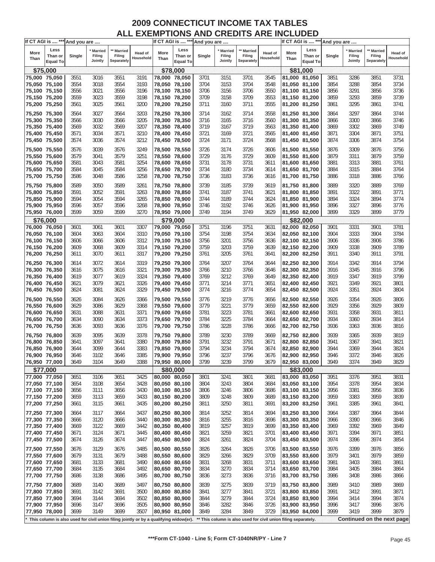| If CT AGI is  *** And you are |                            |        |                   |                                                                                       |                |               |                     | If CT AGI is  *** And you are |                   |                      |                                                                |               | If CT AGI is  *** And you are |        |                   |                            |           |
|-------------------------------|----------------------------|--------|-------------------|---------------------------------------------------------------------------------------|----------------|---------------|---------------------|-------------------------------|-------------------|----------------------|----------------------------------------------------------------|---------------|-------------------------------|--------|-------------------|----------------------------|-----------|
| More                          | Less                       |        | ' Married         | ** Married                                                                            | <b>Head of</b> | More          | Less                |                               | <b>Married</b>    | ** Married           | Head of                                                        | More          | Less                          |        | Married           | ** Married                 | Head of   |
| Than                          | Than or<br><b>Equal To</b> | Single | Filing<br>Jointly | Filing<br>Separately                                                                  | Household      | Than          | Than or<br>Equal To | Single                        | Filing<br>Jointly | Filing<br>Separately | Household                                                      | Than          | Than or<br><b>Equal To</b>    | Single | Filing<br>Jointly | Filing<br>Separately       | Household |
| \$75,000                      |                            |        |                   |                                                                                       |                |               | \$78,000            |                               |                   |                      |                                                                |               | \$81,000                      |        |                   |                            |           |
| 75,000 75,050                 |                            | 3551   | 3016              | 3551                                                                                  | 3191           | 78,000 78,050 |                     | 3701                          | 3151              | 3701                 | 3545                                                           |               | 81,000 81,050                 | 3851   | 3286              | 3851                       | 3731      |
| 75,050 75,100                 |                            | 3554   | 3018              | 3554                                                                                  | 3193           | 78,050 78,100 |                     | 3704                          | 3153              | 3704                 | 3548                                                           |               | 81,050 81,100                 | 3854   | 3288              | 3854                       | 3734      |
| 75,100 75,150                 |                            | 3556   | 3021              | 3556                                                                                  | 3196           | 78,100 78,150 |                     | 3706                          | 3156              | 3706                 | 3550                                                           |               | 81,100 81,150                 | 3856   | 3291              | 3856                       | 3736      |
| 75,150 75,200                 |                            | 3559   | 3023              | 3559                                                                                  | 3198           | 78,150 78,200 |                     | 3709                          | 3158              | 3709                 | 3553                                                           |               | 81,150 81,200                 | 3859   | 3293              | 3859                       | 3739      |
| 75,200 75,250                 |                            | 3561   | 3025              | 3561                                                                                  | 3200           | 78,200 78,250 |                     | 3711                          | 3160              | 3711                 | 3555                                                           |               | 81,200 81,250                 | 3861   | 3295              | 3861                       | 3741      |
| 75,250 75,300                 |                            | 3564   | 3027              | 3564                                                                                  | 3203           | 78,250 78,300 |                     | 3714                          | 3162              | 3714                 | 3558                                                           |               | 81,250 81,300                 | 3864   | 3297              | 3864                       | 3744      |
| 75,300 75,350                 |                            | 3566   | 3030              | 3566                                                                                  | 3205           | 78,300 78,350 |                     | 3716                          | 3165              | 3716                 | 3560                                                           |               | 81,300 81,350                 | 3866   | 3300              | 3866                       | 3746      |
| 75,350 75,400                 |                            | 3569   | 3032              | 3569                                                                                  | 3207           | 78,350 78,400 |                     | 3719                          | 3167              | 3719                 | 3563                                                           |               | 81,350 81,400                 | 3869   | 3302              | 3869                       | 3749      |
| 75,400 75,450                 |                            | 3571   | 3034              | 3571                                                                                  | 3210           | 78,400 78,450 |                     | 3721                          | 3169              | 3721                 | 3565                                                           |               | 81,400 81,450                 | 3871   | 3304              | 3871                       | 3751      |
| 75,450 75,500                 |                            | 3574   | 3036              | 3574                                                                                  | 3212           | 78,450 78,500 |                     | 3724                          | 3171              | 3724                 | 3568                                                           | 81,450 81,500 |                               | 3874   | 3306              | 3874                       | 3754      |
|                               |                            |        |                   |                                                                                       |                |               |                     |                               |                   |                      |                                                                |               |                               |        |                   |                            |           |
| 75,500 75,550                 |                            | 3576   | 3039              | 3576                                                                                  | 3249           | 78,500 78,550 |                     | 3726                          | 3174              | 3726                 | 3606                                                           |               | 81,500 81,550                 | 3876   | 3309              | 3876                       | 3756      |
| 75,550 75,600                 |                            | 3579   | 3041              | 3579                                                                                  | 3251           | 78,550 78,600 |                     | 3729                          | 3176              | 3729                 | 3609                                                           |               | 81,550 81,600                 | 3879   | 3311              | 3879                       | 3759      |
| 75,600 75,650                 |                            | 3581   | 3043              | 3581                                                                                  | 3254           | 78,600 78,650 |                     | 3731                          | 3178              | 3731                 | 3611                                                           |               | 81,600 81,650                 | 3881   | 3313              | 3881                       | 3761      |
| 75,650 75,700                 |                            | 3584   | 3045              | 3584                                                                                  | 3256           | 78,650 78,700 |                     | 3734                          | 3180              | 3734                 | 3614                                                           |               | 81,650 81,700                 | 3884   | 3315              | 3884                       | 3764      |
| 75,700 75,750                 |                            | 3586   | 3048              | 3586                                                                                  | 3258           | 78,700 78,750 |                     | 3736                          | 3183              | 3736                 | 3616                                                           |               | 81,700 81,750                 | 3886   | 3318              | 3886                       | 3766      |
| 75,750 75,800                 |                            | 3589   | 3050              | 3589                                                                                  | 3261           | 78,750 78,800 |                     | 3739                          | 3185              | 3739                 | 3619                                                           |               | 81,750 81,800                 | 3889   | 3320              | 3889                       | 3769      |
| 75,800 75,850                 |                            | 3591   | 3052              | 3591                                                                                  | 3263           | 78,800 78,850 |                     | 3741                          | 3187              | 3741                 | 3621                                                           |               | 81,800 81,850                 | 3891   | 3322              | 3891                       | 3771      |
| 75,850 75,900                 |                            | 3594   | 3054              | 3594                                                                                  | 3265           | 78,850 78,900 |                     | 3744                          | 3189              | 3744                 | 3624                                                           |               | 81,850 81,900                 | 3894   | 3324              | 3894                       | 3774      |
| 75,900 75,950                 |                            | 3596   | 3057              | 3596                                                                                  | 3268           | 78,900 78,950 |                     | 3746                          | 3192              | 3746                 | 3626                                                           |               | 81,900 81,950                 | 3896   | 3327              | 3896                       | 3776      |
| 75,950 76,000                 |                            | 3599   | 3059              | 3599                                                                                  | 3270           | 78,950 79,000 |                     | 3749                          | 3194              | 3749                 | 3629                                                           |               | 81,950 82,000                 | 3899   | 3329              | 3899                       | 3779      |
| \$76,000                      |                            |        |                   |                                                                                       |                |               | \$79,000            |                               |                   |                      |                                                                |               | \$82,000                      |        |                   |                            |           |
| 76,000 76,050                 |                            | 3601   | 3061              | 3601                                                                                  | 3307           | 79,000 79,050 |                     | 3751                          | 3196              | 3751                 | 3631                                                           |               | 82,000 82,050                 | 3901   | 3331              | 3901                       | 3781      |
| 76,050 76,100                 |                            | 3604   | 3063              | 3604                                                                                  | 3310           | 79,050 79,100 |                     | 3754                          | 3198              | 3754                 | 3634                                                           |               | 82,050 82,100                 | 3904   | 3333              | 3904                       | 3784      |
| 76,100 76,150                 |                            | 3606   | 3066              | 3606                                                                                  | 3312           | 79,100 79,150 |                     | 3756                          | 3201              | 3756                 | 3636                                                           |               | 82,100 82,150                 | 3906   | 3336              | 3906                       | 3786      |
| 76,150 76,200                 |                            | 3609   | 3068              | 3609                                                                                  | 3314           | 79,150 79,200 |                     | 3759                          | 3203              | 3759                 | 3639                                                           |               | 82,150 82,200                 | 3909   | 3338              | 3909                       | 3789      |
| 76,200 76,250                 |                            | 3611   | 3070              | 3611                                                                                  | 3317           | 79,200 79,250 |                     | 3761                          | 3205              | 3761                 | 3641                                                           | 82,200 82,250 |                               | 3911   | 3340              | 3911                       | 3791      |
|                               |                            |        |                   |                                                                                       |                |               |                     |                               |                   |                      |                                                                |               |                               |        |                   |                            |           |
| 76,250 76,300                 |                            | 3614   | 3072              | 3614                                                                                  | 3319           | 79,250 79,300 |                     | 3764                          | 3207              | 3764                 | 3644                                                           |               | 82,250 82,300                 | 3914   | 3342              | 3914                       | 3794      |
| 76,300 76,350                 |                            | 3616   | 3075              | 3616                                                                                  | 3321           | 79,300 79,350 |                     | 3766                          | 3210              | 3766                 | 3646                                                           |               | 82,300 82,350                 | 3916   | 3345              | 3916                       | 3796      |
| 76,350 76,400                 |                            | 3619   | 3077              | 3619                                                                                  | 3324           | 79,350 79,400 |                     | 3769                          | 3212              | 3769                 | 3649                                                           |               | 82,350 82,400                 | 3919   | 3347              | 3919                       | 3799      |
| 76,400 76,450                 |                            | 3621   | 3079              | 3621                                                                                  | 3326           | 79,400 79,450 |                     | 3771                          | 3214              | 3771                 | 3651                                                           |               | 82,400 82,450                 | 3921   | 3349              | 3921                       | 3801      |
| 76,450 76,500                 |                            | 3624   | 3081              | 3624                                                                                  | 3329           | 79,450 79,500 |                     | 3774                          | 3216              | 3774                 | 3654                                                           |               | 82,450 82,500                 | 3924   | 3351              | 3924                       | 3804      |
| 76,500 76,550                 |                            | 3626   | 3084              | 3626                                                                                  | 3366           | 79,500 79,550 |                     | 3776                          | 3219              | 3776                 | 3656                                                           |               | 82,500 82,550                 | 3926   | 3354              | 3926                       | 3806      |
| 76,550 76,600                 |                            | 3629   | 3086              | 3629                                                                                  | 3368           | 79,550 79,600 |                     | 3779                          | 3221              | 3779                 | 3659                                                           | 82,550 82,600 |                               | 3929   | 3356              | 3929                       | 3809      |
| 76,600 76,650                 |                            | 3631   | 3088              | 3631                                                                                  | 3371           | 79,600 79,650 |                     | 3781                          | 3223              | 3781                 | 3661                                                           |               | 82,600 82,650                 | 3931   | 3358              | 3931                       | 3811      |
| 76,650 76,700                 |                            | 3634   | 3090              | 3634                                                                                  | 3373           | 79,650 79,700 |                     | 3784                          | 3225              | 3784                 | 3664                                                           |               | 82,650 82,700                 | 3934   | 3360              | 3934                       | 3814      |
| 76,700 76,750                 |                            | 3636   | 3093              | 3636                                                                                  | 3376           | 79,700 79,750 |                     | 3786                          | 3228              | 3786                 | 3666                                                           |               | 82,700 82,750                 | 3936   | 3363              | 3936                       | 3816      |
| 76,750 76,800                 |                            | 3639   | 3095              | 3639                                                                                  | 3378           | 79,750 79,800 |                     | 3789                          | 3230              | 3789                 | 3669                                                           |               | 82,750 82,800                 | 3939   | 3365              | 3939                       | 3819      |
| 76,800 76,850                 |                            | 3641   | 3097              | 3641                                                                                  | 3380           | 79,800 79,850 |                     | 3791                          | 3232              | 3791                 | 3671                                                           |               | 82,800 82,850                 | 3941   | 3367              | 3941                       | 3821      |
| 76,850 76,900                 |                            | 3644   | 3099              | 3644                                                                                  | 3383           | 79,850 79,900 |                     | 3794                          | 3234              | 3794                 | 3674                                                           |               | 82,850 82,900                 | 3944   | 3369              | 3944                       | 3824      |
| 76,900 76,950                 |                            | 3646   | 3102              | 3646                                                                                  | 3385           | 79,900 79,950 |                     | 3796                          | 3237              | 3796                 | 3676                                                           |               | 82,900 82,950                 | 3946   | 3372              | 3946                       | 3826      |
| 76,950 77,000                 |                            | 3649   | 3104              | 3649                                                                                  | 3388           | 79,950 80,000 |                     | 3799                          | 3239              | 3799                 | 3679                                                           |               | 82,950 83,000                 | 3949   | 3374              | 3949                       | 3829      |
| \$77,000                      |                            |        |                   |                                                                                       |                |               | \$80,000            |                               |                   |                      |                                                                |               | \$83,000                      |        |                   |                            |           |
| 77,000 77,050                 |                            | 3651   | 3106              | 3651                                                                                  | 3425           | 80,000 80,050 |                     | 3801                          | 3241              | 3801                 | 3681                                                           |               | 83,000 83,050                 | 3951   | 3376              | 3951                       | 3831      |
| 77,050 77,100                 |                            | 3654   | 3108              | 3654                                                                                  | 3428           | 80,050 80,100 |                     | 3804                          | 3243              | 3804                 | 3684                                                           |               | 83,050 83,100                 | 3954   | 3378              | 3954                       | 3834      |
| 77,100 77,150                 |                            | 3656   | 3111              | 3656                                                                                  | 3430           | 80,100 80,150 |                     | 3806                          | 3246              | 3806                 | 3686                                                           | 83,100 83,150 |                               | 3956   | 3381              | 3956                       | 3836      |
| 77,150 77,200                 |                            | 3659   | 3113              | 3659                                                                                  | 3433           | 80,150 80,200 |                     | 3809                          | 3248              | 3809                 | 3689                                                           |               | 83,150 83,200                 | 3959   | 3383              | 3959                       | 3839      |
| 77,200 77,250                 |                            | 3661   | 3115              | 3661                                                                                  | 3435           | 80,200 80,250 |                     | 3811                          | 3250              | 3811                 | 3691                                                           | 83,200 83,250 |                               | 3961   | 3385              | 3961                       | 3841      |
|                               |                            |        |                   |                                                                                       |                |               |                     |                               |                   |                      |                                                                |               |                               |        |                   |                            |           |
| 77,250 77,300                 |                            | 3664   | 3117              | 3664                                                                                  | 3437           | 80,250 80,300 |                     | 3814                          | 3252              | 3814                 | 3694                                                           |               | 83,250 83,300                 | 3964   | 3387              | 3964                       | 3844      |
| 77,300 77,350                 |                            | 3666   | 3120              | 3666                                                                                  | 3440           | 80,300 80,350 |                     | 3816                          | 3255              | 3816                 | 3696                                                           |               | 83,300 83,350                 | 3966   | 3390              | 3966                       | 3846      |
| 77,350 77,400                 |                            | 3669   | 3122              | 3669                                                                                  | 3442           | 80,350 80,400 |                     | 3819                          | 3257              | 3819                 | 3699                                                           |               | 83,350 83,400                 | 3969   | 3392              | 3969                       | 3849      |
| 77,400 77,450                 |                            | 3671   | 3124              | 3671                                                                                  | 3445           | 80,400 80,450 |                     | 3821                          | 3259              | 3821                 | 3701                                                           |               | 83,400 83,450                 | 3971   | 3394              | 3971                       | 3851      |
| 77,450 77,500                 |                            | 3674   | 3126              | 3674                                                                                  | 3447           | 80,450 80,500 |                     | 3824                          | 3261              | 3824                 | 3704                                                           |               | 83,450 83,500                 | 3974   | 3396              | 3974                       | 3854      |
| 77,500 77,550                 |                            | 3676   | 3129              | 3676                                                                                  | 3485           | 80,500 80,550 |                     | 3826                          | 3264              | 3826                 | 3706                                                           | 83,500 83,550 |                               | 3976   | 3399              | 3976                       | 3856      |
| 77,550 77,600                 |                            | 3679   | 3131              | 3679                                                                                  | 3488           | 80,550 80,600 |                     | 3829                          | 3266              | 3829                 | 3709                                                           |               | 83,550 83,600                 | 3979   | 3401              | 3979                       | 3859      |
| 77,600 77,650                 |                            | 3681   | 3133              | 3681                                                                                  | 3490           | 80,600 80,650 |                     | 3831                          | 3268              | 3831                 | 3711                                                           |               | 83,600 83,650                 | 3981   | 3403              | 3981                       | 3861      |
| 77,650 77,700                 |                            | 3684   | 3135              | 3684                                                                                  | 3492           | 80,650 80,700 |                     | 3834                          | 3270              | 3834                 | 3714                                                           |               | 83,650 83,700                 | 3984   | 3405              | 3984                       | 3864      |
| 77,700 77,750                 |                            | 3686   | 3138              | 3686                                                                                  | 3495           | 80,700 80,750 |                     | 3836                          | 3273              | 3836                 | 3716                                                           | 83,700 83,750 |                               | 3986   | 3408              | 3986                       | 3866      |
|                               |                            |        |                   |                                                                                       |                |               |                     |                               |                   |                      |                                                                |               |                               |        |                   |                            |           |
| 77,750 77,800                 |                            | 3689   | 3140              | 3689                                                                                  | 3497           | 80,750 80,800 |                     | 3839                          | 3275              | 3839                 | 3719                                                           | 83,750 83,800 |                               | 3989   | 3410              | 3989                       | 3869      |
| 77,800 77,850                 |                            | 3691   | 3142              | 3691                                                                                  | 3500           | 80,800 80,850 |                     | 3841                          | 3277              | 3841                 | 3721                                                           |               | 83,800 83,850                 | 3991   | 3412              | 3991                       | 3871      |
| 77,850 77,900                 |                            | 3694   | 3144              | 3694                                                                                  | 3502           | 80,850 80,900 |                     | 3844                          | 3279              | 3844                 | 3724                                                           |               | 83,850 83,900                 | 3994   | 3414              | 3994                       | 3874      |
| 77,900 77,950                 |                            | 3696   | 3147              | 3696                                                                                  | 3505           | 80,900 80,950 |                     | 3846                          | 3282              | 3846                 | 3726                                                           | 83,900 83,950 |                               | 3996   | 3417              | 3996                       | 3876      |
| 77,950 78,000                 |                            | 3699   | 3149              | 3699                                                                                  | 3507           | 80,950 81,000 |                     | 3849                          | 3284              | 3849                 | 3729                                                           | 83,950 84,000 |                               | 3999   | 3419              | 3999                       | 3879      |
|                               |                            |        |                   | This column is also used for civil union filing jointly or by a qualifying widow(er). |                |               |                     |                               |                   |                      | ** This column is also used for civil union filing separately. |               |                               |        |                   | Continued on the next page |           |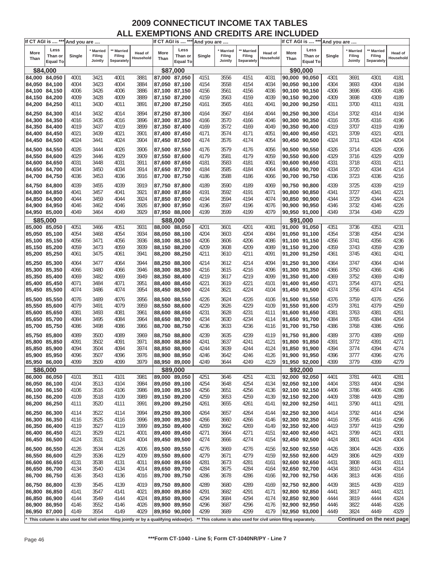| If CT AGI is  *** And you are  |                                    |              |                                     |                                                                                       |                      |                                | If CT AGI is  *** And you are      |              |                              |                                                                |                             |              | If CT AGI is  *** And you are      |              |                                     |                                 |                      |
|--------------------------------|------------------------------------|--------------|-------------------------------------|---------------------------------------------------------------------------------------|----------------------|--------------------------------|------------------------------------|--------------|------------------------------|----------------------------------------------------------------|-----------------------------|--------------|------------------------------------|--------------|-------------------------------------|---------------------------------|----------------------|
| More<br>Than                   | Less<br>Than or<br><b>Equal To</b> | Single       | <b>Married</b><br>Filing<br>Jointly | ** Married<br>Filing<br>Separately                                                    | Head of<br>Household | More<br>Than                   | Less<br>Than or<br><b>Equal To</b> | Single       | Married<br>Filing<br>Jointly | ** Married<br>Filing<br>Separately                             | <b>Head of</b><br>Household | More<br>Than | Less<br>Than or<br><b>Equal To</b> | Single       | <b>Married</b><br>Filing<br>Jointly | Married<br>Filing<br>Separately | Head of<br>Household |
|                                | \$84,000                           |              |                                     |                                                                                       |                      |                                | \$87,000                           |              |                              |                                                                |                             |              | \$90,000                           |              |                                     |                                 |                      |
|                                |                                    |              |                                     | 4001                                                                                  | 3881                 |                                |                                    |              |                              |                                                                | 4031                        |              |                                    |              | 3691                                | 4301                            | 4181                 |
| 84,000 84,050<br>84,050 84,100 |                                    | 4001<br>4004 | 3421<br>3423                        | 4004                                                                                  | 3884                 | 87,000 87,050                  |                                    | 4151         | 3556<br>3558                 | 4151<br>4154                                                   | 4034                        |              | 90,000 90,050<br>90,050 90,100     | 4301         | 3693                                | 4304                            | 4184                 |
|                                |                                    |              |                                     |                                                                                       |                      | 87,050 87,100                  |                                    | 4154         |                              |                                                                |                             |              |                                    | 4304         |                                     |                                 |                      |
| 84,100 84,150                  |                                    | 4006         | 3426                                | 4006                                                                                  | 3886                 | 87,100 87,150                  |                                    | 4156         | 3561                         | 4156                                                           | 4036                        |              | 90,100 90,150                      | 4306         | 3696                                | 4306                            | 4186                 |
| 84,150 84,200                  |                                    | 4009         | 3428                                | 4009                                                                                  | 3889                 | 87,150 87,200                  |                                    | 4159         | 3563                         | 4159                                                           | 4039                        |              | 90,150 90,200                      | 4309         | 3698                                | 4309                            | 4189                 |
| 84,200 84,250                  |                                    | 4011         | 3430                                | 4011                                                                                  | 3891                 | 87,200 87,250                  |                                    | 4161         | 3565                         | 4161                                                           | 4041                        |              | 90,200 90,250                      | 4311         | 3700                                | 4311                            | 4191                 |
| 84,250 84,300                  |                                    | 4014         | 3432                                | 4014                                                                                  | 3894                 | 87,250 87,300                  |                                    | 4164         | 3567                         | 4164                                                           | 4044                        |              | 90,250 90,300                      | 4314         | 3702                                | 4314                            | 4194                 |
| 84,300 84,350                  |                                    | 4016         | 3435                                | 4016                                                                                  | 3896                 | 87,300 87,350                  |                                    | 4166         | 3570                         | 4166                                                           | 4046                        |              | 90,300 90,350                      | 4316         | 3705                                | 4316                            | 4196                 |
| 84,350 84,400                  |                                    | 4019         | 3437                                | 4019                                                                                  | 3899                 | 87,350 87,400                  |                                    | 4169         | 3572                         | 4169                                                           | 4049                        |              | 90,350 90,400                      | 4319         | 3707                                | 4319                            | 4199                 |
| 84,400 84,450                  |                                    | 4021         | 3439                                | 4021                                                                                  | 3901                 | 87,400 87,450                  |                                    | 4171         | 3574                         | 4171                                                           | 4051                        |              | 90,400 90,450                      | 4321         | 3709                                | 4321                            | 4201                 |
| 84,450 84,500                  |                                    | 4024         | 3441                                | 4024                                                                                  | 3904                 | 87,450 87,500                  |                                    | 4174         | 3576                         | 4174                                                           | 4054                        |              | 90,450 90,500                      | 4324         | 3711                                | 4324                            | 4204                 |
|                                |                                    |              | 3444                                |                                                                                       | 3906                 |                                |                                    |              | 3579                         |                                                                |                             |              | 90,500 90,550                      |              |                                     |                                 | 4206                 |
| 84,500 84,550                  |                                    | 4026         |                                     | 4026                                                                                  |                      | 87,500 87,550                  |                                    | 4176         |                              | 4176                                                           | 4056                        |              |                                    | 4326         | 3714                                | 4326                            |                      |
| 84,550 84,600                  |                                    | 4029         | 3446                                | 4029                                                                                  | 3909                 | 87,550 87,600                  |                                    | 4179         | 3581                         | 4179                                                           | 4059                        |              | 90,550 90,600                      | 4329         | 3716                                | 4329                            | 4209                 |
| 84,600 84,650                  |                                    | 4031         | 3448                                | 4031                                                                                  | 3911                 | 87,600 87,650                  |                                    | 4181         | 3583                         | 4181                                                           | 4061                        |              | 90,600 90,650                      | 4331         | 3718                                | 4331                            | 4211                 |
| 84,650 84,700                  |                                    | 4034         | 3450                                | 4034                                                                                  | 3914                 | 87,650 87,700                  |                                    | 4184         | 3585                         | 4184                                                           | 4064                        |              | 90,650 90,700                      | 4334         | 3720                                | 4334                            | 4214                 |
| 84,700 84,750                  |                                    | 4036         | 3453                                | 4036                                                                                  | 3916                 | 87,700 87,750                  |                                    | 4186         | 3588                         | 4186                                                           | 4066                        |              | 90,700 90,750                      | 4336         | 3723                                | 4336                            | 4216                 |
| 84,750 84,800                  |                                    | 4039         | 3455                                | 4039                                                                                  | 3919                 | 87,750 87,800                  |                                    | 4189         | 3590                         | 4189                                                           | 4069                        |              | 90,750 90,800                      | 4339         | 3725                                | 4339                            | 4219                 |
| 84,800 84,850                  |                                    | 4041         | 3457                                | 4041                                                                                  | 3921                 | 87,800 87,850                  |                                    | 4191         | 3592                         | 4191                                                           | 4071                        |              | 90,800 90,850                      | 4341         | 3727                                | 4341                            | 4221                 |
| 84,850 84,900                  |                                    | 4044         | 3459                                | 4044                                                                                  | 3924                 | 87,850 87,900                  |                                    | 4194         | 3594                         | 4194                                                           | 4074                        |              | 90,850 90,900                      | 4344         | 3729                                | 4344                            | 4224                 |
| 84,900 84,950                  |                                    | 4046         | 3462                                | 4046                                                                                  | 3926                 | 87,900 87,950                  |                                    | 4196         | 3597                         | 4196                                                           | 4076                        |              | 90,900 90,950                      | 4346         | 3732                                | 4346                            | 4226                 |
| 84,950 85,000                  |                                    | 4049         | 3464                                | 4049                                                                                  | 3929                 | 87,950 88,000                  |                                    | 4199         | 3599                         | 4199                                                           | 4079                        |              | 90,950 91,000                      | 4349         | 3734                                | 4349                            | 4229                 |
|                                | \$85,000                           |              |                                     |                                                                                       |                      |                                | \$88,000                           |              |                              |                                                                |                             |              | \$91,000                           |              |                                     |                                 |                      |
| 85,000 85,050                  |                                    | 4051         | 3466                                | 4051                                                                                  | 3931                 | 88,000 88,050                  |                                    | 4201         | 3601                         | 4201                                                           | 4081                        |              | 91,000 91,050                      | 4351         | 3736                                | 4351                            | 4231                 |
| 85,050 85,100                  |                                    | 4054         | 3468                                | 4054                                                                                  | 3934                 | 88,050 88,100                  |                                    | 4204         | 3603                         | 4204                                                           | 4084                        |              | 91,050 91,100                      | 4354         | 3738                                | 4354                            | 4234                 |
| 85,100 85,150                  |                                    | 4056         | 3471                                | 4056                                                                                  | 3936                 | 88,100 88,150                  |                                    | 4206         | 3606                         | 4206                                                           | 4086                        |              | 91,100 91,150                      | 4356         | 3741                                | 4356                            | 4236                 |
| 85,150 85,200                  |                                    | 4059         | 3473                                | 4059                                                                                  | 3939                 | 88,150 88,200                  |                                    | 4209         | 3608                         | 4209                                                           | 4089                        |              | 91,150 91,200                      | 4359         | 3743                                | 4359                            | 4239                 |
| 85,200 85,250                  |                                    | 4061         | 3475                                | 4061                                                                                  | 3941                 | 88,200 88,250                  |                                    | 4211         | 3610                         | 4211                                                           | 4091                        |              | 91,200 91,250                      | 4361         | 3745                                | 4361                            | 4241                 |
| 85,250 85,300                  |                                    | 4064         | 3477                                | 4064                                                                                  | 3944                 | 88,250 88,300                  |                                    | 4214         | 3612                         | 4214                                                           | 4094                        |              | 91,250 91,300                      | 4364         | 3747                                | 4364                            | 4244                 |
| 85,300 85,350                  |                                    | 4066         | 3480                                | 4066                                                                                  | 3946                 | 88,300 88,350                  |                                    | 4216         | 3615                         | 4216                                                           | 4096                        |              | 91,300 91,350                      | 4366         | 3750                                | 4366                            | 4246                 |
| 85,350 85,400                  |                                    | 4069         | 3482                                | 4069                                                                                  | 3949                 | 88,350 88,400                  |                                    | 4219         | 3617                         | 4219                                                           | 4099                        |              | 91,350 91,400                      | 4369         | 3752                                | 4369                            | 4249                 |
|                                |                                    | 4071         | 3484                                |                                                                                       | 3951                 |                                |                                    | 4221         | 3619                         | 4221                                                           | 4101                        |              |                                    | 4371         | 3754                                | 4371                            | 4251                 |
| 85,400 85,450<br>85,450 85,500 |                                    | 4074         | 3486                                | 4071<br>4074                                                                          | 3954                 | 88,400 88,450<br>88,450 88,500 |                                    | 4224         | 3621                         | 4224                                                           | 4104                        |              | 91,400 91,450<br>91,450 91,500     | 4374         | 3756                                | 4374                            | 4254                 |
|                                |                                    |              |                                     |                                                                                       |                      |                                |                                    |              |                              |                                                                |                             |              |                                    |              |                                     |                                 |                      |
| 85,500 85,550                  |                                    | 4076         | 3489                                | 4076                                                                                  | 3956                 | 88,500 88,550                  |                                    | 4226         | 3624                         | 4226                                                           | 4106                        |              | 91,500 91,550                      | 4376         | 3759                                | 4376                            | 4256                 |
| 85,550 85,600                  |                                    | 4079         | 3491                                | 4079                                                                                  | 3959                 | 88,550 88,600                  |                                    | 4229         | 3626                         | 4229                                                           | 4109                        |              | 91,550 91,600                      | 4379         | 3761                                | 4379                            | 4259                 |
| 85,600 85,650                  |                                    | 4081         | 3493                                | 4081                                                                                  | 3961                 | 88,600 88,650                  |                                    | 4231         | 3628                         | 4231                                                           | 4111                        |              | 91,600 91,650                      | 4381         | 3763                                | 4381                            | 4261                 |
| 85,650 85,700                  |                                    | 4084         | 3495                                | 4084                                                                                  | 3964                 | 88,650 88,700                  |                                    | 4234         | 3630                         | 4234                                                           | 4114                        |              | 91,650 91,700                      | 4384         | 3765                                | 4384                            | 4264                 |
| 85,700 85,750                  |                                    | 4086         | 3498                                | 4086                                                                                  | 3966                 | 88,700 88,750                  |                                    | 4236         | 3633                         | 4236                                                           | 4116                        |              | 91,700 91,750                      | 4386         | 3768                                | 4386                            | 4266                 |
| 85,750 85,800                  |                                    | 4089         | 3500                                | 4089                                                                                  | 3969                 | 88,750 88,800                  |                                    | 4239         | 3635                         | 4239                                                           | 4119                        |              | 91,750 91,800                      | 4389         | 3770                                | 4389                            | 4269                 |
| 85,800 85,850                  |                                    | 4091         | 3502                                | 4091                                                                                  | 3971                 | 88,800 88,850                  |                                    | 4241         | 3637                         | 4241                                                           | 4121                        |              | 91,800 91,850                      | 4391         | 3772                                | 4391                            | 4271                 |
| 85,850 85,900                  |                                    | 4094         | 3504                                | 4094                                                                                  | 3974                 | 88,850 88,900                  |                                    | 4244         | 3639                         | 4244                                                           | 4124                        |              | 91,850 91,900                      | 4394         | 3774                                | 4394                            | 4274                 |
| 85,900 85,950                  |                                    | 4096         | 3507                                | 4096                                                                                  | 3976                 | 88.900 88.950                  |                                    | 4246         | 3642                         | 4246                                                           | 4126                        |              | 91,900 91,950                      | 4396         | 3777                                | 4396                            | 4276                 |
| 85,950 86,000                  |                                    | 4099         | 3509                                | 4099                                                                                  | 3979                 | 88,950 89,000                  |                                    | 4249         | 3644                         | 4249                                                           | 4129                        |              | 91,950 92,000                      | 4399         | 3779                                | 4399                            | 4279                 |
|                                | \$86,000                           |              |                                     |                                                                                       |                      |                                | \$89,000                           |              |                              |                                                                |                             |              | \$92,000                           |              |                                     |                                 |                      |
| 86,000 86,050                  |                                    | 4101         | 3511                                | 4101                                                                                  | 3981                 | 89,000 89,050                  |                                    | 4251         | 3646                         | 4251                                                           | 4131                        |              | 92,000 92,050                      | 4401         | 3781                                | 4401                            | 4281                 |
| 86,050 86,100                  |                                    | 4104         | 3513                                | 4104                                                                                  | 3984                 | 89,050 89,100                  |                                    | 4254         | 3648                         | 4254                                                           | 4134                        |              | 92,050 92,100                      | 4404         | 3783                                | 4404                            | 4284                 |
| 86,100 86,150                  |                                    | 4106         | 3516                                | 4106                                                                                  | 3986                 | 89,100 89,150                  |                                    | 4256         | 3651                         | 4256                                                           | 4136                        |              | 92,100 92,150                      | 4406         | 3786                                | 4406                            | 4286                 |
| 86,150 86,200                  |                                    | 4109         | 3518                                | 4109                                                                                  | 3989                 | 89,150 89,200                  |                                    | 4259         | 3653                         | 4259                                                           | 4139                        |              | 92,150 92,200                      | 4409         | 3788                                | 4409                            | 4289                 |
| 86,200 86,250                  |                                    | 4111         | 3520                                | 4111                                                                                  | 3991                 | 89,200 89,250                  |                                    | 4261         | 3655                         | 4261                                                           | 4141                        |              | 92,200 92,250                      | 4411         | 3790                                | 4411                            | 4291                 |
|                                |                                    |              |                                     |                                                                                       |                      |                                |                                    |              |                              |                                                                |                             |              |                                    |              |                                     |                                 |                      |
| 86,250 86,300<br>86,300 86,350 |                                    | 4114<br>4116 | 3522<br>3525                        | 4114<br>4116                                                                          | 3994<br>3996         | 89,250 89,300<br>89,300 89,350 |                                    | 4264<br>4266 | 3657<br>3660                 | 4264<br>4266                                                   | 4144<br>4146                |              | 92,250 92,300<br>92,300 92,350     | 4414<br>4416 | 3792<br>3795                        | 4414<br>4416                    | 4294<br>4296         |
| 86,350 86,400                  |                                    | 4119         | 3527                                | 4119                                                                                  | 3999                 | 89,350 89,400                  |                                    | 4269         | 3662                         | 4269                                                           | 4149                        |              | 92,350 92,400                      | 4419         | 3797                                | 4419                            | 4299                 |
|                                |                                    |              |                                     |                                                                                       |                      |                                |                                    |              |                              |                                                                |                             |              |                                    |              |                                     |                                 |                      |
| 86,400 86,450                  |                                    | 4121<br>4124 | 3529<br>3531                        | 4121<br>4124                                                                          | 4001<br>4004         | 89,400 89,450<br>89,450 89,500 |                                    | 4271<br>4274 | 3664<br>3666                 | 4271<br>4274                                                   | 4151<br>4154                |              | 92,400 92,450<br>92,450 92,500     | 4421<br>4424 | 3799<br>3801                        | 4421<br>4424                    | 4301<br>4304         |
| 86,450 86,500                  |                                    |              |                                     |                                                                                       |                      |                                |                                    |              |                              |                                                                |                             |              |                                    |              |                                     |                                 |                      |
| 86,500 86,550                  |                                    | 4126         | 3534                                | 4126                                                                                  | 4006                 | 89,500 89,550                  |                                    | 4276         | 3669                         | 4276                                                           | 4156                        |              | 92,500 92,550                      | 4426         | 3804                                | 4426                            | 4306                 |
| 86,550 86,600                  |                                    | 4129         | 3536                                | 4129                                                                                  | 4009                 | 89,550 89,600                  |                                    | 4279         | 3671                         | 4279                                                           | 4159                        |              | 92,550 92,600                      | 4429         | 3806                                | 4429                            | 4309                 |
| 86,600 86,650                  |                                    | 4131         | 3538                                | 4131                                                                                  | 4011                 | 89,600 89,650                  |                                    | 4281         | 3673                         | 4281                                                           | 4161                        |              | 92,600 92,650                      | 4431         | 3808                                | 4431                            | 4311                 |
| 86,650 86,700                  |                                    | 4134         | 3540                                | 4134                                                                                  | 4014                 | 89,650 89,700                  |                                    | 4284         | 3675                         | 4284                                                           | 4164                        |              | 92,650 92,700                      | 4434         | 3810                                | 4434                            | 4314                 |
| 86,700 86,750                  |                                    | 4136         | 3543                                | 4136                                                                                  | 4016                 | 89,700 89,750                  |                                    | 4286         | 3678                         | 4286                                                           | 4166                        |              | 92,700 92,750                      | 4436         | 3813                                | 4436                            | 4316                 |
| 86,750 86,800                  |                                    | 4139         | 3545                                | 4139                                                                                  | 4019                 | 89,750 89,800                  |                                    | 4289         | 3680                         | 4289                                                           | 4169                        |              | 92,750 92,800                      | 4439         | 3815                                | 4439                            | 4319                 |
| 86,800 86,850                  |                                    | 4141         | 3547                                | 4141                                                                                  | 4021                 | 89,800 89,850                  |                                    | 4291         | 3682                         | 4291                                                           | 4171                        |              | 92,800 92,850                      | 4441         | 3817                                | 4441                            | 4321                 |
| 86,850 86,900                  |                                    | 4144         | 3549                                | 4144                                                                                  | 4024                 | 89,850 89,900                  |                                    | 4294         | 3684                         | 4294                                                           | 4174                        |              | 92,850 92,900                      | 4444         | 3819                                | 4444                            | 4324                 |
| 86,900 86,950                  |                                    | 4146         | 3552                                | 4146                                                                                  | 4026                 | 89,900 89,950                  |                                    | 4296         | 3687                         | 4296                                                           | 4176                        |              | 92,900 92,950                      | 4446         | 3822                                | 4446                            | 4326                 |
| 86,950 87,000                  |                                    | 4149         | 3554                                | 4149                                                                                  | 4029                 | 89,950 90,000                  |                                    | 4299         | 3689                         | 4299                                                           | 4179                        |              | 92,950 93,000                      | 4449         | 3824                                | 4449                            | 4329                 |
|                                |                                    |              |                                     | This column is also used for civil union filing jointly or by a qualifying widow(er). |                      |                                |                                    |              |                              | ** This column is also used for civil union filing separately. |                             |              |                                    |              |                                     | Continued on the next page      |                      |
|                                |                                    |              |                                     |                                                                                       |                      |                                |                                    |              |                              |                                                                |                             |              |                                    |              |                                     |                                 |                      |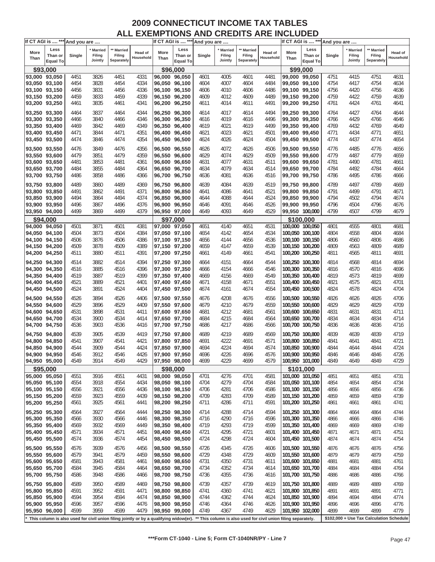| If CT AGI is  *** And you are |                                                                                                                                                                                                                                                                           |        |                |            |                      |               |                 | If CT AGI is  *** And you are |           |            |                      |      | If CT AGI is  *** And you are |        |                                          |            |                      |
|-------------------------------|---------------------------------------------------------------------------------------------------------------------------------------------------------------------------------------------------------------------------------------------------------------------------|--------|----------------|------------|----------------------|---------------|-----------------|-------------------------------|-----------|------------|----------------------|------|-------------------------------|--------|------------------------------------------|------------|----------------------|
| More                          | Less                                                                                                                                                                                                                                                                      |        | <b>Married</b> | ** Married |                      | More          | Less            |                               | * Married | ** Married |                      | More | Less                          |        | <b>Married</b>                           | ** Married |                      |
| Than                          | Than or                                                                                                                                                                                                                                                                   | Single | Filing         | Filing     | Head of<br>Household | Than          | Than or         | Single                        | Filing    | Filing     | Head of<br>Household | Than | Than or                       | Single | Filing                                   | Filing     | Head of<br>Household |
|                               | <b>Equal To</b>                                                                                                                                                                                                                                                           |        | Jointly        | Separately |                      |               | <b>Equal To</b> |                               | Jointly   | Separately |                      |      | <b>Equal To</b>               |        | Jointly                                  | Separately |                      |
| \$93,000                      |                                                                                                                                                                                                                                                                           |        |                |            |                      | \$96,000      |                 |                               |           |            |                      |      | \$99,000                      |        |                                          |            |                      |
| 93,000 93,050                 |                                                                                                                                                                                                                                                                           | 4451   | 3826           | 4451       | 4331                 | 96,000 96,050 |                 | 4601                          | 4005      | 4601       | 4481                 |      | 99,000 99,050                 | 4751   | 4415                                     | 4751       | 4631                 |
| 93,050 93,100                 |                                                                                                                                                                                                                                                                           | 4454   | 3828           | 4454       | 4334                 | 96.050 96,100 |                 | 4604                          | 4007      | 4604       | 4484                 |      | 99,050 99,100                 | 4754   | 4417                                     | 4754       | 4634                 |
| 93,100 93,150                 |                                                                                                                                                                                                                                                                           | 4456   | 3831           | 4456       | 4336                 | 96,100 96,150 |                 | 4606                          | 4010      | 4606       | 4486                 |      | 99,100 99,150                 | 4756   | 4420                                     | 4756       | 4636                 |
| 93,150 93,200                 |                                                                                                                                                                                                                                                                           | 4459   | 3833           | 4459       | 4339                 | 96,150 96,200 |                 | 4609                          | 4012      | 4609       | 4489                 |      | 99,150 99,200                 | 4759   | 4422                                     | 4759       | 4639                 |
| 93,200 93,250                 |                                                                                                                                                                                                                                                                           | 4461   | 3835           | 4461       | 4341                 | 96,200 96,250 |                 | 4611                          | 4014      | 4611       | 4491                 |      | 99,200 99,250                 | 4761   | 4424                                     | 4761       | 4641                 |
|                               |                                                                                                                                                                                                                                                                           |        |                |            |                      |               |                 |                               |           |            |                      |      |                               |        |                                          |            |                      |
| 93,250 93,300                 |                                                                                                                                                                                                                                                                           | 4464   | 3837           | 4464       | 4344                 | 96,250 96,300 |                 | 4614                          | 4017      | 4614       | 4494                 |      | 99,250 99,300                 | 4764   | 4427                                     | 4764       | 4644                 |
| 93,300 93,350                 |                                                                                                                                                                                                                                                                           | 4466   | 3840           | 4466       | 4346                 | 96,300 96,350 |                 | 4616                          | 4019      | 4616       | 4496                 |      | 99,300 99,350                 | 4766   | 4429                                     | 4766       | 4646                 |
| 93,350 93,400                 |                                                                                                                                                                                                                                                                           | 4469   | 3842           | 4469       | 4349                 | 96.350 96.400 |                 | 4619                          | 4021      | 4619       | 4499                 |      | 99,350 99,400                 | 4769   | 4432                                     | 4769       | 4649                 |
| 93,400 93,450                 |                                                                                                                                                                                                                                                                           | 4471   | 3844           | 4471       | 4351                 | 96,400 96,450 |                 | 4621                          | 4023      | 4621       | 4501                 |      | 99,400 99,450                 | 4771   | 4434                                     | 4771       | 4651                 |
| 93,450 93,500                 |                                                                                                                                                                                                                                                                           | 4474   | 3846           | 4474       | 4354                 | 96,450 96,500 |                 | 4624                          | 4026      | 4624       | 4504                 |      | 99,450 99,500                 | 4774   | 4437                                     | 4774       | 4654                 |
| 93,500 93,550                 |                                                                                                                                                                                                                                                                           | 4476   | 3849           | 4476       | 4356                 | 96,500 96,550 |                 | 4626                          | 4072      | 4626       | 4506                 |      | 99,500 99,550                 | 4776   | 4485                                     | 4776       | 4656                 |
| 93,550 93,600                 |                                                                                                                                                                                                                                                                           | 4479   | 3851           | 4479       | 4359                 | 96,550 96,600 |                 | 4629                          | 4074      | 4629       | 4509                 |      | 99,550 99,600                 | 4779   | 4487                                     | 4779       | 4659                 |
| 93,600 93,650                 |                                                                                                                                                                                                                                                                           | 4481   | 3853           | 4481       | 4361                 | 96,600 96,650 |                 | 4631                          | 4077      | 4631       | 4511                 |      | 99,600 99,650                 | 4781   | 4490                                     | 4781       | 4661                 |
| 93,650 93,700                 |                                                                                                                                                                                                                                                                           | 4484   | 3855           | 4484       | 4364                 | 96,650 96,700 |                 | 4634                          | 4079      | 4634       | 4514                 |      | 99,650 99,700                 | 4784   | 4492                                     | 4784       | 4664                 |
| 93,700 93,750                 |                                                                                                                                                                                                                                                                           | 4486   | 3858           | 4486       | 4366                 | 96,700 96,750 |                 | 4636                          | 4081      | 4636       | 4516                 |      | 99,700 99,750                 | 4786   | 4495                                     | 4786       | 4666                 |
|                               |                                                                                                                                                                                                                                                                           |        |                |            |                      |               |                 |                               |           |            |                      |      |                               |        |                                          |            |                      |
| 93,750 93,800                 |                                                                                                                                                                                                                                                                           | 4489   | 3860           | 4489       | 4369                 | 96,750 96,800 |                 | 4639                          | 4084      | 4639       | 4519                 |      | 99,750 99,800                 | 4789   | 4497                                     | 4789       | 4669                 |
| 93,800 93,850                 |                                                                                                                                                                                                                                                                           | 4491   | 3862           | 4491       | 4371                 | 96,800 96,850 |                 | 4641                          | 4086      | 4641       | 4521                 |      | 99,800 99,850                 | 4791   | 4499                                     | 4791       | 4671                 |
| 93,850 93,900                 |                                                                                                                                                                                                                                                                           | 4494   | 3864           | 4494       | 4374                 | 96,850 96,900 |                 | 4644                          | 4088      | 4644       | 4524                 |      | 99,850 99,900                 | 4794   | 4502                                     | 4794       | 4674                 |
| 93,900 93,950                 |                                                                                                                                                                                                                                                                           | 4496   | 3867           | 4496       | 4376                 | 96,900 96,950 |                 | 4646                          | 4091      | 4646       | 4526                 |      | 99,900 99,950                 | 4796   | 4504                                     | 4796       | 4676                 |
| 93,950 94,000                 |                                                                                                                                                                                                                                                                           | 4499   | 3869           | 4499       | 4379                 | 96,950 97,000 |                 | 4649                          | 4093      | 4649       | 4529                 |      | 99,950 100,000                | 4799   | 4507                                     | 4799       | 4679                 |
| \$94,000                      |                                                                                                                                                                                                                                                                           |        |                |            |                      |               | \$97,000        |                               |           |            |                      |      | \$100,000                     |        |                                          |            |                      |
| 94,000 94,050                 |                                                                                                                                                                                                                                                                           | 4501   | 3871           | 4501       | 4381                 | 97.000 97.050 |                 | 4651                          | 4140      | 4651       | 4531                 |      | 100,000 100,050               | 4801   | 4555                                     | 4801       | 4681                 |
| 94,050 94,100                 |                                                                                                                                                                                                                                                                           | 4504   | 3873           | 4504       | 4384                 | 97,050 97,100 |                 | 4654                          | 4142      | 4654       | 4534                 |      | 100,050 100,100               | 4804   | 4558                                     | 4804       | 4684                 |
| 94,100 94,150                 |                                                                                                                                                                                                                                                                           | 4506   | 3876           | 4506       | 4386                 | 97,100 97,150 |                 | 4656                          | 4144      | 4656       | 4536                 |      | 100,100 100,150               | 4806   | 4560                                     | 4806       | 4686                 |
| 94,150 94,200                 |                                                                                                                                                                                                                                                                           | 4509   | 3878           | 4509       | 4389                 | 97,150 97,200 |                 | 4659                          | 4147      | 4659       | 4539                 |      | 100,150 100,200               | 4809   | 4563                                     | 4809       | 4689                 |
| 94,200 94,250                 |                                                                                                                                                                                                                                                                           | 4511   | 3880           | 4511       | 4391                 | 97,200 97,250 |                 | 4661                          | 4149      | 4661       | 4541                 |      | 100,200 100,250               | 4811   | 4565                                     | 4811       | 4691                 |
|                               |                                                                                                                                                                                                                                                                           |        |                |            |                      |               |                 |                               |           |            |                      |      |                               |        |                                          |            |                      |
| 94,250 94,300                 |                                                                                                                                                                                                                                                                           | 4514   | 3882           | 4514       | 4394                 | 97,250 97,300 |                 | 4664                          | 4151      | 4664       | 4544                 |      | 100,250 100,300               | 4814   | 4568                                     | 4814       | 4694                 |
| 94,300 94,350                 |                                                                                                                                                                                                                                                                           | 4516   | 3885           | 4516       | 4396                 | 97,300 97,350 |                 | 4666                          | 4154      | 4666       | 4546                 |      | 100,300 100,350               | 4816   | 4570                                     | 4816       | 4696                 |
| 94,350 94,400                 |                                                                                                                                                                                                                                                                           | 4519   | 3887           | 4519       | 4399                 | 97,350 97,400 |                 | 4669                          | 4156      | 4669       | 4549                 |      | 100,350 100,400               | 4819   | 4573                                     | 4819       | 4699                 |
| 94,400 94,450                 |                                                                                                                                                                                                                                                                           | 4521   | 3889           | 4521       | 4401                 | 97,400 97,450 |                 | 4671                          | 4158      | 4671       | 4551                 |      | 100,400 100,450               | 4821   | 4575                                     | 4821       | 4701                 |
| 94,450 94,500                 |                                                                                                                                                                                                                                                                           | 4524   | 3891           | 4524       | 4404                 | 97,450 97,500 |                 | 4674                          | 4161      | 4674       | 4554                 |      | 100,450 100,500               | 4824   | 4578                                     | 4824       | 4704                 |
| 94,500 94,550                 |                                                                                                                                                                                                                                                                           | 4526   | 3894           | 4526       | 4406                 | 97,500 97,550 |                 | 4676                          | 4208      | 4676       | 4556                 |      | 100,500 100,550               | 4826   | 4626                                     | 4826       | 4706                 |
| 94,550 94,600                 |                                                                                                                                                                                                                                                                           | 4529   | 3896           | 4529       | 4409                 | 97,550 97,600 |                 | 4679                          | 4210      | 4679       | 4559                 |      | 100,550 100,600               | 4829   | 4629                                     | 4829       | 4709                 |
| 94,600 94,650                 |                                                                                                                                                                                                                                                                           | 4531   | 3898           | 4531       | 4411                 | 97,600 97,650 |                 | 4681                          | 4212      | 4681       | 4561                 |      | 100,600 100,650               | 4831   | 4631                                     | 4831       | 4711                 |
| 94,650 94,700                 |                                                                                                                                                                                                                                                                           | 4534   | 3900           | 4534       | 4414                 | 97,650 97,700 |                 | 4684                          | 4215      | 4684       | 4564                 |      | 100,650 100,700               | 4834   | 4634                                     | 4834       | 4714                 |
| 94,700 94,750                 |                                                                                                                                                                                                                                                                           | 4536   | 3903           | 4536       | 4416                 | 97,700 97,750 |                 | 4686                          | 4217      | 4686       | 4566                 |      | 100,700 100,750               | 4836   | 4636                                     | 4836       | 4716                 |
|                               |                                                                                                                                                                                                                                                                           |        |                |            |                      |               |                 |                               |           |            |                      |      |                               |        |                                          |            |                      |
| 94,750 94,800                 |                                                                                                                                                                                                                                                                           | 4539   | 3905           | 4539       | 4419                 | 97,750 97,800 |                 | 4689                          | 4219      | 4689       | 4569                 |      | 100.750 100.800               | 4839   | 4639                                     | 4839       | 4719                 |
| 94,800 94,850                 |                                                                                                                                                                                                                                                                           | 4541   | 3907           | 4541       | 4421                 | 97,800 97,850 |                 | 4691                          | 4222      | 4691       | 4571                 |      | 100,800 100,850               | 4841   | 4641                                     | 4841       | 4721                 |
| 94,850 94,900                 |                                                                                                                                                                                                                                                                           | 4544   | 3909           | 4544       | 4424                 | 97,850 97,900 |                 | 4694                          | 4224      | 4694       | 4574                 |      | 100.850 100.900               | 4844   | 4644                                     | 4844       | 4724                 |
| 94,900 94,950                 |                                                                                                                                                                                                                                                                           | 4546   | 3912           | 4546       | 4426                 | 97,900 97,950 |                 | 4696                          | 4226      | 4696       | 4576                 |      | 100,900 100,950               | 4846   | 4646                                     | 4846       | 4726                 |
| 94,950 95,000                 |                                                                                                                                                                                                                                                                           | 4549   | 3914           | 4549       | 4429                 | 97,950 98,000 |                 | 4699                          | 4229      | 4699       | 4579                 |      | 100,950 101,000               | 4849   | 4649                                     | 4849       | 4729                 |
| \$95,000                      |                                                                                                                                                                                                                                                                           |        |                |            |                      |               | \$98,000        |                               |           |            |                      |      | \$101,000                     |        |                                          |            |                      |
| 95,000 95,050                 |                                                                                                                                                                                                                                                                           | 4551   | 3916           | 4551       | 4431                 | 98,000 98,050 |                 | 4701                          | 4276      | 4701       | 4581                 |      | 101,000 101,050               | 4851   | 4651                                     | 4851       | 4731                 |
| 95,050 95,100                 |                                                                                                                                                                                                                                                                           | 4554   | 3918           | 4554       | 4434                 | 98,050 98,100 |                 | 4704                          | 4279      | 4704       | 4584                 |      | 101,050 101,100               | 4854   | 4654                                     | 4854       | 4734                 |
| 95,100 95,150                 |                                                                                                                                                                                                                                                                           | 4556   | 3921           | 4556       | 4436                 | 98,100 98,150 |                 | 4706                          | 4281      | 4706       | 4586                 |      | 101,100 101,150               | 4856   | 4656                                     | 4856       | 4736                 |
| 95,150 95,200                 |                                                                                                                                                                                                                                                                           | 4559   | 3923           | 4559       | 4439                 | 98,150 98,200 |                 | 4709                          | 4283      | 4709       | 4589                 |      | 101,150 101,200               | 4859   | 4659                                     | 4859       | 4739                 |
| 95,200 95,250                 |                                                                                                                                                                                                                                                                           | 4561   | 3925           | 4561       | 4441                 | 98,200 98,250 |                 | 4711                          | 4286      | 4711       | 4591                 |      | 101,200 101,250               | 4861   | 4661                                     | 4861       | 4741                 |
| 95,250 95,300                 |                                                                                                                                                                                                                                                                           | 4564   | 3927           | 4564       | 4444                 | 98,250 98,300 |                 | 4714                          | 4288      | 4714       | 4594                 |      | 101,250 101,300               | 4864   | 4664                                     | 4864       | 4744                 |
| 95,300 95,350                 |                                                                                                                                                                                                                                                                           | 4566   | 3930           | 4566       | 4446                 | 98,300 98,350 |                 | 4716                          | 4290      | 4716       | 4596                 |      | 101,300 101,350               | 4866   | 4666                                     | 4866       | 4746                 |
| 95,350 95,400                 |                                                                                                                                                                                                                                                                           | 4569   | 3932           | 4569       | 4449                 | 98,350 98,400 |                 | 4719                          | 4293      | 4719       | 4599                 |      | 101,350 101,400               | 4869   | 4669                                     | 4869       | 4749                 |
| 95,400 95,450                 |                                                                                                                                                                                                                                                                           | 4571   | 3934           | 4571       | 4451                 | 98,400 98,450 |                 | 4721                          | 4295      | 4721       | 4601                 |      | 101,400 101,450               | 4871   | 4671                                     | 4871       | 4751                 |
| 95,450 95,500                 |                                                                                                                                                                                                                                                                           | 4574   | 3936           |            |                      | 98,450 98,500 |                 |                               | 4298      |            |                      |      | 101,450 101,500               |        |                                          |            |                      |
|                               |                                                                                                                                                                                                                                                                           |        |                | 4574       | 4454                 |               |                 | 4724                          |           | 4724       | 4604                 |      |                               | 4874   | 4674                                     | 4874       | 4754                 |
| 95,500 95,550                 |                                                                                                                                                                                                                                                                           | 4576   | 3939           | 4576       | 4456                 | 98,500 98,550 |                 | 4726                          | 4345      | 4726       | 4606                 |      | 101,500 101,550               | 4876   | 4676                                     | 4876       | 4756                 |
| 95,550 95,600                 |                                                                                                                                                                                                                                                                           | 4579   | 3941           | 4579       | 4459                 | 98,550 98,600 |                 | 4729                          | 4348      | 4729       | 4609                 |      | 101,550 101,600               | 4879   | 4679                                     | 4879       | 4759                 |
| 95,600 95,650                 |                                                                                                                                                                                                                                                                           | 4581   | 3943           | 4581       | 4461                 | 98,600 98,650 |                 | 4731                          | 4350      | 4731       | 4611                 |      | 101,600 101,650               | 4881   | 4681                                     | 4881       | 4761                 |
| 95,650 95,700                 |                                                                                                                                                                                                                                                                           | 4584   | 3945           | 4584       | 4464                 | 98,650 98,700 |                 | 4734                          | 4352      | 4734       | 4614                 |      | 101,650 101,700               | 4884   | 4684                                     | 4884       | 4764                 |
| 95,700 95,750                 |                                                                                                                                                                                                                                                                           | 4586   | 3948           | 4586       | 4466                 | 98,700 98,750 |                 | 4736                          | 4355      | 4736       | 4616                 |      | 101,700 101,750               | 4886   | 4686                                     | 4886       | 4766                 |
| 95,750 95,800                 |                                                                                                                                                                                                                                                                           |        |                |            |                      |               |                 |                               |           |            |                      |      |                               |        |                                          |            |                      |
|                               |                                                                                                                                                                                                                                                                           | 4589   | 3950           | 4589       | 4469                 | 98,750 98,800 |                 | 4739                          | 4357      | 4739       | 4619                 |      | 101,750 101,800               | 4889   | 4689                                     | 4889       | 4769                 |
| 95,800 95,850                 |                                                                                                                                                                                                                                                                           | 4591   | 3952           | 4591       | 4471                 | 98,800 98,850 |                 | 4741                          | 4360      | 4741       | 4621                 |      | 101,800 101,850               | 4891   | 4691                                     | 4891       | 4771                 |
| 95,850 95,900                 |                                                                                                                                                                                                                                                                           | 4594   | 3954           | 4594       | 4474                 | 98,850 98,900 |                 | 4744                          | 4362      | 4744       | 4624                 |      | 101,850 101,900               | 4894   | 4694                                     | 4894       | 4774                 |
| 95,900 95,950                 |                                                                                                                                                                                                                                                                           | 4596   | 3957           | 4596       | 4476                 | 98,900 98,950 |                 | 4746                          | 4364      | 4746       | 4626                 |      | 101,900 101,950               | 4896   | 4696                                     | 4896       | 4776                 |
|                               |                                                                                                                                                                                                                                                                           |        |                |            |                      |               |                 |                               |           |            |                      |      |                               | 4899   | 4699                                     | 4899       | 4779                 |
|                               | 4599<br>3959<br>95,950 96,000<br>4599<br>4479<br>98,950 99,000<br>4749<br>4367<br>4749<br>4629<br>101,950 102,000<br>This column is also used for civil union filing jointly or by a qualifying widow(er). ** This column is also used for civil union filing separately. |        |                |            |                      |               |                 |                               |           |            |                      |      |                               |        | \$102,000 + Use Tax Calculation Schedule |            |                      |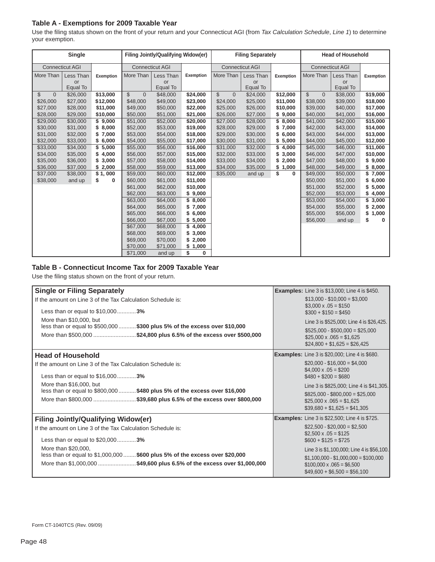## **Table A - Exemptions for 2009 Taxable Year**

Use the filing status shown on the front of your return and your Connecticut AGI (from *Tax Calculation Schedule, Line 1*) to determine your exemption.

|                                  | Single                 |           |                                | Filing Jointly/Qualifying Widow(er) |                  |                          | <b>Filing Separately</b> |                |                                | <b>Head of Household</b> |                  |
|----------------------------------|------------------------|-----------|--------------------------------|-------------------------------------|------------------|--------------------------|--------------------------|----------------|--------------------------------|--------------------------|------------------|
|                                  | <b>Connecticut AGI</b> |           |                                | <b>Connecticut AGI</b>              |                  |                          | <b>Connecticut AGI</b>   |                |                                | <b>Connecticut AGI</b>   |                  |
| More Than                        | Less Than              | Exemption | More Than                      | Less Than                           | <b>Exemption</b> | More Than                | Less Than                | Exemption      | More Than                      | Less Than                | <b>Exemption</b> |
|                                  | or                     |           |                                | or                                  |                  |                          | or                       |                |                                | or                       |                  |
|                                  | Equal To               |           |                                | Equal To                            |                  |                          | Equal To                 |                |                                | Equal To                 |                  |
| $\mathfrak{L}$<br>$\overline{0}$ | \$26,000               | \$13,000  | $\mathbb{S}$<br>$\overline{0}$ | \$48,000                            | \$24,000         | $\mathbb{S}$<br>$\Omega$ | \$24,000                 | \$12,000       | $\mathbb{S}$<br>$\overline{0}$ | \$38,000                 | \$19,000         |
| \$26,000                         | \$27,000               | \$12,000  | \$48,000                       | \$49,000                            | \$23,000         | \$24,000                 | \$25,000                 | \$11,000       | \$38,000                       | \$39,000                 | \$18,000         |
| \$27,000                         | \$28,000               | \$11,000  | \$49,000                       | \$50,000                            | \$22,000         | \$25,000                 | \$26,000                 | \$10,000       | \$39,000                       | \$40,000                 | \$17,000         |
| \$28,000                         | \$29,000               | \$10,000  | \$50,000                       | \$51,000                            | \$21,000         | \$26,000                 | \$27,000                 | \$9,000        | \$40,000                       | \$41,000                 | \$16,000         |
| \$29,000                         | \$30,000               | \$9,000   | \$51,000                       | \$52,000                            | \$20,000         | \$27,000                 | \$28,000                 | \$8,000        | \$41,000                       | \$42,000                 | \$15,000         |
| \$30,000                         | \$31,000               | \$8,000   | \$52,000                       | \$53,000                            | \$19,000         | \$28,000                 | \$29,000                 | \$<br>7,000    | \$42,000                       | \$43,000                 | \$14,000         |
| \$31,000                         | \$32,000               | \$7,000   | \$53,000                       | \$54,000                            | \$18,000         | \$29,000                 | \$30,000                 | 6,000<br>\$    | \$43,000                       | \$44,000                 | \$13,000         |
| \$32,000                         | \$33,000               | \$6,000   | \$54,000                       | \$55,000                            | \$17,000         | \$30,000                 | \$31,000                 | 5,000<br>\$    | \$44,000                       | \$45,000                 | \$12,000         |
| \$33,000                         | \$34,000               | \$5,000   | \$55,000                       | \$56,000                            | \$16,000         | \$31,000                 | \$32,000                 | \$<br>4,000    | \$45,000                       | \$46,000                 | \$11,000         |
| \$34,000                         | \$35,000               | \$4,000   | \$56,000                       | \$57,000                            | \$15,000         | \$32,000                 | \$33,000                 | 3,000<br>\$    | \$46,000                       | \$47,000                 | \$10,000         |
| \$35,000                         | \$36,000               | \$3,000   | \$57,000                       | \$58,000                            | \$14,000         | \$33,000                 | \$34,000                 | \$<br>2,000    | \$47,000                       | \$48,000                 | \$9,000          |
| \$36,000                         | \$37,000               | \$2,000   | \$58,000                       | \$59,000                            | \$13,000         | \$34,000                 | \$35,000                 | 1,000<br>\$    | \$48,000                       | \$49,000                 | \$8,000          |
| \$37,000                         | \$38,000               | \$1,000   | \$59,000                       | \$60,000                            | \$12,000         | \$35,000                 | and up                   | \$<br>$\bf{0}$ | \$49,000                       | \$50,000                 | \$7,000          |
| \$38,000                         | and up                 | S<br>0    | \$60,000                       | \$61,000                            | \$11,000         |                          |                          |                | \$50,000                       | \$51,000                 | 6,000            |
|                                  |                        |           | \$61,000                       | \$62,000                            | \$10,000         |                          |                          |                | \$51,000                       | \$52,000                 | 5,000            |
|                                  |                        |           | \$62,000                       | \$63,000                            | \$9,000          |                          |                          |                | \$52,000                       | \$53,000                 | 4,000            |
|                                  |                        |           | \$63,000                       | \$64,000                            | \$8,000          |                          |                          |                | \$53,000                       | \$54,000                 | 3,000            |
|                                  |                        |           | \$64,000                       | \$65,000                            | \$7,000          |                          |                          |                | \$54,000                       | \$55,000                 | 2,000            |
|                                  |                        |           | \$65,000                       | \$66,000                            | \$6,000          |                          |                          |                | \$55,000                       | \$56,000                 | 1,000<br>\$      |
|                                  |                        |           | \$66,000                       | \$67,000                            | \$5,000          |                          |                          |                | \$56,000                       | and up                   | \$<br>0          |
|                                  |                        |           | \$67,000                       | \$68,000                            | \$4,000          |                          |                          |                |                                |                          |                  |
|                                  |                        |           | \$68,000                       | \$69,000                            | \$3,000          |                          |                          |                |                                |                          |                  |
|                                  |                        |           | \$69,000                       | \$70,000                            | \$2,000          |                          |                          |                |                                |                          |                  |
|                                  |                        |           | \$70,000                       | \$71,000                            | \$1,000          |                          |                          |                |                                |                          |                  |
|                                  |                        |           | \$71,000                       | and up                              | \$<br>$\bf{0}$   |                          |                          |                |                                |                          |                  |

#### **Table B - Connecticut Income Tax for 2009 Taxable Year**

Use the filing status shown on the front of your return.

| <b>Single or Filing Separately</b>                                                                                                                      | <b>Examples:</b> Line 3 is \$13,000; Line 4 is \$450.                                                   |
|---------------------------------------------------------------------------------------------------------------------------------------------------------|---------------------------------------------------------------------------------------------------------|
| If the amount on Line 3 of the Tax Calculation Schedule is:                                                                                             | $$13,000 - $10,000 = $3,000$<br>$$3,000 \times .05 = $150$                                              |
| Less than or equal to \$10,0003%                                                                                                                        | $$300 + $150 = $450$                                                                                    |
| More than \$10,000, but<br>less than or equal to \$500,000  \$300 plus 5% of the excess over \$10,000                                                   | Line 3 is \$525,000; Line 4 is \$26,425.<br>$$525,000 - $500,000 = $25,000$                             |
| More than \$500,000 \$24,800 plus 6.5% of the excess over \$500,000                                                                                     | $$25,000 \times .065 = $1,625$<br>$$24,800 + $1,625 = $26,425$                                          |
| <b>Head of Household</b>                                                                                                                                | <b>Examples:</b> Line 3 is \$20,000; Line 4 is \$680.                                                   |
| If the amount on Line 3 of the Tax Calculation Schedule is:                                                                                             | $$20,000 - $16,000 = $4,000$<br>$$4,000 \times .05 = $200$                                              |
| Less than or equal to \$16,0003%                                                                                                                        | $$480 + $200 = $680$                                                                                    |
| More than \$16,000, but<br>less than or equal to \$800,000  \$480 plus 5% of the excess over \$16,000                                                   | Line 3 is \$825,000; Line 4 is \$41,305.                                                                |
| More than \$800,000 \$39,680 plus 6.5% of the excess over \$800,000                                                                                     | $$825,000 - $800,000 = $25,000$<br>$$25,000 \times .065 = $1,625$                                       |
|                                                                                                                                                         | $$39,680 + $1,625 = $41,305$                                                                            |
| <b>Filing Jointly/Qualifying Widow(er)</b>                                                                                                              | <b>Examples:</b> Line 3 is \$22,500; Line 4 is \$725.                                                   |
| If the amount on Line 3 of the Tax Calculation Schedule is:                                                                                             | $$22,500 - $20,000 = $2,500$<br>$$2.500 \times .05 = $125$                                              |
| Less than or equal to \$20,0003%                                                                                                                        | $$600 + $125 = $725$                                                                                    |
| More than \$20,000,                                                                                                                                     | Line 3 is \$1,100,000; Line 4 is \$56,100.                                                              |
| less than or equal to \$1,000,000  \$600 plus 5% of the excess over \$20,000<br>More than \$1,000,000 \$49,600 plus 6.5% of the excess over \$1,000,000 | $$1,100,000 - $1,000,000 = $100,000$<br>$$100,000 \times .065 = $6,500$<br>$$49,600 + $6,500 = $56,100$ |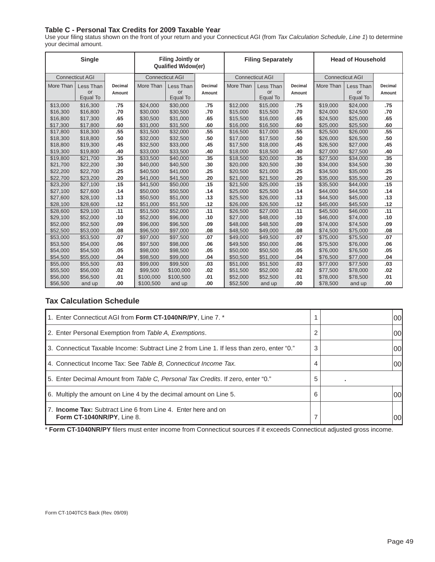## **Table C - Personal Tax Credits for 2009 Taxable Year**

Use your fi ling status shown on the front of your return and your Connecticut AGI (from *Tax Calculation Schedule*, *Line 1*) to determine your decimal amount.

| Single    |                        | <b>Filing Jointly or</b><br><b>Qualified Widow(er)</b> |           | <b>Filing Separately</b> |         |           | <b>Head of Household</b> |                |                        |                |                |
|-----------|------------------------|--------------------------------------------------------|-----------|--------------------------|---------|-----------|--------------------------|----------------|------------------------|----------------|----------------|
|           | <b>Connecticut AGI</b> |                                                        |           | <b>Connecticut AGI</b>   |         |           | <b>Connecticut AGI</b>   |                | <b>Connecticut AGI</b> |                |                |
| More Than | Less Than              | <b>Decimal</b>                                         | More Than | Less Than                | Decimal | More Than | Less Than                | <b>Decimal</b> | More Than              | Less Than      | <b>Decimal</b> |
|           | or<br>Equal To         | Amount                                                 |           | or<br>Equal To           | Amount  |           | or<br>Equal To           | Amount         |                        | or<br>Equal To | Amount         |
| \$13,000  | \$16,300               | .75                                                    | \$24,000  | \$30,000                 | .75     | \$12,000  | \$15,000                 | .75            | \$19,000               | \$24,000       | .75            |
| \$16,300  | \$16,800               | .70                                                    | \$30,000  | \$30,500                 | .70     | \$15,000  | \$15,500                 | .70            | \$24,000               | \$24,500       | .70            |
| \$16,800  | \$17,300               | .65                                                    | \$30,500  | \$31,000                 | .65     | \$15,500  | \$16,000                 | .65            | \$24,500               | \$25,000       | .65            |
| \$17,300  | \$17,800               | .60                                                    | \$31,000  | \$31,500                 | .60     | \$16,000  | \$16,500                 | .60            | \$25,000               | \$25,500       | .60            |
| \$17,800  | \$18,300               | .55                                                    | \$31,500  | \$32,000                 | .55     | \$16,500  | \$17,000                 | .55            | \$25,500               | \$26,000       | .55            |
| \$18,300  | \$18,800               | .50                                                    | \$32,000  | \$32,500                 | .50     | \$17,000  | \$17,500                 | .50            | \$26,000               | \$26,500       | .50            |
| \$18,800  | \$19,300               | .45                                                    | \$32,500  | \$33,000                 | .45     | \$17,500  | \$18,000                 | .45            | \$26,500               | \$27,000       | .45            |
| \$19,300  | \$19,800               | .40                                                    | \$33,000  | \$33,500                 | .40     | \$18,000  | \$18,500                 | .40            | \$27,000               | \$27,500       | .40            |
| \$19,800  | \$21,700               | .35                                                    | \$33,500  | \$40,000                 | .35     | \$18,500  | \$20,000                 | .35            | \$27,500               | \$34,000       | .35            |
| \$21,700  | \$22,200               | .30                                                    | \$40,000  | \$40,500                 | .30     | \$20,000  | \$20,500                 | .30            | \$34,000               | \$34,500       | .30            |
| \$22,200  | \$22,700               | .25                                                    | \$40,500  | \$41,000                 | .25     | \$20,500  | \$21,000                 | .25            | \$34,500               | \$35,000       | .25            |
| \$22,700  | \$23,200               | .20                                                    | \$41,000  | \$41,500                 | .20     | \$21,000  | \$21,500                 | .20            | \$35,000               | \$35,500       | .20            |
| \$23,200  | \$27,100               | .15                                                    | \$41,500  | \$50,000                 | .15     | \$21,500  | \$25,000                 | .15            | \$35,500               | \$44,000       | .15            |
| \$27,100  | \$27,600               | .14                                                    | \$50,000  | \$50,500                 | .14     | \$25,000  | \$25,500                 | .14            | \$44,000               | \$44,500       | .14            |
| \$27,600  | \$28,100               | .13                                                    | \$50,500  | \$51,000                 | .13     | \$25,500  | \$26,000                 | .13            | \$44,500               | \$45,000       | .13            |
| \$28,100  | \$28,600               | .12                                                    | \$51,000  | \$51,500                 | .12     | \$26,000  | \$26,500                 | .12            | \$45,000               | \$45,500       | .12            |
| \$28,600  | \$29,100               | .11                                                    | \$51,500  | \$52,000                 | .11     | \$26,500  | \$27,000                 | .11            | \$45,500               | \$46,000       | .11            |
| \$29,100  | \$52,000               | .10                                                    | \$52,000  | \$96,000                 | .10     | \$27,000  | \$48,000                 | .10            | \$46,000               | \$74,000       | .10            |
| \$52,000  | \$52,500               | .09                                                    | \$96,000  | \$96,500                 | .09     | \$48,000  | \$48,500                 | .09            | \$74,000               | \$74,500       | .09            |
| \$52,500  | \$53,000               | .08                                                    | \$96,500  | \$97,000                 | .08     | \$48,500  | \$49,000                 | .08            | \$74,500               | \$75,000       | .08            |
| \$53,000  | \$53,500               | .07                                                    | \$97,000  | \$97,500                 | .07     | \$49,000  | \$49,500                 | .07            | \$75,000               | \$75,500       | .07            |
| \$53,500  | \$54,000               | .06                                                    | \$97,500  | \$98,000                 | .06     | \$49.500  | \$50,000                 | .06            | \$75,500               | \$76,000       | .06            |
| \$54,000  | \$54,500               | .05                                                    | \$98,000  | \$98,500                 | .05     | \$50,000  | \$50,500                 | .05            | \$76,000               | \$76,500       | .05            |
| \$54,500  | \$55,000               | .04                                                    | \$98,500  | \$99,000                 | .04     | \$50,500  | \$51,000                 | .04            | \$76,500               | \$77,000       | .04            |
| \$55,000  | \$55,500               | .03                                                    | \$99,000  | \$99,500                 | .03     | \$51,000  | \$51,500                 | .03            | \$77,000               | \$77,500       | .03            |
| \$55,500  | \$56,000               | .02                                                    | \$99,500  | \$100,000                | .02     | \$51,500  | \$52,000                 | .02            | \$77,500               | \$78,000       | .02            |
| \$56,000  | \$56,500               | .01                                                    | \$100,000 | \$100,500                | .01     | \$52,000  | \$52,500                 | .01            | \$78,000               | \$78,500       | .01            |
| \$56,500  | and up                 | .00                                                    | \$100,500 | and up                   | .00     | \$52,500  | and up                   | .00            | \$78,500               | and up         | .00            |

## **Tax Calculation Schedule**

| 1. Enter Connecticut AGI from Form CT-1040NR/PY, Line 7. *                                  |   | 00 |
|---------------------------------------------------------------------------------------------|---|----|
| 2. Enter Personal Exemption from Table A, Exemptions.                                       | 2 | 00 |
| 3. Connecticut Taxable Income: Subtract Line 2 from Line 1. If less than zero, enter "0."   | 3 | 00 |
| 4. Connecticut Income Tax: See Table B, Connecticut Income Tax.                             | 4 | 00 |
| 5. Enter Decimal Amount from Table C, Personal Tax Credits. If zero, enter "0."             | 5 |    |
| 6. Multiply the amount on Line 4 by the decimal amount on Line 5.                           | 6 | 00 |
| 7. Income Tax: Subtract Line 6 from Line 4. Enter here and on<br>Form CT-1040NR/PY, Line 8. | 7 | 00 |

\* **Form CT-1040NR/PY** filers must enter income from Connecticut sources if it exceeds Connecticut adjusted gross income.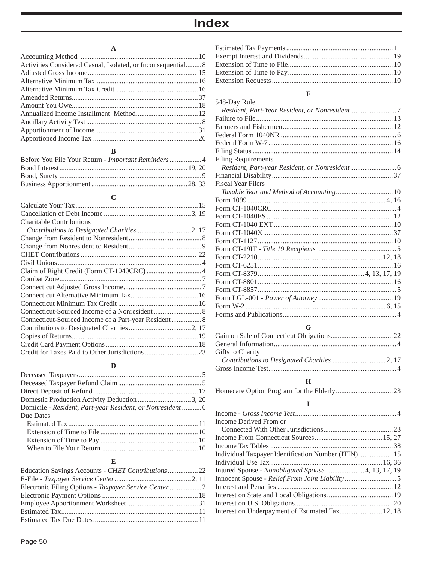## **A**

| Activities Considered Casual, Isolated, or Inconsequential 8 |  |
|--------------------------------------------------------------|--|
|                                                              |  |
|                                                              |  |
|                                                              |  |
|                                                              |  |
|                                                              |  |
|                                                              |  |
|                                                              |  |
|                                                              |  |
|                                                              |  |

## **B**

## **C**

| <b>Charitable Contributions</b> |  |
|---------------------------------|--|
|                                 |  |
|                                 |  |
|                                 |  |
|                                 |  |
|                                 |  |
|                                 |  |
|                                 |  |
|                                 |  |
|                                 |  |
|                                 |  |
|                                 |  |
|                                 |  |
|                                 |  |
|                                 |  |
|                                 |  |
|                                 |  |

## **D**

| Domicile - Resident, Part-year Resident, or Nonresident  6 |  |
|------------------------------------------------------------|--|
| Due Dates                                                  |  |
|                                                            |  |
|                                                            |  |
|                                                            |  |
|                                                            |  |

## **E**

| Education Savings Accounts - CHET Contributions 22 |  |
|----------------------------------------------------|--|
|                                                    |  |
|                                                    |  |
|                                                    |  |
|                                                    |  |
|                                                    |  |
|                                                    |  |

## **F**

| 548-Day Rule                                  |  |
|-----------------------------------------------|--|
| Resident, Part-Year Resident, or Nonresident7 |  |
|                                               |  |
|                                               |  |
|                                               |  |
|                                               |  |
|                                               |  |
| <b>Filing Requirements</b>                    |  |
|                                               |  |
|                                               |  |
| <b>Fiscal Year Filers</b>                     |  |
|                                               |  |
|                                               |  |
|                                               |  |
|                                               |  |
|                                               |  |
|                                               |  |
|                                               |  |
|                                               |  |
|                                               |  |
|                                               |  |
|                                               |  |
|                                               |  |
|                                               |  |
|                                               |  |
|                                               |  |
|                                               |  |
|                                               |  |

## **G**

| Gifts to Charity |  |
|------------------|--|
|                  |  |
|                  |  |

## **H**

## **I**

| Income Derived From or                               |  |
|------------------------------------------------------|--|
|                                                      |  |
|                                                      |  |
|                                                      |  |
| Individual Taxpayer Identification Number (ITIN)  15 |  |
|                                                      |  |
|                                                      |  |
|                                                      |  |
|                                                      |  |
|                                                      |  |
|                                                      |  |
| Interest on Underpayment of Estimated Tax 12, 18     |  |
|                                                      |  |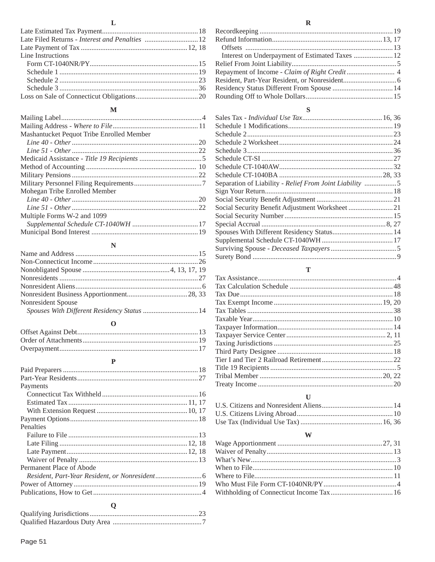#### $\mathbf L$

| Line Instructions |  |
|-------------------|--|
|                   |  |
|                   |  |
|                   |  |
|                   |  |
|                   |  |
|                   |  |

## $\mathbf M$

| Mashantucket Pequot Tribe Enrolled Member |  |
|-------------------------------------------|--|
|                                           |  |
|                                           |  |
|                                           |  |
|                                           |  |
|                                           |  |
|                                           |  |
| Mohegan Tribe Enrolled Member             |  |
|                                           |  |
|                                           |  |
| Multiple Forms W-2 and 1099               |  |
|                                           |  |
|                                           |  |
|                                           |  |

## ${\bf N}$

| Nonresident Spouse |  |
|--------------------|--|
|                    |  |

#### $\mathbf 0$

## $\mathbf P$

| Payments                 |  |
|--------------------------|--|
|                          |  |
|                          |  |
|                          |  |
|                          |  |
| Penalties                |  |
|                          |  |
|                          |  |
|                          |  |
|                          |  |
| Permanent Place of Abode |  |
|                          |  |
|                          |  |
|                          |  |
|                          |  |

## $\mathbf Q$

## S

| Separation of Liability - Relief From Joint Liability 5 |  |
|---------------------------------------------------------|--|
|                                                         |  |
|                                                         |  |
|                                                         |  |
|                                                         |  |
|                                                         |  |
|                                                         |  |
|                                                         |  |
|                                                         |  |
|                                                         |  |

## $\mathbf T$

#### $\mathbf U$

#### W

#### $\mathbf R$